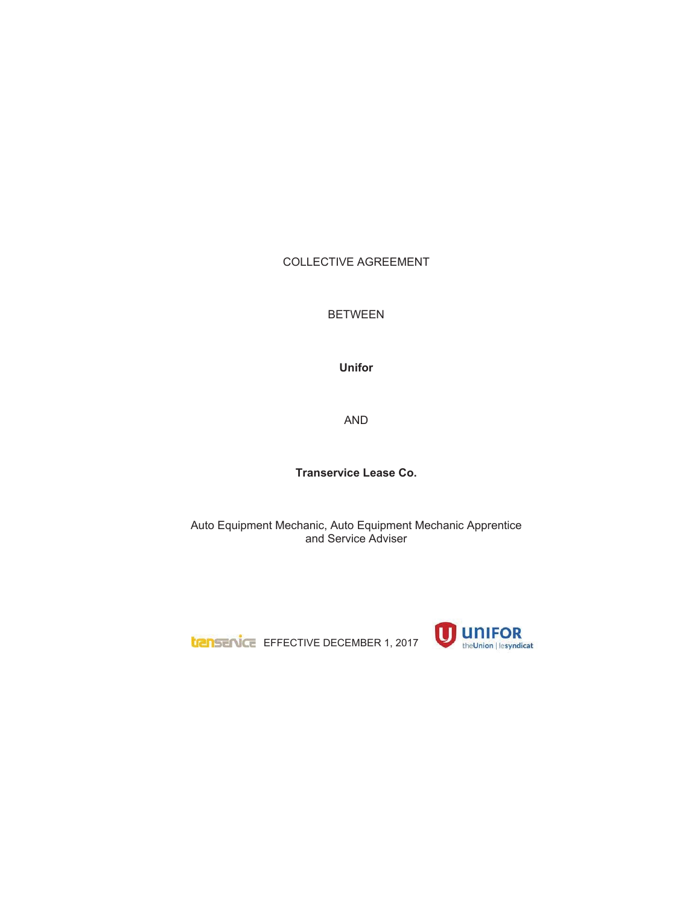# COLLECTIVE AGREEMENT

BETWEEN

**Unifor**

AND

**Transervice Lease Co.**

Auto Equipment Mechanic, Auto Equipment Mechanic Apprentice and Service Adviser

**LIZINSENCE** EFFECTIVE DECEMBER 1, 2017

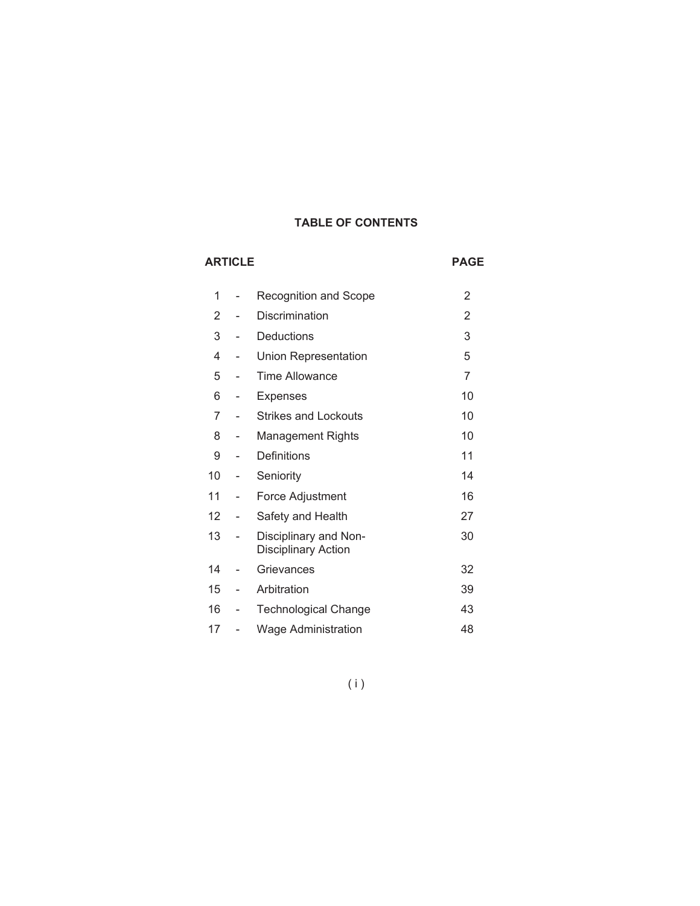# **TABLE OF CONTENTS**

# **ARTICLE PAGE** 1 - Recognition and Scope 2 2 - Discrimination 2 3 - Deductions 3 4 - Union Representation 5 5 - Time Allowance 7 6 - Expenses 10 7 - Strikes and Lockouts 10 8 - Management Rights **10** 9 - Definitions 11 10 - Seniority 14 11 - Force Adjustment 16 12 - Safety and Health 27 13 - Disciplinary and Non-Disciplinary Action 30 14 - Grievances 32 15 - Arbitration 39 16 - Technological Change 43 17 - Wage Administration 48

# (i)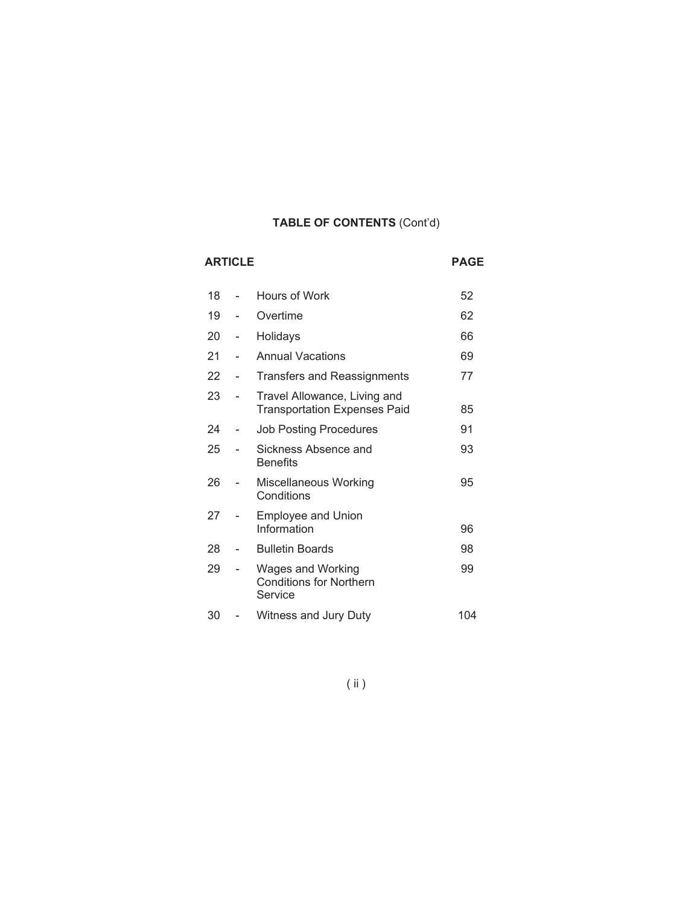# **TABLE OF CONTENTS** (Cont'd)

| <b>ARTICLE</b> | <b>PAGE</b>                                                         |     |
|----------------|---------------------------------------------------------------------|-----|
| 18             | Hours of Work                                                       | 52  |
| 19             | Overtime                                                            | 62  |
| 20             | Holidays                                                            | 66  |
| 21             | <b>Annual Vacations</b>                                             | 69  |
| 22             | <b>Transfers and Reassignments</b>                                  | 77  |
| 23             | Travel Allowance, Living and<br><b>Transportation Expenses Paid</b> | 85  |
| 24             | <b>Job Posting Procedures</b>                                       | 91  |
| 25             | Sickness Absence and<br><b>Benefits</b>                             | 93  |
| 26             | Miscellaneous Working<br>Conditions                                 | 95  |
| 27             | <b>Employee and Union</b><br>Information                            | 96  |
| 28             | <b>Bulletin Boards</b>                                              | 98  |
| 29             | Wages and Working<br><b>Conditions for Northern</b><br>Service      | 99  |
| 30             | Witness and Jury Duty                                               | 104 |

( ii )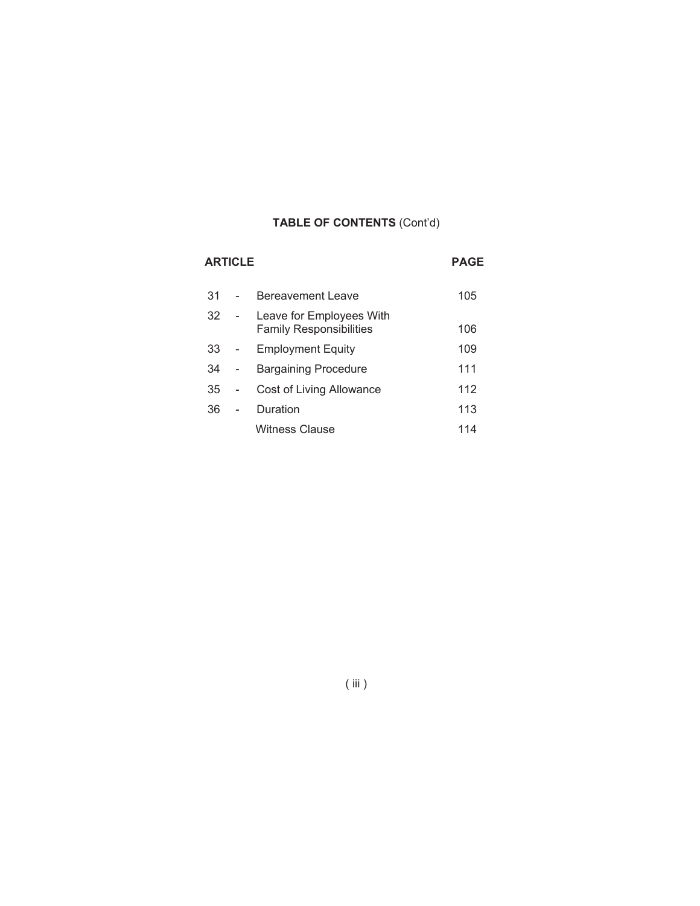# **TABLE OF CONTENTS** (Cont'd)

| <b>ARTICLE</b> | <b>PAGE</b>                                                |     |
|----------------|------------------------------------------------------------|-----|
| 31             | Bereavement Leave                                          | 105 |
| 32             | Leave for Employees With<br><b>Family Responsibilities</b> | 106 |
| 33             | <b>Employment Equity</b>                                   | 109 |
| 34             | <b>Bargaining Procedure</b>                                | 111 |
| 35             | Cost of Living Allowance                                   | 112 |
| 36             | Duration                                                   | 113 |
|                | Witness Clause                                             | 114 |

( iii )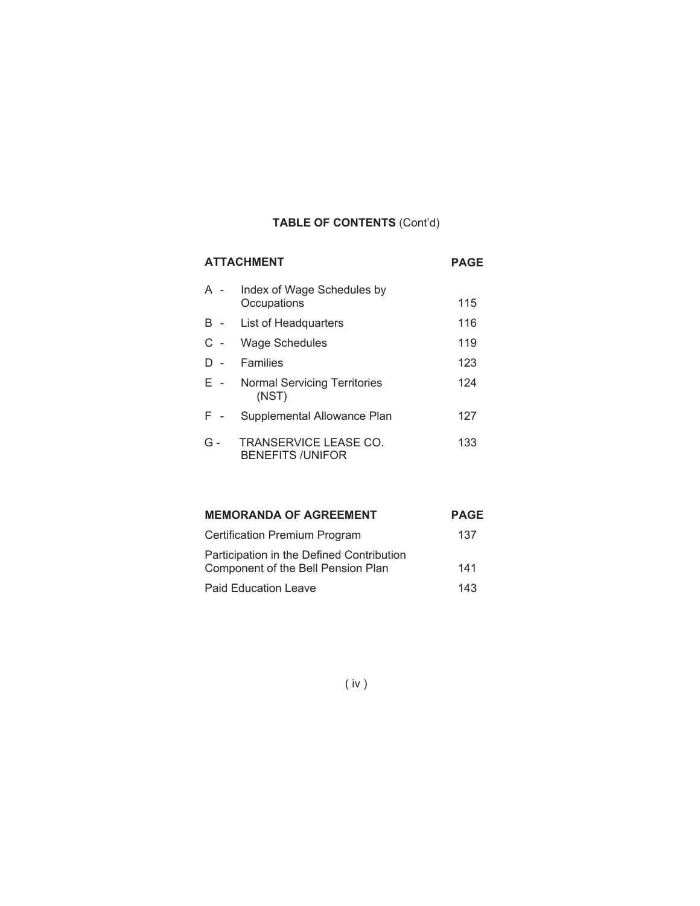# **TABLE OF CONTENTS** (Cont'd)

| <b>ATTACHMENT</b> | <b>PAGE</b>                                      |     |
|-------------------|--------------------------------------------------|-----|
| A -               | Index of Wage Schedules by<br>Occupations        | 115 |
| B -               | List of Headquarters                             | 116 |
| $C -$             | Wage Schedules                                   | 119 |
| D-                | Families                                         | 123 |
| E -               | <b>Normal Servicing Territories</b><br>(NST)     | 124 |
| $F -$             | Supplemental Allowance Plan                      | 127 |
| G -               | TRANSERVICE LEASE CO.<br><b>BENEFITS /UNIFOR</b> | 133 |

| <b>MEMORANDA OF AGREEMENT</b>                                                   | <b>PAGE</b> |
|---------------------------------------------------------------------------------|-------------|
| <b>Certification Premium Program</b>                                            | 137         |
| Participation in the Defined Contribution<br>Component of the Bell Pension Plan | 141         |
| <b>Paid Education Leave</b>                                                     | 143         |

( iv )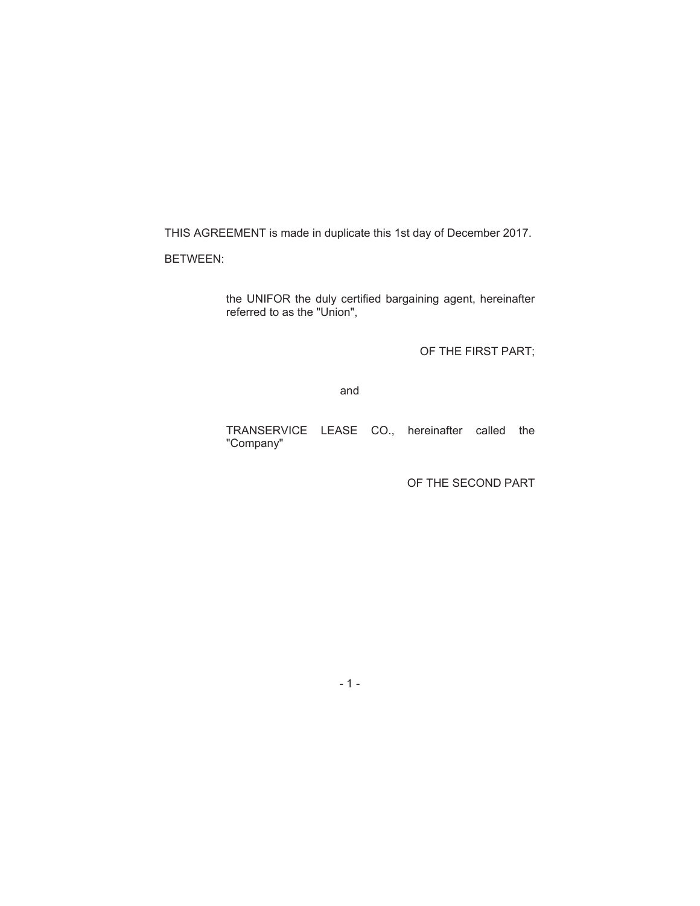THIS AGREEMENT is made in duplicate this 1st day of December 2017.

BETWEEN:

the UNIFOR the duly certified bargaining agent, hereinafter referred to as the "Union",

OF THE FIRST PART;

and

TRANSERVICE LEASE CO., hereinafter called the "Company"

OF THE SECOND PART

-1-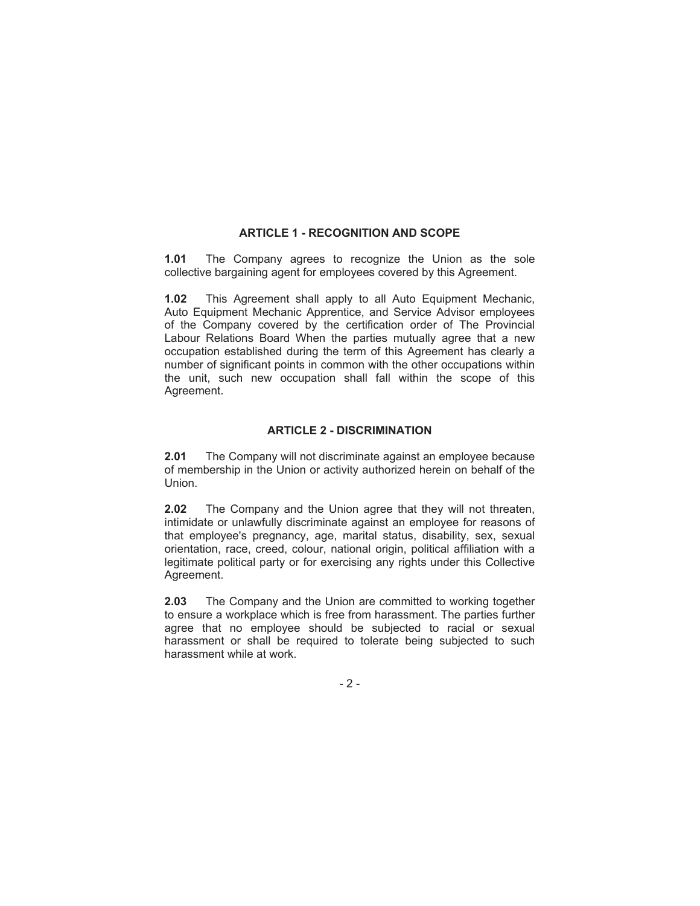#### **ARTICLE 1 - RECOGNITION AND SCOPE**

**1.01** The Company agrees to recognize the Union as the sole collective bargaining agent for employees covered by this Agreement.

**1.02** This Agreement shall apply to all Auto Equipment Mechanic, Auto Equipment Mechanic Apprentice, and Service Advisor employees of the Company covered by the certification order of The Provincial Labour Relations Board When the parties mutually agree that a new occupation established during the term of this Agreement has clearly a number of significant points in common with the other occupations within the unit, such new occupation shall fall within the scope of this Agreement.

#### **ARTICLE 2 - DISCRIMINATION**

**2.01** The Company will not discriminate against an employee because of membership in the Union or activity authorized herein on behalf of the Union.

**2.02** The Company and the Union agree that they will not threaten, intimidate or unlawfully discriminate against an employee for reasons of that employee's pregnancy, age, marital status, disability, sex, sexual orientation, race, creed, colour, national origin, political affiliation with a legitimate political party or for exercising any rights under this Collective Agreement.

**2.03** The Company and the Union are committed to working together to ensure a workplace which is free from harassment. The parties further agree that no employee should be subjected to racial or sexual harassment or shall be required to tolerate being subjected to such harassment while at work.

-2-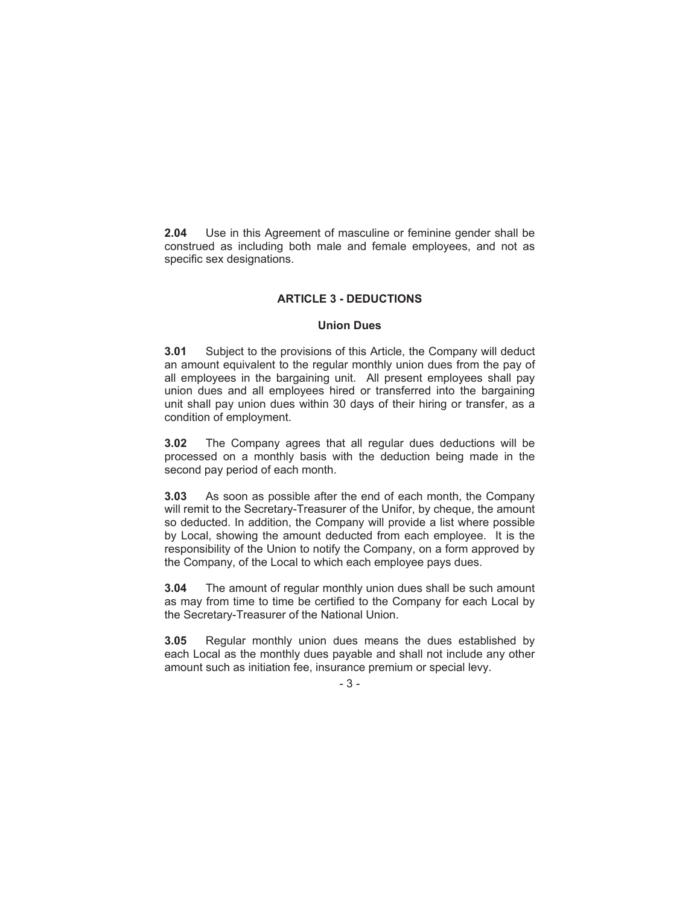**2.04** Use in this Agreement of masculine or feminine gender shall be construed as including both male and female employees, and not as specific sex designations.

#### **ARTICLE 3 - DEDUCTIONS**

#### **Union Dues**

**3.01** Subject to the provisions of this Article, the Company will deduct an amount equivalent to the regular monthly union dues from the pay of all employees in the bargaining unit. All present employees shall pay union dues and all employees hired or transferred into the bargaining unit shall pay union dues within 30 days of their hiring or transfer, as a condition of employment.

**3.02** The Company agrees that all regular dues deductions will be processed on a monthly basis with the deduction being made in the second pay period of each month.

**3.03** As soon as possible after the end of each month, the Company will remit to the Secretary-Treasurer of the Unifor, by cheque, the amount so deducted. In addition, the Company will provide a list where possible by Local, showing the amount deducted from each employee. It is the responsibility of the Union to notify the Company, on a form approved by the Company, of the Local to which each employee pays dues.

**3.04** The amount of regular monthly union dues shall be such amount as may from time to time be certified to the Company for each Local by the Secretary-Treasurer of the National Union.

**3.05** Regular monthly union dues means the dues established by each Local as the monthly dues payable and shall not include any other amount such as initiation fee, insurance premium or special levy.

-3-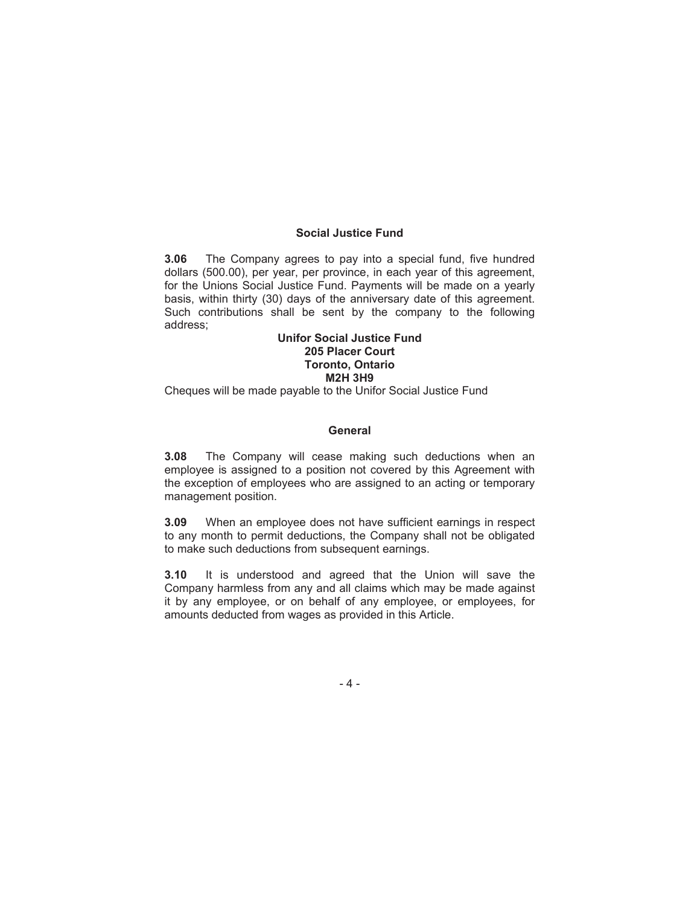#### **Social Justice Fund**

**3.06** The Company agrees to pay into a special fund, five hundred dollars (500.00), per year, per province, in each year of this agreement, for the Unions Social Justice Fund. Payments will be made on a yearly basis, within thirty (30) days of the anniversary date of this agreement. Such contributions shall be sent by the company to the following address;

#### **Unifor Social Justice Fund 205 Placer Court Toronto, Ontario M2H 3H9**

Cheques will be made payable to the Unifor Social Justice Fund

#### **General**

**3.08** The Company will cease making such deductions when an employee is assigned to a position not covered by this Agreement with the exception of employees who are assigned to an acting or temporary management position.

**3.09** When an employee does not have sufficient earnings in respect to any month to permit deductions, the Company shall not be obligated to make such deductions from subsequent earnings.

**3.10** It is understood and agreed that the Union will save the Company harmless from any and all claims which may be made against it by any employee, or on behalf of any employee, or employees, for amounts deducted from wages as provided in this Article.

-4-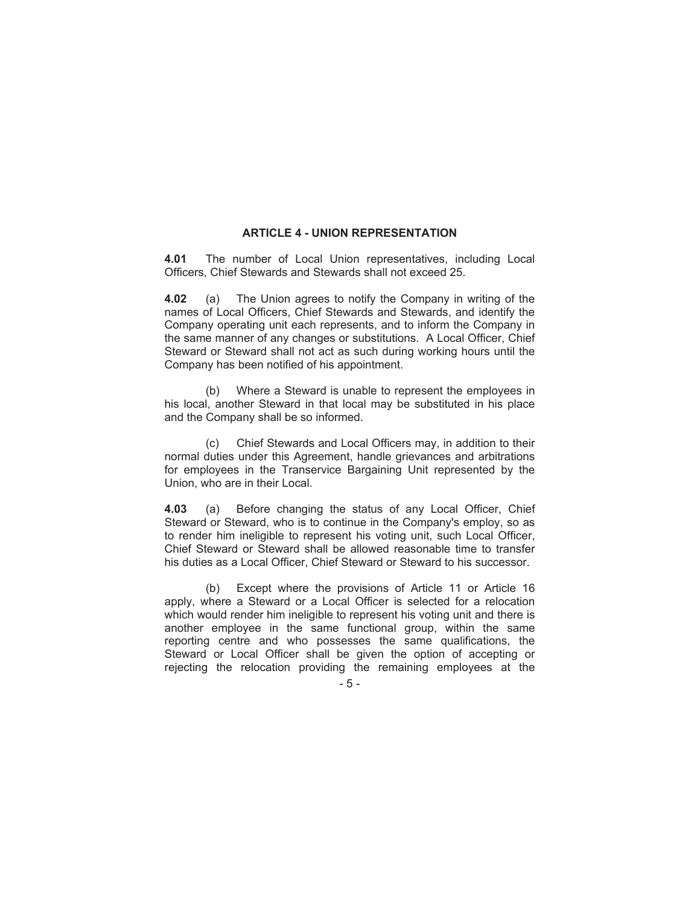#### **ARTICLE 4 - UNION REPRESENTATION**

**4.01** The number of Local Union representatives, including Local Officers, Chief Stewards and Stewards shall not exceed 25.

**4.02** (a) The Union agrees to notify the Company in writing of the names of Local Officers, Chief Stewards and Stewards, and identify the Company operating unit each represents, and to inform the Company in the same manner of any changes or substitutions. A Local Officer, Chief Steward or Steward shall not act as such during working hours until the Company has been notified of his appointment.

(b) Where a Steward is unable to represent the employees in his local, another Steward in that local may be substituted in his place and the Company shall be so informed.

(c) Chief Stewards and Local Officers may, in addition to their normal duties under this Agreement, handle grievances and arbitrations for employees in the Transervice Bargaining Unit represented by the Union, who are in their Local.

**4.03** (a) Before changing the status of any Local Officer, Chief Steward or Steward, who is to continue in the Company's employ, so as to render him ineligible to represent his voting unit, such Local Officer, Chief Steward or Steward shall be allowed reasonable time to transfer his duties as a Local Officer, Chief Steward or Steward to his successor.

(b) Except where the provisions of Article 11 or Article 16 apply, where a Steward or a Local Officer is selected for a relocation which would render him ineligible to represent his voting unit and there is another employee in the same functional group, within the same reporting centre and who possesses the same qualifications, the Steward or Local Officer shall be given the option of accepting or rejecting the relocation providing the remaining employees at the

-5-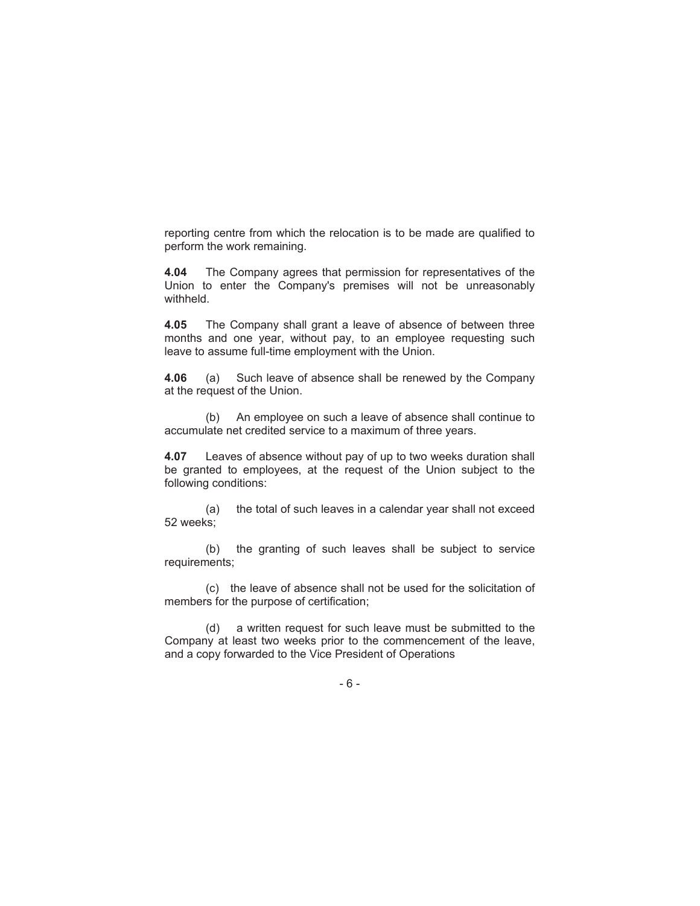reporting centre from which the relocation is to be made are qualified to perform the work remaining.

**4.04** The Company agrees that permission for representatives of the Union to enter the Company's premises will not be unreasonably withheld.

**4.05** The Company shall grant a leave of absence of between three months and one year, without pay, to an employee requesting such leave to assume full-time employment with the Union.

**4.06** (a) Such leave of absence shall be renewed by the Company at the request of the Union.

(b) An employee on such a leave of absence shall continue to accumulate net credited service to a maximum of three years.

**4.07** Leaves of absence without pay of up to two weeks duration shall be granted to employees, at the request of the Union subject to the following conditions:

(a) the total of such leaves in a calendar year shall not exceed 52 weeks;

(b) the granting of such leaves shall be subject to service requirements;

(c) the leave of absence shall not be used for the solicitation of members for the purpose of certification;

(d) a written request for such leave must be submitted to the Company at least two weeks prior to the commencement of the leave, and a copy forwarded to the Vice President of Operations

-6-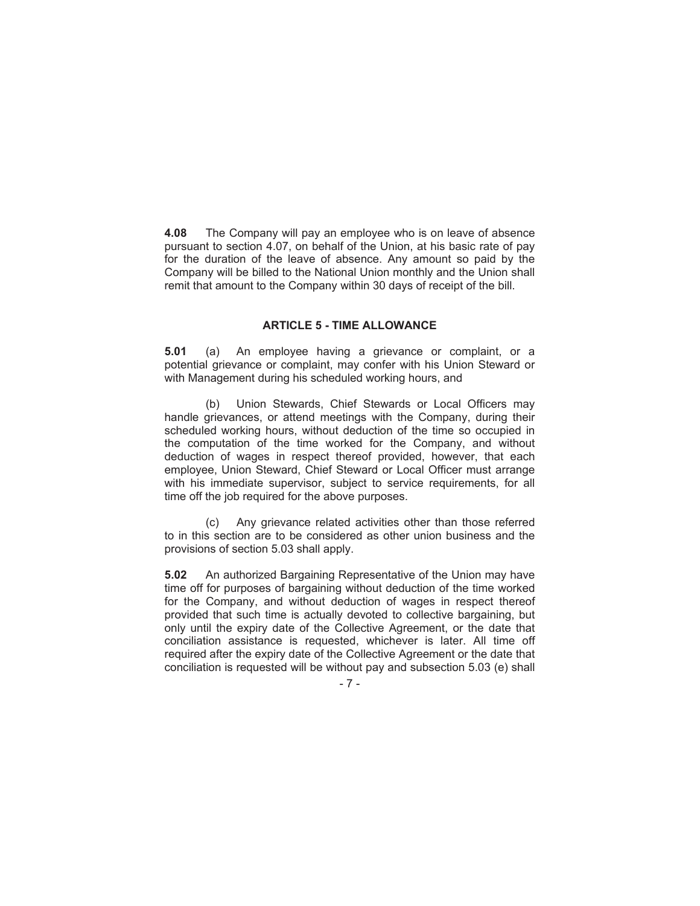**4.08** The Company will pay an employee who is on leave of absence pursuant to section 4.07, on behalf of the Union, at his basic rate of pay for the duration of the leave of absence. Any amount so paid by the Company will be billed to the National Union monthly and the Union shall remit that amount to the Company within 30 days of receipt of the bill.

#### **ARTICLE 5 - TIME ALLOWANCE**

**5.01** (a) An employee having a grievance or complaint, or a potential grievance or complaint, may confer with his Union Steward or with Management during his scheduled working hours, and

(b) Union Stewards, Chief Stewards or Local Officers may handle grievances, or attend meetings with the Company, during their scheduled working hours, without deduction of the time so occupied in the computation of the time worked for the Company, and without deduction of wages in respect thereof provided, however, that each employee, Union Steward, Chief Steward or Local Officer must arrange with his immediate supervisor, subject to service requirements, for all time off the job required for the above purposes.

(c) Any grievance related activities other than those referred to in this section are to be considered as other union business and the provisions of section 5.03 shall apply.

**5.02** An authorized Bargaining Representative of the Union may have time off for purposes of bargaining without deduction of the time worked for the Company, and without deduction of wages in respect thereof provided that such time is actually devoted to collective bargaining, but only until the expiry date of the Collective Agreement, or the date that conciliation assistance is requested, whichever is later. All time off required after the expiry date of the Collective Agreement or the date that conciliation is requested will be without pay and subsection 5.03 (e) shall

-7-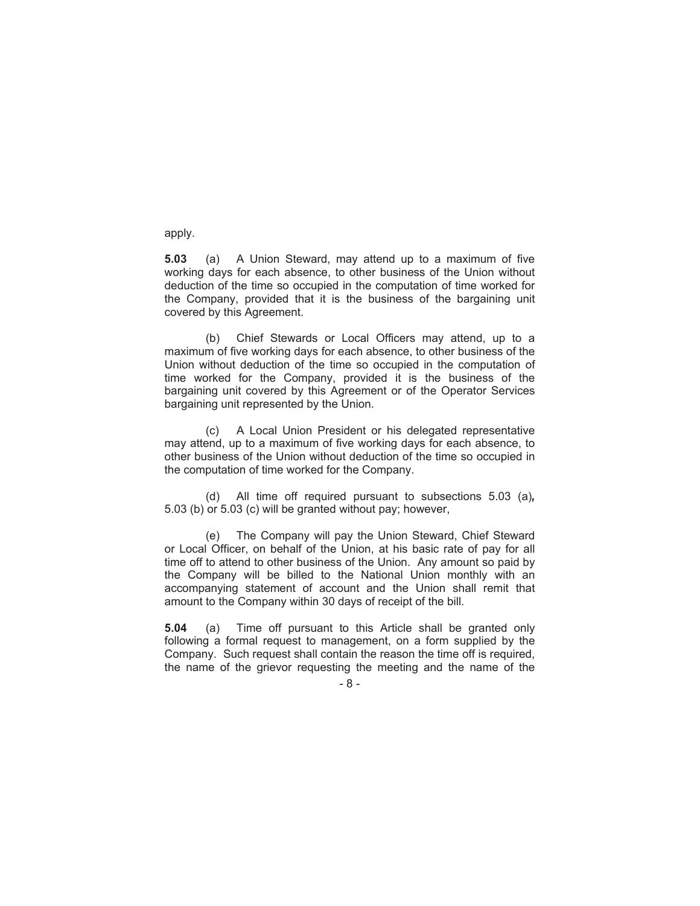apply.

**5.03** (a) A Union Steward, may attend up to a maximum of five working days for each absence, to other business of the Union without deduction of the time so occupied in the computation of time worked for the Company, provided that it is the business of the bargaining unit covered by this Agreement.

(b) Chief Stewards or Local Officers may attend, up to a maximum of five working days for each absence, to other business of the Union without deduction of the time so occupied in the computation of time worked for the Company, provided it is the business of the bargaining unit covered by this Agreement or of the Operator Services bargaining unit represented by the Union.

(c) A Local Union President or his delegated representative may attend, up to a maximum of five working days for each absence, to other business of the Union without deduction of the time so occupied in the computation of time worked for the Company.

(d) All time off required pursuant to subsections 5.03 (a)*,* 5.03 (b) or 5.03 (c) will be granted without pay; however,

(e) The Company will pay the Union Steward, Chief Steward or Local Officer, on behalf of the Union, at his basic rate of pay for all time off to attend to other business of the Union. Any amount so paid by the Company will be billed to the National Union monthly with an accompanying statement of account and the Union shall remit that amount to the Company within 30 days of receipt of the bill.

**5.04** (a) Time off pursuant to this Article shall be granted only following a formal request to management, on a form supplied by the Company. Such request shall contain the reason the time off is required, the name of the grievor requesting the meeting and the name of the

-8-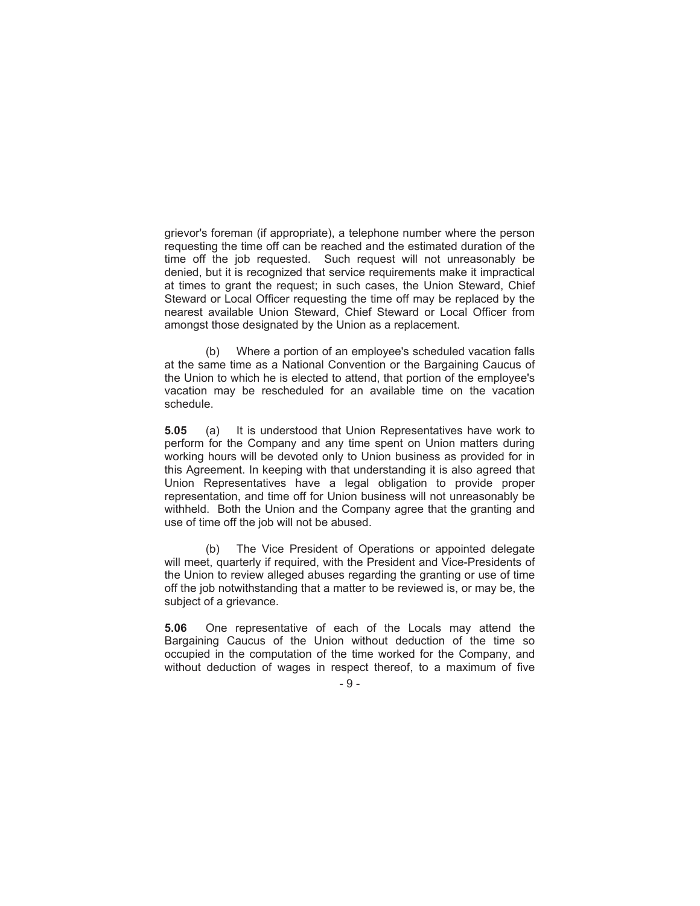grievor's foreman (if appropriate), a telephone number where the person requesting the time off can be reached and the estimated duration of the time off the job requested. Such request will not unreasonably be denied, but it is recognized that service requirements make it impractical at times to grant the request; in such cases, the Union Steward, Chief Steward or Local Officer requesting the time off may be replaced by the nearest available Union Steward, Chief Steward or Local Officer from amongst those designated by the Union as a replacement.

(b) Where a portion of an employee's scheduled vacation falls at the same time as a National Convention or the Bargaining Caucus of the Union to which he is elected to attend, that portion of the employee's vacation may be rescheduled for an available time on the vacation schedule.

**5.05** (a) It is understood that Union Representatives have work to perform for the Company and any time spent on Union matters during working hours will be devoted only to Union business as provided for in this Agreement. In keeping with that understanding it is also agreed that Union Representatives have a legal obligation to provide proper representation, and time off for Union business will not unreasonably be withheld. Both the Union and the Company agree that the granting and use of time off the job will not be abused.

(b) The Vice President of Operations or appointed delegate will meet, quarterly if required, with the President and Vice-Presidents of the Union to review alleged abuses regarding the granting or use of time off the job notwithstanding that a matter to be reviewed is, or may be, the subject of a grievance.

**5.06** One representative of each of the Locals may attend the Bargaining Caucus of the Union without deduction of the time so occupied in the computation of the time worked for the Company, and without deduction of wages in respect thereof, to a maximum of five

 $-9-$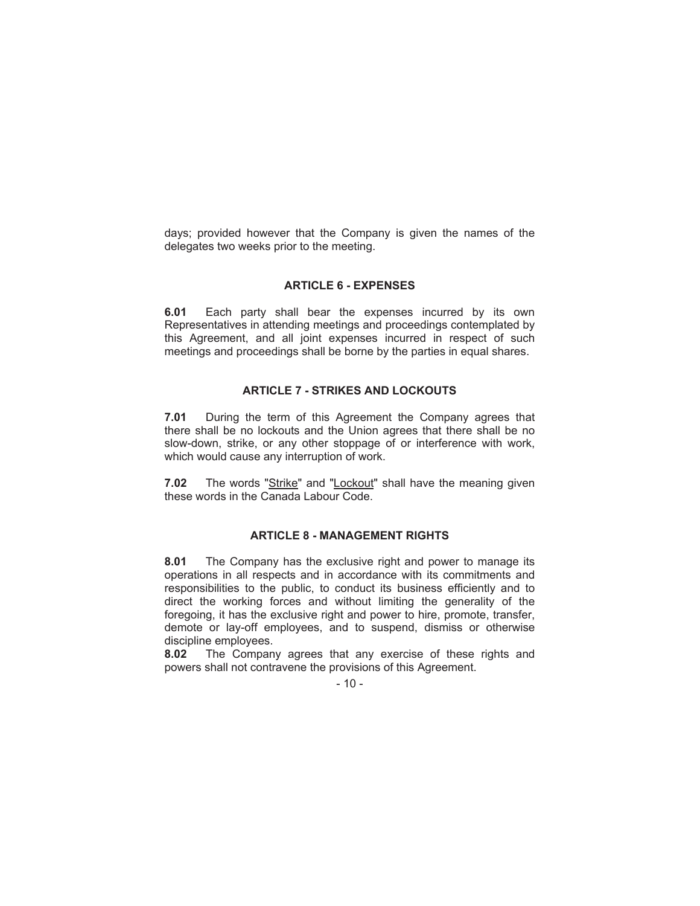days; provided however that the Company is given the names of the delegates two weeks prior to the meeting.

#### **ARTICLE 6 - EXPENSES**

**6.01** Each party shall bear the expenses incurred by its own Representatives in attending meetings and proceedings contemplated by this Agreement, and all joint expenses incurred in respect of such meetings and proceedings shall be borne by the parties in equal shares.

### **ARTICLE 7 - STRIKES AND LOCKOUTS**

**7.01** During the term of this Agreement the Company agrees that there shall be no lockouts and the Union agrees that there shall be no slow-down, strike, or any other stoppage of or interference with work, which would cause any interruption of work.

**7.02** The words "Strike" and "Lockout" shall have the meaning given these words in the Canada Labour Code.

#### **ARTICLE 8 - MANAGEMENT RIGHTS**

**8.01** The Company has the exclusive right and power to manage its operations in all respects and in accordance with its commitments and responsibilities to the public, to conduct its business efficiently and to direct the working forces and without limiting the generality of the foregoing, it has the exclusive right and power to hire, promote, transfer, demote or lay-off employees, and to suspend, dismiss or otherwise discipline employees.

**8.02** The Company agrees that any exercise of these rights and powers shall not contravene the provisions of this Agreement.

 $-10-$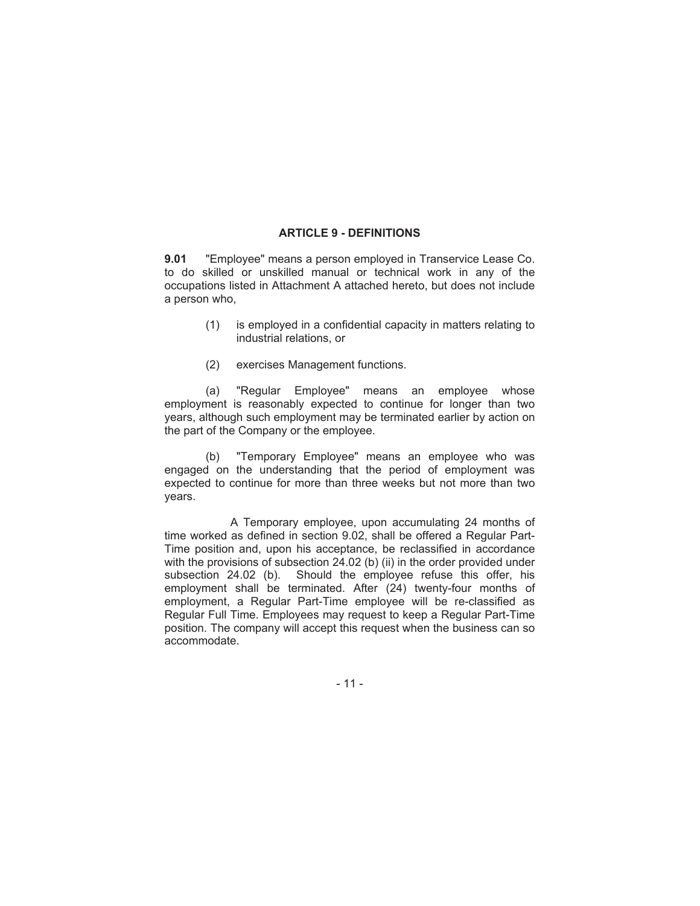#### **ARTICLE 9 - DEFINITIONS**

**9.01** "Employee" means a person employed in Transervice Lease Co. to do skilled or unskilled manual or technical work in any of the occupations listed in Attachment A attached hereto, but does not include a person who,

- (1) is employed in a confidential capacity in matters relating to industrial relations, or
- (2) exercises Management functions.

(a) "Regular Employee" means an employee whose employment is reasonably expected to continue for longer than two years, although such employment may be terminated earlier by action on the part of the Company or the employee.

(b) "Temporary Employee" means an employee who was engaged on the understanding that the period of employment was expected to continue for more than three weeks but not more than two years.

A Temporary employee, upon accumulating 24 months of time worked as defined in section 9.02, shall be offered a Regular Part-Time position and, upon his acceptance, be reclassified in accordance with the provisions of subsection 24.02 (b) (ii) in the order provided under subsection 24.02 (b). Should the employee refuse this offer, his employment shall be terminated. After (24) twenty-four months of employment, a Regular Part-Time employee will be re-classified as Regular Full Time. Employees may request to keep a Regular Part-Time position. The company will accept this request when the business can so accommodate.

- 11 -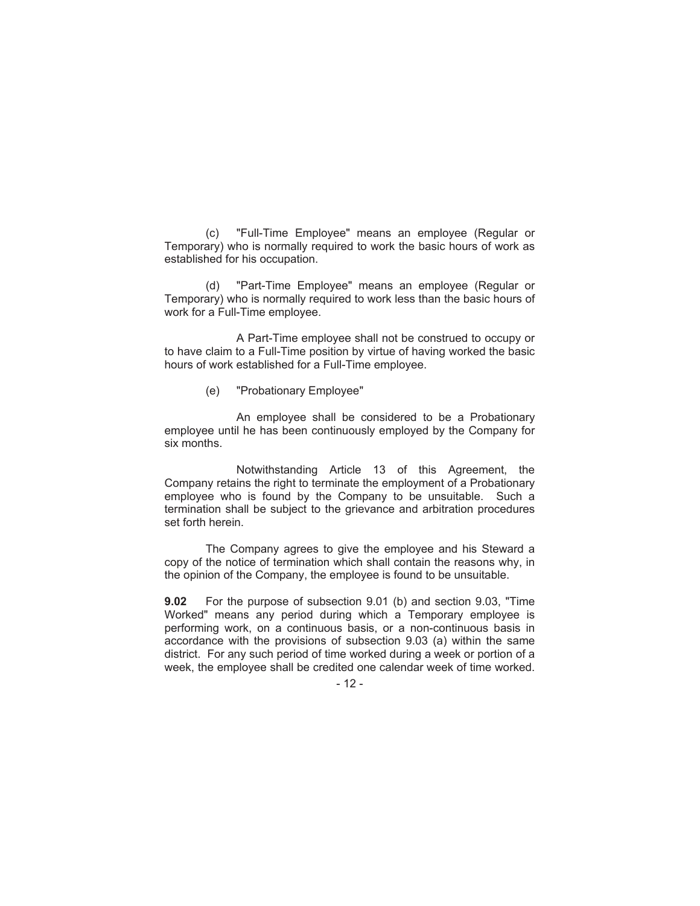(c) "Full-Time Employee" means an employee (Regular or Temporary) who is normally required to work the basic hours of work as established for his occupation.

(d) "Part-Time Employee" means an employee (Regular or Temporary) who is normally required to work less than the basic hours of work for a Full-Time employee.

A Part-Time employee shall not be construed to occupy or to have claim to a Full-Time position by virtue of having worked the basic hours of work established for a Full-Time employee.

#### (e) "Probationary Employee"

An employee shall be considered to be a Probationary employee until he has been continuously employed by the Company for six months.

Notwithstanding Article 13 of this Agreement, the Company retains the right to terminate the employment of a Probationary employee who is found by the Company to be unsuitable. Such a termination shall be subject to the grievance and arbitration procedures set forth herein.

The Company agrees to give the employee and his Steward a copy of the notice of termination which shall contain the reasons why, in the opinion of the Company, the employee is found to be unsuitable.

**9.02** For the purpose of subsection 9.01 (b) and section 9.03, "Time Worked" means any period during which a Temporary employee is performing work, on a continuous basis, or a non-continuous basis in accordance with the provisions of subsection 9.03 (a) within the same district. For any such period of time worked during a week or portion of a week, the employee shall be credited one calendar week of time worked.

#### - 12 -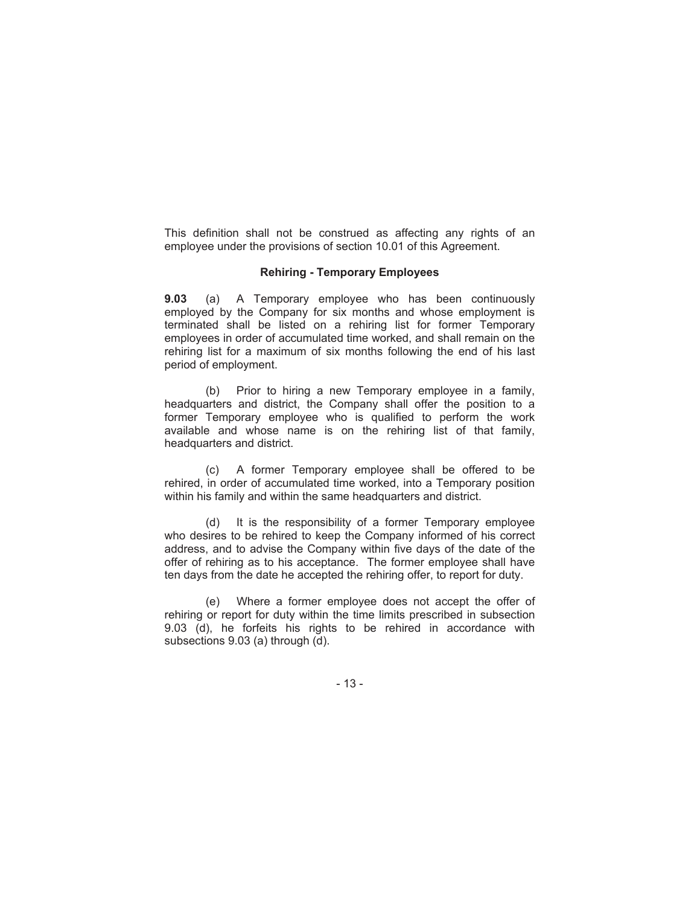This definition shall not be construed as affecting any rights of an employee under the provisions of section 10.01 of this Agreement.

#### **Rehiring - Temporary Employees**

**9.03** (a) A Temporary employee who has been continuously employed by the Company for six months and whose employment is terminated shall be listed on a rehiring list for former Temporary employees in order of accumulated time worked, and shall remain on the rehiring list for a maximum of six months following the end of his last period of employment.

(b) Prior to hiring a new Temporary employee in a family, headquarters and district, the Company shall offer the position to a former Temporary employee who is qualified to perform the work available and whose name is on the rehiring list of that family, headquarters and district.

(c) A former Temporary employee shall be offered to be rehired, in order of accumulated time worked, into a Temporary position within his family and within the same headquarters and district.

(d) It is the responsibility of a former Temporary employee who desires to be rehired to keep the Company informed of his correct address, and to advise the Company within five days of the date of the offer of rehiring as to his acceptance. The former employee shall have ten days from the date he accepted the rehiring offer, to report for duty.

(e) Where a former employee does not accept the offer of rehiring or report for duty within the time limits prescribed in subsection 9.03 (d), he forfeits his rights to be rehired in accordance with subsections 9.03 (a) through (d).

- 13 -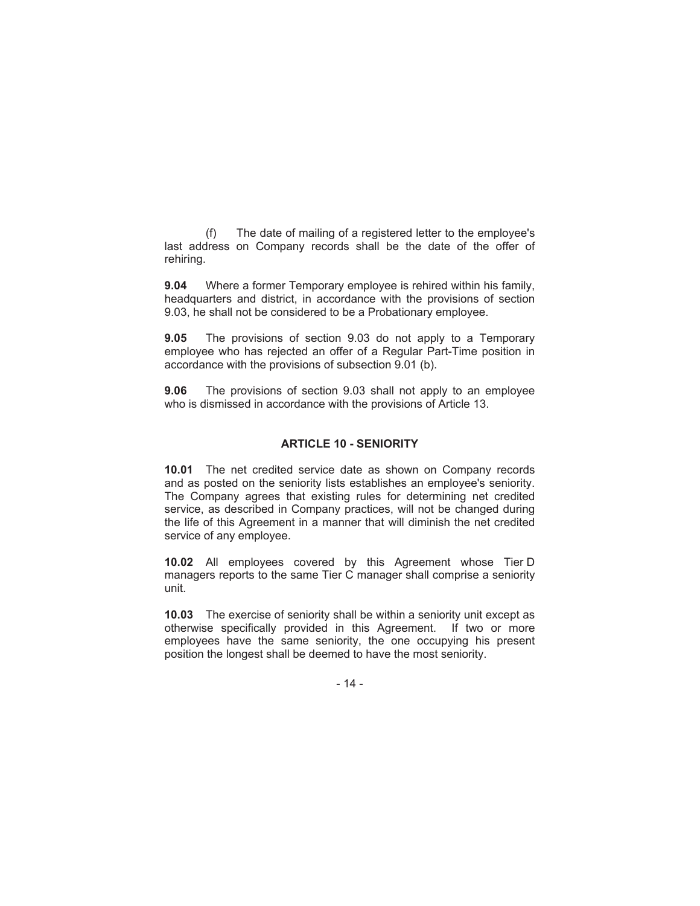(f) The date of mailing of a registered letter to the employee's last address on Company records shall be the date of the offer of rehiring.

**9.04** Where a former Temporary employee is rehired within his family, headquarters and district, in accordance with the provisions of section 9.03, he shall not be considered to be a Probationary employee.

**9.05** The provisions of section 9.03 do not apply to a Temporary employee who has rejected an offer of a Regular Part-Time position in accordance with the provisions of subsection 9.01 (b).

**9.06** The provisions of section 9.03 shall not apply to an employee who is dismissed in accordance with the provisions of Article 13.

#### **ARTICLE 10 - SENIORITY**

**10.01** The net credited service date as shown on Company records and as posted on the seniority lists establishes an employee's seniority. The Company agrees that existing rules for determining net credited service, as described in Company practices, will not be changed during the life of this Agreement in a manner that will diminish the net credited service of any employee.

**10.02** All employees covered by this Agreement whose Tier D managers reports to the same Tier C manager shall comprise a seniority unit.

**10.03** The exercise of seniority shall be within a seniority unit except as otherwise specifically provided in this Agreement. If two or more employees have the same seniority, the one occupying his present position the longest shall be deemed to have the most seniority.

- 14 -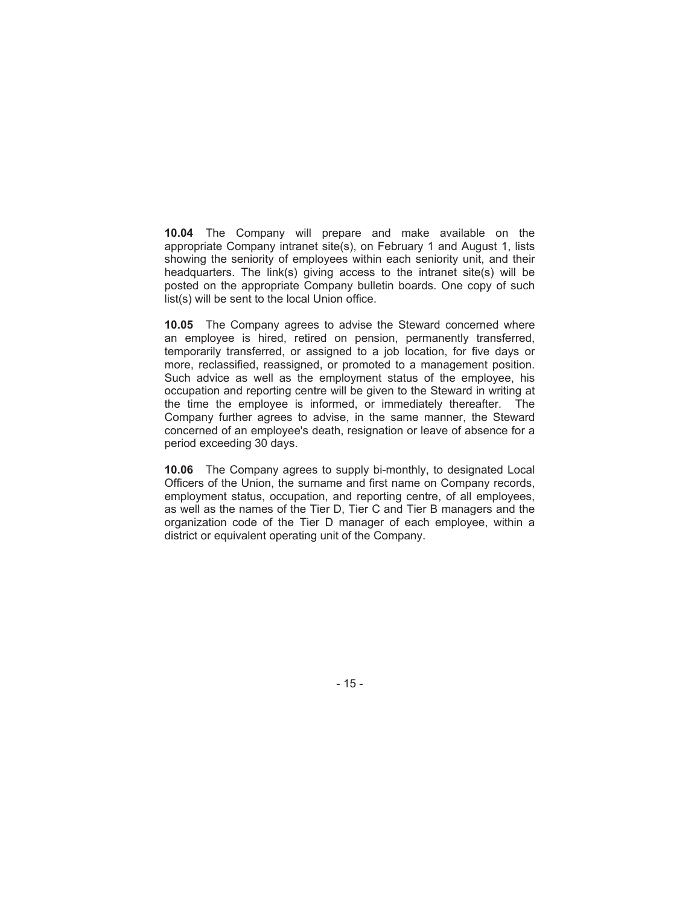**10.04** The Company will prepare and make available on the appropriate Company intranet site(s), on February 1 and August 1, lists showing the seniority of employees within each seniority unit, and their headquarters. The link(s) giving access to the intranet site(s) will be posted on the appropriate Company bulletin boards. One copy of such list(s) will be sent to the local Union office.

**10.05** The Company agrees to advise the Steward concerned where an employee is hired, retired on pension, permanently transferred, temporarily transferred, or assigned to a job location, for five days or more, reclassified, reassigned, or promoted to a management position. Such advice as well as the employment status of the employee, his occupation and reporting centre will be given to the Steward in writing at the time the employee is informed, or immediately thereafter. The Company further agrees to advise, in the same manner, the Steward concerned of an employee's death, resignation or leave of absence for a period exceeding 30 days.

**10.06** The Company agrees to supply bi-monthly, to designated Local Officers of the Union, the surname and first name on Company records, employment status, occupation, and reporting centre, of all employees, as well as the names of the Tier D, Tier C and Tier B managers and the organization code of the Tier D manager of each employee, within a district or equivalent operating unit of the Company.

- 15 -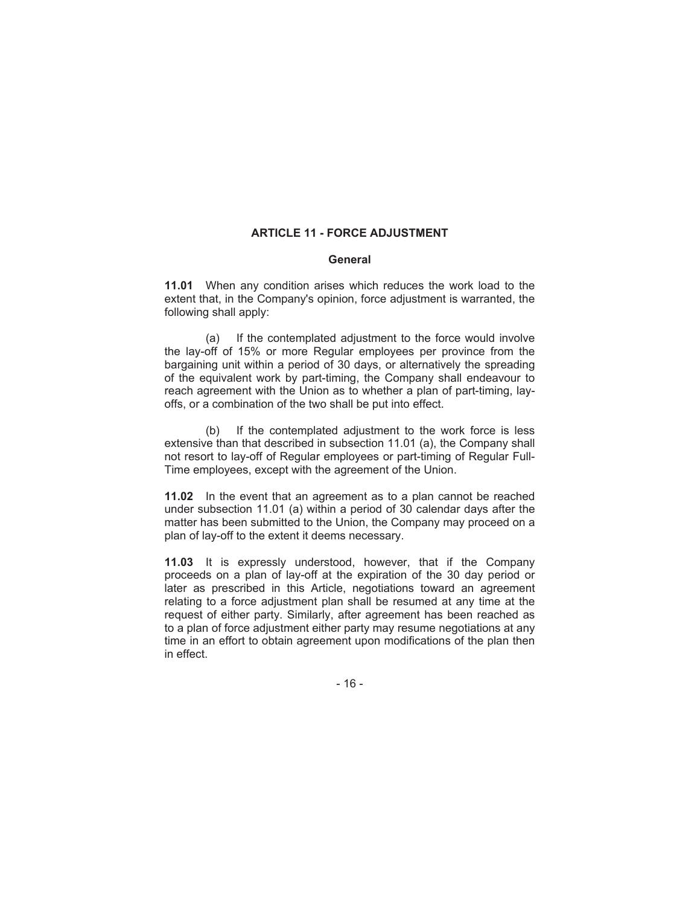## **ARTICLE 11 - FORCE ADJUSTMENT**

#### **General**

**11.01** When any condition arises which reduces the work load to the extent that, in the Company's opinion, force adjustment is warranted, the following shall apply:

(a) If the contemplated adjustment to the force would involve the lay-off of 15% or more Regular employees per province from the bargaining unit within a period of 30 days, or alternatively the spreading of the equivalent work by part-timing, the Company shall endeavour to reach agreement with the Union as to whether a plan of part-timing, layoffs, or a combination of the two shall be put into effect.

(b) If the contemplated adjustment to the work force is less extensive than that described in subsection 11.01 (a), the Company shall not resort to lay-off of Regular employees or part-timing of Regular Full-Time employees, except with the agreement of the Union.

**11.02** In the event that an agreement as to a plan cannot be reached under subsection 11.01 (a) within a period of 30 calendar days after the matter has been submitted to the Union, the Company may proceed on a plan of lay-off to the extent it deems necessary.

**11.03** It is expressly understood, however, that if the Company proceeds on a plan of lay-off at the expiration of the 30 day period or later as prescribed in this Article, negotiations toward an agreement relating to a force adjustment plan shall be resumed at any time at the request of either party. Similarly, after agreement has been reached as to a plan of force adjustment either party may resume negotiations at any time in an effort to obtain agreement upon modifications of the plan then in effect.

- 16 -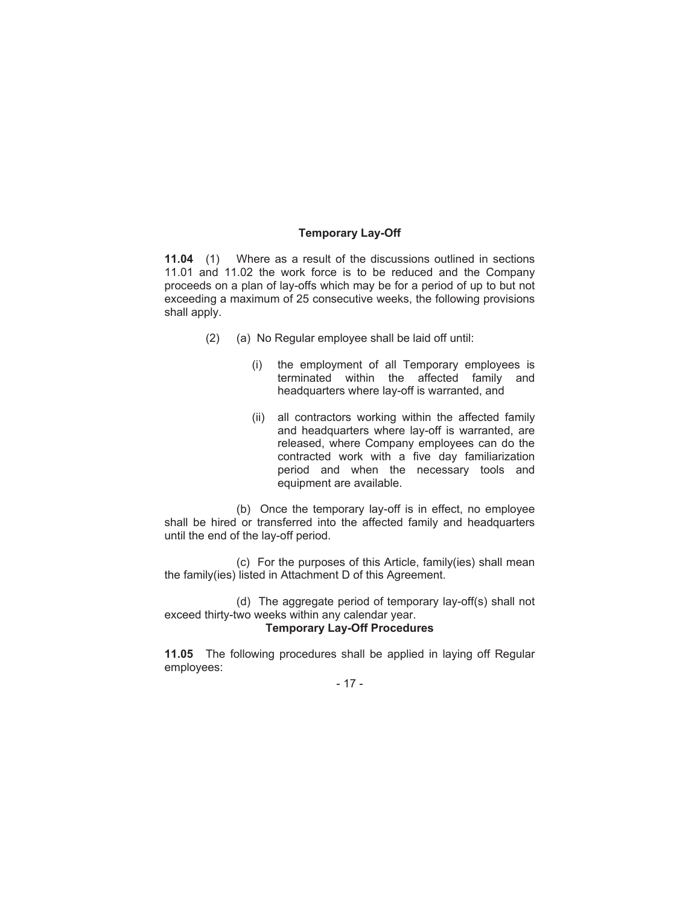#### **Temporary Lay-Off**

**11.04** (1) Where as a result of the discussions outlined in sections 11.01 and 11.02 the work force is to be reduced and the Company proceeds on a plan of lay-offs which may be for a period of up to but not exceeding a maximum of 25 consecutive weeks, the following provisions shall apply.

- (2) (a) No Regular employee shall be laid off until:
	- (i) the employment of all Temporary employees is terminated within the affected family and headquarters where lay-off is warranted, and
	- (ii) all contractors working within the affected family and headquarters where lay-off is warranted, are released, where Company employees can do the contracted work with a five day familiarization period and when the necessary tools and equipment are available.

(b) Once the temporary lay-off is in effect, no employee shall be hired or transferred into the affected family and headquarters until the end of the lay-off period.

(c) For the purposes of this Article, family(ies) shall mean the family(ies) listed in Attachment D of this Agreement.

(d) The aggregate period of temporary lay-off(s) shall not exceed thirty-two weeks within any calendar year. **Temporary Lay-Off Procedures**

**11.05** The following procedures shall be applied in laying off Regular employees:

- 17 -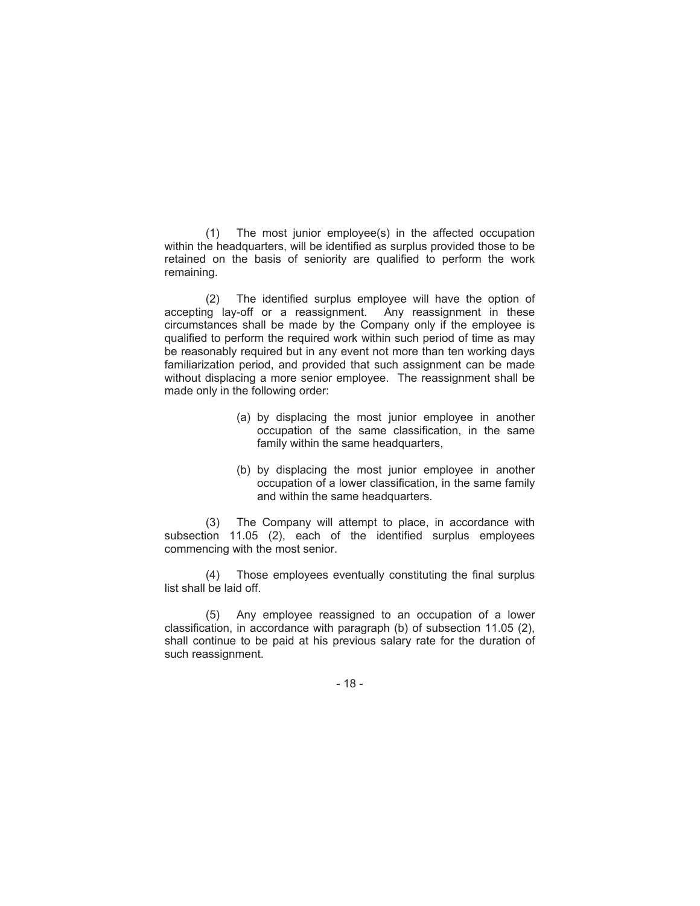(1) The most junior employee(s) in the affected occupation within the headquarters, will be identified as surplus provided those to be retained on the basis of seniority are qualified to perform the work remaining.

(2) The identified surplus employee will have the option of accepting lay-off or a reassignment. Any reassignment in these circumstances shall be made by the Company only if the employee is qualified to perform the required work within such period of time as may be reasonably required but in any event not more than ten working days familiarization period, and provided that such assignment can be made without displacing a more senior employee. The reassignment shall be made only in the following order:

- (a) by displacing the most junior employee in another occupation of the same classification, in the same family within the same headquarters,
- (b) by displacing the most junior employee in another occupation of a lower classification, in the same family and within the same headquarters.

(3) The Company will attempt to place, in accordance with subsection 11.05 (2), each of the identified surplus employees commencing with the most senior.

(4) Those employees eventually constituting the final surplus list shall be laid off.

(5) Any employee reassigned to an occupation of a lower classification, in accordance with paragraph (b) of subsection 11.05 (2), shall continue to be paid at his previous salary rate for the duration of such reassignment.

- 18 -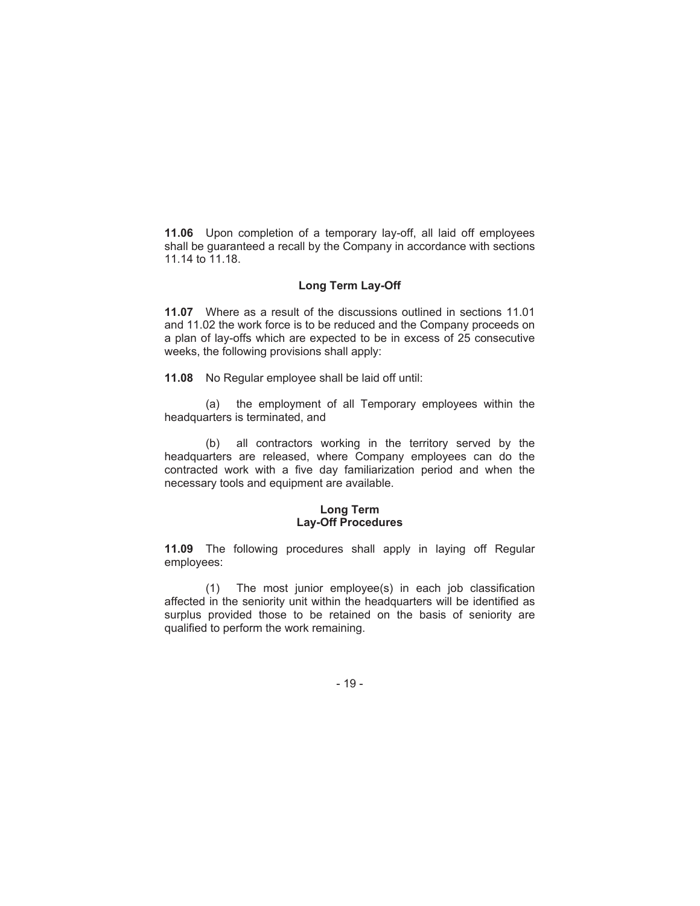**11.06** Upon completion of a temporary lay-off, all laid off employees shall be guaranteed a recall by the Company in accordance with sections 11.14 to 11.18.

#### **Long Term Lay-Off**

**11.07** Where as a result of the discussions outlined in sections 11.01 and 11.02 the work force is to be reduced and the Company proceeds on a plan of lay-offs which are expected to be in excess of 25 consecutive weeks, the following provisions shall apply:

**11.08** No Regular employee shall be laid off until:

(a) the employment of all Temporary employees within the headquarters is terminated, and

(b) all contractors working in the territory served by the headquarters are released, where Company employees can do the contracted work with a five day familiarization period and when the necessary tools and equipment are available.

#### **Long Term Lay-Off Procedures**

**11.09** The following procedures shall apply in laying off Regular employees:

(1) The most junior employee(s) in each job classification affected in the seniority unit within the headquarters will be identified as surplus provided those to be retained on the basis of seniority are qualified to perform the work remaining.

- 19 -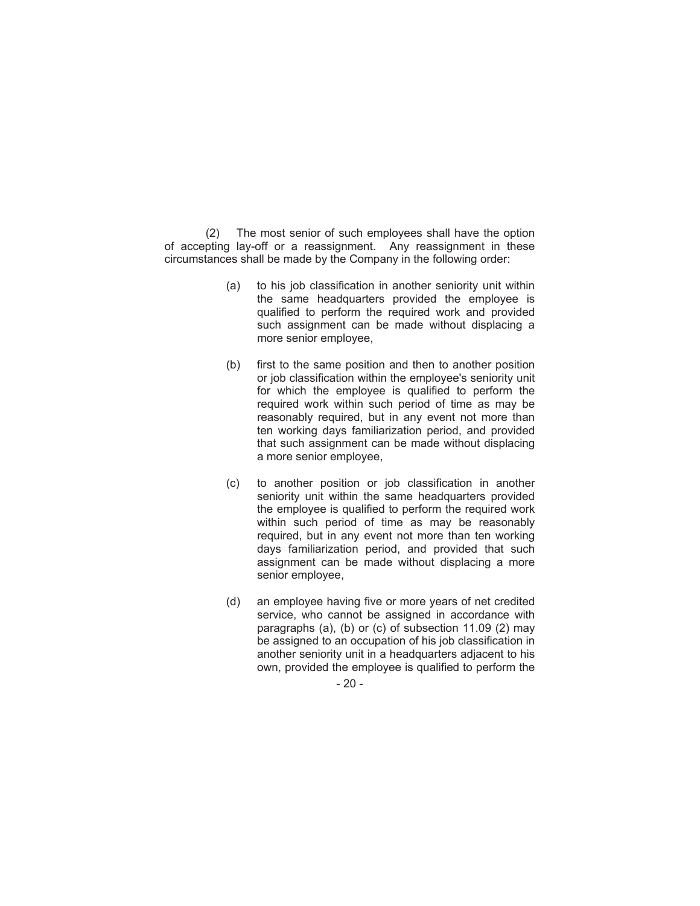(2) The most senior of such employees shall have the option of accepting lay-off or a reassignment. Any reassignment in these circumstances shall be made by the Company in the following order:

- (a) to his job classification in another seniority unit within the same headquarters provided the employee is qualified to perform the required work and provided such assignment can be made without displacing a more senior employee,
- (b) first to the same position and then to another position or job classification within the employee's seniority unit for which the employee is qualified to perform the required work within such period of time as may be reasonably required, but in any event not more than ten working days familiarization period, and provided that such assignment can be made without displacing a more senior employee,
- (c) to another position or job classification in another seniority unit within the same headquarters provided the employee is qualified to perform the required work within such period of time as may be reasonably required, but in any event not more than ten working days familiarization period, and provided that such assignment can be made without displacing a more senior employee,
- (d) an employee having five or more years of net credited service, who cannot be assigned in accordance with paragraphs (a), (b) or (c) of subsection 11.09 (2) may be assigned to an occupation of his job classification in another seniority unit in a headquarters adjacent to his own, provided the employee is qualified to perform the

 $-20-$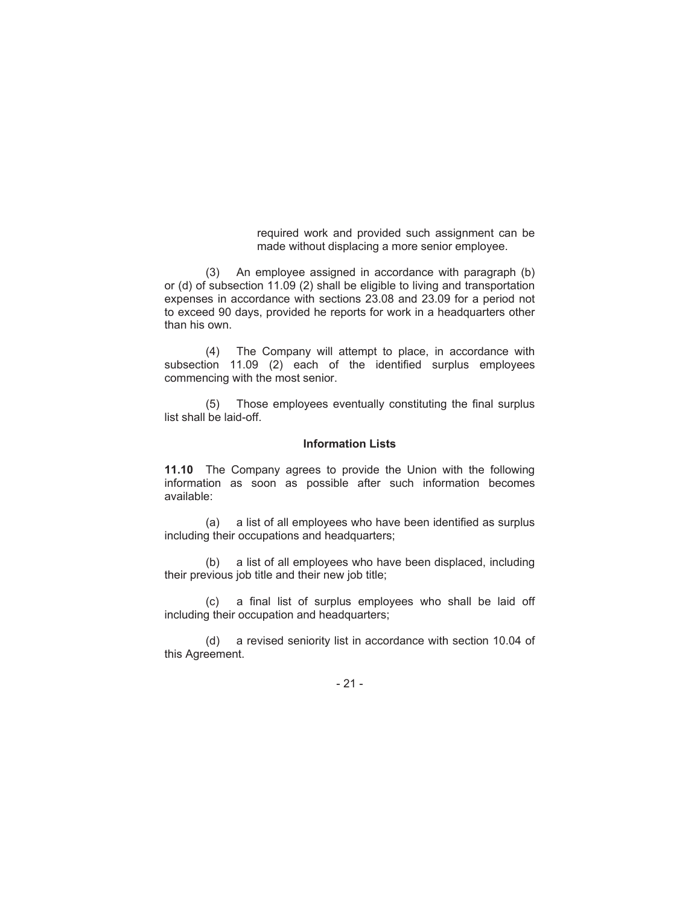required work and provided such assignment can be made without displacing a more senior employee.

(3) An employee assigned in accordance with paragraph (b) or (d) of subsection 11.09 (2) shall be eligible to living and transportation expenses in accordance with sections 23.08 and 23.09 for a period not to exceed 90 days, provided he reports for work in a headquarters other than his own.

(4) The Company will attempt to place, in accordance with subsection 11.09 (2) each of the identified surplus employees commencing with the most senior.

(5) Those employees eventually constituting the final surplus list shall be laid-off.

#### **Information Lists**

**11.10** The Company agrees to provide the Union with the following information as soon as possible after such information becomes available:

(a) a list of all employees who have been identified as surplus including their occupations and headquarters;

(b) a list of all employees who have been displaced, including their previous job title and their new job title;

(c) a final list of surplus employees who shall be laid off including their occupation and headquarters;

(d) a revised seniority list in accordance with section 10.04 of this Agreement.

- 21 -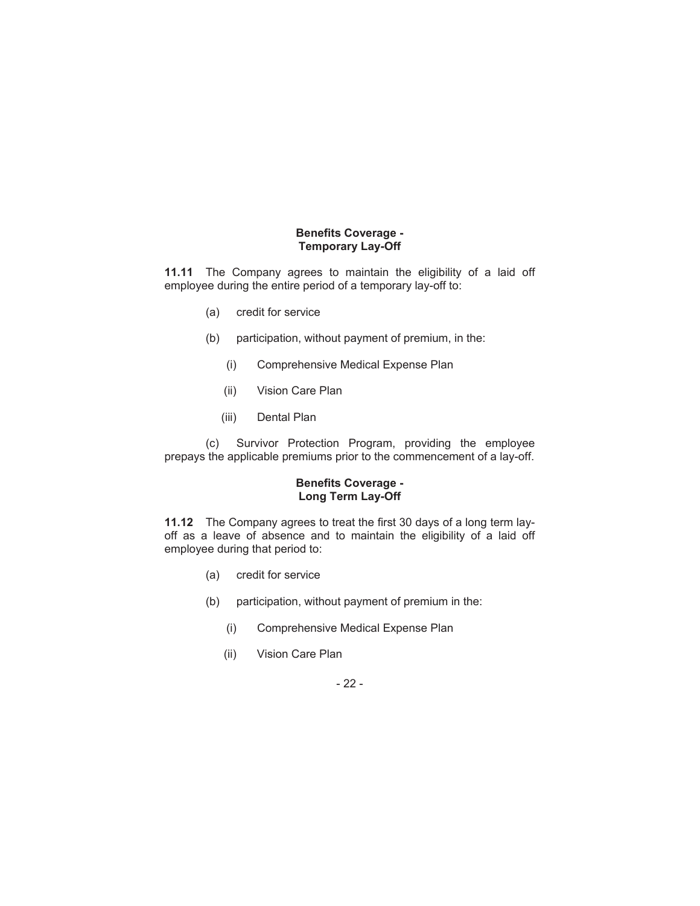### **Benefits Coverage - Temporary Lay-Off**

**11.11** The Company agrees to maintain the eligibility of a laid off employee during the entire period of a temporary lay-off to:

- (a) credit for service
- (b) participation, without payment of premium, in the:
	- (i) Comprehensive Medical Expense Plan
	- (ii) Vision Care Plan
	- (iii) Dental Plan

(c) Survivor Protection Program, providing the employee prepays the applicable premiums prior to the commencement of a lay-off.

#### **Benefits Coverage - Long Term Lay-Off**

**11.12** The Company agrees to treat the first 30 days of a long term layoff as a leave of absence and to maintain the eligibility of a laid off employee during that period to:

- (a) credit for service
- (b) participation, without payment of premium in the:
	- (i) Comprehensive Medical Expense Plan
	- (ii) Vision Care Plan

- 22 -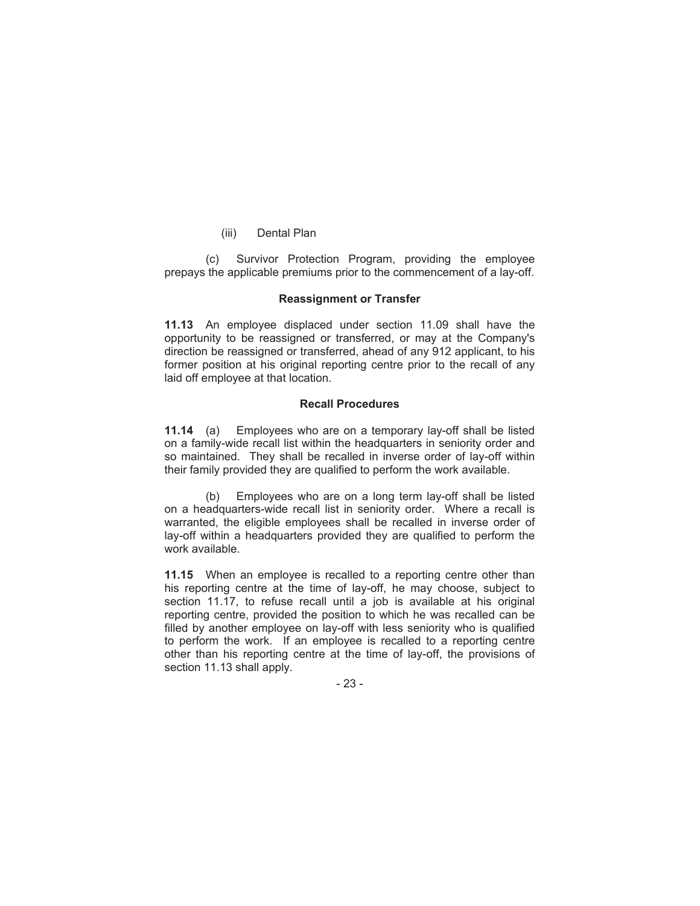(iii) Dental Plan

(c) Survivor Protection Program, providing the employee prepays the applicable premiums prior to the commencement of a lay-off.

#### **Reassignment or Transfer**

**11.13** An employee displaced under section 11.09 shall have the opportunity to be reassigned or transferred, or may at the Company's direction be reassigned or transferred, ahead of any 912 applicant, to his former position at his original reporting centre prior to the recall of any laid off employee at that location.

#### **Recall Procedures**

**11.14** (a) Employees who are on a temporary lay-off shall be listed on a family-wide recall list within the headquarters in seniority order and so maintained. They shall be recalled in inverse order of lay-off within their family provided they are qualified to perform the work available.

(b) Employees who are on a long term lay-off shall be listed on a headquarters-wide recall list in seniority order. Where a recall is warranted, the eligible employees shall be recalled in inverse order of lay-off within a headquarters provided they are qualified to perform the work available.

**11.15** When an employee is recalled to a reporting centre other than his reporting centre at the time of lay-off, he may choose, subject to section 11.17, to refuse recall until a job is available at his original reporting centre, provided the position to which he was recalled can be filled by another employee on lay-off with less seniority who is qualified to perform the work. If an employee is recalled to a reporting centre other than his reporting centre at the time of lay-off, the provisions of section 11.13 shall apply.

- 23 -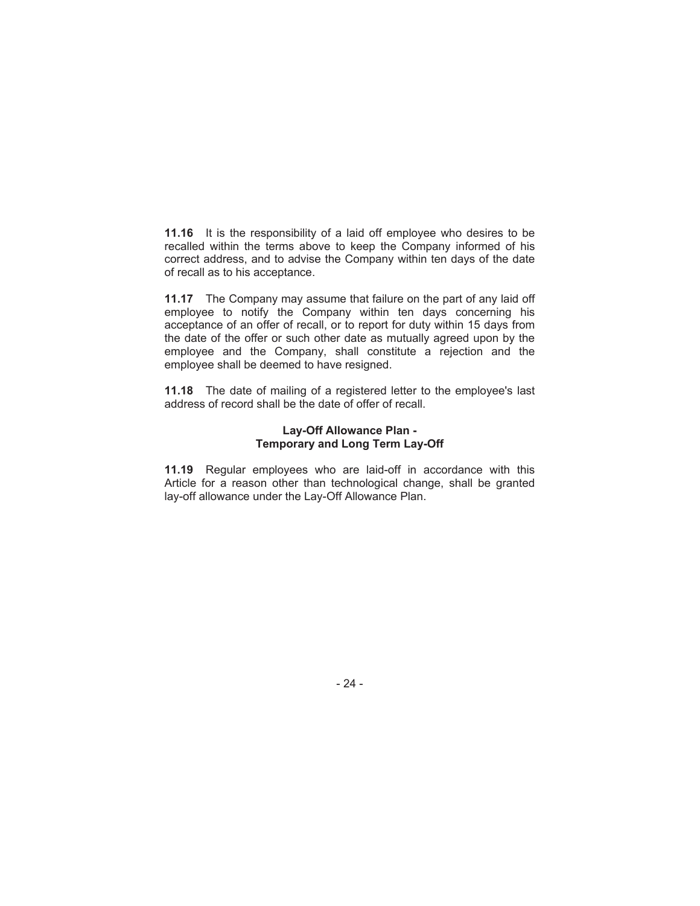**11.16** It is the responsibility of a laid off employee who desires to be recalled within the terms above to keep the Company informed of his correct address, and to advise the Company within ten days of the date of recall as to his acceptance.

**11.17** The Company may assume that failure on the part of any laid off employee to notify the Company within ten days concerning his acceptance of an offer of recall, or to report for duty within 15 days from the date of the offer or such other date as mutually agreed upon by the employee and the Company, shall constitute a rejection and the employee shall be deemed to have resigned.

**11.18** The date of mailing of a registered letter to the employee's last address of record shall be the date of offer of recall.

#### **Lay-Off Allowance Plan - Temporary and Long Term Lay-Off**

**11.19** Regular employees who are laid-off in accordance with this Article for a reason other than technological change, shall be granted lay-off allowance under the Lay-Off Allowance Plan.

- 24 -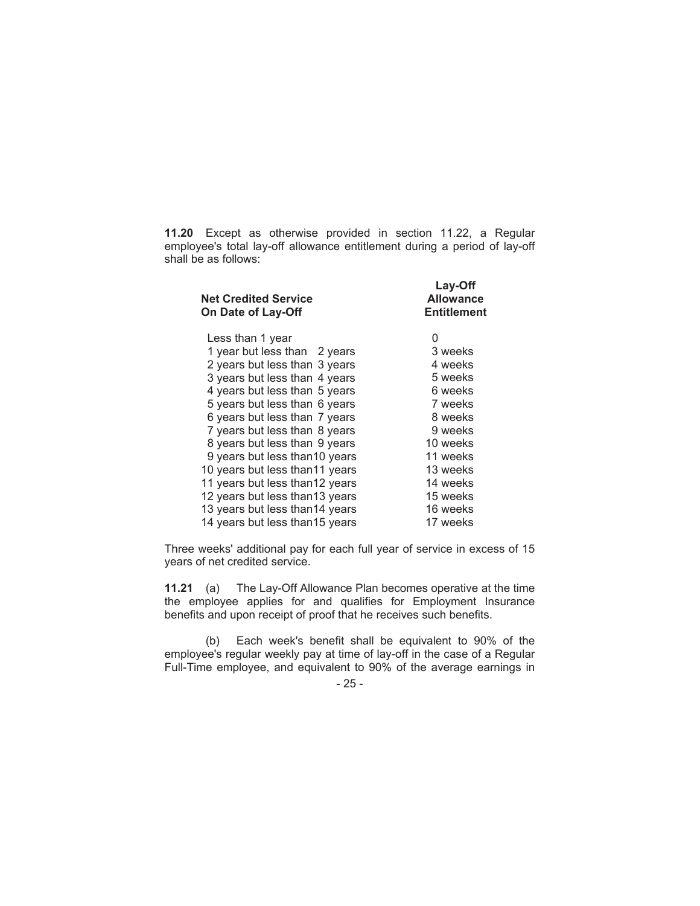**11.20** Except as otherwise provided in section 11.22, a Regular employee's total lay-off allowance entitlement during a period of lay-off shall be as follows:

| <b>Net Credited Service</b><br>On Date of Lay-Off | Lay-Off<br><b>Allowance</b><br><b>Entitlement</b> |
|---------------------------------------------------|---------------------------------------------------|
| Less than 1 year                                  | 0                                                 |
| 1 year but less than 2 years                      | 3 weeks                                           |
| 2 years but less than 3 years                     | 4 weeks                                           |
| 3 years but less than 4 years                     | 5 weeks                                           |
| 4 years but less than 5 years                     | 6 weeks                                           |
| 5 years but less than 6 years                     | 7 weeks                                           |
| 6 years but less than 7 years                     | 8 weeks                                           |
| 7 years but less than 8 years                     | 9 weeks                                           |
| 8 years but less than 9 years                     | 10 weeks                                          |
| 9 years but less than 10 years                    | 11 weeks                                          |
| 10 years but less than 11 years                   | 13 weeks                                          |
| 11 years but less than 12 years                   | 14 weeks                                          |
| 12 years but less than 13 years                   | 15 weeks                                          |
| 13 years but less than14 years                    | 16 weeks                                          |
| 14 years but less than 15 years                   | 17 weeks                                          |

Three weeks' additional pay for each full year of service in excess of 15 years of net credited service.

**11.21** (a) The Lay-Off Allowance Plan becomes operative at the time the employee applies for and qualifies for Employment Insurance benefits and upon receipt of proof that he receives such benefits.

(b) Each week's benefit shall be equivalent to 90% of the employee's regular weekly pay at time of lay-off in the case of a Regular Full-Time employee, and equivalent to 90% of the average earnings in

- 25 -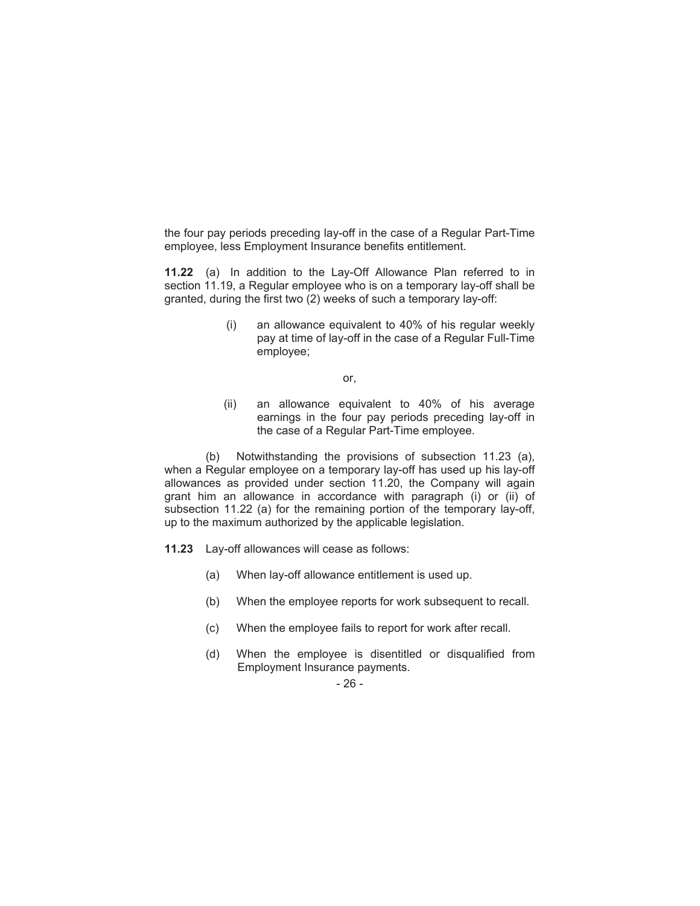the four pay periods preceding lay-off in the case of a Regular Part-Time employee, less Employment Insurance benefits entitlement.

**11.22** (a) In addition to the Lay-Off Allowance Plan referred to in section 11.19, a Regular employee who is on a temporary lay-off shall be granted, during the first two (2) weeks of such a temporary lay-off:

> (i) an allowance equivalent to 40% of his regular weekly pay at time of lay-off in the case of a Regular Full-Time employee;

> > or,

(ii) an allowance equivalent to 40% of his average earnings in the four pay periods preceding lay-off in the case of a Regular Part-Time employee.

(b) Notwithstanding the provisions of subsection 11.23 (a), when a Regular employee on a temporary lay-off has used up his lay-off allowances as provided under section 11.20, the Company will again grant him an allowance in accordance with paragraph (i) or (ii) of subsection 11.22 (a) for the remaining portion of the temporary lay-off, up to the maximum authorized by the applicable legislation.

- **11.23** Lay-off allowances will cease as follows:
	- (a) When lay-off allowance entitlement is used up.
	- (b) When the employee reports for work subsequent to recall.
	- (c) When the employee fails to report for work after recall.
	- (d) When the employee is disentitled or disqualified from Employment Insurance payments.

#### - 26 -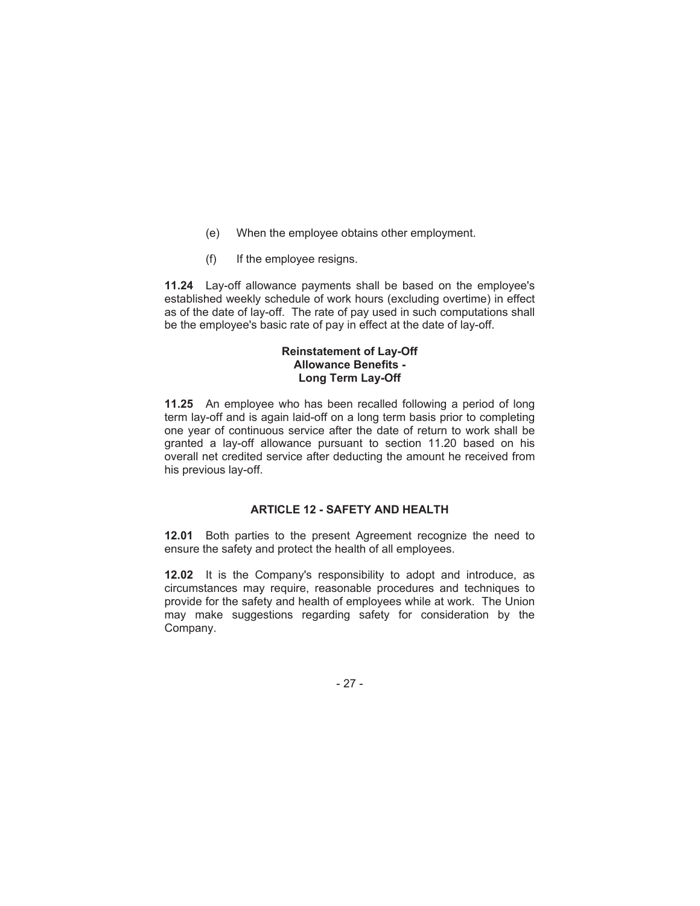- (e) When the employee obtains other employment.
- (f) If the employee resigns.

**11.24** Lay-off allowance payments shall be based on the employee's established weekly schedule of work hours (excluding overtime) in effect as of the date of lay-off. The rate of pay used in such computations shall be the employee's basic rate of pay in effect at the date of lay-off.

#### **Reinstatement of Lay-Off Allowance Benefits - Long Term Lay-Off**

**11.25** An employee who has been recalled following a period of long term lay-off and is again laid-off on a long term basis prior to completing one year of continuous service after the date of return to work shall be granted a lay-off allowance pursuant to section 11.20 based on his overall net credited service after deducting the amount he received from his previous lay-off.

## **ARTICLE 12 - SAFETY AND HEALTH**

**12.01** Both parties to the present Agreement recognize the need to ensure the safety and protect the health of all employees.

**12.02** It is the Company's responsibility to adopt and introduce, as circumstances may require, reasonable procedures and techniques to provide for the safety and health of employees while at work. The Union may make suggestions regarding safety for consideration by the Company.

- 27 -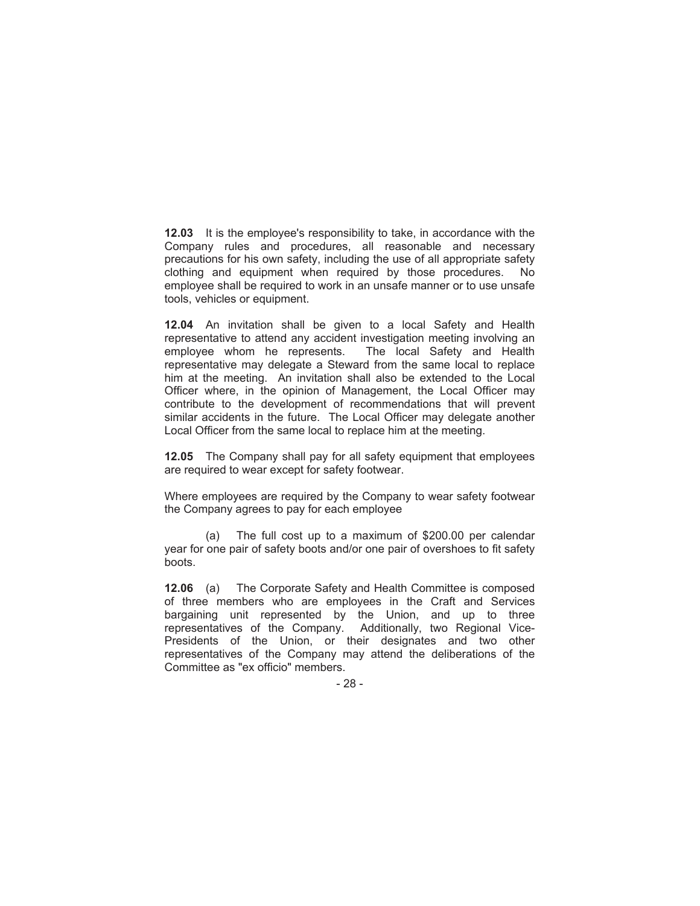**12.03** It is the employee's responsibility to take, in accordance with the Company rules and procedures, all reasonable and necessary precautions for his own safety, including the use of all appropriate safety clothing and equipment when required by those procedures. No employee shall be required to work in an unsafe manner or to use unsafe tools, vehicles or equipment.

**12.04** An invitation shall be given to a local Safety and Health representative to attend any accident investigation meeting involving an employee whom he represents. The local Safety and Health representative may delegate a Steward from the same local to replace him at the meeting. An invitation shall also be extended to the Local Officer where, in the opinion of Management, the Local Officer may contribute to the development of recommendations that will prevent similar accidents in the future. The Local Officer may delegate another Local Officer from the same local to replace him at the meeting.

**12.05** The Company shall pay for all safety equipment that employees are required to wear except for safety footwear.

Where employees are required by the Company to wear safety footwear the Company agrees to pay for each employee

(a) The full cost up to a maximum of \$200.00 per calendar year for one pair of safety boots and/or one pair of overshoes to fit safety boots.

**12.06** (a) The Corporate Safety and Health Committee is composed of three members who are employees in the Craft and Services bargaining unit represented by the Union, and up to three representatives of the Company. Additionally, two Regional Vice-Presidents of the Union, or their designates and two other representatives of the Company may attend the deliberations of the Committee as "ex officio" members.

- 28 -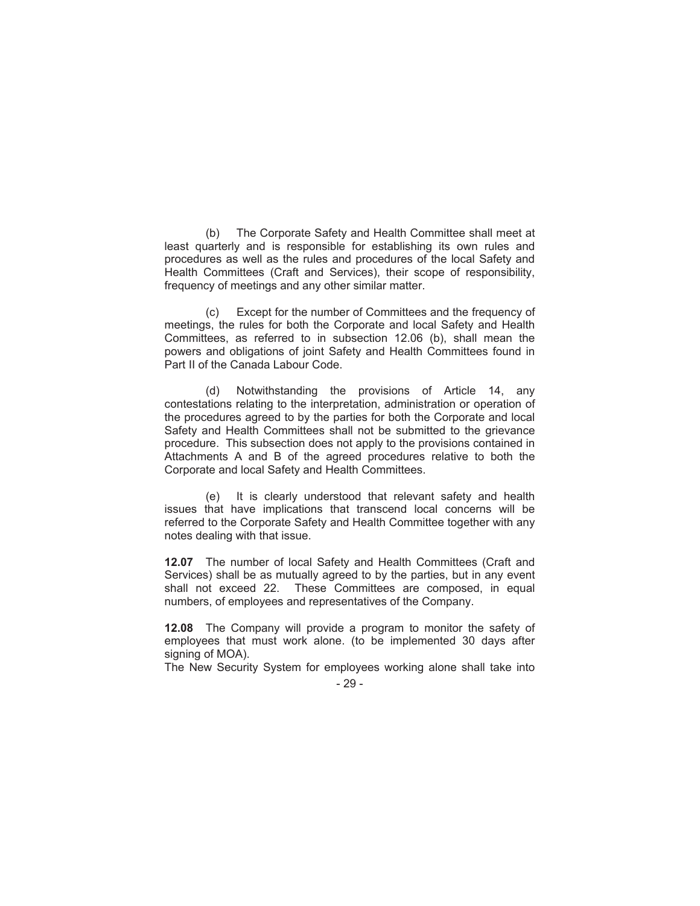(b) The Corporate Safety and Health Committee shall meet at least quarterly and is responsible for establishing its own rules and procedures as well as the rules and procedures of the local Safety and Health Committees (Craft and Services), their scope of responsibility, frequency of meetings and any other similar matter.

(c) Except for the number of Committees and the frequency of meetings, the rules for both the Corporate and local Safety and Health Committees, as referred to in subsection 12.06 (b), shall mean the powers and obligations of joint Safety and Health Committees found in Part II of the Canada Labour Code.

(d) Notwithstanding the provisions of Article 14, any contestations relating to the interpretation, administration or operation of the procedures agreed to by the parties for both the Corporate and local Safety and Health Committees shall not be submitted to the grievance procedure. This subsection does not apply to the provisions contained in Attachments A and B of the agreed procedures relative to both the Corporate and local Safety and Health Committees.

(e) It is clearly understood that relevant safety and health issues that have implications that transcend local concerns will be referred to the Corporate Safety and Health Committee together with any notes dealing with that issue.

**12.07** The number of local Safety and Health Committees (Craft and Services) shall be as mutually agreed to by the parties, but in any event shall not exceed 22. These Committees are composed, in equal numbers, of employees and representatives of the Company.

**12.08** The Company will provide a program to monitor the safety of employees that must work alone. (to be implemented 30 days after signing of MOA).

The New Security System for employees working alone shall take into

<sup>- 29 -</sup>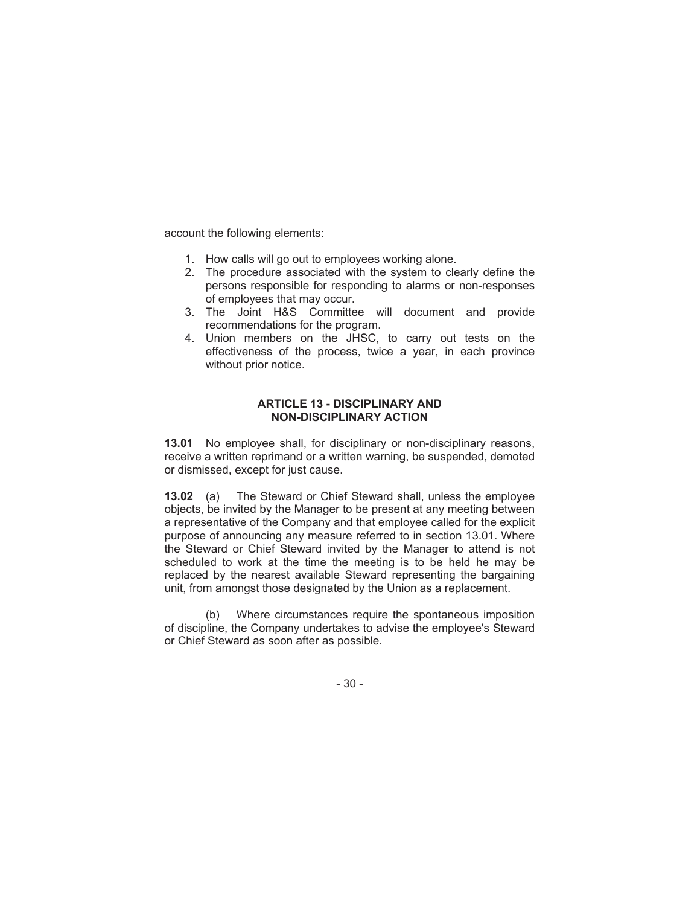account the following elements:

- 1. How calls will go out to employees working alone.
- 2. The procedure associated with the system to clearly define the persons responsible for responding to alarms or non-responses of employees that may occur.
- 3. The Joint H&S Committee will document and provide recommendations for the program.
- 4. Union members on the JHSC, to carry out tests on the effectiveness of the process, twice a year, in each province without prior notice.

#### **ARTICLE 13 - DISCIPLINARY AND NON-DISCIPLINARY ACTION**

**13.01** No employee shall, for disciplinary or non-disciplinary reasons, receive a written reprimand or a written warning, be suspended, demoted or dismissed, except for just cause.

**13.02** (a) The Steward or Chief Steward shall, unless the employee objects, be invited by the Manager to be present at any meeting between a representative of the Company and that employee called for the explicit purpose of announcing any measure referred to in section 13.01. Where the Steward or Chief Steward invited by the Manager to attend is not scheduled to work at the time the meeting is to be held he may be replaced by the nearest available Steward representing the bargaining unit, from amongst those designated by the Union as a replacement.

(b) Where circumstances require the spontaneous imposition of discipline, the Company undertakes to advise the employee's Steward or Chief Steward as soon after as possible.

- 30 -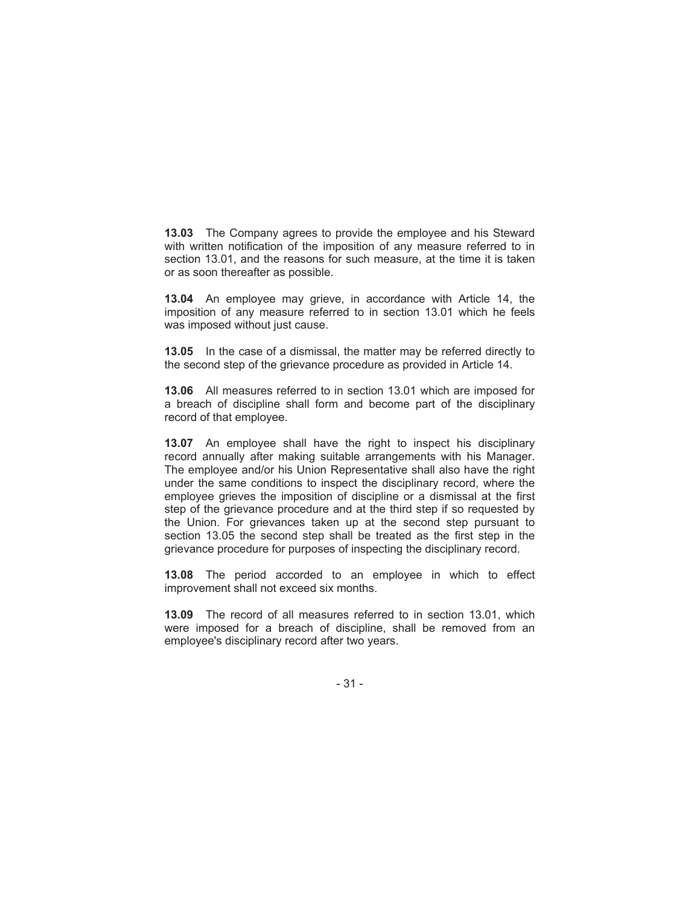**13.03** The Company agrees to provide the employee and his Steward with written notification of the imposition of any measure referred to in section 13.01, and the reasons for such measure, at the time it is taken or as soon thereafter as possible.

**13.04** An employee may grieve, in accordance with Article 14, the imposition of any measure referred to in section 13.01 which he feels was imposed without just cause.

**13.05** In the case of a dismissal, the matter may be referred directly to the second step of the grievance procedure as provided in Article 14.

**13.06** All measures referred to in section 13.01 which are imposed for a breach of discipline shall form and become part of the disciplinary record of that employee.

**13.07** An employee shall have the right to inspect his disciplinary record annually after making suitable arrangements with his Manager. The employee and/or his Union Representative shall also have the right under the same conditions to inspect the disciplinary record, where the employee grieves the imposition of discipline or a dismissal at the first step of the grievance procedure and at the third step if so requested by the Union. For grievances taken up at the second step pursuant to section 13.05 the second step shall be treated as the first step in the grievance procedure for purposes of inspecting the disciplinary record.

**13.08** The period accorded to an employee in which to effect improvement shall not exceed six months.

**13.09** The record of all measures referred to in section 13.01, which were imposed for a breach of discipline, shall be removed from an employee's disciplinary record after two years.

- 31 -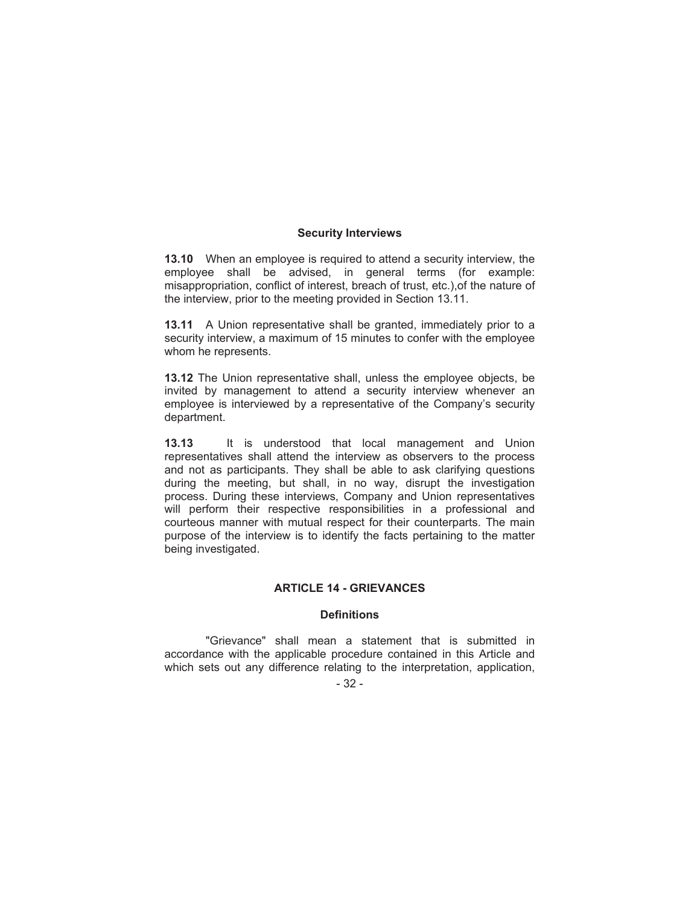### **Security Interviews**

**13.10** When an employee is required to attend a security interview, the employee shall be advised, in general terms (for example: misappropriation, conflict of interest, breach of trust, etc.),of the nature of the interview, prior to the meeting provided in Section 13.11.

**13.11** A Union representative shall be granted, immediately prior to a security interview, a maximum of 15 minutes to confer with the employee whom he represents.

**13.12** The Union representative shall, unless the employee objects, be invited by management to attend a security interview whenever an employee is interviewed by a representative of the Company's security department.

**13.13** It is understood that local management and Union representatives shall attend the interview as observers to the process and not as participants. They shall be able to ask clarifying questions during the meeting, but shall, in no way, disrupt the investigation process. During these interviews, Company and Union representatives will perform their respective responsibilities in a professional and courteous manner with mutual respect for their counterparts. The main purpose of the interview is to identify the facts pertaining to the matter being investigated.

# **ARTICLE 14 - GRIEVANCES**

### **Definitions**

"Grievance" shall mean a statement that is submitted in accordance with the applicable procedure contained in this Article and which sets out any difference relating to the interpretation, application,

- 32 -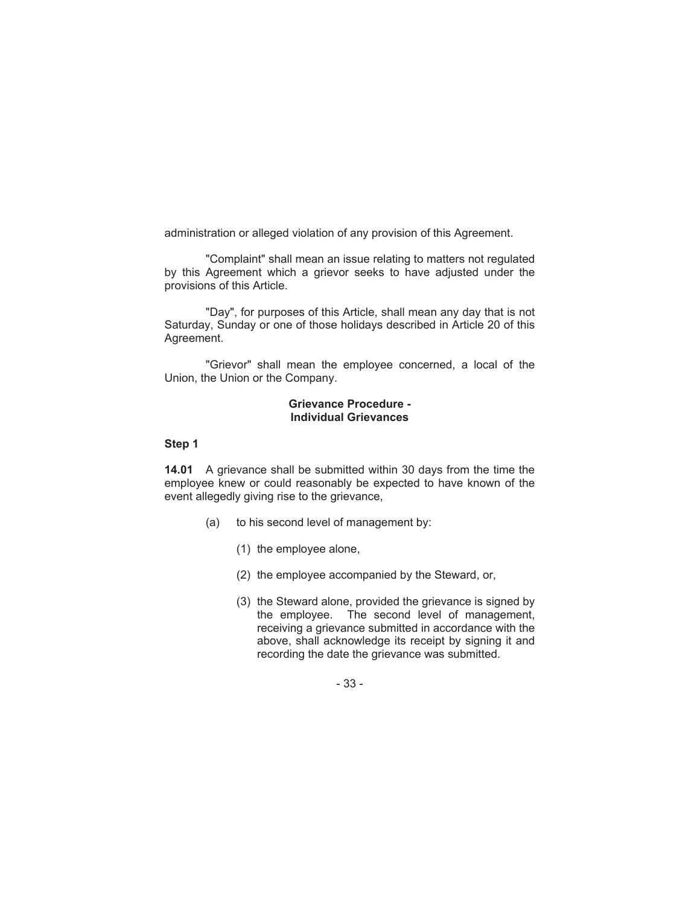administration or alleged violation of any provision of this Agreement.

"Complaint" shall mean an issue relating to matters not regulated by this Agreement which a grievor seeks to have adjusted under the provisions of this Article.

"Day", for purposes of this Article, shall mean any day that is not Saturday, Sunday or one of those holidays described in Article 20 of this Agreement.

"Grievor" shall mean the employee concerned, a local of the Union, the Union or the Company.

### **Grievance Procedure - Individual Grievances**

# **Step 1**

**14.01** A grievance shall be submitted within 30 days from the time the employee knew or could reasonably be expected to have known of the event allegedly giving rise to the grievance,

- (a) to his second level of management by:
	- (1) the employee alone,
	- (2) the employee accompanied by the Steward, or,
	- (3) the Steward alone, provided the grievance is signed by the employee. The second level of management, receiving a grievance submitted in accordance with the above, shall acknowledge its receipt by signing it and recording the date the grievance was submitted.

- 33 -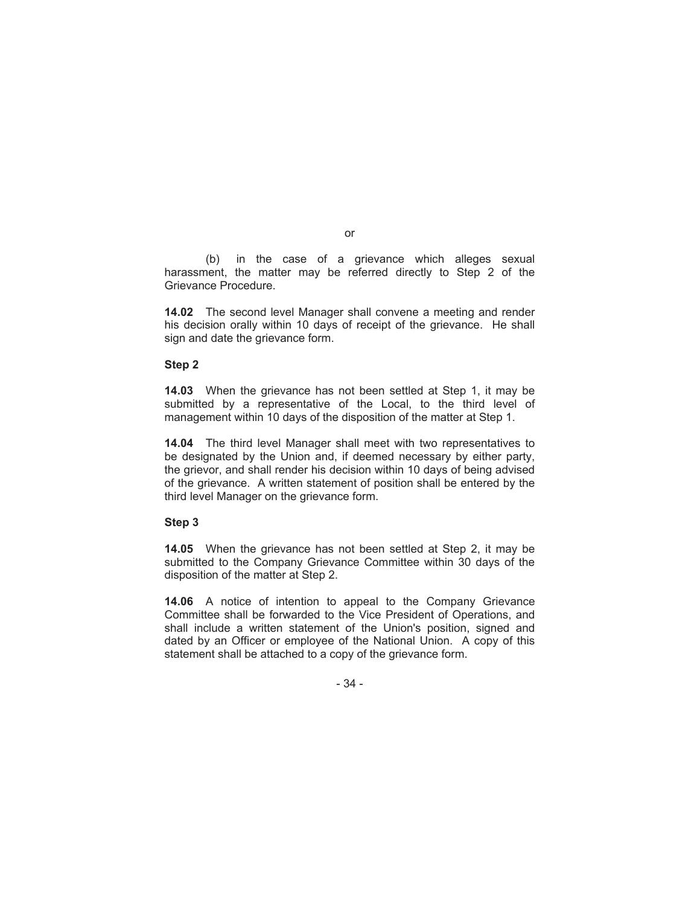(b) in the case of a grievance which alleges sexual harassment, the matter may be referred directly to Step 2 of the Grievance Procedure.

**14.02** The second level Manager shall convene a meeting and render his decision orally within 10 days of receipt of the grievance. He shall sign and date the grievance form.

### **Step 2**

**14.03** When the grievance has not been settled at Step 1, it may be submitted by a representative of the Local, to the third level of management within 10 days of the disposition of the matter at Step 1.

**14.04** The third level Manager shall meet with two representatives to be designated by the Union and, if deemed necessary by either party, the grievor, and shall render his decision within 10 days of being advised of the grievance. A written statement of position shall be entered by the third level Manager on the grievance form.

### **Step 3**

**14.05** When the grievance has not been settled at Step 2, it may be submitted to the Company Grievance Committee within 30 days of the disposition of the matter at Step 2.

**14.06** A notice of intention to appeal to the Company Grievance Committee shall be forwarded to the Vice President of Operations, and shall include a written statement of the Union's position, signed and dated by an Officer or employee of the National Union. A copy of this statement shall be attached to a copy of the grievance form.

- 34 -

or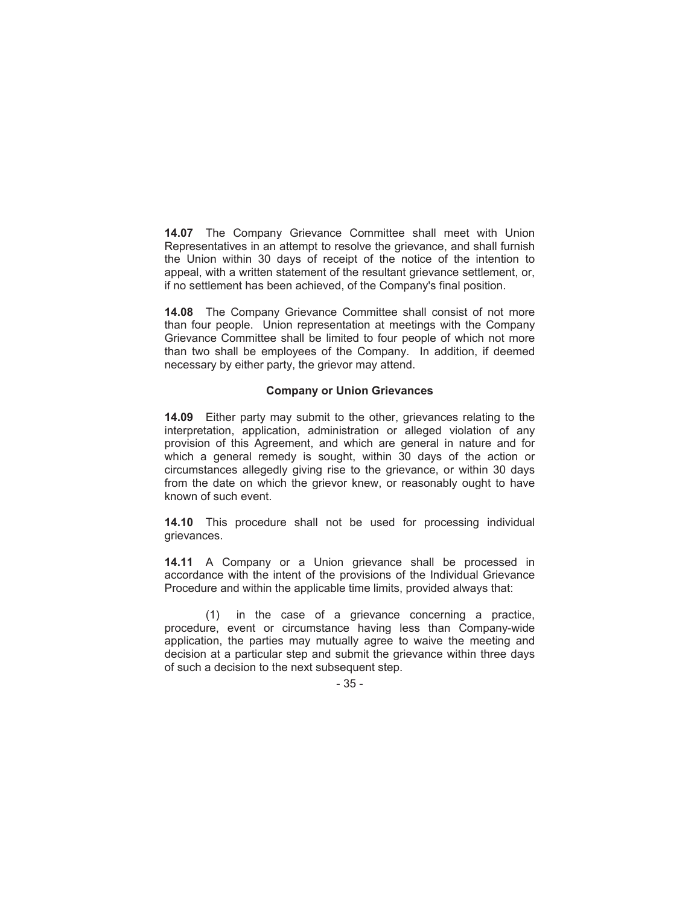**14.07** The Company Grievance Committee shall meet with Union Representatives in an attempt to resolve the grievance, and shall furnish the Union within 30 days of receipt of the notice of the intention to appeal, with a written statement of the resultant grievance settlement, or, if no settlement has been achieved, of the Company's final position.

**14.08** The Company Grievance Committee shall consist of not more than four people. Union representation at meetings with the Company Grievance Committee shall be limited to four people of which not more than two shall be employees of the Company. In addition, if deemed necessary by either party, the grievor may attend.

# **Company or Union Grievances**

**14.09** Either party may submit to the other, grievances relating to the interpretation, application, administration or alleged violation of any provision of this Agreement, and which are general in nature and for which a general remedy is sought, within 30 days of the action or circumstances allegedly giving rise to the grievance, or within 30 days from the date on which the grievor knew, or reasonably ought to have known of such event.

**14.10** This procedure shall not be used for processing individual grievances.

**14.11** A Company or a Union grievance shall be processed in accordance with the intent of the provisions of the Individual Grievance Procedure and within the applicable time limits, provided always that:

(1) in the case of a grievance concerning a practice, procedure, event or circumstance having less than Company-wide application, the parties may mutually agree to waive the meeting and decision at a particular step and submit the grievance within three days of such a decision to the next subsequent step.

- 35 -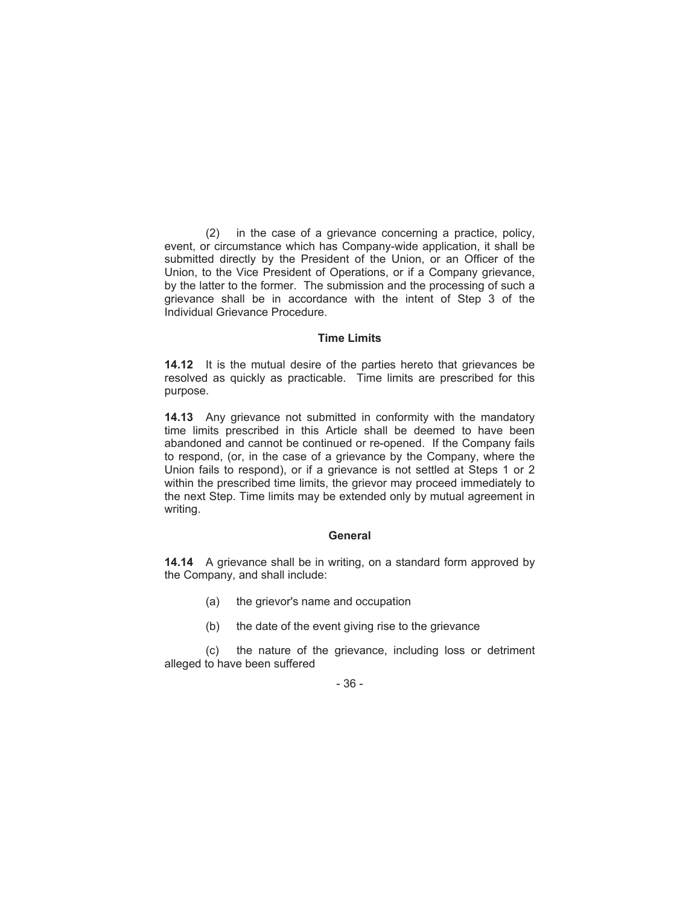(2) in the case of a grievance concerning a practice, policy, event, or circumstance which has Company-wide application, it shall be submitted directly by the President of the Union, or an Officer of the Union, to the Vice President of Operations, or if a Company grievance, by the latter to the former. The submission and the processing of such a grievance shall be in accordance with the intent of Step 3 of the Individual Grievance Procedure.

#### **Time Limits**

**14.12** It is the mutual desire of the parties hereto that grievances be resolved as quickly as practicable. Time limits are prescribed for this purpose.

**14.13** Any grievance not submitted in conformity with the mandatory time limits prescribed in this Article shall be deemed to have been abandoned and cannot be continued or re-opened. If the Company fails to respond, (or, in the case of a grievance by the Company, where the Union fails to respond), or if a grievance is not settled at Steps 1 or 2 within the prescribed time limits, the grievor may proceed immediately to the next Step. Time limits may be extended only by mutual agreement in writing.

### **General**

**14.14** A grievance shall be in writing, on a standard form approved by the Company, and shall include:

- (a) the grievor's name and occupation
- (b) the date of the event giving rise to the grievance

(c) the nature of the grievance, including loss or detriment alleged to have been suffered

- 36 -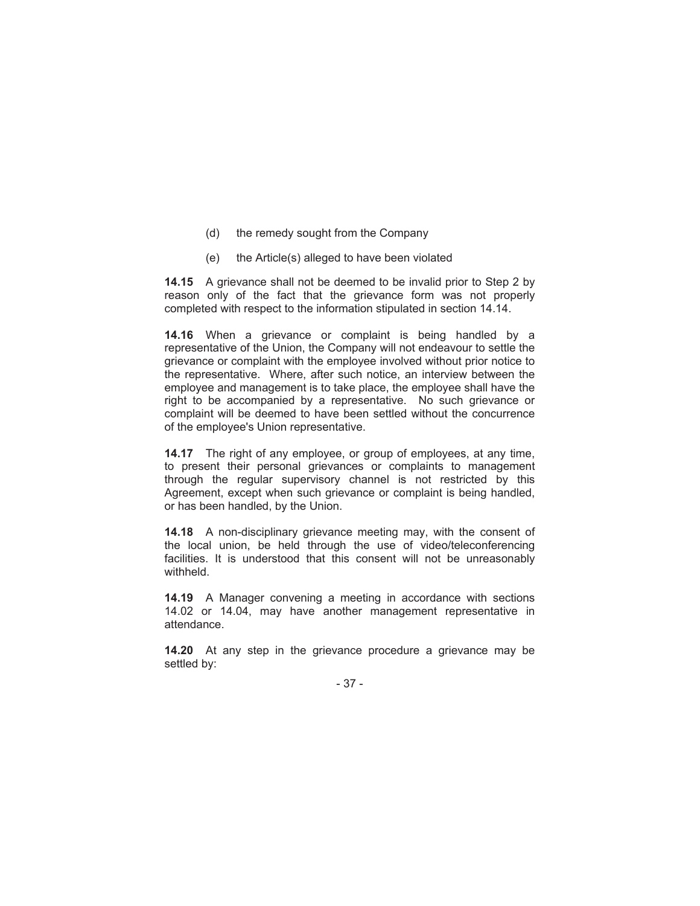- (d) the remedy sought from the Company
- (e) the Article(s) alleged to have been violated

**14.15** A grievance shall not be deemed to be invalid prior to Step 2 by reason only of the fact that the grievance form was not properly completed with respect to the information stipulated in section 14.14.

**14.16** When a grievance or complaint is being handled by a representative of the Union, the Company will not endeavour to settle the grievance or complaint with the employee involved without prior notice to the representative. Where, after such notice, an interview between the employee and management is to take place, the employee shall have the right to be accompanied by a representative. No such grievance or complaint will be deemed to have been settled without the concurrence of the employee's Union representative.

**14.17** The right of any employee, or group of employees, at any time, to present their personal grievances or complaints to management through the regular supervisory channel is not restricted by this Agreement, except when such grievance or complaint is being handled, or has been handled, by the Union.

**14.18** A non-disciplinary grievance meeting may, with the consent of the local union, be held through the use of video/teleconferencing facilities. It is understood that this consent will not be unreasonably withheld.

**14.19** A Manager convening a meeting in accordance with sections 14.02 or 14.04, may have another management representative in attendance.

**14.20** At any step in the grievance procedure a grievance may be settled by:

- 37 -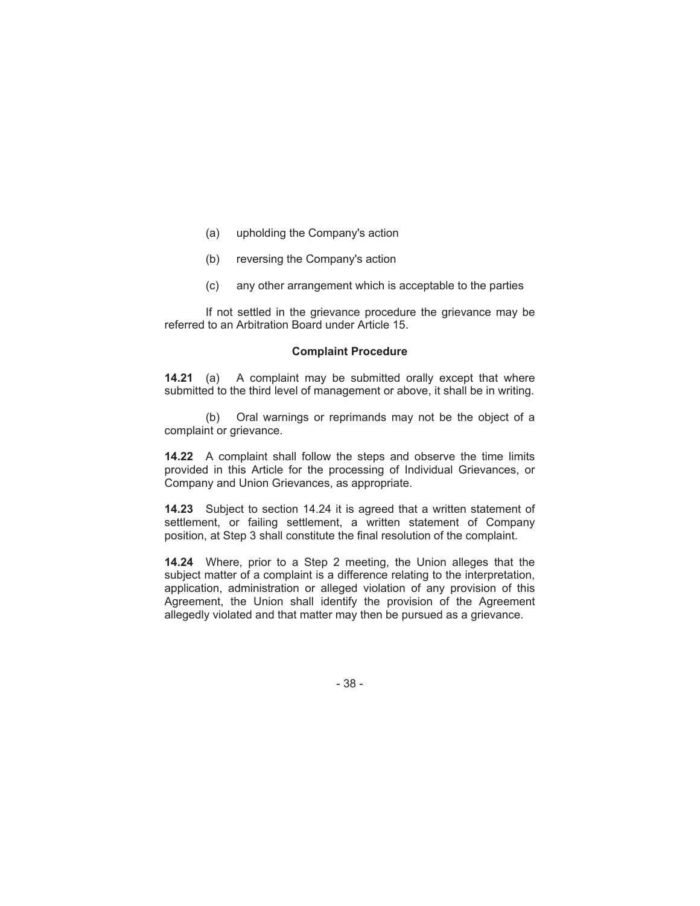- (a) upholding the Company's action
- (b) reversing the Company's action
- (c) any other arrangement which is acceptable to the parties

If not settled in the grievance procedure the grievance may be referred to an Arbitration Board under Article 15.

#### **Complaint Procedure**

**14.21** (a) A complaint may be submitted orally except that where submitted to the third level of management or above, it shall be in writing.

(b) Oral warnings or reprimands may not be the object of a complaint or grievance.

**14.22** A complaint shall follow the steps and observe the time limits provided in this Article for the processing of Individual Grievances, or Company and Union Grievances, as appropriate.

**14.23** Subject to section 14.24 it is agreed that a written statement of settlement, or failing settlement, a written statement of Company position, at Step 3 shall constitute the final resolution of the complaint.

**14.24** Where, prior to a Step 2 meeting, the Union alleges that the subject matter of a complaint is a difference relating to the interpretation, application, administration or alleged violation of any provision of this Agreement, the Union shall identify the provision of the Agreement allegedly violated and that matter may then be pursued as a grievance.

- 38 -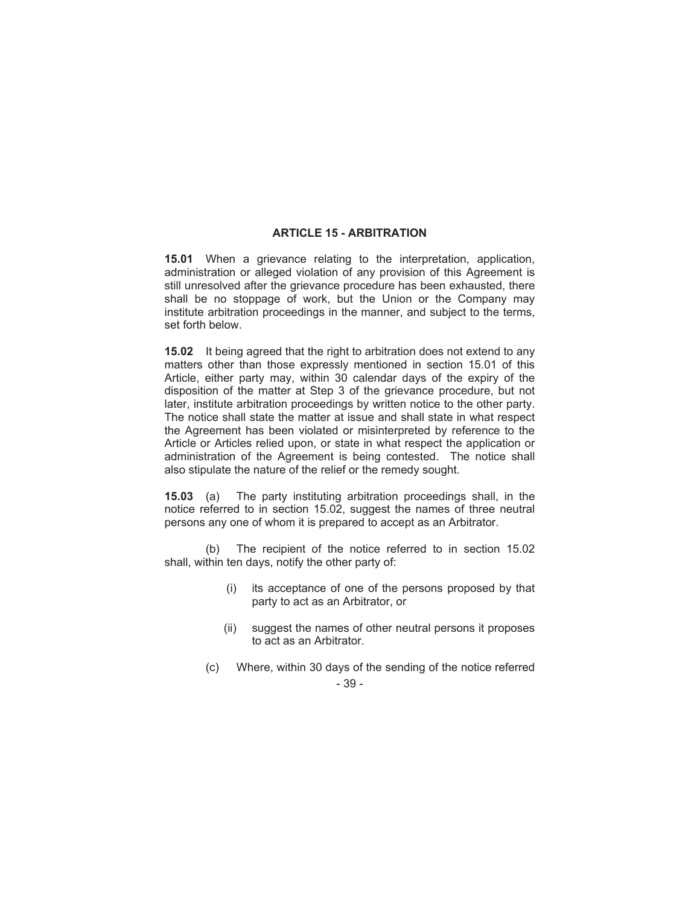# **ARTICLE 15 - ARBITRATION**

**15.01** When a grievance relating to the interpretation, application, administration or alleged violation of any provision of this Agreement is still unresolved after the grievance procedure has been exhausted, there shall be no stoppage of work, but the Union or the Company may institute arbitration proceedings in the manner, and subject to the terms, set forth below.

**15.02** It being agreed that the right to arbitration does not extend to any matters other than those expressly mentioned in section 15.01 of this Article, either party may, within 30 calendar days of the expiry of the disposition of the matter at Step 3 of the grievance procedure, but not later, institute arbitration proceedings by written notice to the other party. The notice shall state the matter at issue and shall state in what respect the Agreement has been violated or misinterpreted by reference to the Article or Articles relied upon, or state in what respect the application or administration of the Agreement is being contested. The notice shall also stipulate the nature of the relief or the remedy sought.

**15.03** (a) The party instituting arbitration proceedings shall, in the notice referred to in section 15.02, suggest the names of three neutral persons any one of whom it is prepared to accept as an Arbitrator.

(b) The recipient of the notice referred to in section 15.02 shall, within ten days, notify the other party of:

- (i) its acceptance of one of the persons proposed by that party to act as an Arbitrator, or
- (ii) suggest the names of other neutral persons it proposes to act as an Arbitrator.
- 39 (c) Where, within 30 days of the sending of the notice referred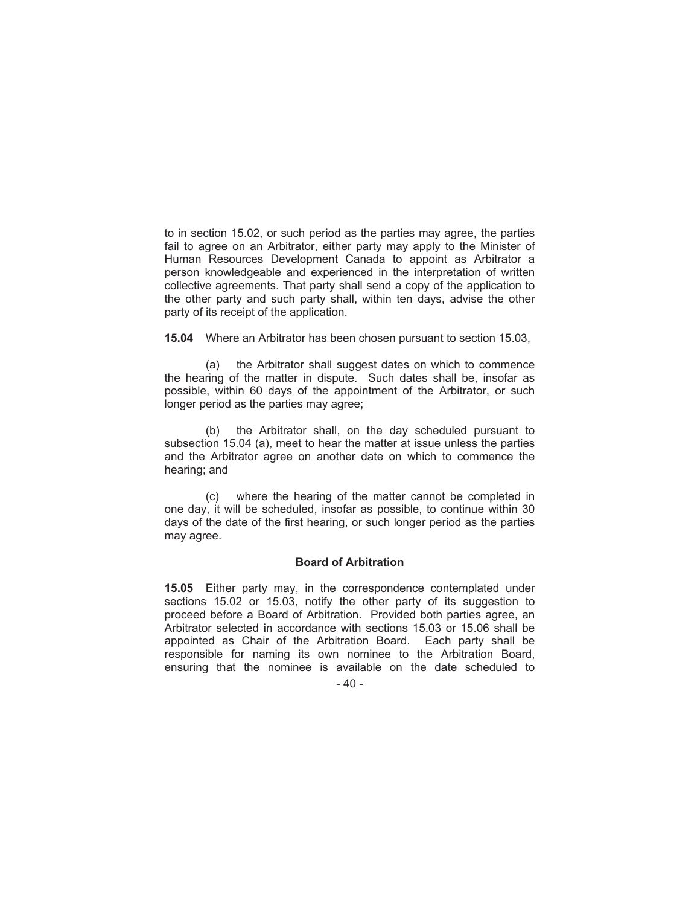to in section 15.02, or such period as the parties may agree, the parties fail to agree on an Arbitrator, either party may apply to the Minister of Human Resources Development Canada to appoint as Arbitrator a person knowledgeable and experienced in the interpretation of written collective agreements. That party shall send a copy of the application to the other party and such party shall, within ten days, advise the other party of its receipt of the application.

**15.04** Where an Arbitrator has been chosen pursuant to section 15.03,

(a) the Arbitrator shall suggest dates on which to commence the hearing of the matter in dispute. Such dates shall be, insofar as possible, within 60 days of the appointment of the Arbitrator, or such longer period as the parties may agree;

(b) the Arbitrator shall, on the day scheduled pursuant to subsection 15.04 (a), meet to hear the matter at issue unless the parties and the Arbitrator agree on another date on which to commence the hearing; and

(c) where the hearing of the matter cannot be completed in one day, it will be scheduled, insofar as possible, to continue within 30 days of the date of the first hearing, or such longer period as the parties may agree.

### **Board of Arbitration**

**15.05** Either party may, in the correspondence contemplated under sections 15.02 or 15.03, notify the other party of its suggestion to proceed before a Board of Arbitration. Provided both parties agree, an Arbitrator selected in accordance with sections 15.03 or 15.06 shall be appointed as Chair of the Arbitration Board. Each party shall be responsible for naming its own nominee to the Arbitration Board, ensuring that the nominee is available on the date scheduled to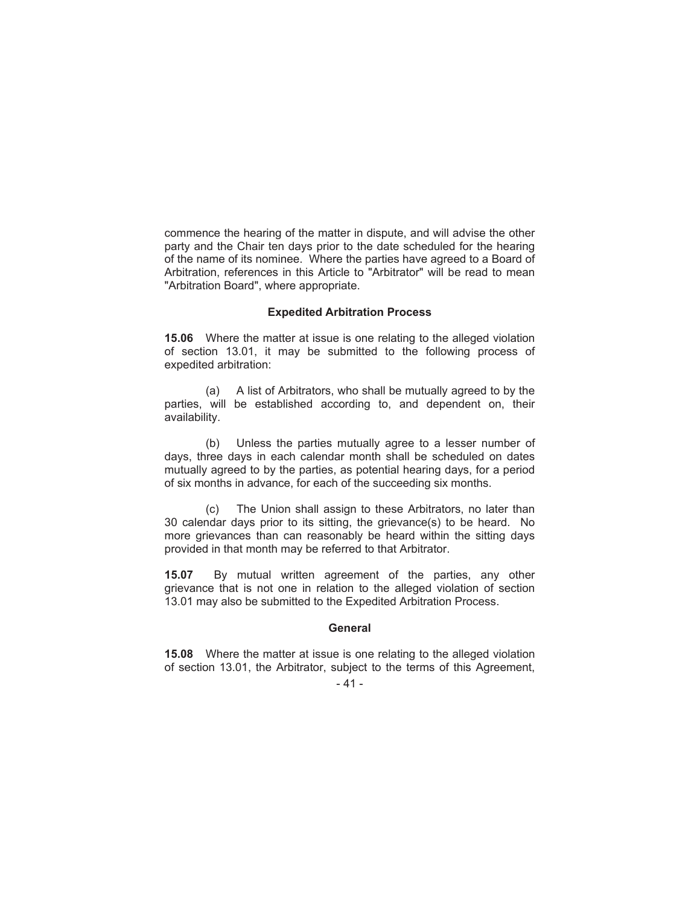commence the hearing of the matter in dispute, and will advise the other party and the Chair ten days prior to the date scheduled for the hearing of the name of its nominee. Where the parties have agreed to a Board of Arbitration, references in this Article to "Arbitrator" will be read to mean "Arbitration Board", where appropriate.

#### **Expedited Arbitration Process**

**15.06** Where the matter at issue is one relating to the alleged violation of section 13.01, it may be submitted to the following process of expedited arbitration:

(a) A list of Arbitrators, who shall be mutually agreed to by the parties, will be established according to, and dependent on, their availability.

(b) Unless the parties mutually agree to a lesser number of days, three days in each calendar month shall be scheduled on dates mutually agreed to by the parties, as potential hearing days, for a period of six months in advance, for each of the succeeding six months.

(c) The Union shall assign to these Arbitrators, no later than 30 calendar days prior to its sitting, the grievance(s) to be heard. No more grievances than can reasonably be heard within the sitting days provided in that month may be referred to that Arbitrator.

**15.07** By mutual written agreement of the parties, any other grievance that is not one in relation to the alleged violation of section 13.01 may also be submitted to the Expedited Arbitration Process.

#### **General**

**15.08** Where the matter at issue is one relating to the alleged violation of section 13.01, the Arbitrator, subject to the terms of this Agreement,

<sup>- 41 -</sup>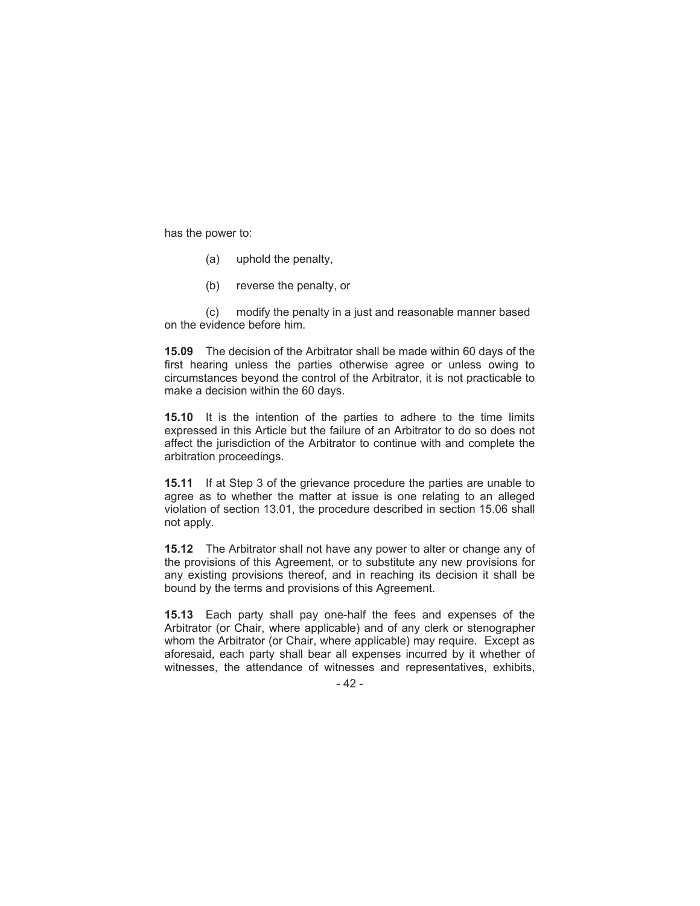has the power to:

- (a) uphold the penalty,
- (b) reverse the penalty, or

(c) modify the penalty in a just and reasonable manner based on the evidence before him.

**15.09** The decision of the Arbitrator shall be made within 60 days of the first hearing unless the parties otherwise agree or unless owing to circumstances beyond the control of the Arbitrator, it is not practicable to make a decision within the 60 days.

**15.10** It is the intention of the parties to adhere to the time limits expressed in this Article but the failure of an Arbitrator to do so does not affect the jurisdiction of the Arbitrator to continue with and complete the arbitration proceedings.

**15.11** If at Step 3 of the grievance procedure the parties are unable to agree as to whether the matter at issue is one relating to an alleged violation of section 13.01, the procedure described in section 15.06 shall not apply.

**15.12** The Arbitrator shall not have any power to alter or change any of the provisions of this Agreement, or to substitute any new provisions for any existing provisions thereof, and in reaching its decision it shall be bound by the terms and provisions of this Agreement.

**15.13** Each party shall pay one-half the fees and expenses of the Arbitrator (or Chair, where applicable) and of any clerk or stenographer whom the Arbitrator (or Chair, where applicable) may require. Except as aforesaid, each party shall bear all expenses incurred by it whether of witnesses, the attendance of witnesses and representatives, exhibits,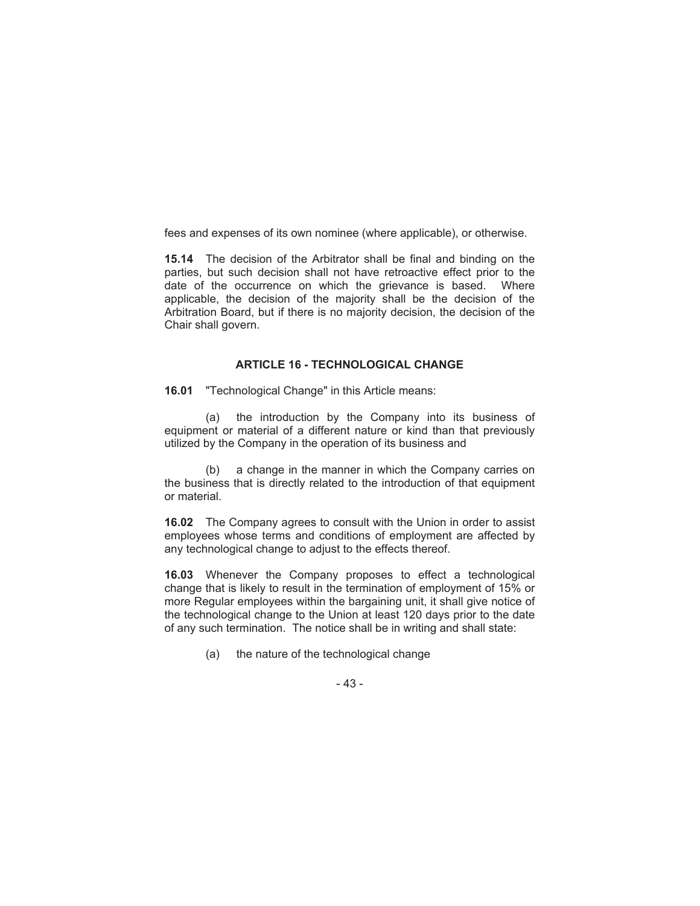fees and expenses of its own nominee (where applicable), or otherwise.

**15.14** The decision of the Arbitrator shall be final and binding on the parties, but such decision shall not have retroactive effect prior to the date of the occurrence on which the grievance is based. Where applicable, the decision of the majority shall be the decision of the Arbitration Board, but if there is no majority decision, the decision of the Chair shall govern.

# **ARTICLE 16 - TECHNOLOGICAL CHANGE**

**16.01** "Technological Change" in this Article means:

(a) the introduction by the Company into its business of equipment or material of a different nature or kind than that previously utilized by the Company in the operation of its business and

(b) a change in the manner in which the Company carries on the business that is directly related to the introduction of that equipment or material.

**16.02** The Company agrees to consult with the Union in order to assist employees whose terms and conditions of employment are affected by any technological change to adjust to the effects thereof.

**16.03** Whenever the Company proposes to effect a technological change that is likely to result in the termination of employment of 15% or more Regular employees within the bargaining unit, it shall give notice of the technological change to the Union at least 120 days prior to the date of any such termination. The notice shall be in writing and shall state:

(a) the nature of the technological change

- 43 -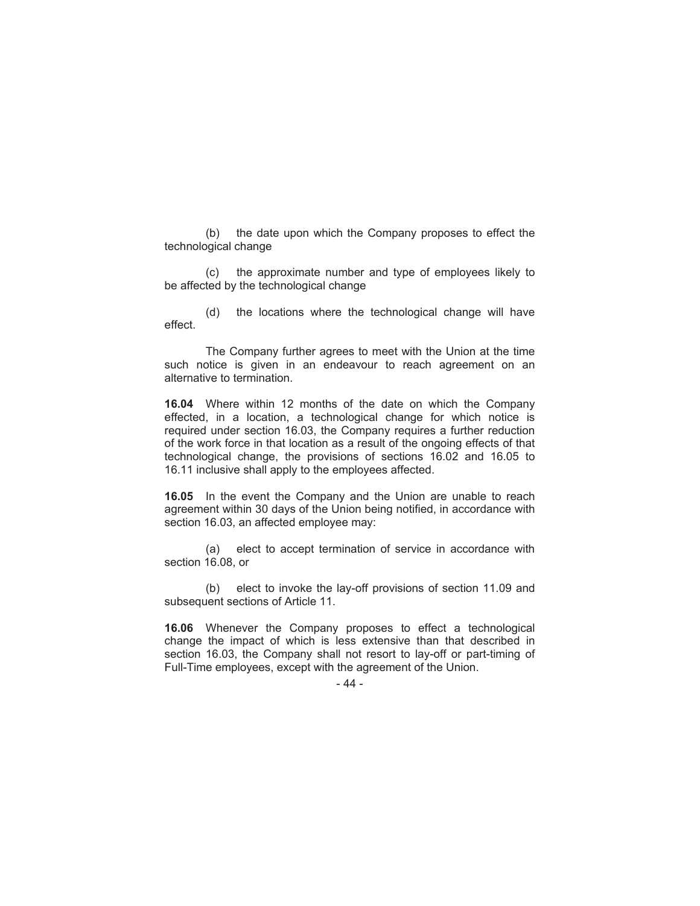(b) the date upon which the Company proposes to effect the technological change

(c) the approximate number and type of employees likely to be affected by the technological change

(d) the locations where the technological change will have effect.

The Company further agrees to meet with the Union at the time such notice is given in an endeavour to reach agreement on an alternative to termination.

**16.04** Where within 12 months of the date on which the Company effected, in a location, a technological change for which notice is required under section 16.03, the Company requires a further reduction of the work force in that location as a result of the ongoing effects of that technological change, the provisions of sections 16.02 and 16.05 to 16.11 inclusive shall apply to the employees affected.

**16.05** In the event the Company and the Union are unable to reach agreement within 30 days of the Union being notified, in accordance with section 16.03, an affected employee may:

(a) elect to accept termination of service in accordance with section 16.08, or

(b) elect to invoke the lay-off provisions of section 11.09 and subsequent sections of Article 11.

**16.06** Whenever the Company proposes to effect a technological change the impact of which is less extensive than that described in section 16.03, the Company shall not resort to lay-off or part-timing of Full-Time employees, except with the agreement of the Union.

- 44 -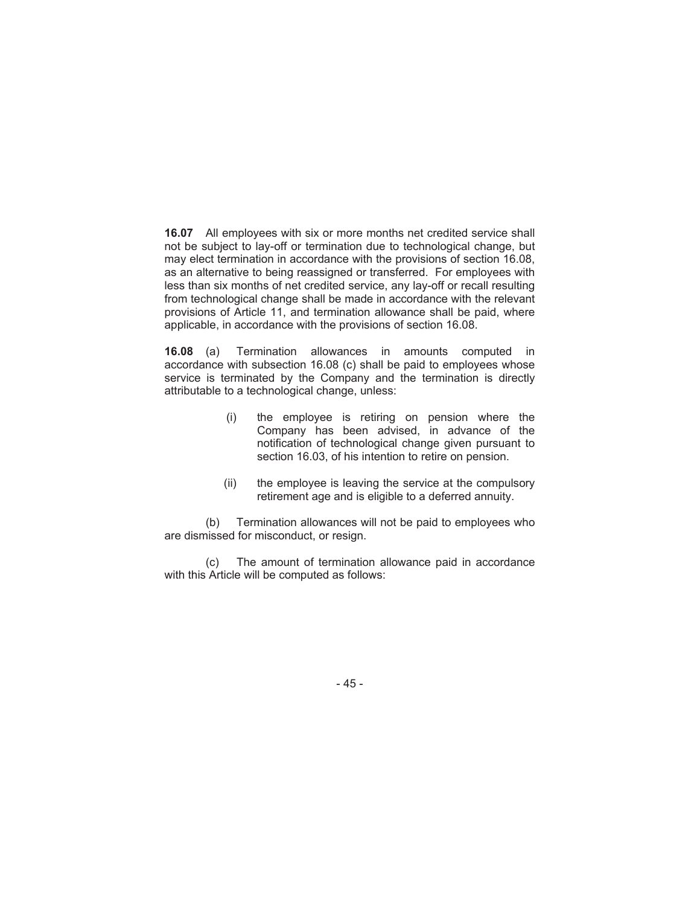**16.07** All employees with six or more months net credited service shall not be subject to lay-off or termination due to technological change, but may elect termination in accordance with the provisions of section 16.08, as an alternative to being reassigned or transferred. For employees with less than six months of net credited service, any lay-off or recall resulting from technological change shall be made in accordance with the relevant provisions of Article 11, and termination allowance shall be paid, where applicable, in accordance with the provisions of section 16.08.

**16.08** (a) Termination allowances in amounts computed in accordance with subsection 16.08 (c) shall be paid to employees whose service is terminated by the Company and the termination is directly attributable to a technological change, unless:

- (i) the employee is retiring on pension where the Company has been advised, in advance of the notification of technological change given pursuant to section 16.03, of his intention to retire on pension.
- (ii) the employee is leaving the service at the compulsory retirement age and is eligible to a deferred annuity.

(b) Termination allowances will not be paid to employees who are dismissed for misconduct, or resign.

(c) The amount of termination allowance paid in accordance with this Article will be computed as follows:

- 45 -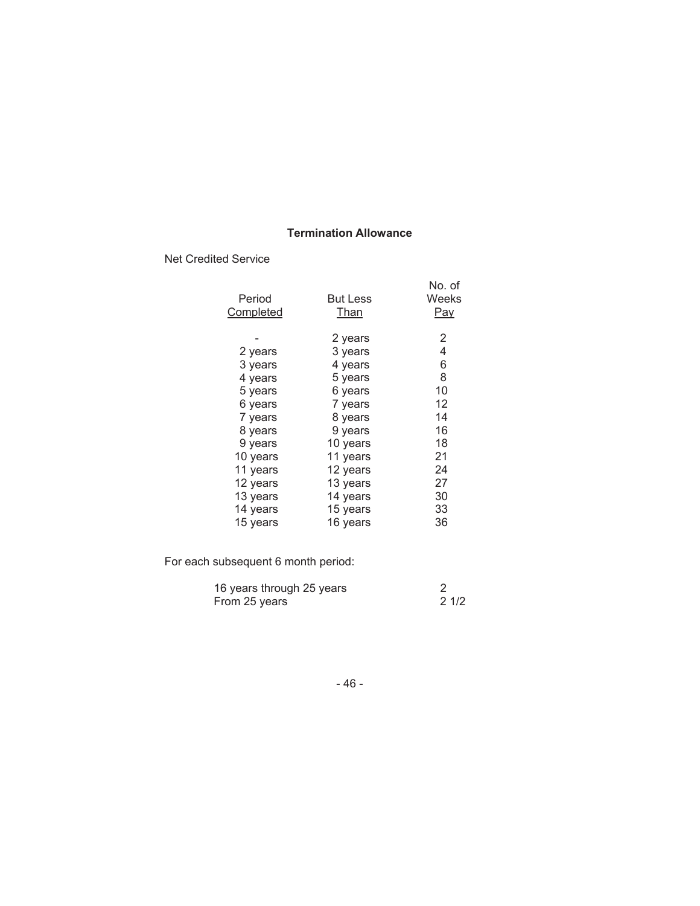# **Termination Allowance**

Net Credited Service

|           |                 | No. of |
|-----------|-----------------|--------|
| Period    | <b>But Less</b> | Weeks  |
| Completed | Than            | Pay    |
|           |                 |        |
|           | 2 years         | 2      |
| 2 years   | 3 years         | 4      |
| 3 years   | 4 years         | 6      |
| 4 years   | 5 years         | 8      |
| 5 years   | 6 years         | 10     |
| 6 years   | 7 years         | 12     |
| 7 years   | 8 years         | 14     |
| 8 years   | 9 years         | 16     |
| 9 years   | 10 years        | 18     |
| 10 years  | 11 years        | 21     |
| 11 years  | 12 years        | 24     |
| 12 years  | 13 years        | 27     |
| 13 years  | 14 years        | 30     |
| 14 years  | 15 years        | 33     |
| 15 years  | 16 vears        | 36     |

For each subsequent 6 month period:

| 16 years through 25 years |      |
|---------------------------|------|
| From 25 years             | 21/2 |

- 46 -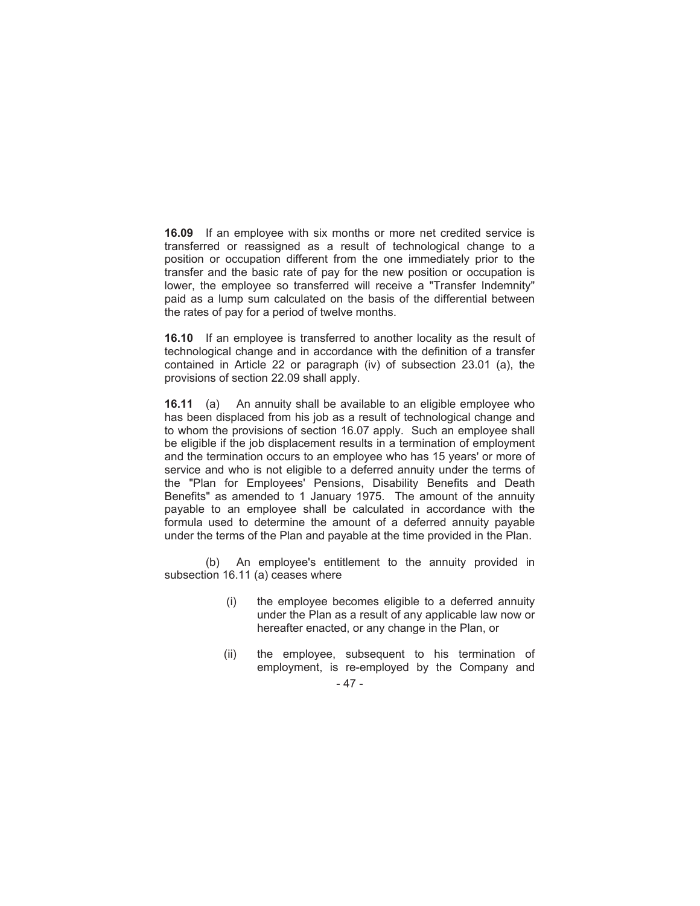**16.09** If an employee with six months or more net credited service is transferred or reassigned as a result of technological change to a position or occupation different from the one immediately prior to the transfer and the basic rate of pay for the new position or occupation is lower, the employee so transferred will receive a "Transfer Indemnity" paid as a lump sum calculated on the basis of the differential between the rates of pay for a period of twelve months.

**16.10** If an employee is transferred to another locality as the result of technological change and in accordance with the definition of a transfer contained in Article 22 or paragraph (iv) of subsection 23.01 (a), the provisions of section 22.09 shall apply.

**16.11** (a) An annuity shall be available to an eligible employee who has been displaced from his job as a result of technological change and to whom the provisions of section 16.07 apply. Such an employee shall be eligible if the job displacement results in a termination of employment and the termination occurs to an employee who has 15 years' or more of service and who is not eligible to a deferred annuity under the terms of the "Plan for Employees' Pensions, Disability Benefits and Death Benefits" as amended to 1 January 1975. The amount of the annuity payable to an employee shall be calculated in accordance with the formula used to determine the amount of a deferred annuity payable under the terms of the Plan and payable at the time provided in the Plan.

(b) An employee's entitlement to the annuity provided in subsection 16.11 (a) ceases where

- (i) the employee becomes eligible to a deferred annuity under the Plan as a result of any applicable law now or hereafter enacted, or any change in the Plan, or
- (ii) the employee, subsequent to his termination of employment, is re-employed by the Company and
	- 47 -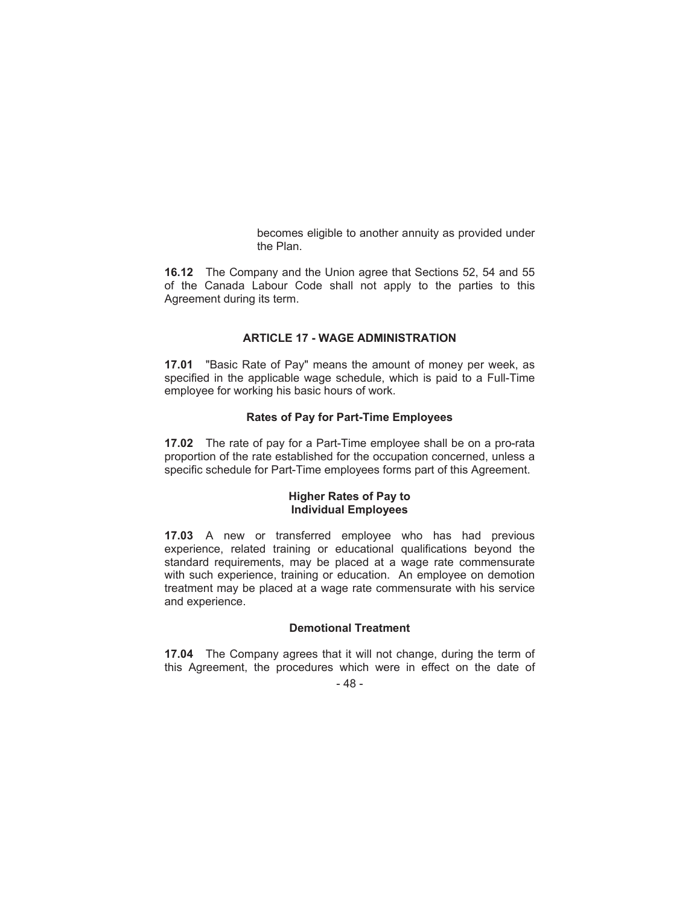becomes eligible to another annuity as provided under the Plan.

**16.12** The Company and the Union agree that Sections 52, 54 and 55 of the Canada Labour Code shall not apply to the parties to this Agreement during its term.

# **ARTICLE 17 - WAGE ADMINISTRATION**

**17.01** "Basic Rate of Pay" means the amount of money per week, as specified in the applicable wage schedule, which is paid to a Full-Time employee for working his basic hours of work.

### **Rates of Pay for Part-Time Employees**

**17.02** The rate of pay for a Part-Time employee shall be on a pro-rata proportion of the rate established for the occupation concerned, unless a specific schedule for Part-Time employees forms part of this Agreement.

# **Higher Rates of Pay to Individual Employees**

**17.03** A new or transferred employee who has had previous experience, related training or educational qualifications beyond the standard requirements, may be placed at a wage rate commensurate with such experience, training or education. An employee on demotion treatment may be placed at a wage rate commensurate with his service and experience.

# **Demotional Treatment**

**17.04** The Company agrees that it will not change, during the term of this Agreement, the procedures which were in effect on the date of

- 48 -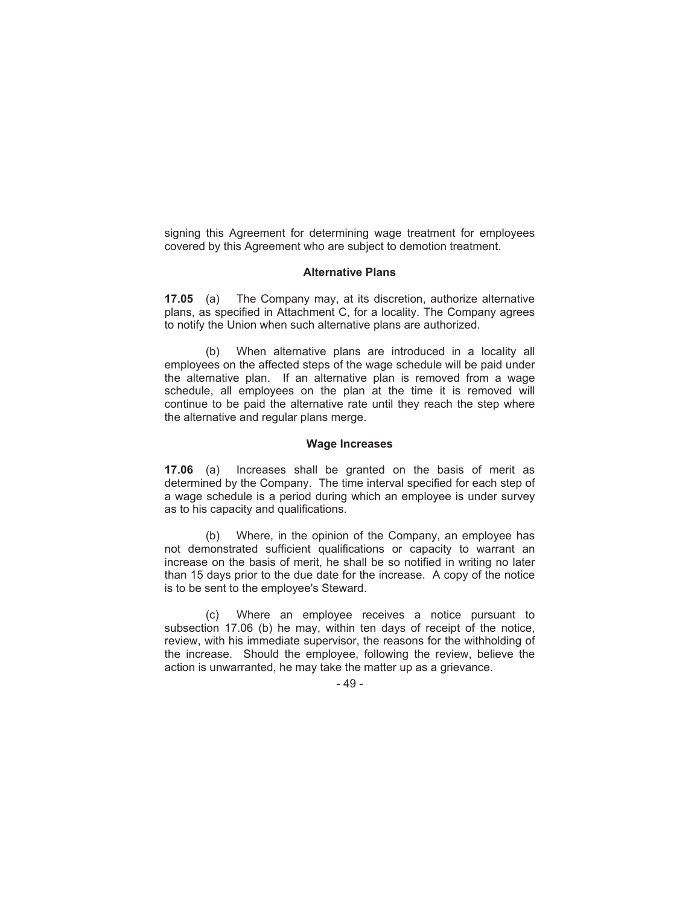signing this Agreement for determining wage treatment for employees covered by this Agreement who are subject to demotion treatment.

#### **Alternative Plans**

**17.05** (a) The Company may, at its discretion, authorize alternative plans, as specified in Attachment C, for a locality. The Company agrees to notify the Union when such alternative plans are authorized.

(b) When alternative plans are introduced in a locality all employees on the affected steps of the wage schedule will be paid under the alternative plan. If an alternative plan is removed from a wage schedule, all employees on the plan at the time it is removed will continue to be paid the alternative rate until they reach the step where the alternative and regular plans merge.

#### **Wage Increases**

**17.06** (a) Increases shall be granted on the basis of merit as determined by the Company. The time interval specified for each step of a wage schedule is a period during which an employee is under survey as to his capacity and qualifications.

(b) Where, in the opinion of the Company, an employee has not demonstrated sufficient qualifications or capacity to warrant an increase on the basis of merit, he shall be so notified in writing no later than 15 days prior to the due date for the increase. A copy of the notice is to be sent to the employee's Steward.

(c) Where an employee receives a notice pursuant to subsection 17.06 (b) he may, within ten days of receipt of the notice, review, with his immediate supervisor, the reasons for the withholding of the increase. Should the employee, following the review, believe the action is unwarranted, he may take the matter up as a grievance.

- 49 -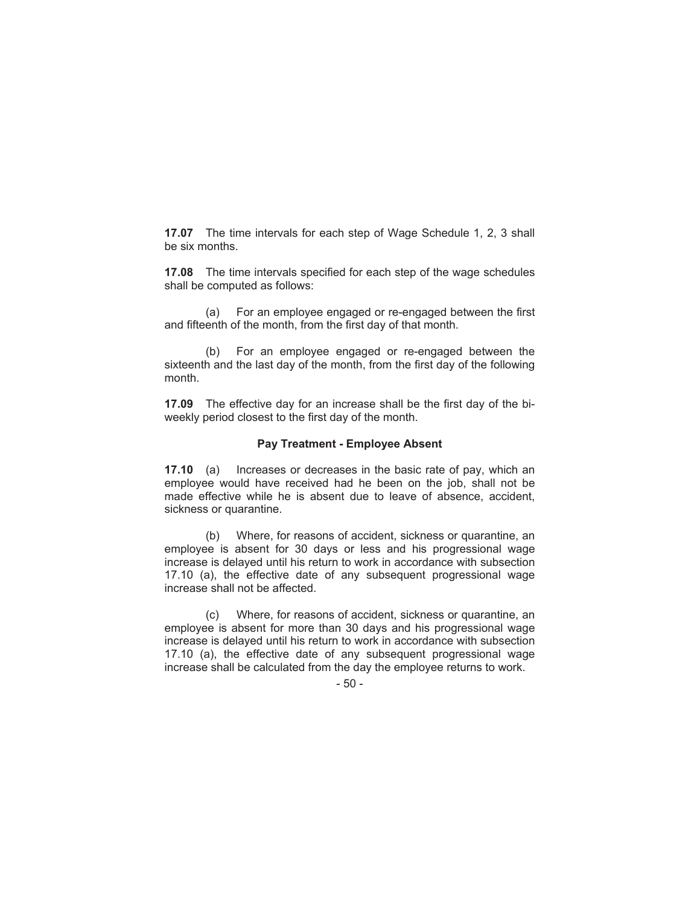**17.07** The time intervals for each step of Wage Schedule 1, 2, 3 shall be six months.

**17.08** The time intervals specified for each step of the wage schedules shall be computed as follows:

(a) For an employee engaged or re-engaged between the first and fifteenth of the month, from the first day of that month.

(b) For an employee engaged or re-engaged between the sixteenth and the last day of the month, from the first day of the following month.

**17.09** The effective day for an increase shall be the first day of the biweekly period closest to the first day of the month.

### **Pay Treatment - Employee Absent**

**17.10** (a) Increases or decreases in the basic rate of pay, which an employee would have received had he been on the job, shall not be made effective while he is absent due to leave of absence, accident, sickness or quarantine.

(b) Where, for reasons of accident, sickness or quarantine, an employee is absent for 30 days or less and his progressional wage increase is delayed until his return to work in accordance with subsection 17.10 (a), the effective date of any subsequent progressional wage increase shall not be affected.

(c) Where, for reasons of accident, sickness or quarantine, an employee is absent for more than 30 days and his progressional wage increase is delayed until his return to work in accordance with subsection 17.10 (a), the effective date of any subsequent progressional wage increase shall be calculated from the day the employee returns to work.

- 50 -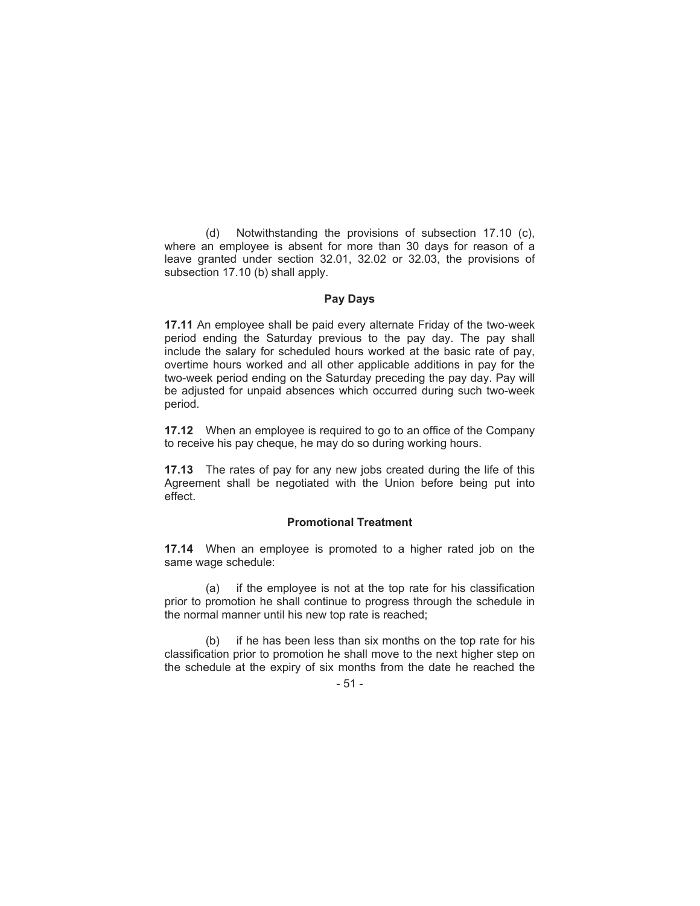(d) Notwithstanding the provisions of subsection 17.10 (c), where an employee is absent for more than 30 days for reason of a leave granted under section 32.01, 32.02 or 32.03, the provisions of subsection 17.10 (b) shall apply.

### **Pay Days**

**17.11** An employee shall be paid every alternate Friday of the two-week period ending the Saturday previous to the pay day. The pay shall include the salary for scheduled hours worked at the basic rate of pay, overtime hours worked and all other applicable additions in pay for the two-week period ending on the Saturday preceding the pay day. Pay will be adjusted for unpaid absences which occurred during such two-week period.

**17.12** When an employee is required to go to an office of the Company to receive his pay cheque, he may do so during working hours.

**17.13** The rates of pay for any new jobs created during the life of this Agreement shall be negotiated with the Union before being put into effect.

### **Promotional Treatment**

**17.14** When an employee is promoted to a higher rated job on the same wage schedule:

(a) if the employee is not at the top rate for his classification prior to promotion he shall continue to progress through the schedule in the normal manner until his new top rate is reached;

(b) if he has been less than six months on the top rate for his classification prior to promotion he shall move to the next higher step on the schedule at the expiry of six months from the date he reached the

- 51 -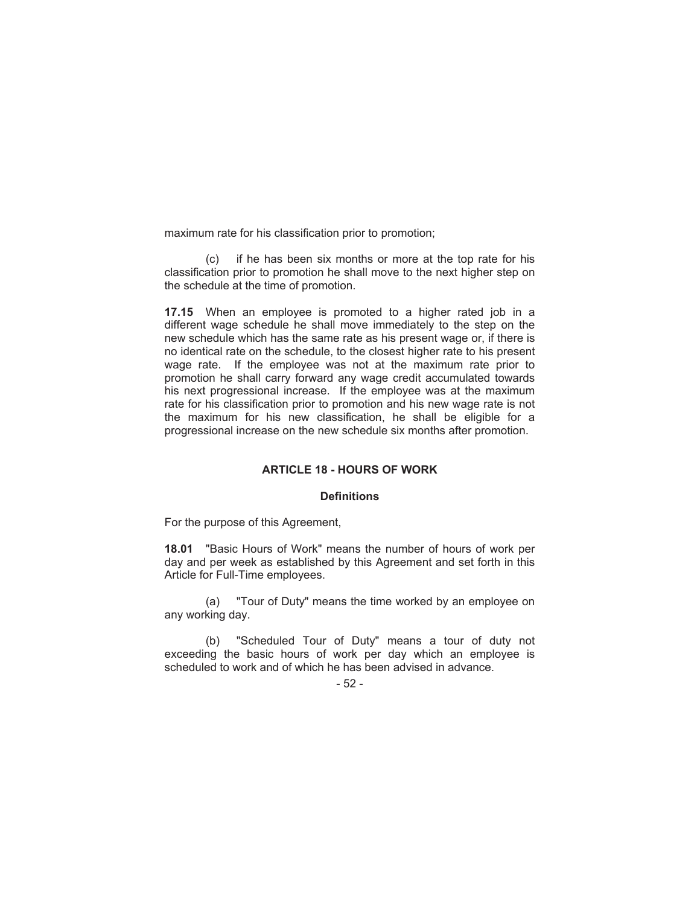maximum rate for his classification prior to promotion;

(c) if he has been six months or more at the top rate for his classification prior to promotion he shall move to the next higher step on the schedule at the time of promotion.

**17.15** When an employee is promoted to a higher rated job in a different wage schedule he shall move immediately to the step on the new schedule which has the same rate as his present wage or, if there is no identical rate on the schedule, to the closest higher rate to his present wage rate. If the employee was not at the maximum rate prior to promotion he shall carry forward any wage credit accumulated towards his next progressional increase. If the employee was at the maximum rate for his classification prior to promotion and his new wage rate is not the maximum for his new classification, he shall be eligible for a progressional increase on the new schedule six months after promotion.

# **ARTICLE 18 - HOURS OF WORK**

#### **Definitions**

For the purpose of this Agreement,

**18.01** "Basic Hours of Work" means the number of hours of work per day and per week as established by this Agreement and set forth in this Article for Full-Time employees.

(a) "Tour of Duty" means the time worked by an employee on any working day.

(b) "Scheduled Tour of Duty" means a tour of duty not exceeding the basic hours of work per day which an employee is scheduled to work and of which he has been advised in advance.

### - 52 -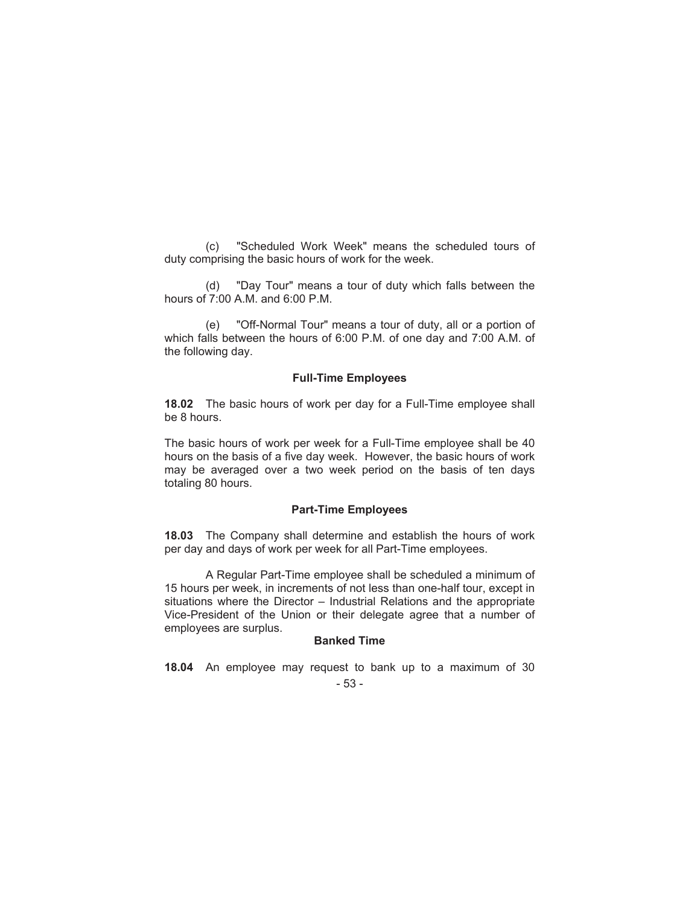(c) "Scheduled Work Week" means the scheduled tours of duty comprising the basic hours of work for the week.

(d) "Day Tour" means a tour of duty which falls between the hours of 7:00 A.M. and 6:00 P.M.

(e) "Off-Normal Tour" means a tour of duty, all or a portion of which falls between the hours of 6:00 P.M. of one day and 7:00 A.M. of the following day.

#### **Full-Time Employees**

**18.02** The basic hours of work per day for a Full-Time employee shall be 8 hours.

The basic hours of work per week for a Full-Time employee shall be 40 hours on the basis of a five day week. However, the basic hours of work may be averaged over a two week period on the basis of ten days totaling 80 hours.

### **Part-Time Employees**

**18.03** The Company shall determine and establish the hours of work per day and days of work per week for all Part-Time employees.

A Regular Part-Time employee shall be scheduled a minimum of 15 hours per week, in increments of not less than one-half tour, except in situations where the Director – Industrial Relations and the appropriate Vice-President of the Union or their delegate agree that a number of employees are surplus.

### **Banked Time**

**18.04** An employee may request to bank up to a maximum of 30

- 53 -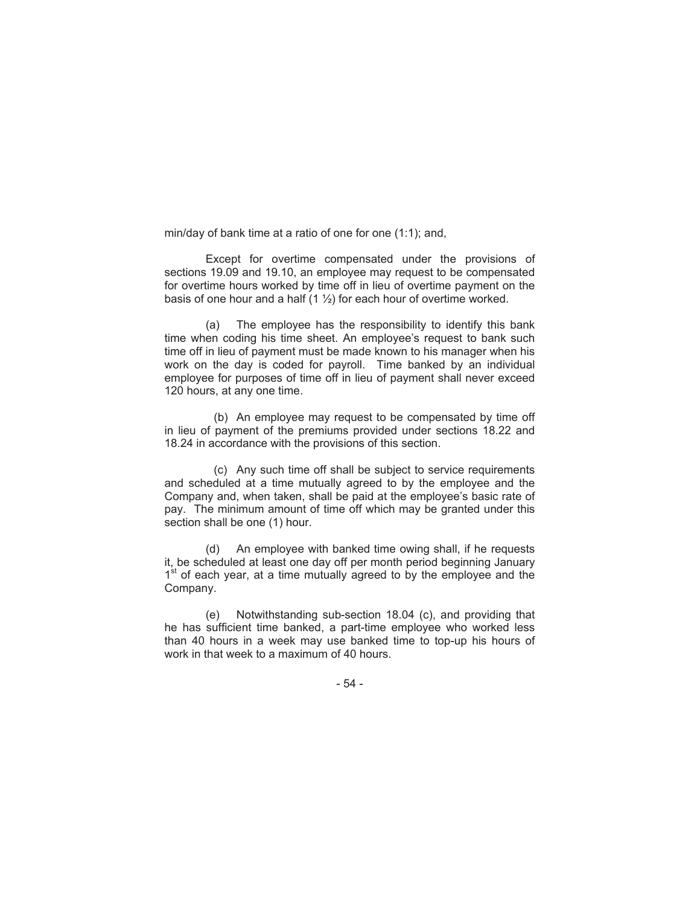min/day of bank time at a ratio of one for one (1:1); and,

Except for overtime compensated under the provisions of sections 19.09 and 19.10, an employee may request to be compensated for overtime hours worked by time off in lieu of overtime payment on the basis of one hour and a half  $(1 \frac{1}{2})$  for each hour of overtime worked.

(a) The employee has the responsibility to identify this bank time when coding his time sheet. An employee's request to bank such time off in lieu of payment must be made known to his manager when his work on the day is coded for payroll. Time banked by an individual employee for purposes of time off in lieu of payment shall never exceed 120 hours, at any one time.

(b) An employee may request to be compensated by time off in lieu of payment of the premiums provided under sections 18.22 and 18.24 in accordance with the provisions of this section.

(c) Any such time off shall be subject to service requirements and scheduled at a time mutually agreed to by the employee and the Company and, when taken, shall be paid at the employee's basic rate of pay. The minimum amount of time off which may be granted under this section shall be one (1) hour.

(d) An employee with banked time owing shall, if he requests it, be scheduled at least one day off per month period beginning January 1<sup>st</sup> of each year, at a time mutually agreed to by the employee and the Company.

(e) Notwithstanding sub-section 18.04 (c), and providing that he has sufficient time banked, a part-time employee who worked less than 40 hours in a week may use banked time to top-up his hours of work in that week to a maximum of 40 hours.

- 54 -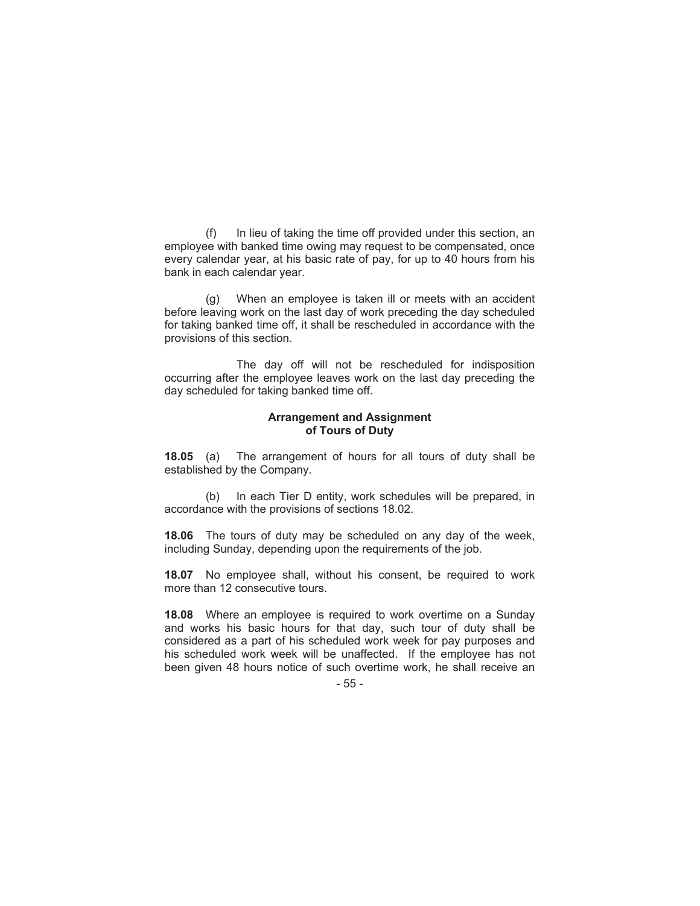(f) In lieu of taking the time off provided under this section, an employee with banked time owing may request to be compensated, once every calendar year, at his basic rate of pay, for up to 40 hours from his bank in each calendar year.

(g) When an employee is taken ill or meets with an accident before leaving work on the last day of work preceding the day scheduled for taking banked time off, it shall be rescheduled in accordance with the provisions of this section.

The day off will not be rescheduled for indisposition occurring after the employee leaves work on the last day preceding the day scheduled for taking banked time off.

### **Arrangement and Assignment of Tours of Duty**

**18.05** (a) The arrangement of hours for all tours of duty shall be established by the Company.

(b) In each Tier D entity, work schedules will be prepared, in accordance with the provisions of sections 18.02.

**18.06** The tours of duty may be scheduled on any day of the week, including Sunday, depending upon the requirements of the job.

**18.07** No employee shall, without his consent, be required to work more than 12 consecutive tours.

**18.08** Where an employee is required to work overtime on a Sunday and works his basic hours for that day, such tour of duty shall be considered as a part of his scheduled work week for pay purposes and his scheduled work week will be unaffected. If the employee has not been given 48 hours notice of such overtime work, he shall receive an

<sup>- 55 -</sup>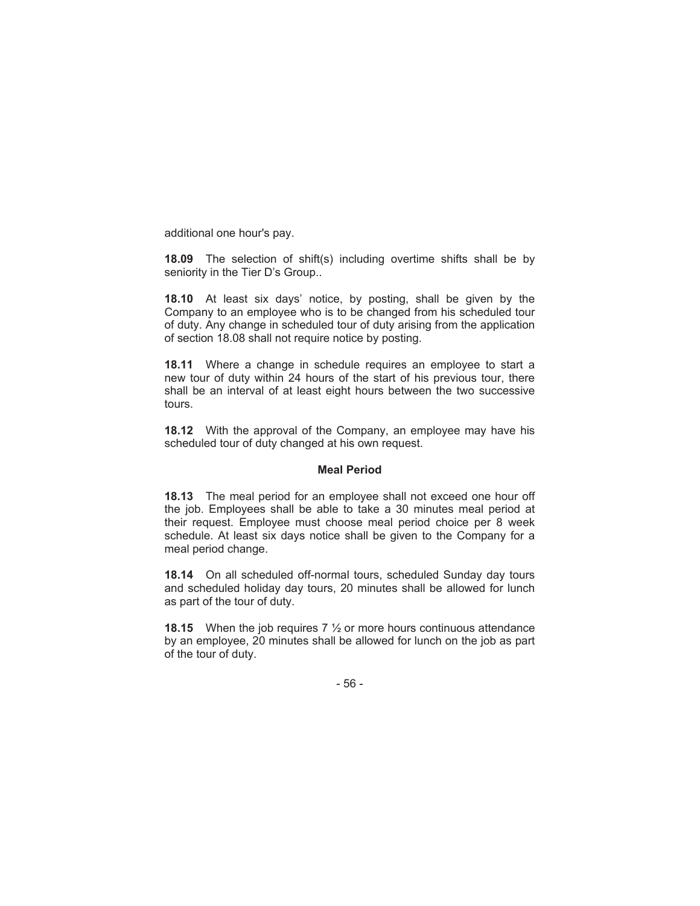additional one hour's pay.

**18.09** The selection of shift(s) including overtime shifts shall be by seniority in the Tier D's Group..

**18.10** At least six days' notice, by posting, shall be given by the Company to an employee who is to be changed from his scheduled tour of duty. Any change in scheduled tour of duty arising from the application of section 18.08 shall not require notice by posting.

**18.11** Where a change in schedule requires an employee to start a new tour of duty within 24 hours of the start of his previous tour, there shall be an interval of at least eight hours between the two successive tours.

**18.12** With the approval of the Company, an employee may have his scheduled tour of duty changed at his own request.

#### **Meal Period**

**18.13** The meal period for an employee shall not exceed one hour off the job. Employees shall be able to take a 30 minutes meal period at their request. Employee must choose meal period choice per 8 week schedule. At least six days notice shall be given to the Company for a meal period change.

**18.14** On all scheduled off-normal tours, scheduled Sunday day tours and scheduled holiday day tours, 20 minutes shall be allowed for lunch as part of the tour of duty.

**18.15** When the job requires 7 ½ or more hours continuous attendance by an employee, 20 minutes shall be allowed for lunch on the job as part of the tour of duty.

- 56 -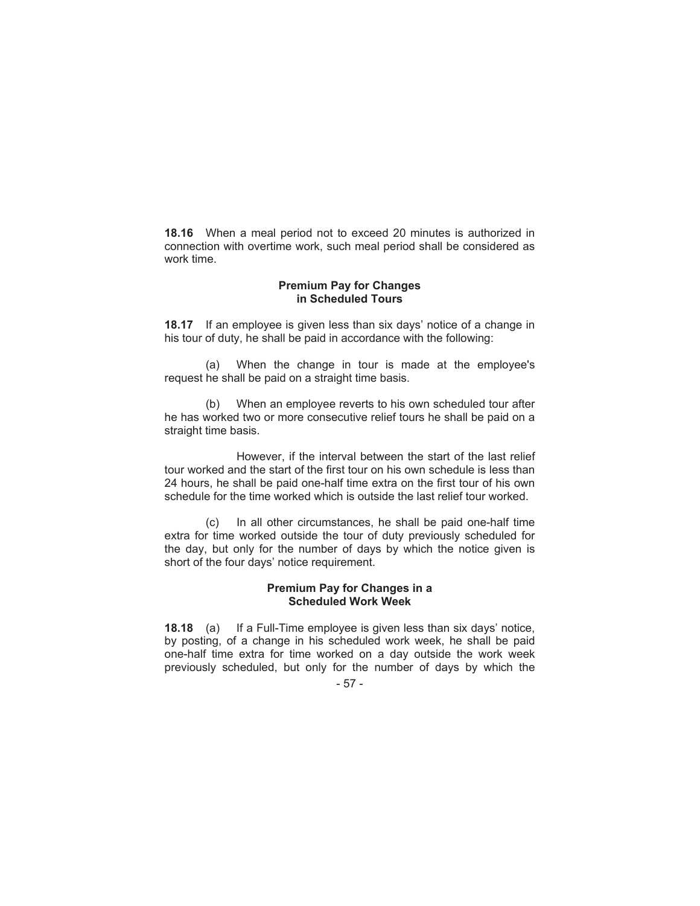**18.16** When a meal period not to exceed 20 minutes is authorized in connection with overtime work, such meal period shall be considered as work time.

### **Premium Pay for Changes in Scheduled Tours**

**18.17** If an employee is given less than six days' notice of a change in his tour of duty, he shall be paid in accordance with the following:

(a) When the change in tour is made at the employee's request he shall be paid on a straight time basis.

(b) When an employee reverts to his own scheduled tour after he has worked two or more consecutive relief tours he shall be paid on a straight time basis.

However, if the interval between the start of the last relief tour worked and the start of the first tour on his own schedule is less than 24 hours, he shall be paid one-half time extra on the first tour of his own schedule for the time worked which is outside the last relief tour worked.

(c) In all other circumstances, he shall be paid one-half time extra for time worked outside the tour of duty previously scheduled for the day, but only for the number of days by which the notice given is short of the four days' notice requirement.

# **Premium Pay for Changes in a Scheduled Work Week**

**18.18** (a) If a Full-Time employee is given less than six days' notice, by posting, of a change in his scheduled work week, he shall be paid one-half time extra for time worked on a day outside the work week previously scheduled, but only for the number of days by which the

- 57 -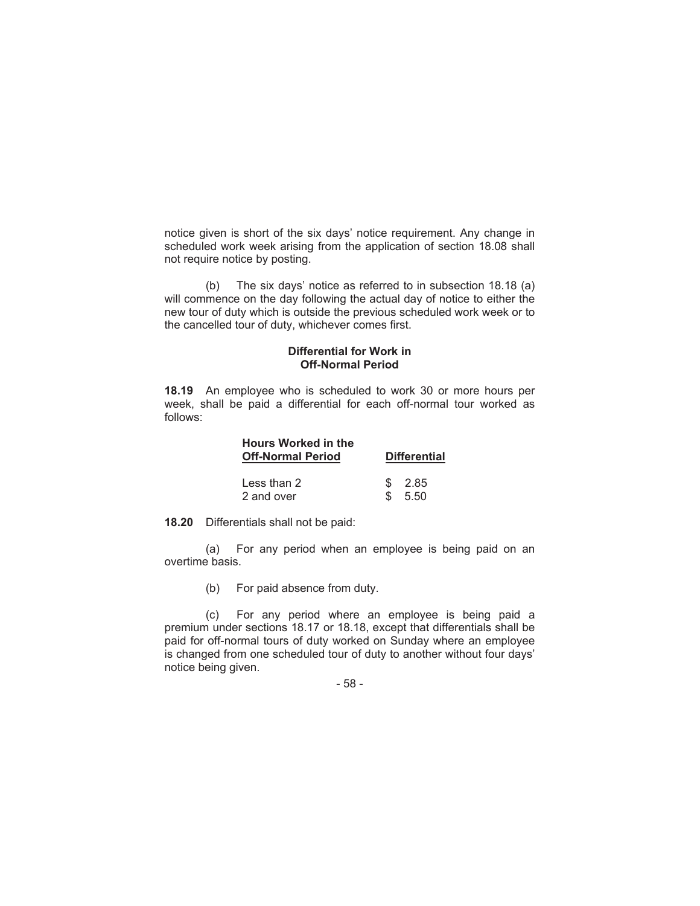notice given is short of the six days' notice requirement. Any change in scheduled work week arising from the application of section 18.08 shall not require notice by posting.

(b) The six days' notice as referred to in subsection 18.18 (a) will commence on the day following the actual day of notice to either the new tour of duty which is outside the previous scheduled work week or to the cancelled tour of duty, whichever comes first.

### **Differential for Work in Off-Normal Period**

**18.19** An employee who is scheduled to work 30 or more hours per week, shall be paid a differential for each off-normal tour worked as follows:

| <b>Hours Worked in the</b><br><b>Off-Normal Period</b> | <b>Differential</b> |        |
|--------------------------------------------------------|---------------------|--------|
| Less than $2$                                          | \$.                 | - 2.85 |
| 2 and over                                             | Я.                  | 5.50   |

**18.20** Differentials shall not be paid:

(a) For any period when an employee is being paid on an overtime basis.

(b) For paid absence from duty.

(c) For any period where an employee is being paid a premium under sections 18.17 or 18.18, except that differentials shall be paid for off-normal tours of duty worked on Sunday where an employee is changed from one scheduled tour of duty to another without four days' notice being given.

- 58 -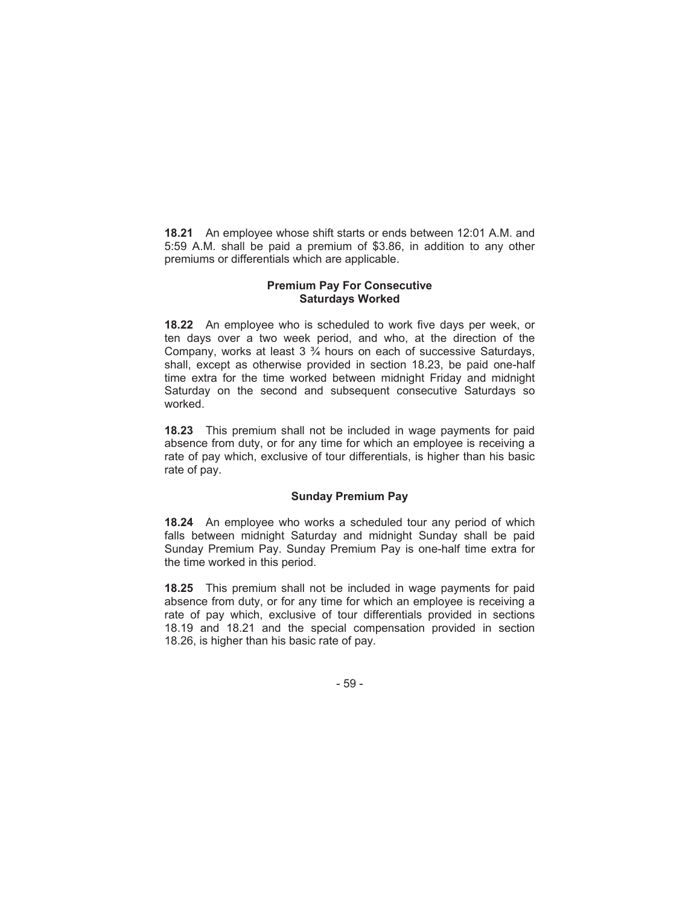**18.21** An employee whose shift starts or ends between 12:01 A.M. and 5:59 A.M. shall be paid a premium of \$3.86, in addition to any other premiums or differentials which are applicable.

# **Premium Pay For Consecutive Saturdays Worked**

**18.22** An employee who is scheduled to work five days per week, or ten days over a two week period, and who, at the direction of the Company, works at least 3 ¾ hours on each of successive Saturdays, shall, except as otherwise provided in section 18.23, be paid one-half time extra for the time worked between midnight Friday and midnight Saturday on the second and subsequent consecutive Saturdays so worked.

**18.23** This premium shall not be included in wage payments for paid absence from duty, or for any time for which an employee is receiving a rate of pay which, exclusive of tour differentials, is higher than his basic rate of pay.

# **Sunday Premium Pay**

**18.24** An employee who works a scheduled tour any period of which falls between midnight Saturday and midnight Sunday shall be paid Sunday Premium Pay. Sunday Premium Pay is one-half time extra for the time worked in this period.

**18.25** This premium shall not be included in wage payments for paid absence from duty, or for any time for which an employee is receiving a rate of pay which, exclusive of tour differentials provided in sections 18.19 and 18.21 and the special compensation provided in section 18.26, is higher than his basic rate of pay.

- 59 -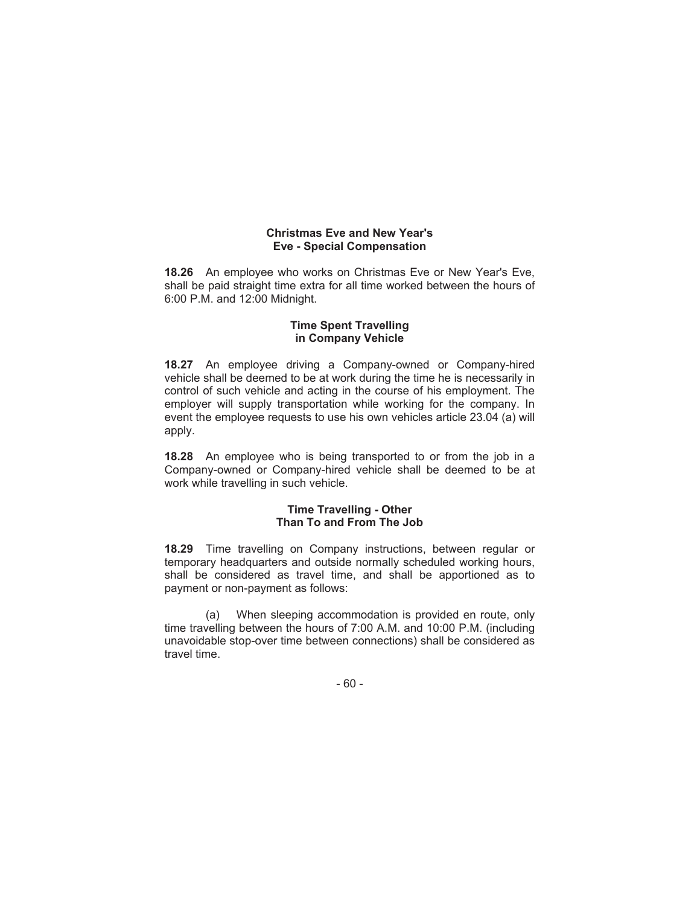# **Christmas Eve and New Year's Eve - Special Compensation**

**18.26** An employee who works on Christmas Eve or New Year's Eve, shall be paid straight time extra for all time worked between the hours of 6:00 P.M. and 12:00 Midnight.

### **Time Spent Travelling in Company Vehicle**

**18.27** An employee driving a Company-owned or Company-hired vehicle shall be deemed to be at work during the time he is necessarily in control of such vehicle and acting in the course of his employment. The employer will supply transportation while working for the company. In event the employee requests to use his own vehicles article 23.04 (a) will apply.

**18.28** An employee who is being transported to or from the job in a Company-owned or Company-hired vehicle shall be deemed to be at work while travelling in such vehicle.

# **Time Travelling - Other Than To and From The Job**

**18.29** Time travelling on Company instructions, between regular or temporary headquarters and outside normally scheduled working hours, shall be considered as travel time, and shall be apportioned as to payment or non-payment as follows:

(a) When sleeping accommodation is provided en route, only time travelling between the hours of 7:00 A.M. and 10:00 P.M. (including unavoidable stop-over time between connections) shall be considered as travel time.

- 60 -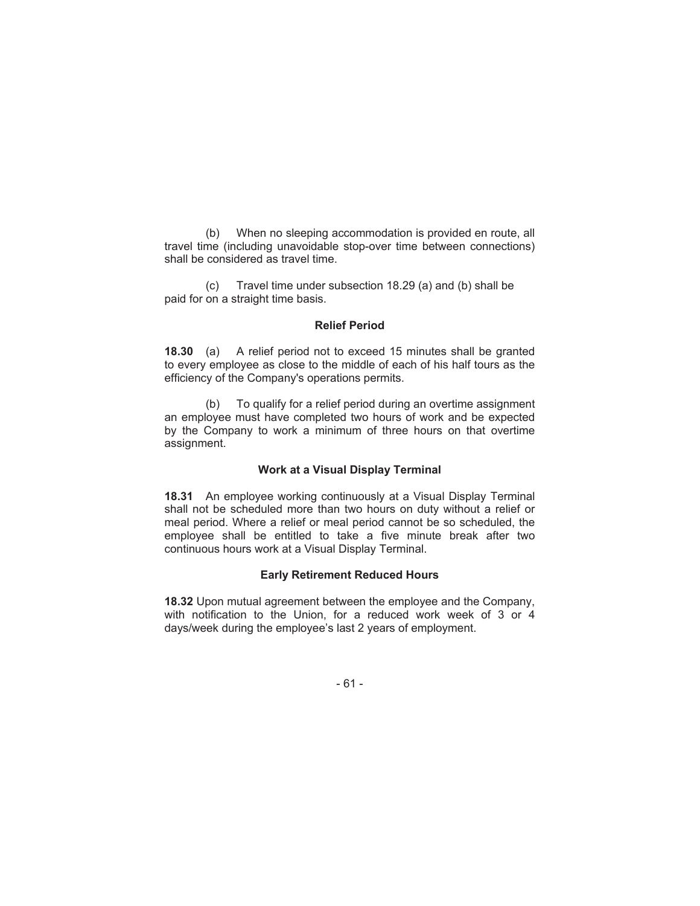(b) When no sleeping accommodation is provided en route, all travel time (including unavoidable stop-over time between connections) shall be considered as travel time.

(c) Travel time under subsection 18.29 (a) and (b) shall be paid for on a straight time basis.

#### **Relief Period**

**18.30** (a) A relief period not to exceed 15 minutes shall be granted to every employee as close to the middle of each of his half tours as the efficiency of the Company's operations permits.

(b) To qualify for a relief period during an overtime assignment an employee must have completed two hours of work and be expected by the Company to work a minimum of three hours on that overtime assignment.

# **Work at a Visual Display Terminal**

**18.31** An employee working continuously at a Visual Display Terminal shall not be scheduled more than two hours on duty without a relief or meal period. Where a relief or meal period cannot be so scheduled, the employee shall be entitled to take a five minute break after two continuous hours work at a Visual Display Terminal.

#### **Early Retirement Reduced Hours**

**18.32** Upon mutual agreement between the employee and the Company, with notification to the Union, for a reduced work week of 3 or 4 days/week during the employee's last 2 years of employment.

- 61 -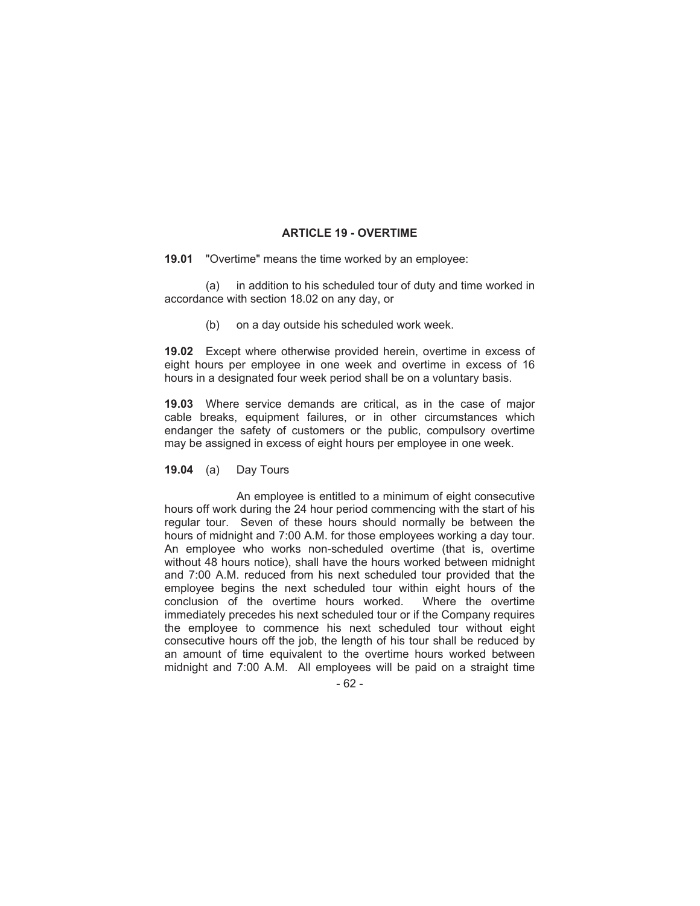# **ARTICLE 19 - OVERTIME**

**19.01** "Overtime" means the time worked by an employee:

(a) in addition to his scheduled tour of duty and time worked in accordance with section 18.02 on any day, or

(b) on a day outside his scheduled work week.

**19.02** Except where otherwise provided herein, overtime in excess of eight hours per employee in one week and overtime in excess of 16 hours in a designated four week period shall be on a voluntary basis.

**19.03** Where service demands are critical, as in the case of major cable breaks, equipment failures, or in other circumstances which endanger the safety of customers or the public, compulsory overtime may be assigned in excess of eight hours per employee in one week.

**19.04** (a) Day Tours

An employee is entitled to a minimum of eight consecutive hours off work during the 24 hour period commencing with the start of his regular tour. Seven of these hours should normally be between the hours of midnight and 7:00 A.M. for those employees working a day tour. An employee who works non-scheduled overtime (that is, overtime without 48 hours notice), shall have the hours worked between midnight and 7:00 A.M. reduced from his next scheduled tour provided that the employee begins the next scheduled tour within eight hours of the conclusion of the overtime hours worked. Where the overtime immediately precedes his next scheduled tour or if the Company requires the employee to commence his next scheduled tour without eight consecutive hours off the job, the length of his tour shall be reduced by an amount of time equivalent to the overtime hours worked between midnight and 7:00 A.M. All employees will be paid on a straight time

- 62 -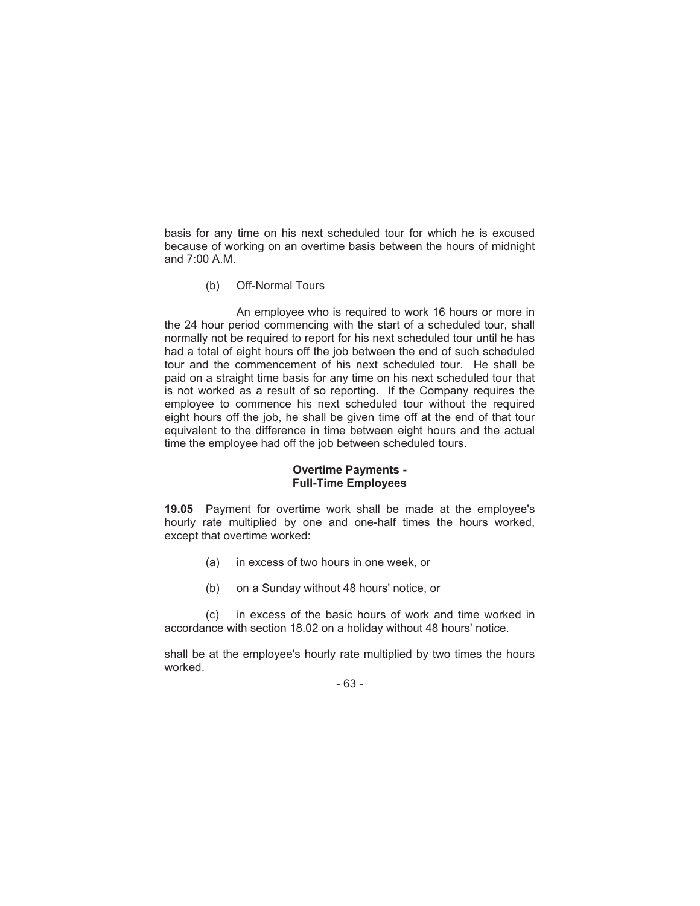basis for any time on his next scheduled tour for which he is excused because of working on an overtime basis between the hours of midnight and 7:00 A.M.

(b) Off-Normal Tours

An employee who is required to work 16 hours or more in the 24 hour period commencing with the start of a scheduled tour, shall normally not be required to report for his next scheduled tour until he has had a total of eight hours off the job between the end of such scheduled tour and the commencement of his next scheduled tour. He shall be paid on a straight time basis for any time on his next scheduled tour that is not worked as a result of so reporting. If the Company requires the employee to commence his next scheduled tour without the required eight hours off the job, he shall be given time off at the end of that tour equivalent to the difference in time between eight hours and the actual time the employee had off the job between scheduled tours.

# **Overtime Payments - Full-Time Employees**

**19.05** Payment for overtime work shall be made at the employee's hourly rate multiplied by one and one-half times the hours worked, except that overtime worked:

- (a) in excess of two hours in one week, or
- (b) on a Sunday without 48 hours' notice, or

(c) in excess of the basic hours of work and time worked in accordance with section 18.02 on a holiday without 48 hours' notice.

shall be at the employee's hourly rate multiplied by two times the hours worked.

- 63 -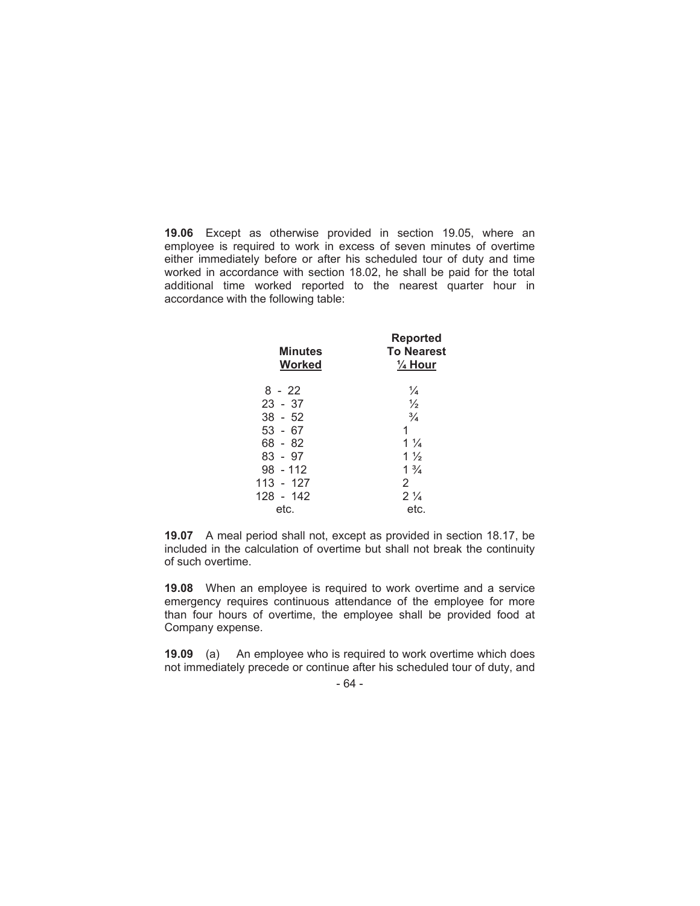**19.06** Except as otherwise provided in section 19.05, where an employee is required to work in excess of seven minutes of overtime either immediately before or after his scheduled tour of duty and time worked in accordance with section 18.02, he shall be paid for the total additional time worked reported to the nearest quarter hour in accordance with the following table:

| <b>Minutes</b><br>Worked | <b>Reported</b><br><b>To Nearest</b><br>$\frac{1}{4}$ Hour |
|--------------------------|------------------------------------------------------------|
| $8 - 22$                 | $\frac{1}{4}$                                              |
| $23 - 37$                | $\frac{1}{2}$                                              |
| $38 - 52$                | $\frac{3}{4}$                                              |
| $53 - 67$                | 1                                                          |
| 68 - 82                  | $1\frac{1}{4}$                                             |
| 83 - 97                  | $1\frac{1}{2}$                                             |
| $98 - 112$               | $1\frac{3}{4}$                                             |
| 113 - 127                | 2                                                          |
| 128 - 142                | $2\frac{1}{4}$                                             |
| etc.                     | etc.                                                       |

**19.07** A meal period shall not, except as provided in section 18.17, be included in the calculation of overtime but shall not break the continuity of such overtime.

**19.08** When an employee is required to work overtime and a service emergency requires continuous attendance of the employee for more than four hours of overtime, the employee shall be provided food at Company expense.

**19.09** (a) An employee who is required to work overtime which does not immediately precede or continue after his scheduled tour of duty, and

- 64 -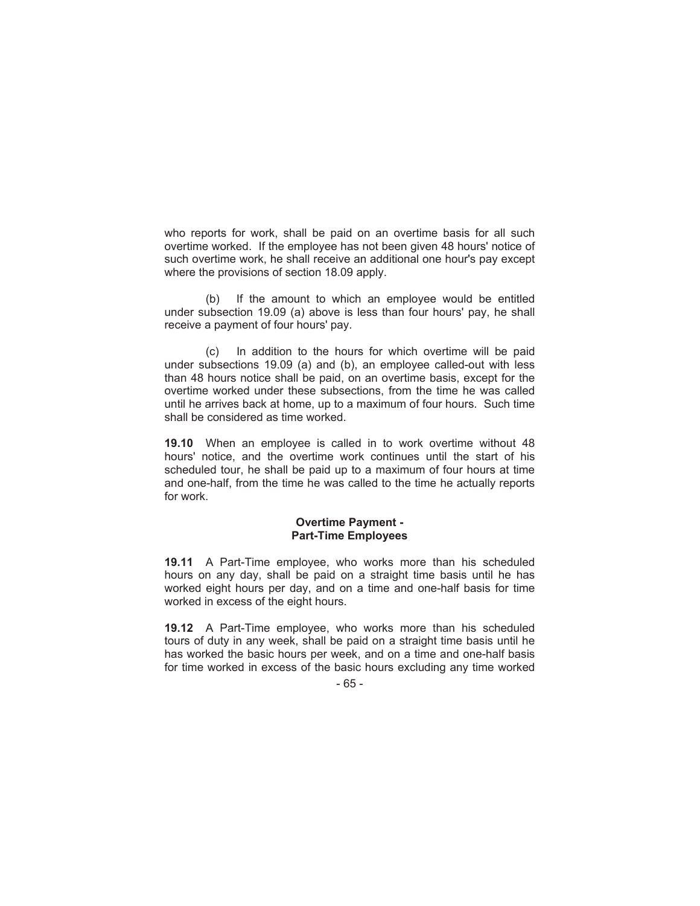who reports for work, shall be paid on an overtime basis for all such overtime worked. If the employee has not been given 48 hours' notice of such overtime work, he shall receive an additional one hour's pay except where the provisions of section 18.09 apply.

(b) If the amount to which an employee would be entitled under subsection 19.09 (a) above is less than four hours' pay, he shall receive a payment of four hours' pay.

(c) In addition to the hours for which overtime will be paid under subsections 19.09 (a) and (b), an employee called-out with less than 48 hours notice shall be paid, on an overtime basis, except for the overtime worked under these subsections, from the time he was called until he arrives back at home, up to a maximum of four hours. Such time shall be considered as time worked.

**19.10** When an employee is called in to work overtime without 48 hours' notice, and the overtime work continues until the start of his scheduled tour, he shall be paid up to a maximum of four hours at time and one-half, from the time he was called to the time he actually reports for work.

### **Overtime Payment - Part-Time Employees**

**19.11** A Part-Time employee, who works more than his scheduled hours on any day, shall be paid on a straight time basis until he has worked eight hours per day, and on a time and one-half basis for time worked in excess of the eight hours.

**19.12** A Part-Time employee, who works more than his scheduled tours of duty in any week, shall be paid on a straight time basis until he has worked the basic hours per week, and on a time and one-half basis for time worked in excess of the basic hours excluding any time worked

- 65 -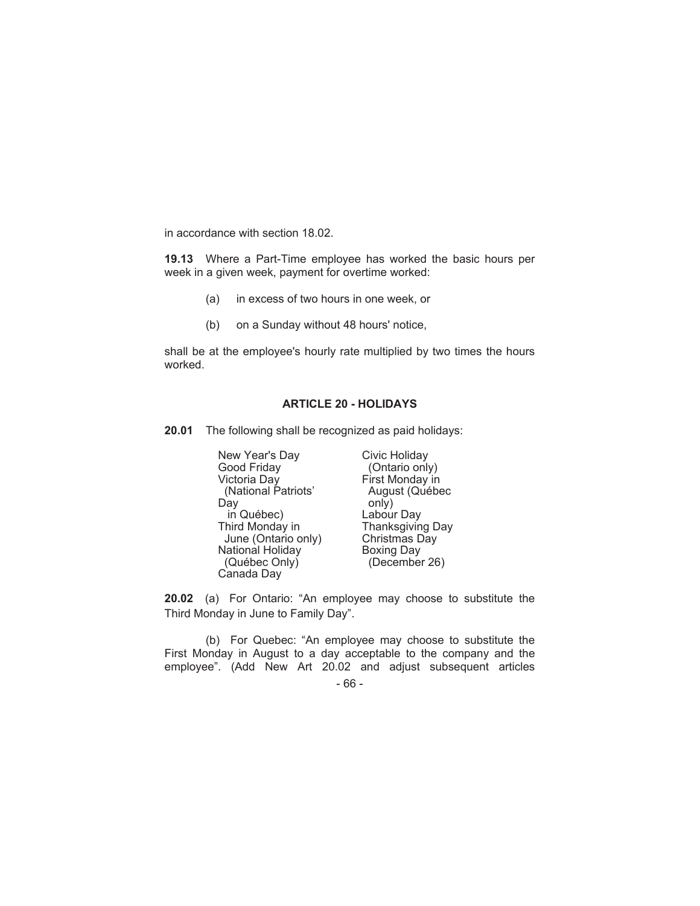in accordance with section 18.02.

**19.13** Where a Part-Time employee has worked the basic hours per week in a given week, payment for overtime worked:

- (a) in excess of two hours in one week, or
- (b) on a Sunday without 48 hours' notice,

shall be at the employee's hourly rate multiplied by two times the hours worked.

# **ARTICLE 20 - HOLIDAYS**

**20.01** The following shall be recognized as paid holidays:

New Year's Day Good Friday Victoria Day (National Patriots' Day in Québec) Third Monday in June (Ontario only) National Holiday (Québec Only) Canada Day

Civic Holiday (Ontario only) First Monday in August (Québec only) Labour Day Thanksgiving Day Christmas Day Boxing Day (December 26)

**20.02** (a) For Ontario: "An employee may choose to substitute the Third Monday in June to Family Day".

(b) For Quebec: "An employee may choose to substitute the First Monday in August to a day acceptable to the company and the employee". (Add New Art 20.02 and adjust subsequent articles

<sup>- 66 -</sup>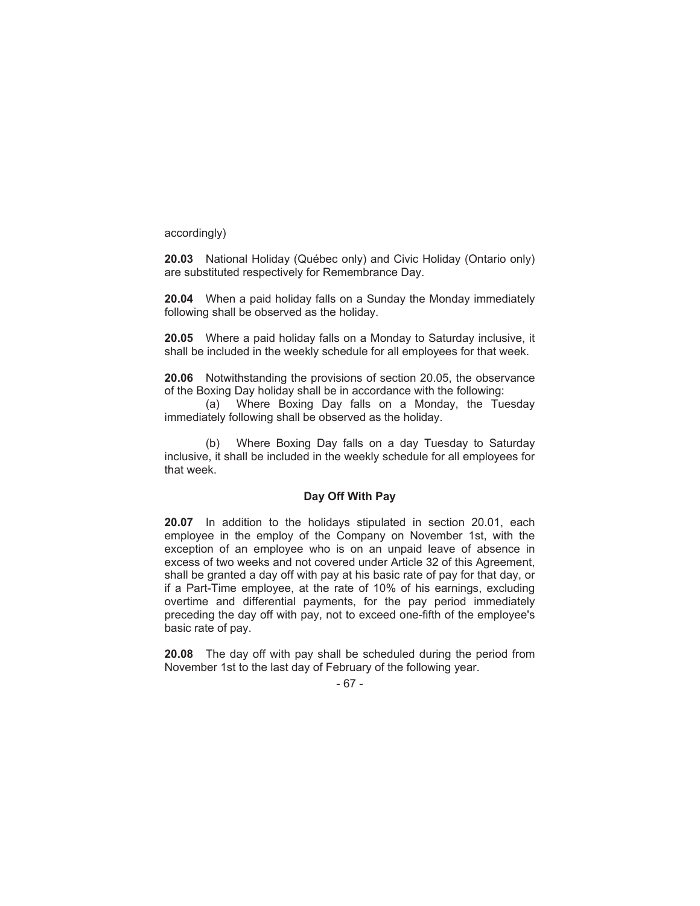accordingly)

**20.03** National Holiday (Québec only) and Civic Holiday (Ontario only) are substituted respectively for Remembrance Day.

**20.04** When a paid holiday falls on a Sunday the Monday immediately following shall be observed as the holiday.

**20.05** Where a paid holiday falls on a Monday to Saturday inclusive, it shall be included in the weekly schedule for all employees for that week.

**20.06** Notwithstanding the provisions of section 20.05, the observance of the Boxing Day holiday shall be in accordance with the following:

(a) Where Boxing Day falls on a Monday, the Tuesday immediately following shall be observed as the holiday.

(b) Where Boxing Day falls on a day Tuesday to Saturday inclusive, it shall be included in the weekly schedule for all employees for that week.

### **Day Off With Pay**

**20.07** In addition to the holidays stipulated in section 20.01, each employee in the employ of the Company on November 1st, with the exception of an employee who is on an unpaid leave of absence in excess of two weeks and not covered under Article 32 of this Agreement, shall be granted a day off with pay at his basic rate of pay for that day, or if a Part-Time employee, at the rate of 10% of his earnings, excluding overtime and differential payments, for the pay period immediately preceding the day off with pay, not to exceed one-fifth of the employee's basic rate of pay.

**20.08** The day off with pay shall be scheduled during the period from November 1st to the last day of February of the following year.

- 67 -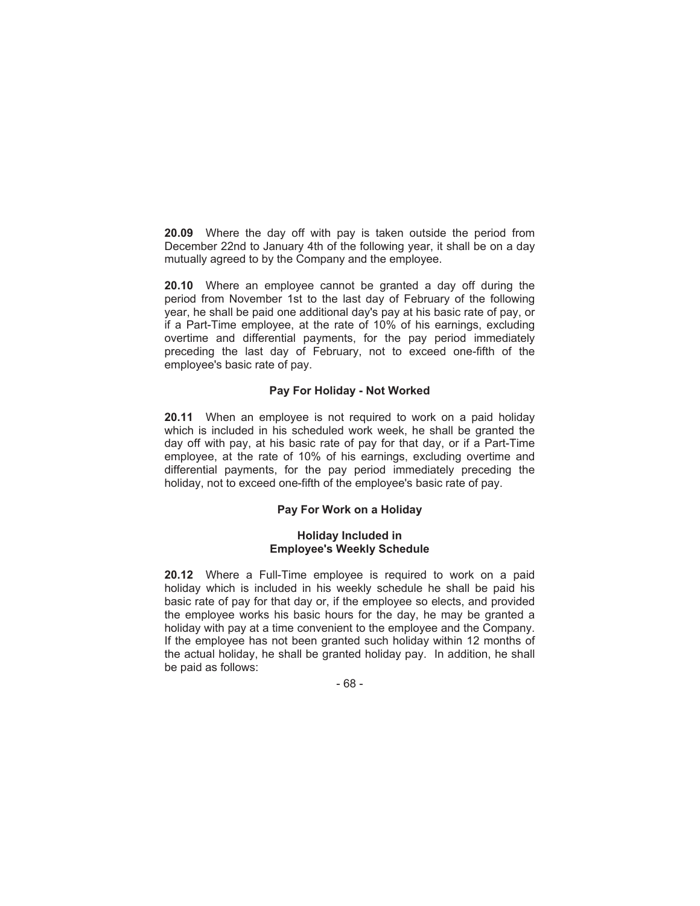**20.09** Where the day off with pay is taken outside the period from December 22nd to January 4th of the following year, it shall be on a day mutually agreed to by the Company and the employee.

**20.10** Where an employee cannot be granted a day off during the period from November 1st to the last day of February of the following year, he shall be paid one additional day's pay at his basic rate of pay, or if a Part-Time employee, at the rate of 10% of his earnings, excluding overtime and differential payments, for the pay period immediately preceding the last day of February, not to exceed one-fifth of the employee's basic rate of pay.

# **Pay For Holiday - Not Worked**

**20.11** When an employee is not required to work on a paid holiday which is included in his scheduled work week, he shall be granted the day off with pay, at his basic rate of pay for that day, or if a Part-Time employee, at the rate of 10% of his earnings, excluding overtime and differential payments, for the pay period immediately preceding the holiday, not to exceed one-fifth of the employee's basic rate of pay.

# **Pay For Work on a Holiday**

### **Holiday Included in Employee's Weekly Schedule**

**20.12** Where a Full-Time employee is required to work on a paid holiday which is included in his weekly schedule he shall be paid his basic rate of pay for that day or, if the employee so elects, and provided the employee works his basic hours for the day, he may be granted a holiday with pay at a time convenient to the employee and the Company. If the employee has not been granted such holiday within 12 months of the actual holiday, he shall be granted holiday pay. In addition, he shall be paid as follows:

- 68 -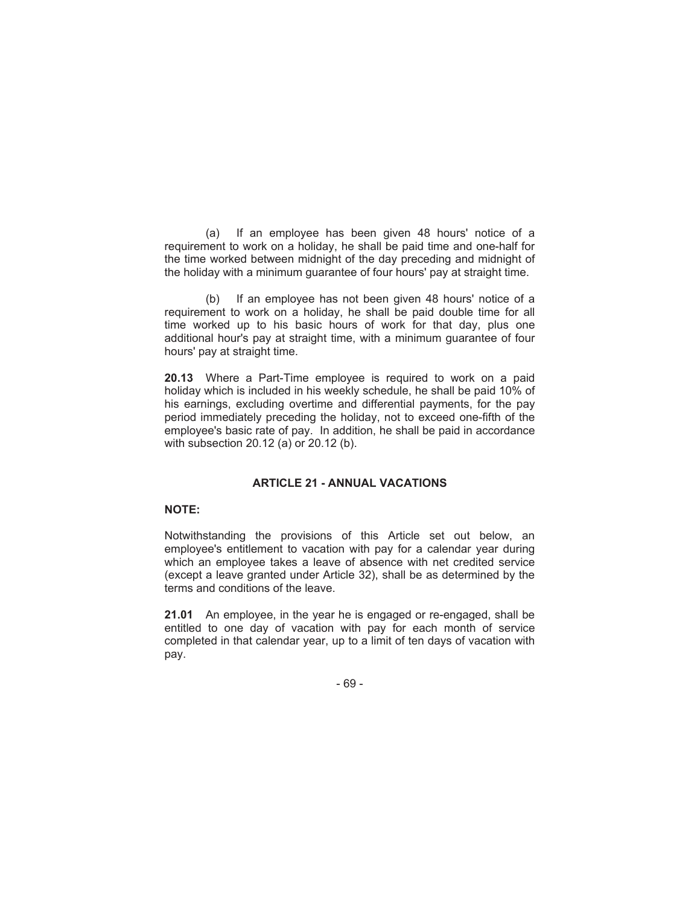(a) If an employee has been given 48 hours' notice of a requirement to work on a holiday, he shall be paid time and one-half for the time worked between midnight of the day preceding and midnight of the holiday with a minimum guarantee of four hours' pay at straight time.

(b) If an employee has not been given 48 hours' notice of a requirement to work on a holiday, he shall be paid double time for all time worked up to his basic hours of work for that day, plus one additional hour's pay at straight time, with a minimum guarantee of four hours' pay at straight time.

**20.13** Where a Part-Time employee is required to work on a paid holiday which is included in his weekly schedule, he shall be paid 10% of his earnings, excluding overtime and differential payments, for the pay period immediately preceding the holiday, not to exceed one-fifth of the employee's basic rate of pay. In addition, he shall be paid in accordance with subsection 20.12 (a) or 20.12 (b).

## **ARTICLE 21 - ANNUAL VACATIONS**

# **NOTE:**

Notwithstanding the provisions of this Article set out below, an employee's entitlement to vacation with pay for a calendar year during which an employee takes a leave of absence with net credited service (except a leave granted under Article 32), shall be as determined by the terms and conditions of the leave.

**21.01** An employee, in the year he is engaged or re-engaged, shall be entitled to one day of vacation with pay for each month of service completed in that calendar year, up to a limit of ten days of vacation with pay.

- 69 -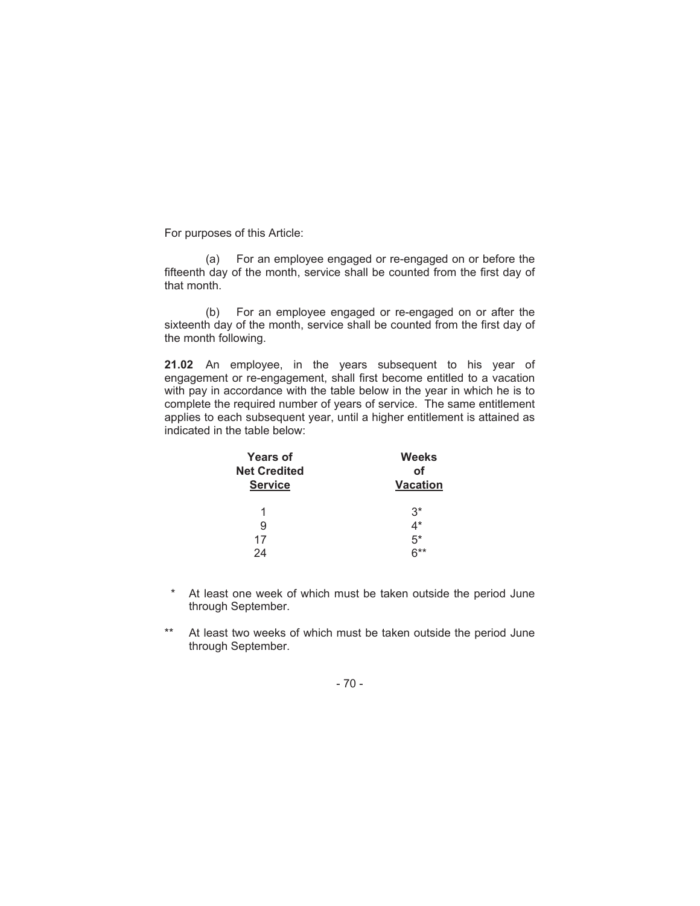For purposes of this Article:

(a) For an employee engaged or re-engaged on or before the fifteenth day of the month, service shall be counted from the first day of that month.

(b) For an employee engaged or re-engaged on or after the sixteenth day of the month, service shall be counted from the first day of the month following.

**21.02** An employee, in the years subsequent to his year of engagement or re-engagement, shall first become entitled to a vacation with pay in accordance with the table below in the year in which he is to complete the required number of years of service. The same entitlement applies to each subsequent year, until a higher entitlement is attained as indicated in the table below:

| <b>Years of</b>     | Weeks           |
|---------------------|-----------------|
| <b>Net Credited</b> | οf              |
| <b>Service</b>      | <b>Vacation</b> |
|                     |                 |
| 1                   | $3^*$           |
| 9                   | 4*              |
| 17                  | 5*              |
| 24                  | ດ**             |

- \* At least one week of which must be taken outside the period June through September.
- \*\* At least two weeks of which must be taken outside the period June through September.

 $-70 -$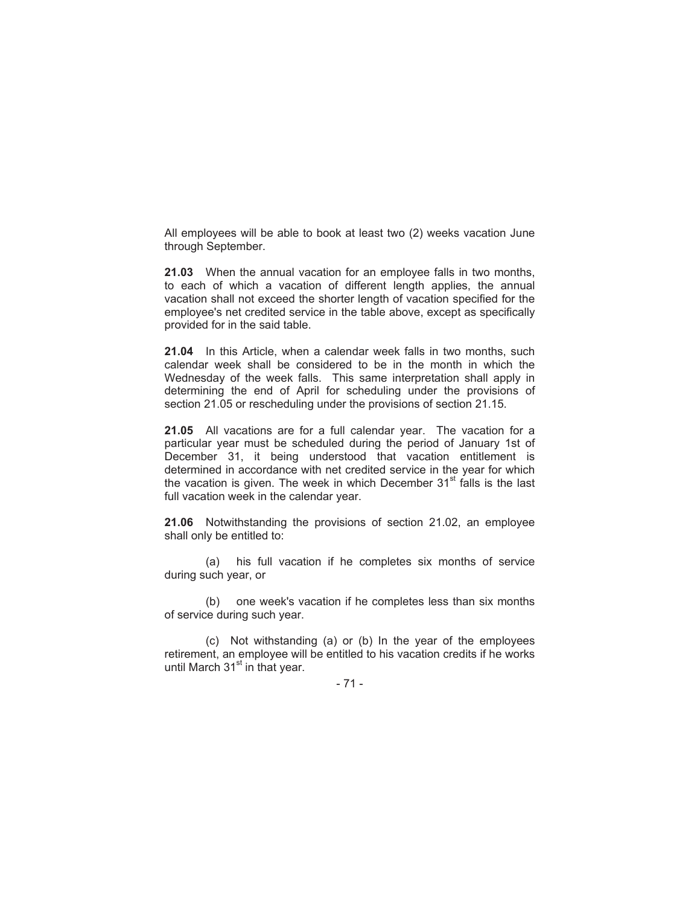All employees will be able to book at least two (2) weeks vacation June through September.

**21.03** When the annual vacation for an employee falls in two months, to each of which a vacation of different length applies, the annual vacation shall not exceed the shorter length of vacation specified for the employee's net credited service in the table above, except as specifically provided for in the said table.

**21.04** In this Article, when a calendar week falls in two months, such calendar week shall be considered to be in the month in which the Wednesday of the week falls. This same interpretation shall apply in determining the end of April for scheduling under the provisions of section 21.05 or rescheduling under the provisions of section 21.15.

**21.05** All vacations are for a full calendar year. The vacation for a particular year must be scheduled during the period of January 1st of December 31, it being understood that vacation entitlement is determined in accordance with net credited service in the year for which the vacation is given. The week in which December  $31<sup>st</sup>$  falls is the last full vacation week in the calendar year.

**21.06** Notwithstanding the provisions of section 21.02, an employee shall only be entitled to:

(a) his full vacation if he completes six months of service during such year, or

(b) one week's vacation if he completes less than six months of service during such year.

(c) Not withstanding (a) or (b) In the year of the employees retirement, an employee will be entitled to his vacation credits if he works until March  $31<sup>st</sup>$  in that year.

- 71 -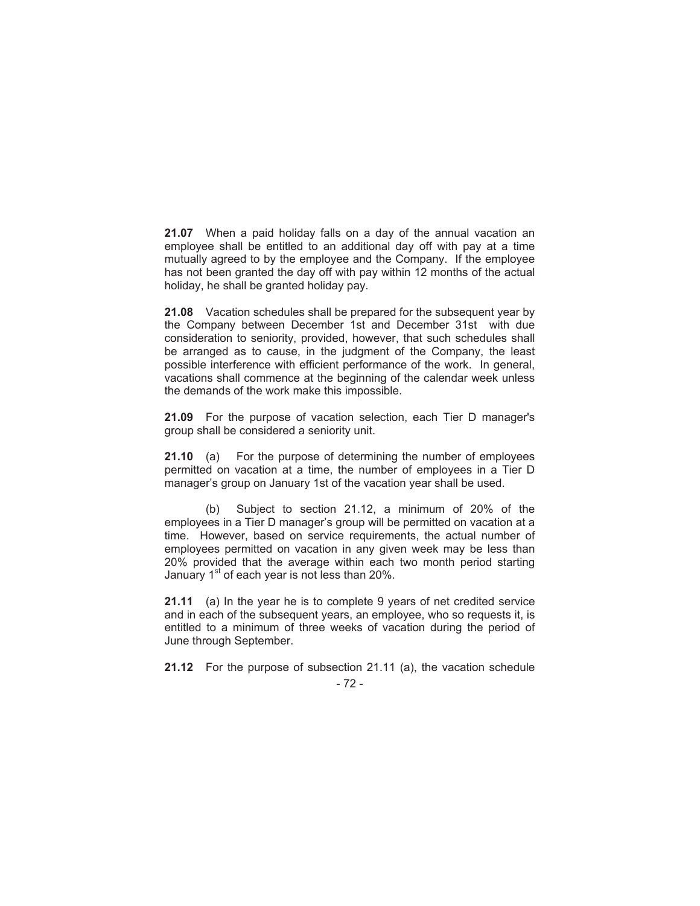**21.07** When a paid holiday falls on a day of the annual vacation an employee shall be entitled to an additional day off with pay at a time mutually agreed to by the employee and the Company. If the employee has not been granted the day off with pay within 12 months of the actual holiday, he shall be granted holiday pay.

**21.08** Vacation schedules shall be prepared for the subsequent year by the Company between December 1st and December 31st with due consideration to seniority, provided, however, that such schedules shall be arranged as to cause, in the judgment of the Company, the least possible interference with efficient performance of the work. In general, vacations shall commence at the beginning of the calendar week unless the demands of the work make this impossible.

**21.09** For the purpose of vacation selection, each Tier D manager's group shall be considered a seniority unit.

**21.10** (a) For the purpose of determining the number of employees permitted on vacation at a time, the number of employees in a Tier D manager's group on January 1st of the vacation year shall be used.

(b) Subject to section 21.12, a minimum of 20% of the employees in a Tier D manager's group will be permitted on vacation at a time. However, based on service requirements, the actual number of employees permitted on vacation in any given week may be less than 20% provided that the average within each two month period starting January  $1<sup>st</sup>$  of each year is not less than 20%.

**21.11** (a) In the year he is to complete 9 years of net credited service and in each of the subsequent years, an employee, who so requests it, is entitled to a minimum of three weeks of vacation during the period of June through September.

- 72 - **21.12** For the purpose of subsection 21.11 (a), the vacation schedule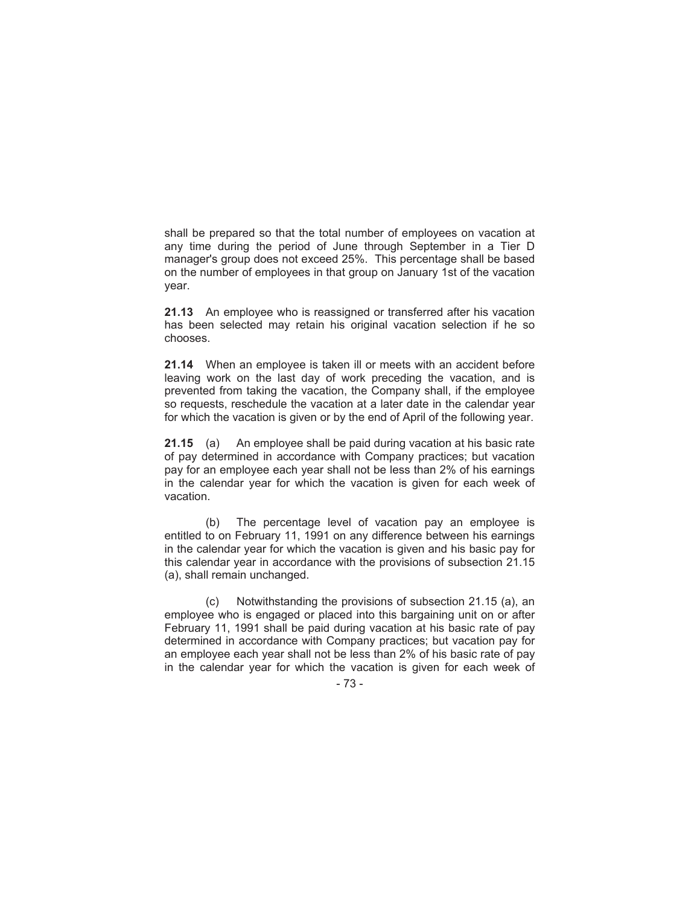shall be prepared so that the total number of employees on vacation at any time during the period of June through September in a Tier D manager's group does not exceed 25%. This percentage shall be based on the number of employees in that group on January 1st of the vacation year.

**21.13** An employee who is reassigned or transferred after his vacation has been selected may retain his original vacation selection if he so chooses.

**21.14** When an employee is taken ill or meets with an accident before leaving work on the last day of work preceding the vacation, and is prevented from taking the vacation, the Company shall, if the employee so requests, reschedule the vacation at a later date in the calendar year for which the vacation is given or by the end of April of the following year.

**21.15** (a) An employee shall be paid during vacation at his basic rate of pay determined in accordance with Company practices; but vacation pay for an employee each year shall not be less than 2% of his earnings in the calendar year for which the vacation is given for each week of vacation.

(b) The percentage level of vacation pay an employee is entitled to on February 11, 1991 on any difference between his earnings in the calendar year for which the vacation is given and his basic pay for this calendar year in accordance with the provisions of subsection 21.15 (a), shall remain unchanged.

(c) Notwithstanding the provisions of subsection 21.15 (a), an employee who is engaged or placed into this bargaining unit on or after February 11, 1991 shall be paid during vacation at his basic rate of pay determined in accordance with Company practices; but vacation pay for an employee each year shall not be less than 2% of his basic rate of pay in the calendar year for which the vacation is given for each week of

- 73 -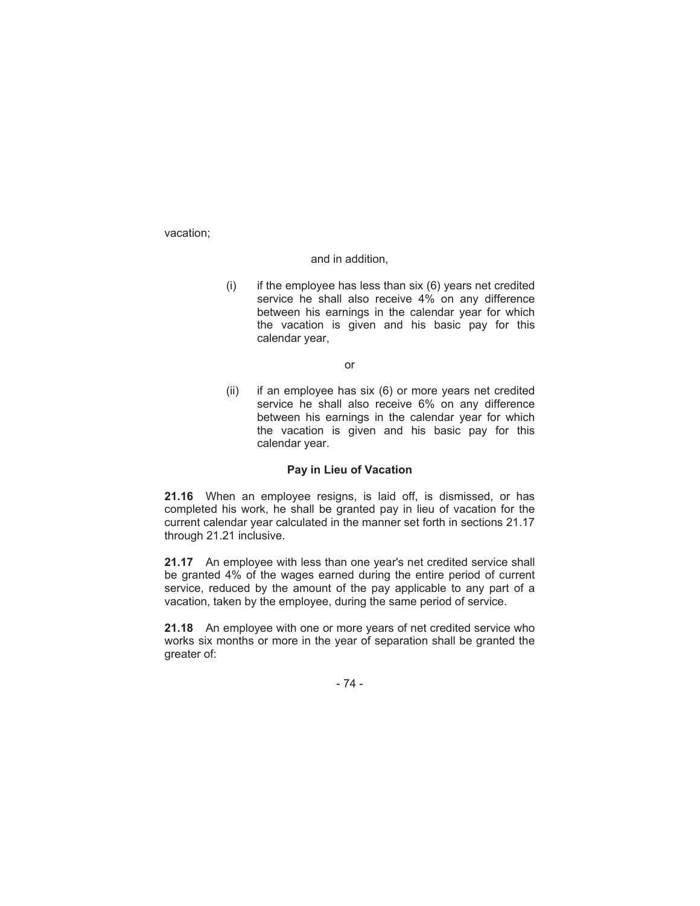vacation;

#### and in addition,

 $(i)$  if the employee has less than six  $(6)$  years net credited service he shall also receive 4% on any difference between his earnings in the calendar year for which the vacation is given and his basic pay for this calendar year,

or

(ii) if an employee has six (6) or more years net credited service he shall also receive 6% on any difference between his earnings in the calendar year for which the vacation is given and his basic pay for this calendar year.

### **Pay in Lieu of Vacation**

**21.16** When an employee resigns, is laid off, is dismissed, or has completed his work, he shall be granted pay in lieu of vacation for the current calendar year calculated in the manner set forth in sections 21.17 through 21.21 inclusive.

**21.17** An employee with less than one year's net credited service shall be granted 4% of the wages earned during the entire period of current service, reduced by the amount of the pay applicable to any part of a vacation, taken by the employee, during the same period of service.

**21.18** An employee with one or more years of net credited service who works six months or more in the year of separation shall be granted the greater of:

- 74 -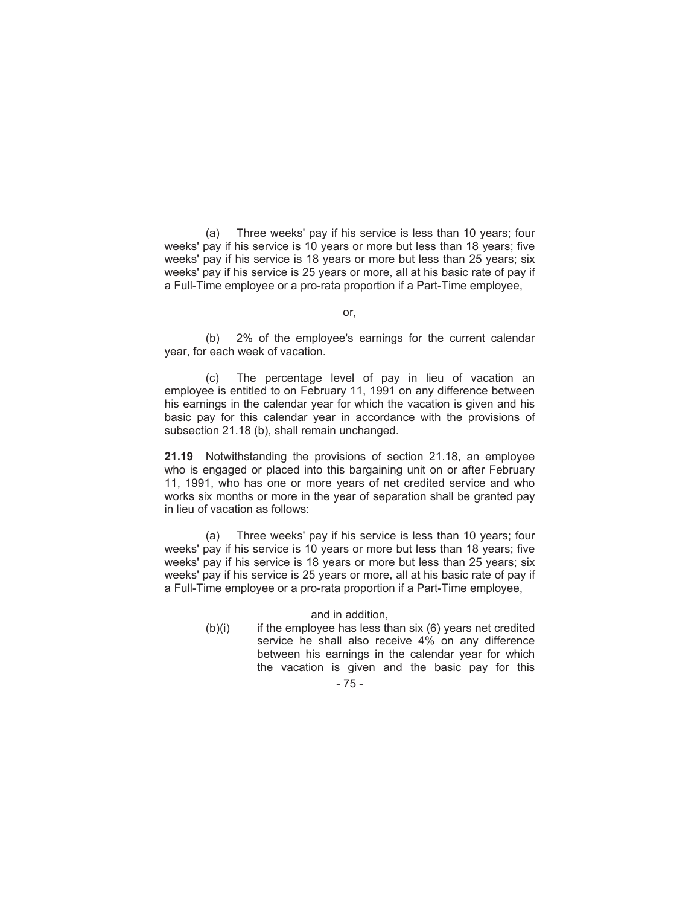(a) Three weeks' pay if his service is less than 10 years; four weeks' pay if his service is 10 years or more but less than 18 years; five weeks' pay if his service is 18 years or more but less than 25 years; six weeks' pay if his service is 25 years or more, all at his basic rate of pay if a Full-Time employee or a pro-rata proportion if a Part-Time employee,

### or,

(b) 2% of the employee's earnings for the current calendar year, for each week of vacation.

(c) The percentage level of pay in lieu of vacation an employee is entitled to on February 11, 1991 on any difference between his earnings in the calendar year for which the vacation is given and his basic pay for this calendar year in accordance with the provisions of subsection 21.18 (b), shall remain unchanged.

**21.19** Notwithstanding the provisions of section 21.18, an employee who is engaged or placed into this bargaining unit on or after February 11, 1991, who has one or more years of net credited service and who works six months or more in the year of separation shall be granted pay in lieu of vacation as follows:

(a) Three weeks' pay if his service is less than 10 years; four weeks' pay if his service is 10 years or more but less than 18 years; five weeks' pay if his service is 18 years or more but less than 25 years; six weeks' pay if his service is 25 years or more, all at his basic rate of pay if a Full-Time employee or a pro-rata proportion if a Part-Time employee,

and in addition,

 $(b)(i)$  if the employee has less than six  $(6)$  years net credited service he shall also receive 4% on any difference between his earnings in the calendar year for which the vacation is given and the basic pay for this

# - 75 -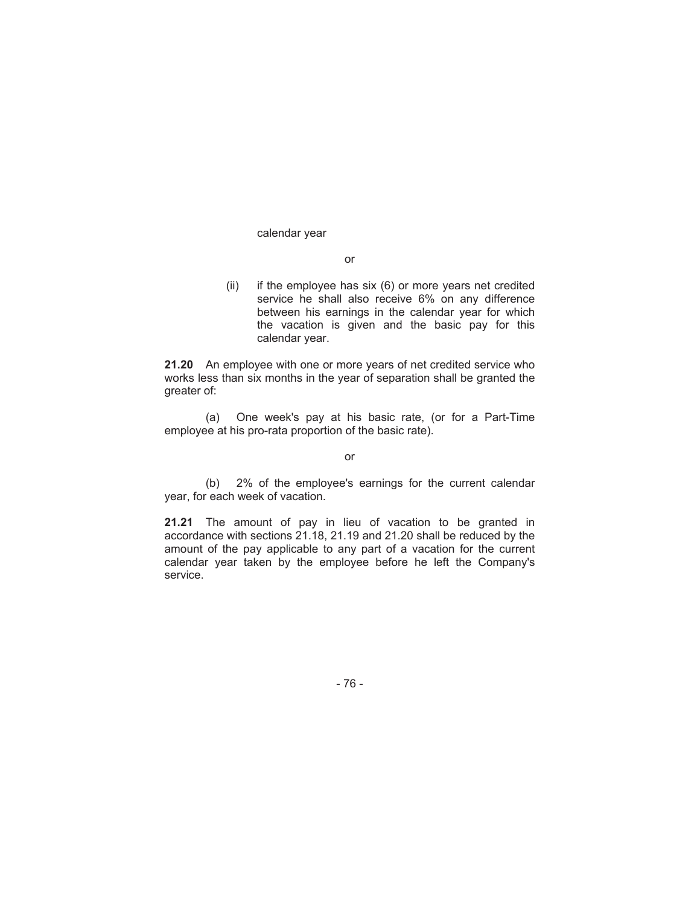#### calendar year

#### or

(ii) if the employee has six (6) or more years net credited service he shall also receive 6% on any difference between his earnings in the calendar year for which the vacation is given and the basic pay for this calendar year.

**21.20** An employee with one or more years of net credited service who works less than six months in the year of separation shall be granted the greater of:

(a) One week's pay at his basic rate, (or for a Part-Time employee at his pro-rata proportion of the basic rate).

or

(b) 2% of the employee's earnings for the current calendar year, for each week of vacation.

**21.21** The amount of pay in lieu of vacation to be granted in accordance with sections 21.18, 21.19 and 21.20 shall be reduced by the amount of the pay applicable to any part of a vacation for the current calendar year taken by the employee before he left the Company's service.

- 76 -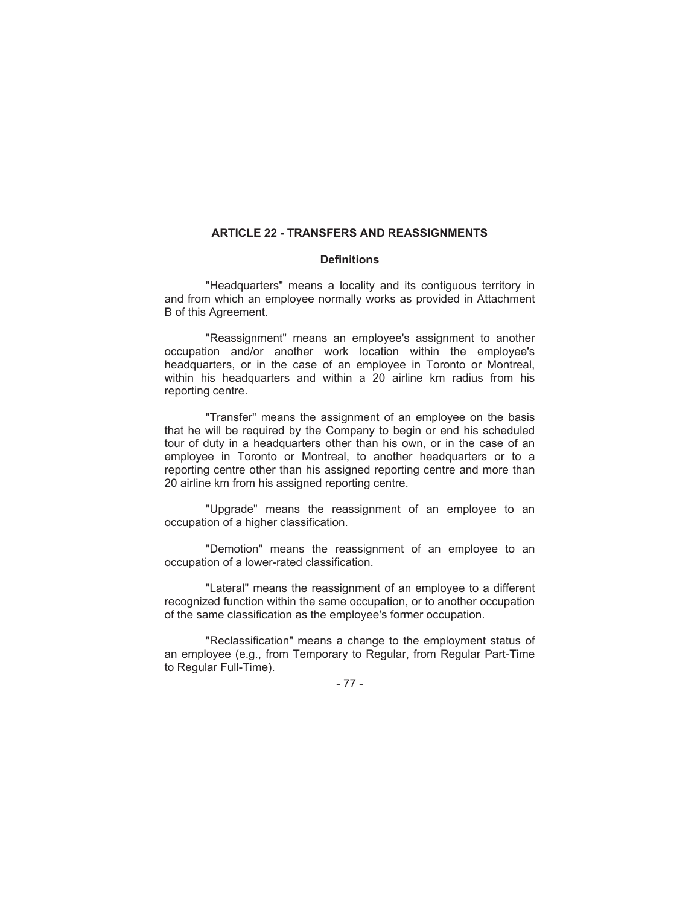# **ARTICLE 22 - TRANSFERS AND REASSIGNMENTS**

## **Definitions**

"Headquarters" means a locality and its contiguous territory in and from which an employee normally works as provided in Attachment B of this Agreement.

"Reassignment" means an employee's assignment to another occupation and/or another work location within the employee's headquarters, or in the case of an employee in Toronto or Montreal, within his headquarters and within a 20 airline km radius from his reporting centre.

"Transfer" means the assignment of an employee on the basis that he will be required by the Company to begin or end his scheduled tour of duty in a headquarters other than his own, or in the case of an employee in Toronto or Montreal, to another headquarters or to a reporting centre other than his assigned reporting centre and more than 20 airline km from his assigned reporting centre.

"Upgrade" means the reassignment of an employee to an occupation of a higher classification.

"Demotion" means the reassignment of an employee to an occupation of a lower-rated classification.

"Lateral" means the reassignment of an employee to a different recognized function within the same occupation, or to another occupation of the same classification as the employee's former occupation.

"Reclassification" means a change to the employment status of an employee (e.g., from Temporary to Regular, from Regular Part-Time to Regular Full-Time).

- 77 -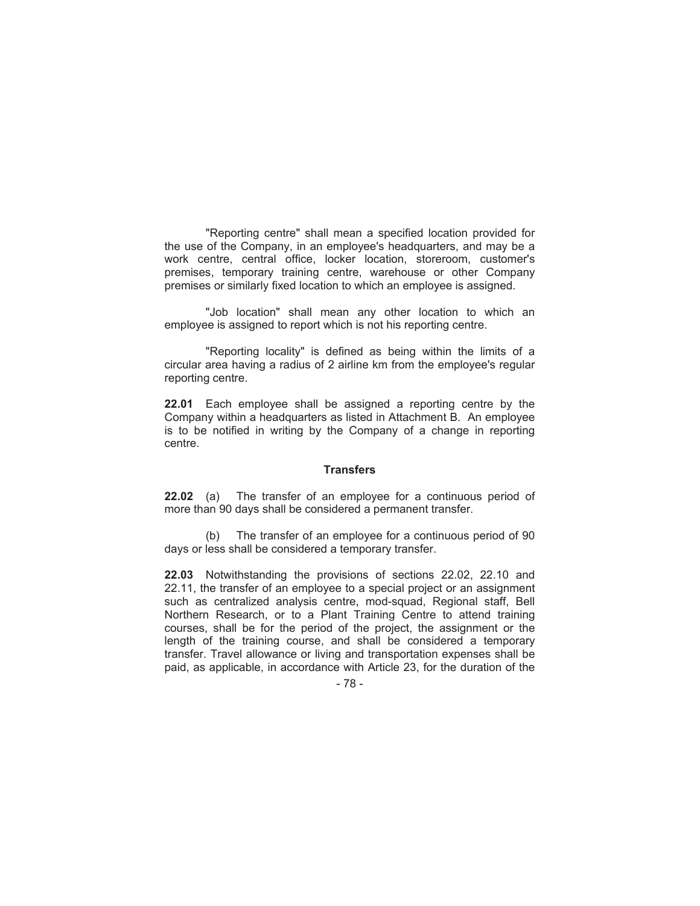"Reporting centre" shall mean a specified location provided for the use of the Company, in an employee's headquarters, and may be a work centre, central office, locker location, storeroom, customer's premises, temporary training centre, warehouse or other Company premises or similarly fixed location to which an employee is assigned.

"Job location" shall mean any other location to which an employee is assigned to report which is not his reporting centre.

"Reporting locality" is defined as being within the limits of a circular area having a radius of 2 airline km from the employee's regular reporting centre.

**22.01** Each employee shall be assigned a reporting centre by the Company within a headquarters as listed in Attachment B. An employee is to be notified in writing by the Company of a change in reporting centre.

### **Transfers**

**22.02** (a) The transfer of an employee for a continuous period of more than 90 days shall be considered a permanent transfer.

(b) The transfer of an employee for a continuous period of 90 days or less shall be considered a temporary transfer.

**22.03** Notwithstanding the provisions of sections 22.02, 22.10 and 22.11, the transfer of an employee to a special project or an assignment such as centralized analysis centre, mod-squad, Regional staff, Bell Northern Research, or to a Plant Training Centre to attend training courses, shall be for the period of the project, the assignment or the length of the training course, and shall be considered a temporary transfer. Travel allowance or living and transportation expenses shall be paid, as applicable, in accordance with Article 23, for the duration of the

- 78 -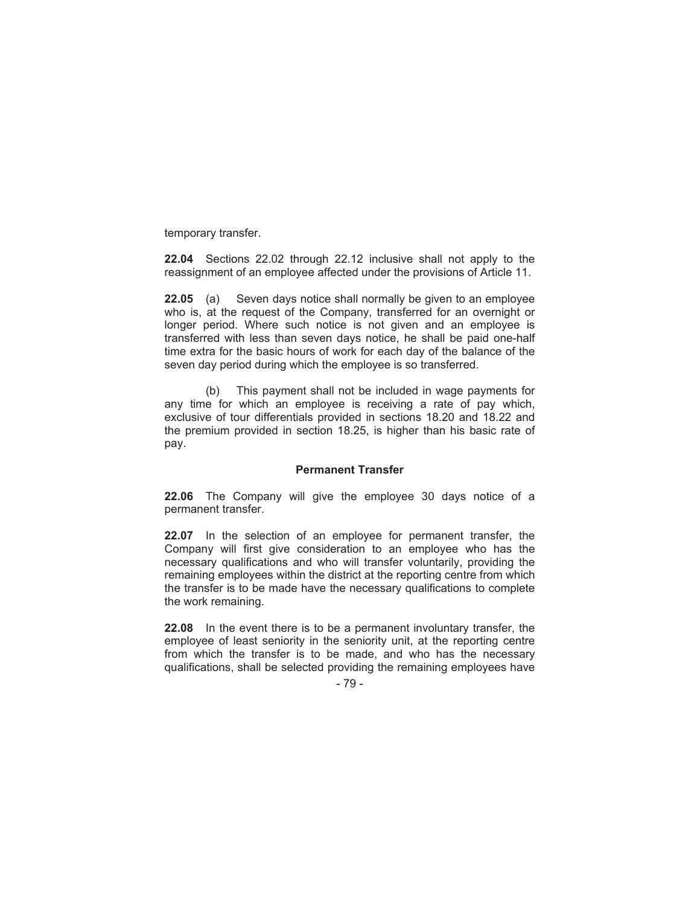temporary transfer.

**22.04** Sections 22.02 through 22.12 inclusive shall not apply to the reassignment of an employee affected under the provisions of Article 11.

**22.05** (a) Seven days notice shall normally be given to an employee who is, at the request of the Company, transferred for an overnight or longer period. Where such notice is not given and an employee is transferred with less than seven days notice, he shall be paid one-half time extra for the basic hours of work for each day of the balance of the seven day period during which the employee is so transferred.

(b) This payment shall not be included in wage payments for any time for which an employee is receiving a rate of pay which, exclusive of tour differentials provided in sections 18.20 and 18.22 and the premium provided in section 18.25, is higher than his basic rate of pay.

## **Permanent Transfer**

**22.06** The Company will give the employee 30 days notice of a permanent transfer.

**22.07** In the selection of an employee for permanent transfer, the Company will first give consideration to an employee who has the necessary qualifications and who will transfer voluntarily, providing the remaining employees within the district at the reporting centre from which the transfer is to be made have the necessary qualifications to complete the work remaining.

**22.08** In the event there is to be a permanent involuntary transfer, the employee of least seniority in the seniority unit, at the reporting centre from which the transfer is to be made, and who has the necessary qualifications, shall be selected providing the remaining employees have

- 79 -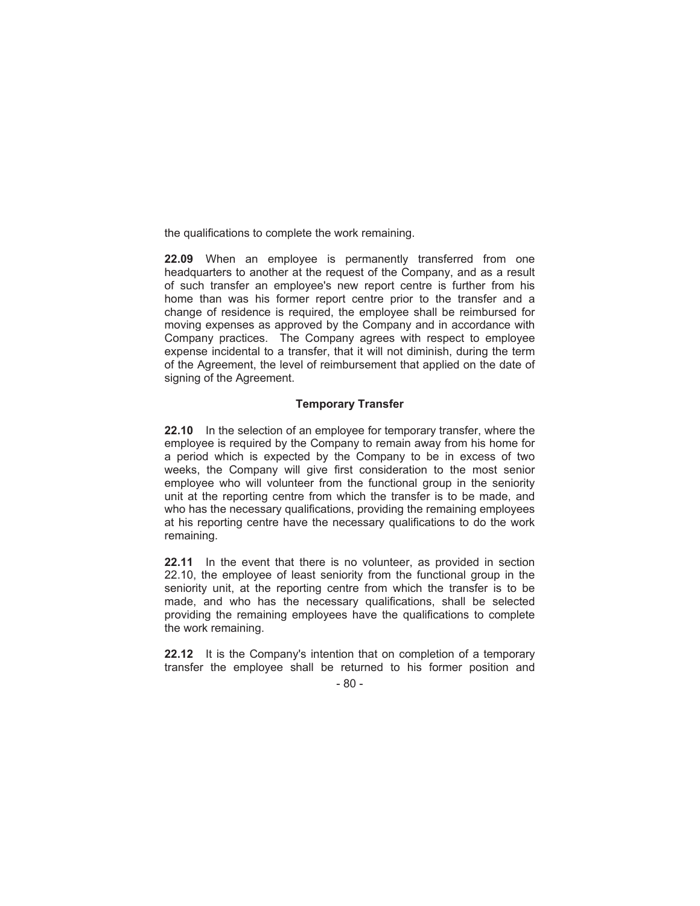the qualifications to complete the work remaining.

**22.09** When an employee is permanently transferred from one headquarters to another at the request of the Company, and as a result of such transfer an employee's new report centre is further from his home than was his former report centre prior to the transfer and a change of residence is required, the employee shall be reimbursed for moving expenses as approved by the Company and in accordance with Company practices. The Company agrees with respect to employee expense incidental to a transfer, that it will not diminish, during the term of the Agreement, the level of reimbursement that applied on the date of signing of the Agreement.

## **Temporary Transfer**

**22.10** In the selection of an employee for temporary transfer, where the employee is required by the Company to remain away from his home for a period which is expected by the Company to be in excess of two weeks, the Company will give first consideration to the most senior employee who will volunteer from the functional group in the seniority unit at the reporting centre from which the transfer is to be made, and who has the necessary qualifications, providing the remaining employees at his reporting centre have the necessary qualifications to do the work remaining.

**22.11** In the event that there is no volunteer, as provided in section 22.10, the employee of least seniority from the functional group in the seniority unit, at the reporting centre from which the transfer is to be made, and who has the necessary qualifications, shall be selected providing the remaining employees have the qualifications to complete the work remaining.

**22.12** It is the Company's intention that on completion of a temporary transfer the employee shall be returned to his former position and

- 80 -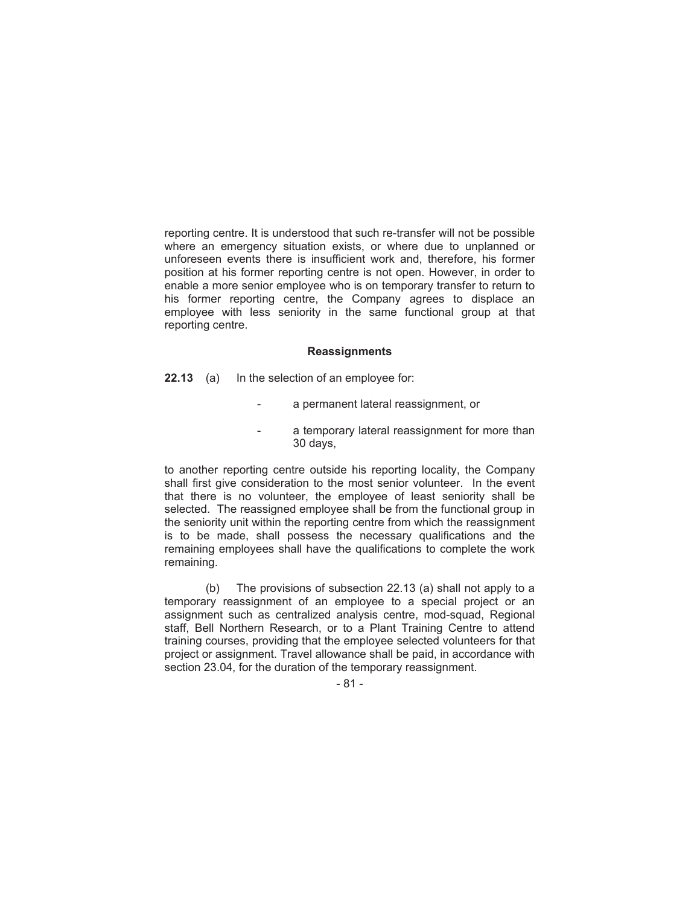reporting centre. It is understood that such re-transfer will not be possible where an emergency situation exists, or where due to unplanned or unforeseen events there is insufficient work and, therefore, his former position at his former reporting centre is not open. However, in order to enable a more senior employee who is on temporary transfer to return to his former reporting centre, the Company agrees to displace an employee with less seniority in the same functional group at that reporting centre.

#### **Reassignments**

**22.13** (a) In the selection of an employee for:

- a permanent lateral reassignment, or
- a temporary lateral reassignment for more than 30 days,

to another reporting centre outside his reporting locality, the Company shall first give consideration to the most senior volunteer. In the event that there is no volunteer, the employee of least seniority shall be selected. The reassigned employee shall be from the functional group in the seniority unit within the reporting centre from which the reassignment is to be made, shall possess the necessary qualifications and the remaining employees shall have the qualifications to complete the work remaining.

(b) The provisions of subsection 22.13 (a) shall not apply to a temporary reassignment of an employee to a special project or an assignment such as centralized analysis centre, mod-squad, Regional staff, Bell Northern Research, or to a Plant Training Centre to attend training courses, providing that the employee selected volunteers for that project or assignment. Travel allowance shall be paid, in accordance with section 23.04, for the duration of the temporary reassignment.

- 81 -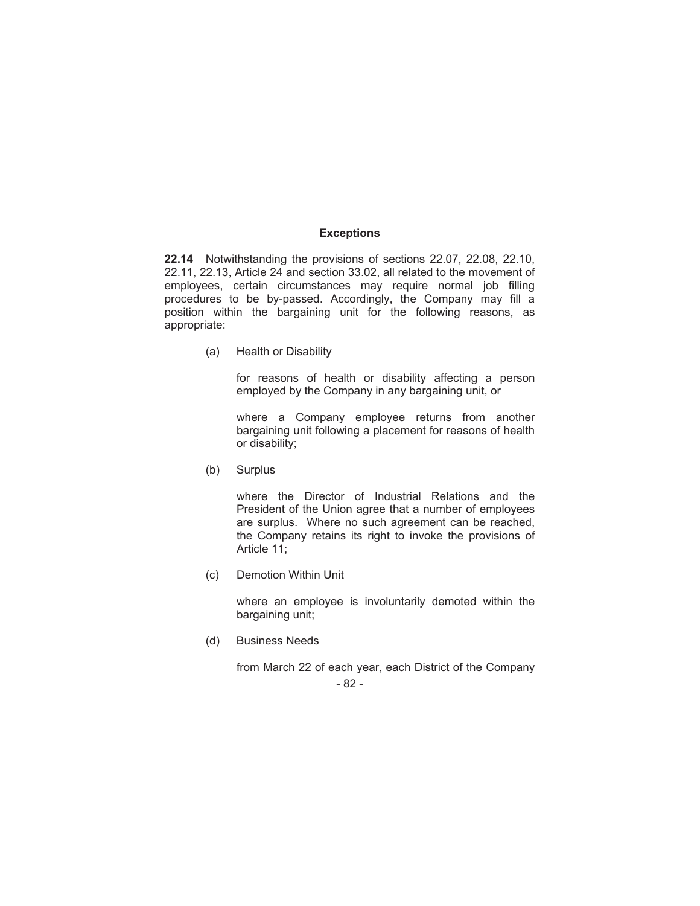### **Exceptions**

**22.14** Notwithstanding the provisions of sections 22.07, 22.08, 22.10, 22.11, 22.13, Article 24 and section 33.02, all related to the movement of employees, certain circumstances may require normal job filling procedures to be by-passed. Accordingly, the Company may fill a position within the bargaining unit for the following reasons, as appropriate:

(a) Health or Disability

for reasons of health or disability affecting a person employed by the Company in any bargaining unit, or

where a Company employee returns from another bargaining unit following a placement for reasons of health or disability;

(b) Surplus

where the Director of Industrial Relations and the President of the Union agree that a number of employees are surplus. Where no such agreement can be reached, the Company retains its right to invoke the provisions of Article 11;

(c) Demotion Within Unit

where an employee is involuntarily demoted within the bargaining unit;

(d) Business Needs

- 82 from March 22 of each year, each District of the Company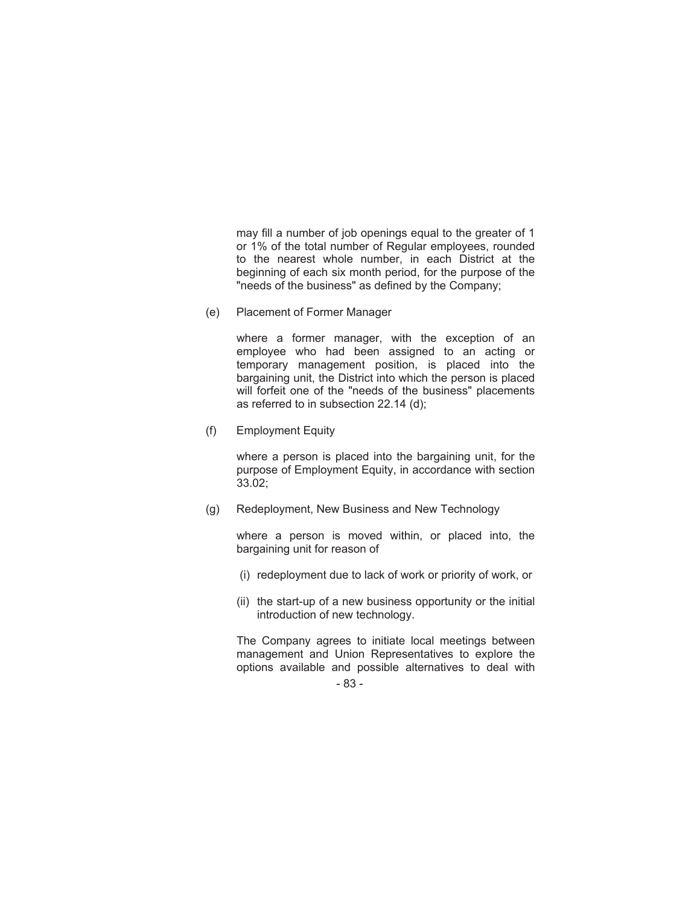may fill a number of job openings equal to the greater of 1 or 1% of the total number of Regular employees, rounded to the nearest whole number, in each District at the beginning of each six month period, for the purpose of the "needs of the business" as defined by the Company;

(e) Placement of Former Manager

where a former manager, with the exception of an employee who had been assigned to an acting or temporary management position, is placed into the bargaining unit, the District into which the person is placed will forfeit one of the "needs of the business" placements as referred to in subsection 22.14 (d);

(f) Employment Equity

where a person is placed into the bargaining unit, for the purpose of Employment Equity, in accordance with section 33.02;

(g) Redeployment, New Business and New Technology

where a person is moved within, or placed into, the bargaining unit for reason of

- (i) redeployment due to lack of work or priority of work, or
- (ii) the start-up of a new business opportunity or the initial introduction of new technology.

The Company agrees to initiate local meetings between management and Union Representatives to explore the options available and possible alternatives to deal with

- 83 -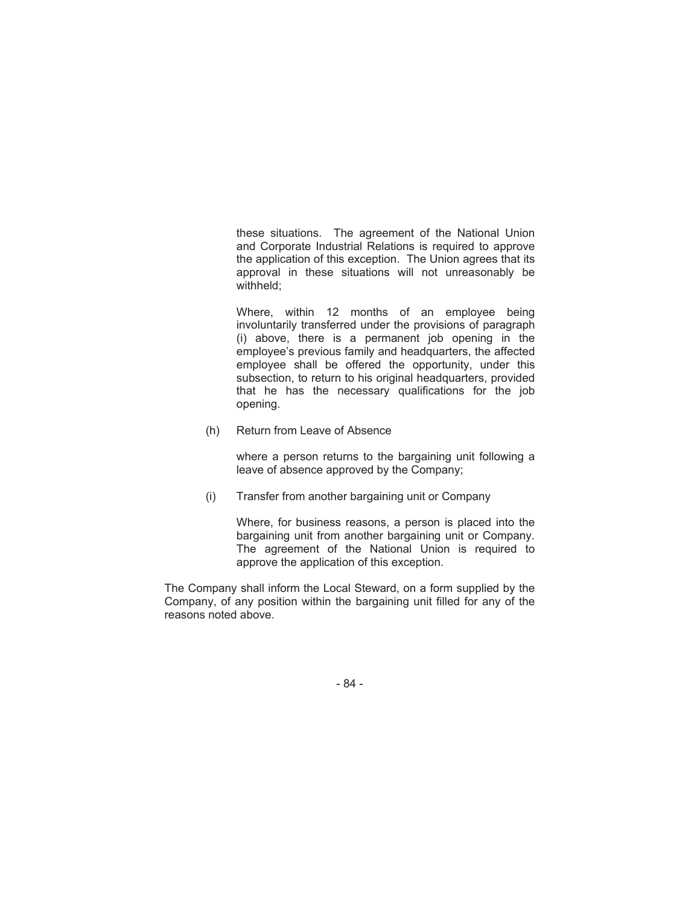these situations. The agreement of the National Union and Corporate Industrial Relations is required to approve the application of this exception. The Union agrees that its approval in these situations will not unreasonably be withheld;

Where, within 12 months of an employee being involuntarily transferred under the provisions of paragraph (i) above, there is a permanent job opening in the employee's previous family and headquarters, the affected employee shall be offered the opportunity, under this subsection, to return to his original headquarters, provided that he has the necessary qualifications for the job opening.

(h) Return from Leave of Absence

where a person returns to the bargaining unit following a leave of absence approved by the Company;

(i) Transfer from another bargaining unit or Company

Where, for business reasons, a person is placed into the bargaining unit from another bargaining unit or Company. The agreement of the National Union is required to approve the application of this exception.

The Company shall inform the Local Steward, on a form supplied by the Company, of any position within the bargaining unit filled for any of the reasons noted above.

- 84 -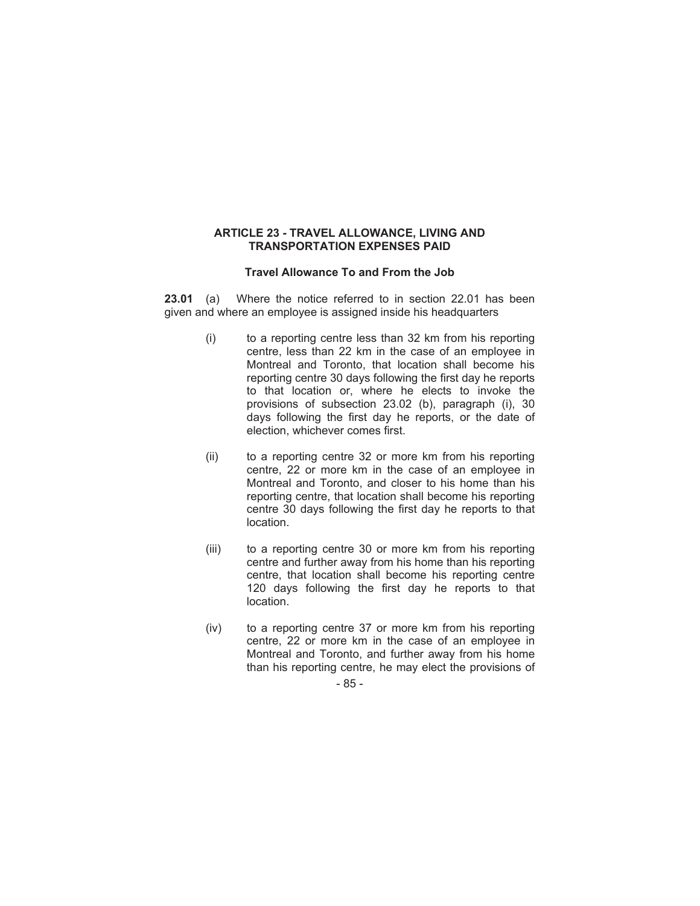## **ARTICLE 23 - TRAVEL ALLOWANCE, LIVING AND TRANSPORTATION EXPENSES PAID**

# **Travel Allowance To and From the Job**

**23.01** (a) Where the notice referred to in section 22.01 has been given and where an employee is assigned inside his headquarters

- (i) to a reporting centre less than 32 km from his reporting centre, less than 22 km in the case of an employee in Montreal and Toronto, that location shall become his reporting centre 30 days following the first day he reports to that location or, where he elects to invoke the provisions of subsection 23.02 (b), paragraph (i), 30 days following the first day he reports, or the date of election, whichever comes first.
- (ii) to a reporting centre 32 or more km from his reporting centre, 22 or more km in the case of an employee in Montreal and Toronto, and closer to his home than his reporting centre, that location shall become his reporting centre 30 days following the first day he reports to that location.
- (iii) to a reporting centre 30 or more km from his reporting centre and further away from his home than his reporting centre, that location shall become his reporting centre 120 days following the first day he reports to that location.
- (iv) to a reporting centre 37 or more km from his reporting centre, 22 or more km in the case of an employee in Montreal and Toronto, and further away from his home than his reporting centre, he may elect the provisions of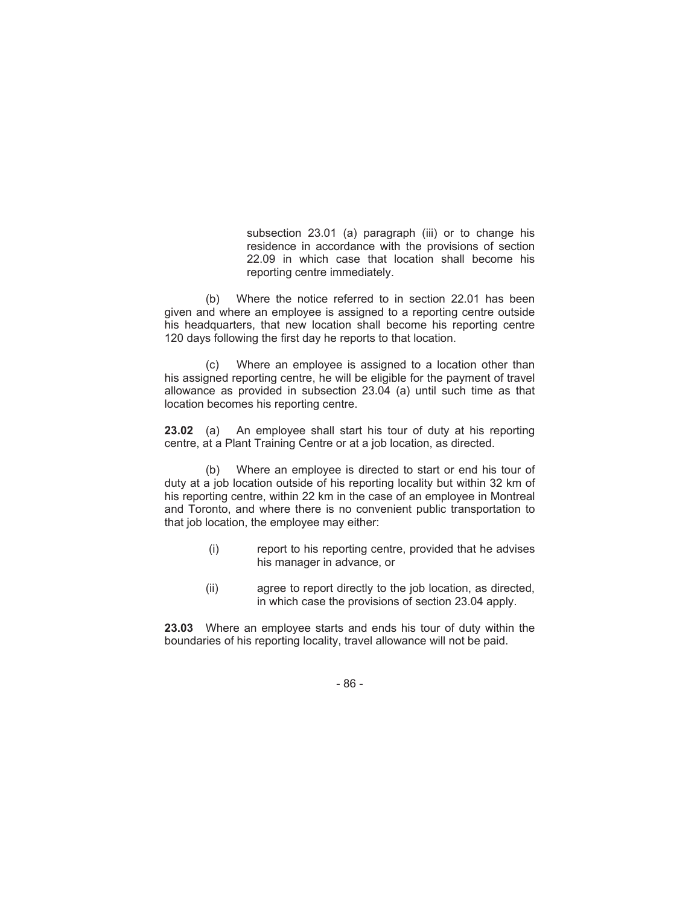subsection 23.01 (a) paragraph (iii) or to change his residence in accordance with the provisions of section 22.09 in which case that location shall become his reporting centre immediately.

(b) Where the notice referred to in section 22.01 has been given and where an employee is assigned to a reporting centre outside his headquarters, that new location shall become his reporting centre 120 days following the first day he reports to that location.

(c) Where an employee is assigned to a location other than his assigned reporting centre, he will be eligible for the payment of travel allowance as provided in subsection 23.04 (a) until such time as that location becomes his reporting centre.

**23.02** (a) An employee shall start his tour of duty at his reporting centre, at a Plant Training Centre or at a job location, as directed.

(b) Where an employee is directed to start or end his tour of duty at a job location outside of his reporting locality but within 32 km of his reporting centre, within 22 km in the case of an employee in Montreal and Toronto, and where there is no convenient public transportation to that job location, the employee may either:

- (i) report to his reporting centre, provided that he advises his manager in advance, or
- (ii) agree to report directly to the job location, as directed, in which case the provisions of section 23.04 apply.

**23.03** Where an employee starts and ends his tour of duty within the boundaries of his reporting locality, travel allowance will not be paid.

- 86 -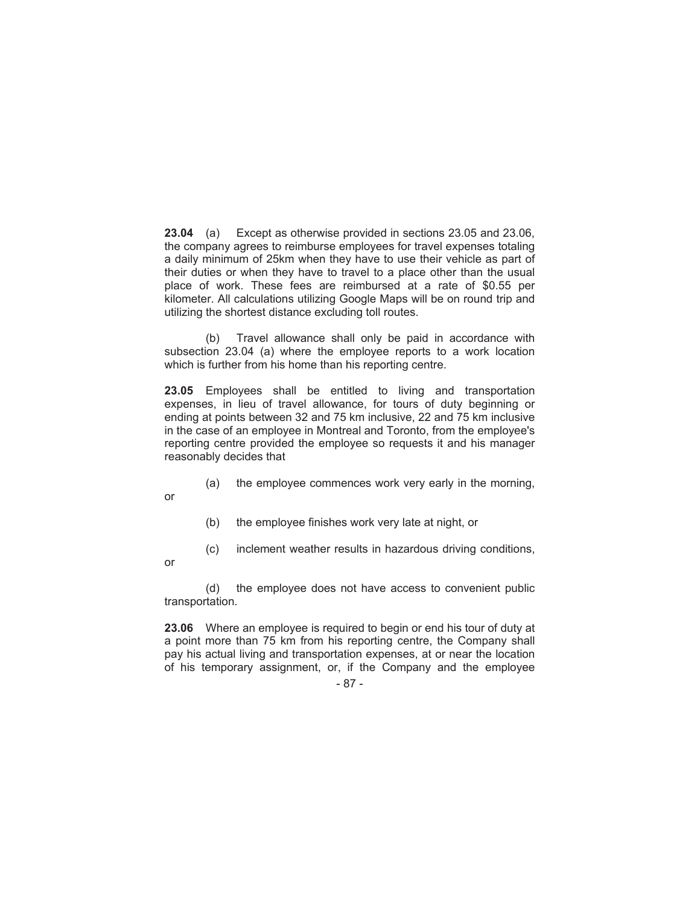**23.04** (a) Except as otherwise provided in sections 23.05 and 23.06, the company agrees to reimburse employees for travel expenses totaling a daily minimum of 25km when they have to use their vehicle as part of their duties or when they have to travel to a place other than the usual place of work. These fees are reimbursed at a rate of \$0.55 per kilometer. All calculations utilizing Google Maps will be on round trip and utilizing the shortest distance excluding toll routes.

(b) Travel allowance shall only be paid in accordance with subsection 23.04 (a) where the employee reports to a work location which is further from his home than his reporting centre.

**23.05** Employees shall be entitled to living and transportation expenses, in lieu of travel allowance, for tours of duty beginning or ending at points between 32 and 75 km inclusive, 22 and 75 km inclusive in the case of an employee in Montreal and Toronto, from the employee's reporting centre provided the employee so requests it and his manager reasonably decides that

(a) the employee commences work very early in the morning,

or

- (b) the employee finishes work very late at night, or
- (c) inclement weather results in hazardous driving conditions,

or

(d) the employee does not have access to convenient public transportation.

**23.06** Where an employee is required to begin or end his tour of duty at a point more than 75 km from his reporting centre, the Company shall pay his actual living and transportation expenses, at or near the location of his temporary assignment, or, if the Company and the employee

<sup>- 87 -</sup>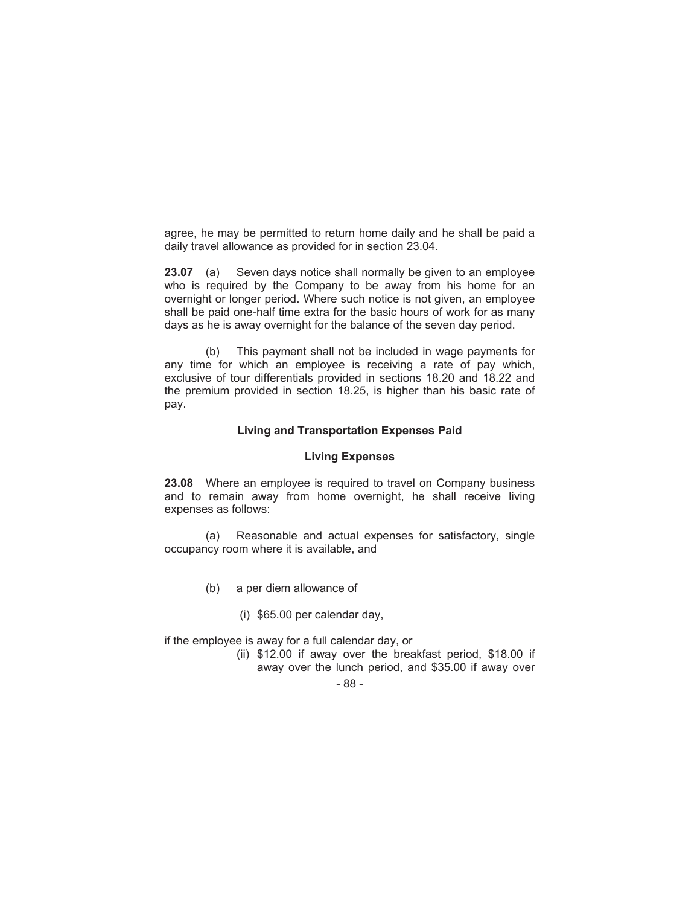agree, he may be permitted to return home daily and he shall be paid a daily travel allowance as provided for in section 23.04.

**23.07** (a) Seven days notice shall normally be given to an employee who is required by the Company to be away from his home for an overnight or longer period. Where such notice is not given, an employee shall be paid one-half time extra for the basic hours of work for as many days as he is away overnight for the balance of the seven day period.

(b) This payment shall not be included in wage payments for any time for which an employee is receiving a rate of pay which, exclusive of tour differentials provided in sections 18.20 and 18.22 and the premium provided in section 18.25, is higher than his basic rate of pay.

## **Living and Transportation Expenses Paid**

#### **Living Expenses**

**23.08** Where an employee is required to travel on Company business and to remain away from home overnight, he shall receive living expenses as follows:

(a) Reasonable and actual expenses for satisfactory, single occupancy room where it is available, and

- (b) a per diem allowance of
	- (i) \$65.00 per calendar day,

if the employee is away for a full calendar day, or

- (ii) \$12.00 if away over the breakfast period, \$18.00 if away over the lunch period, and \$35.00 if away over
	- 88 -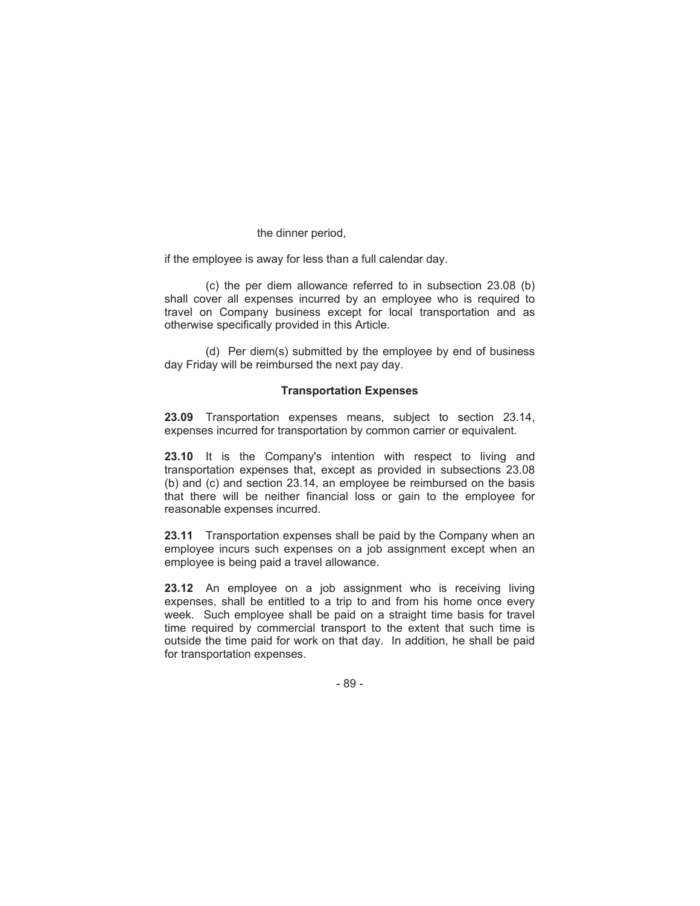### the dinner period,

if the employee is away for less than a full calendar day.

(c) the per diem allowance referred to in subsection 23.08 (b) shall cover all expenses incurred by an employee who is required to travel on Company business except for local transportation and as otherwise specifically provided in this Article.

(d) Per diem(s) submitted by the employee by end of business day Friday will be reimbursed the next pay day.

## **Transportation Expenses**

**23.09** Transportation expenses means, subject to section 23.14, expenses incurred for transportation by common carrier or equivalent.

**23.10** It is the Company's intention with respect to living and transportation expenses that, except as provided in subsections 23.08 (b) and (c) and section 23.14, an employee be reimbursed on the basis that there will be neither financial loss or gain to the employee for reasonable expenses incurred.

**23.11** Transportation expenses shall be paid by the Company when an employee incurs such expenses on a job assignment except when an employee is being paid a travel allowance.

**23.12** An employee on a job assignment who is receiving living expenses, shall be entitled to a trip to and from his home once every week. Such employee shall be paid on a straight time basis for travel time required by commercial transport to the extent that such time is outside the time paid for work on that day. In addition, he shall be paid for transportation expenses.

- 89 -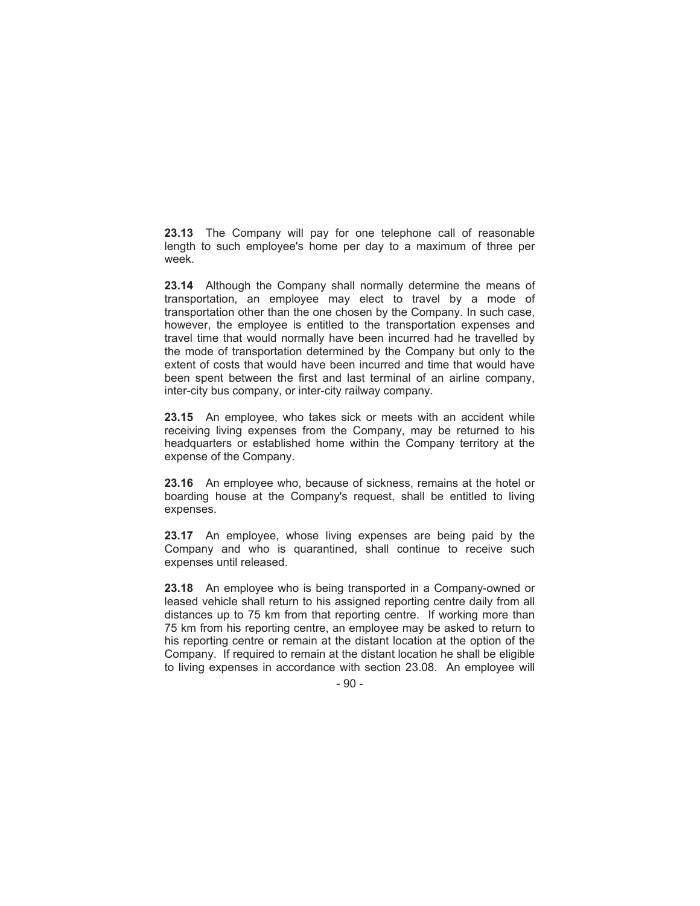**23.13** The Company will pay for one telephone call of reasonable length to such employee's home per day to a maximum of three per week.

**23.14** Although the Company shall normally determine the means of transportation, an employee may elect to travel by a mode of transportation other than the one chosen by the Company. In such case, however, the employee is entitled to the transportation expenses and travel time that would normally have been incurred had he travelled by the mode of transportation determined by the Company but only to the extent of costs that would have been incurred and time that would have been spent between the first and last terminal of an airline company, inter-city bus company, or inter-city railway company.

**23.15** An employee, who takes sick or meets with an accident while receiving living expenses from the Company, may be returned to his headquarters or established home within the Company territory at the expense of the Company.

**23.16** An employee who, because of sickness, remains at the hotel or boarding house at the Company's request, shall be entitled to living expenses.

**23.17** An employee, whose living expenses are being paid by the Company and who is quarantined, shall continue to receive such expenses until released.

**23.18** An employee who is being transported in a Company-owned or leased vehicle shall return to his assigned reporting centre daily from all distances up to 75 km from that reporting centre. If working more than 75 km from his reporting centre, an employee may be asked to return to his reporting centre or remain at the distant location at the option of the Company. If required to remain at the distant location he shall be eligible to living expenses in accordance with section 23.08. An employee will

- 90 -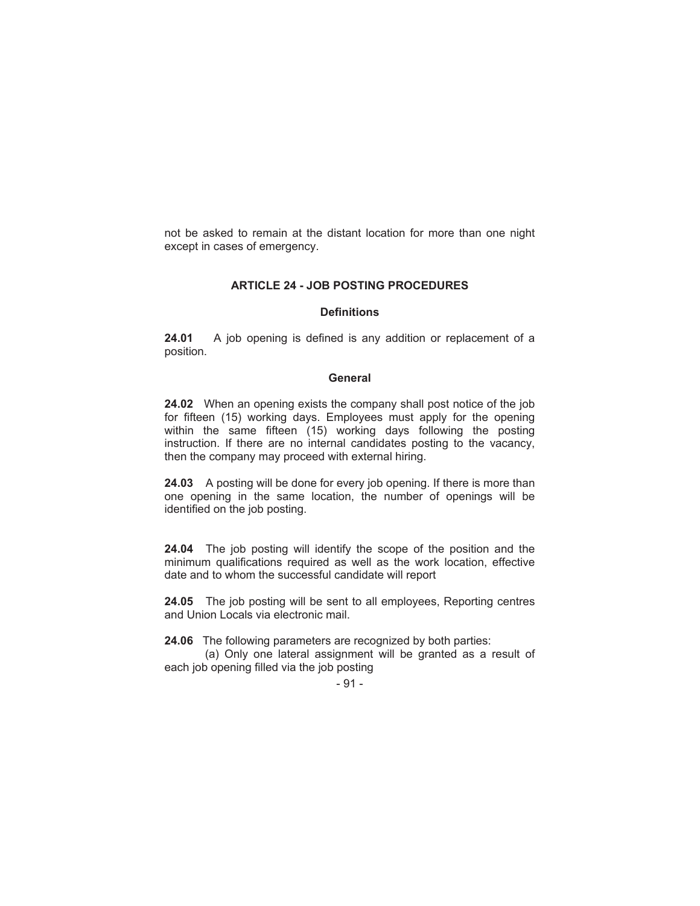not be asked to remain at the distant location for more than one night except in cases of emergency.

# **ARTICLE 24 - JOB POSTING PROCEDURES**

## **Definitions**

**24.01** A job opening is defined is any addition or replacement of a position.

#### **General**

**24.02**When an opening exists the company shall post notice of the job for fifteen (15) working days. Employees must apply for the opening within the same fifteen (15) working days following the posting instruction. If there are no internal candidates posting to the vacancy, then the company may proceed with external hiring.

**24.03** A posting will be done for every job opening. If there is more than one opening in the same location, the number of openings will be identified on the job posting.

**24.04** The job posting will identify the scope of the position and the minimum qualifications required as well as the work location, effective date and to whom the successful candidate will report

**24.05** The job posting will be sent to all employees, Reporting centres and Union Locals via electronic mail.

**24.06** The following parameters are recognized by both parties:

(a) Only one lateral assignment will be granted as a result of each job opening filled via the job posting

- 91 -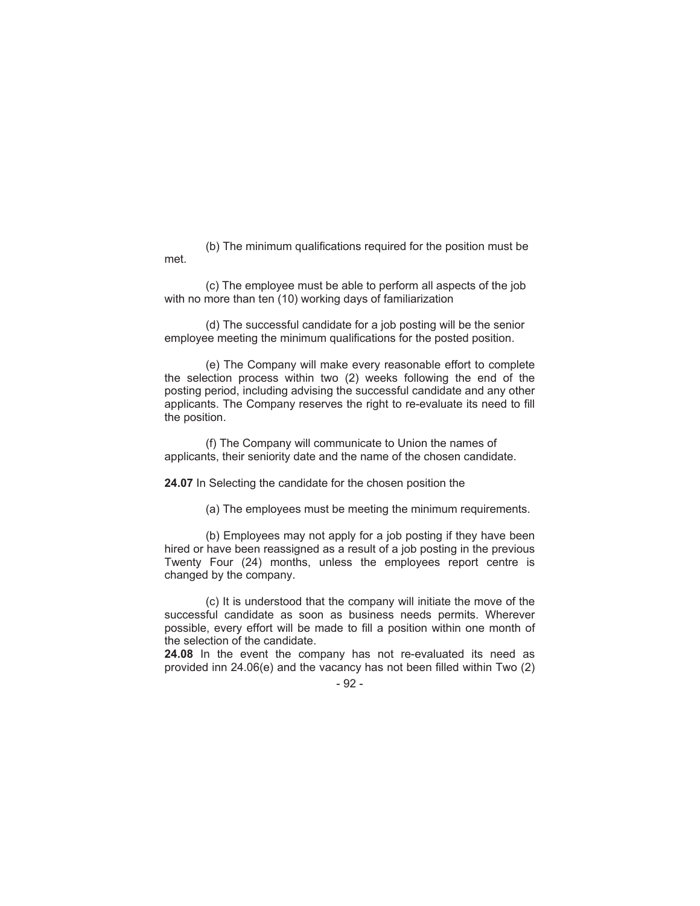(b) The minimum qualifications required for the position must be met.

(c) The employee must be able to perform all aspects of the job with no more than ten (10) working days of familiarization

(d) The successful candidate for a job posting will be the senior employee meeting the minimum qualifications for the posted position.

(e) The Company will make every reasonable effort to complete the selection process within two (2) weeks following the end of the posting period, including advising the successful candidate and any other applicants. The Company reserves the right to re-evaluate its need to fill the position.

(f) The Company will communicate to Union the names of applicants, their seniority date and the name of the chosen candidate.

**24.07** In Selecting the candidate for the chosen position the

(a) The employees must be meeting the minimum requirements.

(b) Employees may not apply for a job posting if they have been hired or have been reassigned as a result of a job posting in the previous Twenty Four (24) months, unless the employees report centre is changed by the company.

(c) It is understood that the company will initiate the move of the successful candidate as soon as business needs permits. Wherever possible, every effort will be made to fill a position within one month of the selection of the candidate.

**24.08** In the event the company has not re-evaluated its need as provided inn 24.06(e) and the vacancy has not been filled within Two (2)

- 92 -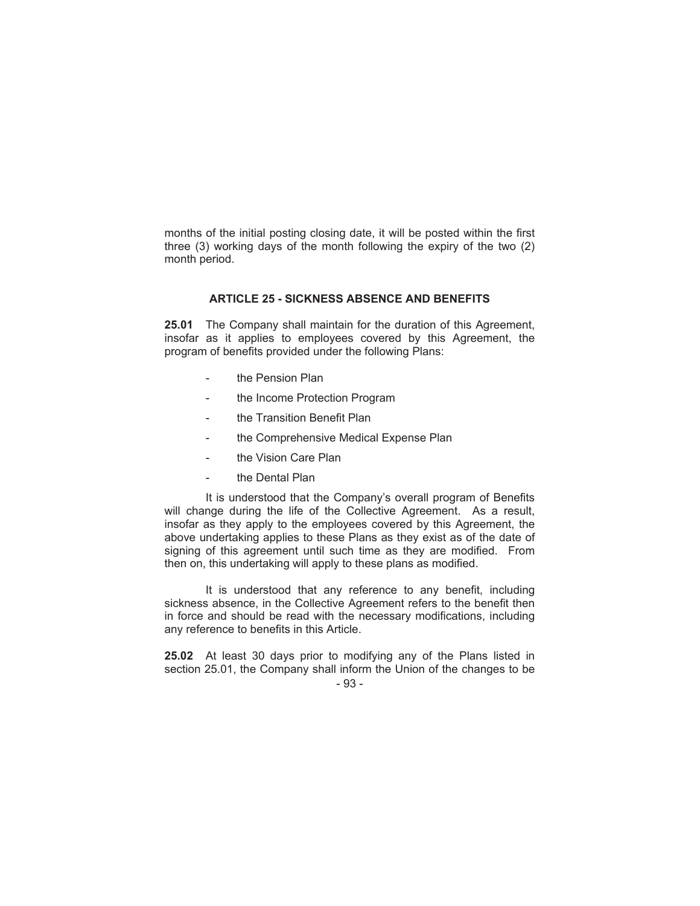months of the initial posting closing date, it will be posted within the first three (3) working days of the month following the expiry of the two (2) month period.

## **ARTICLE 25 - SICKNESS ABSENCE AND BENEFITS**

**25.01** The Company shall maintain for the duration of this Agreement, insofar as it applies to employees covered by this Agreement, the program of benefits provided under the following Plans:

- the Pension Plan
- the Income Protection Program
- the Transition Benefit Plan
- the Comprehensive Medical Expense Plan
- the Vision Care Plan
- the Dental Plan

It is understood that the Company's overall program of Benefits will change during the life of the Collective Agreement. As a result, insofar as they apply to the employees covered by this Agreement, the above undertaking applies to these Plans as they exist as of the date of signing of this agreement until such time as they are modified. From then on, this undertaking will apply to these plans as modified.

It is understood that any reference to any benefit, including sickness absence, in the Collective Agreement refers to the benefit then in force and should be read with the necessary modifications, including any reference to benefits in this Article.

**25.02** At least 30 days prior to modifying any of the Plans listed in section 25.01, the Company shall inform the Union of the changes to be

<sup>- 93 -</sup>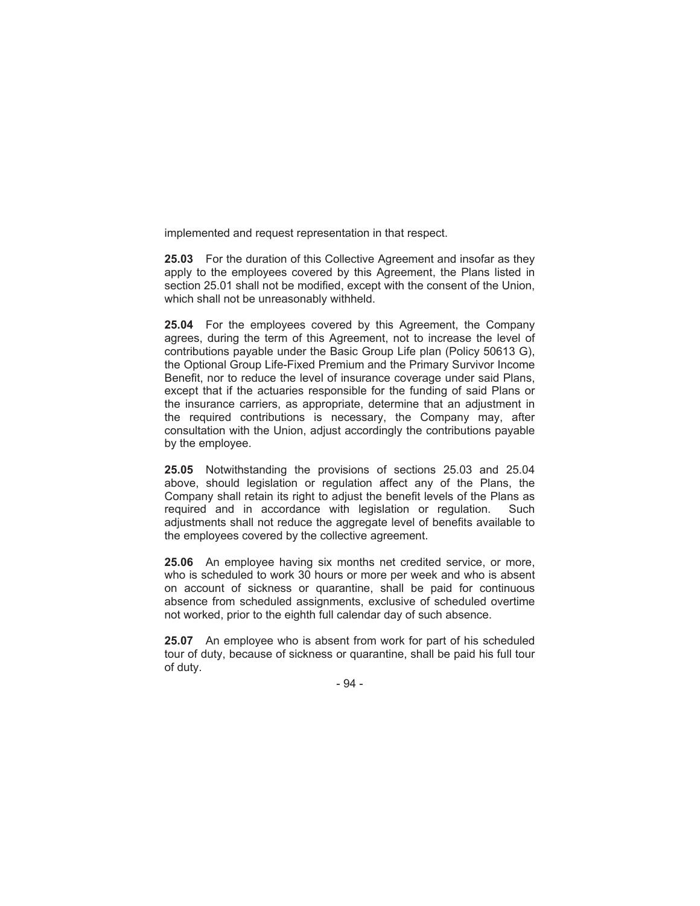implemented and request representation in that respect.

**25.03** For the duration of this Collective Agreement and insofar as they apply to the employees covered by this Agreement, the Plans listed in section 25.01 shall not be modified, except with the consent of the Union, which shall not be unreasonably withheld.

**25.04** For the employees covered by this Agreement, the Company agrees, during the term of this Agreement, not to increase the level of contributions payable under the Basic Group Life plan (Policy 50613 G), the Optional Group Life-Fixed Premium and the Primary Survivor Income Benefit, nor to reduce the level of insurance coverage under said Plans, except that if the actuaries responsible for the funding of said Plans or the insurance carriers, as appropriate, determine that an adjustment in the required contributions is necessary, the Company may, after consultation with the Union, adjust accordingly the contributions payable by the employee.

**25.05** Notwithstanding the provisions of sections 25.03 and 25.04 above, should legislation or regulation affect any of the Plans, the Company shall retain its right to adjust the benefit levels of the Plans as required and in accordance with legislation or regulation. Such adjustments shall not reduce the aggregate level of benefits available to the employees covered by the collective agreement.

**25.06** An employee having six months net credited service, or more, who is scheduled to work 30 hours or more per week and who is absent on account of sickness or quarantine, shall be paid for continuous absence from scheduled assignments, exclusive of scheduled overtime not worked, prior to the eighth full calendar day of such absence.

**25.07** An employee who is absent from work for part of his scheduled tour of duty, because of sickness or quarantine, shall be paid his full tour of duty.

- 94 -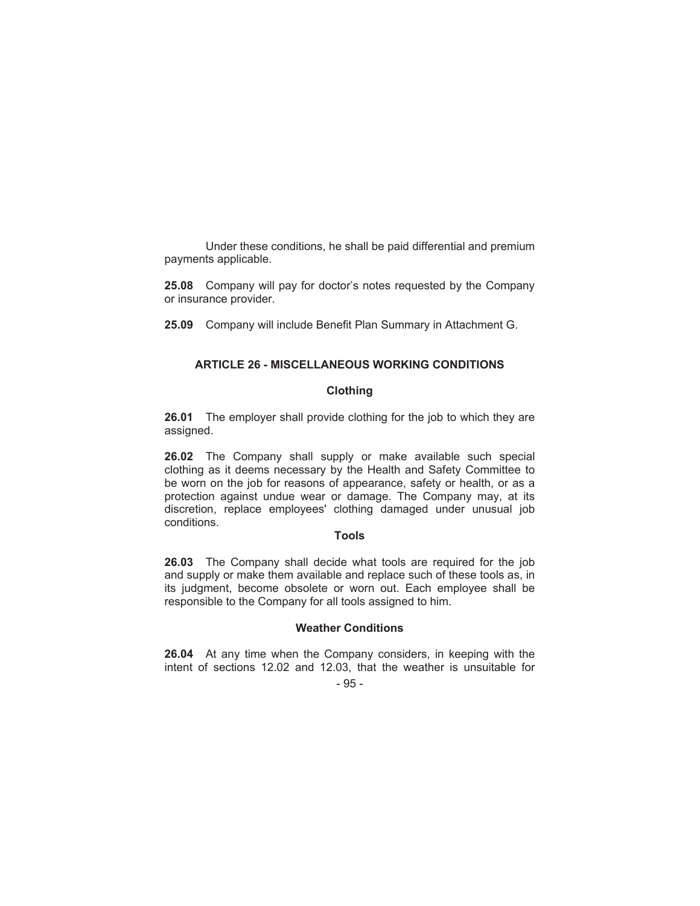Under these conditions, he shall be paid differential and premium payments applicable.

**25.08** Company will pay for doctor's notes requested by the Company or insurance provider.

**25.09** Company will include Benefit Plan Summary in Attachment G.

# **ARTICLE 26 - MISCELLANEOUS WORKING CONDITIONS**

# **Clothing**

**26.01** The employer shall provide clothing for the job to which they are assigned.

**26.02** The Company shall supply or make available such special clothing as it deems necessary by the Health and Safety Committee to be worn on the job for reasons of appearance, safety or health, or as a protection against undue wear or damage. The Company may, at its discretion, replace employees' clothing damaged under unusual job conditions.

# **Tools**

**26.03** The Company shall decide what tools are required for the job and supply or make them available and replace such of these tools as, in its judgment, become obsolete or worn out. Each employee shall be responsible to the Company for all tools assigned to him.

#### **Weather Conditions**

**26.04** At any time when the Company considers, in keeping with the intent of sections 12.02 and 12.03, that the weather is unsuitable for

# $-95 -$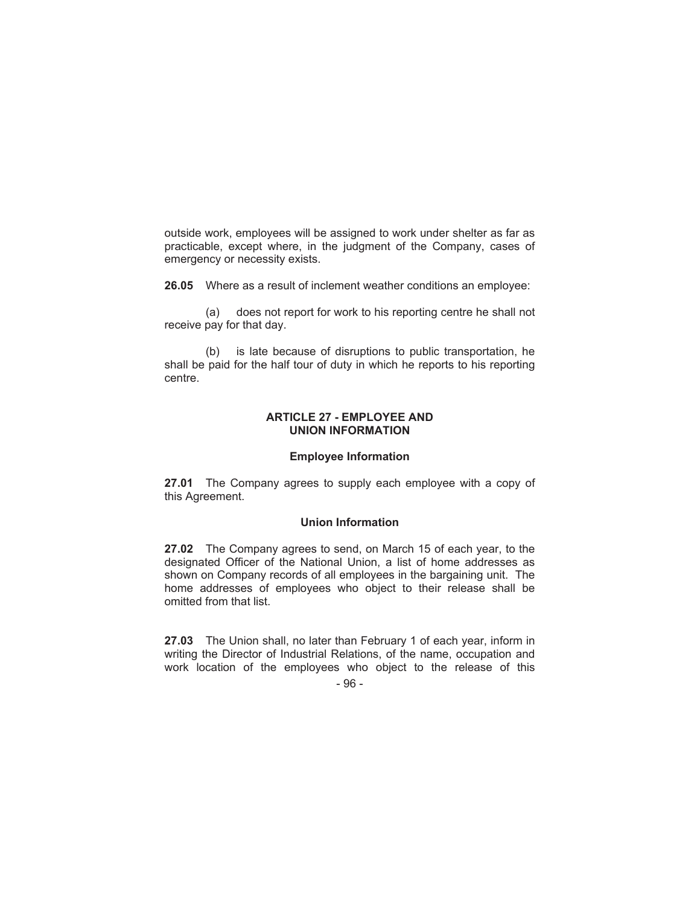outside work, employees will be assigned to work under shelter as far as practicable, except where, in the judgment of the Company, cases of emergency or necessity exists.

**26.05** Where as a result of inclement weather conditions an employee:

(a) does not report for work to his reporting centre he shall not receive pay for that day.

(b) is late because of disruptions to public transportation, he shall be paid for the half tour of duty in which he reports to his reporting centre.

### **ARTICLE 27 - EMPLOYEE AND UNION INFORMATION**

### **Employee Information**

**27.01** The Company agrees to supply each employee with a copy of this Agreement.

# **Union Information**

**27.02** The Company agrees to send, on March 15 of each year, to the designated Officer of the National Union, a list of home addresses as shown on Company records of all employees in the bargaining unit. The home addresses of employees who object to their release shall be omitted from that list.

**27.03** The Union shall, no later than February 1 of each year, inform in writing the Director of Industrial Relations, of the name, occupation and work location of the employees who object to the release of this

- 96 -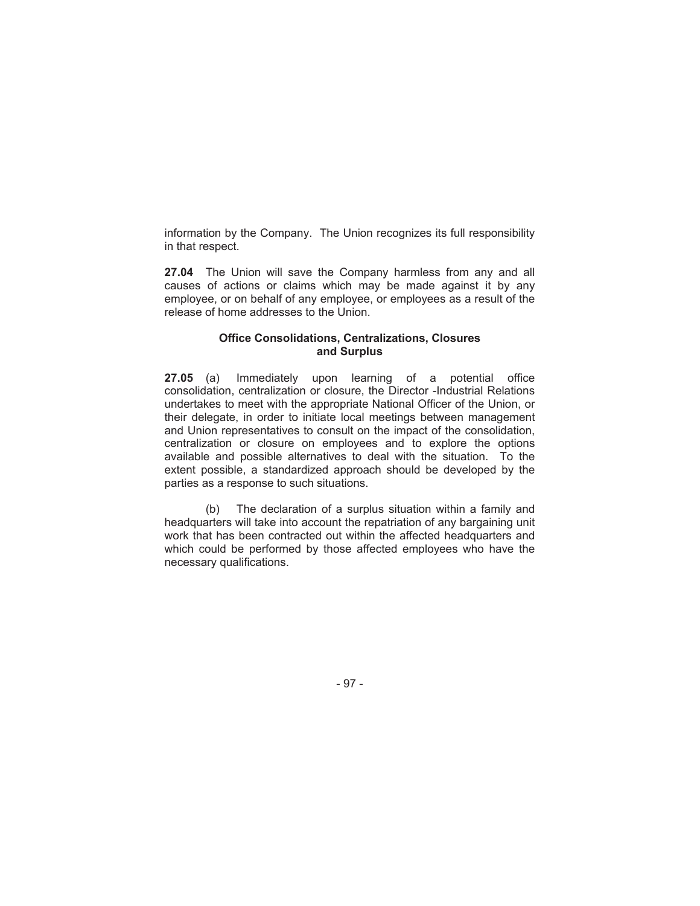information by the Company. The Union recognizes its full responsibility in that respect.

**27.04** The Union will save the Company harmless from any and all causes of actions or claims which may be made against it by any employee, or on behalf of any employee, or employees as a result of the release of home addresses to the Union.

## **Office Consolidations, Centralizations, Closures and Surplus**

**27.05** (a) Immediately upon learning of a potential office consolidation, centralization or closure, the Director -Industrial Relations undertakes to meet with the appropriate National Officer of the Union, or their delegate, in order to initiate local meetings between management and Union representatives to consult on the impact of the consolidation, centralization or closure on employees and to explore the options available and possible alternatives to deal with the situation. To the extent possible, a standardized approach should be developed by the parties as a response to such situations.

(b) The declaration of a surplus situation within a family and headquarters will take into account the repatriation of any bargaining unit work that has been contracted out within the affected headquarters and which could be performed by those affected employees who have the necessary qualifications.

- 97 -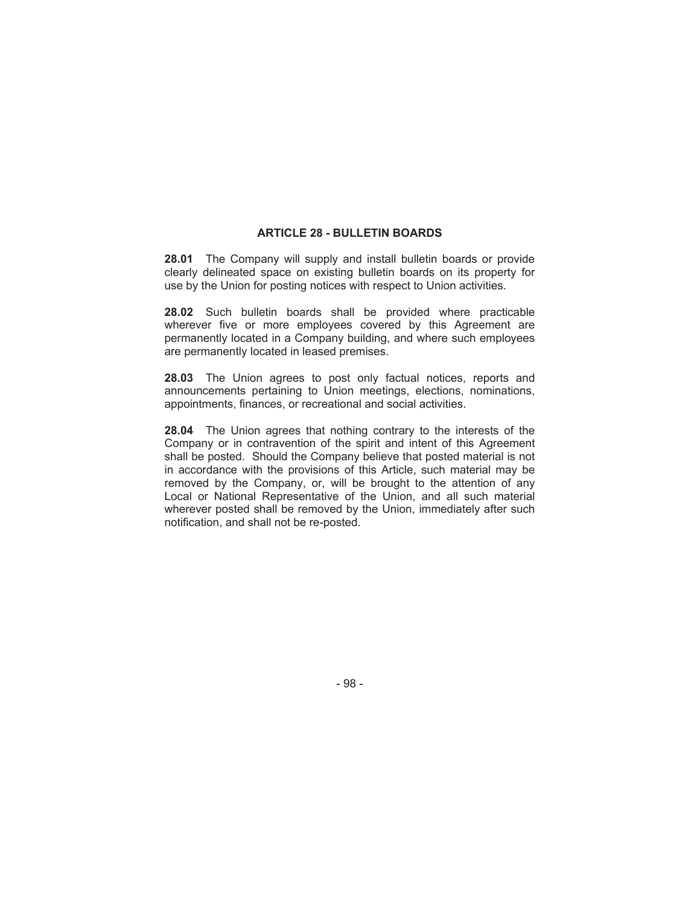# **ARTICLE 28 - BULLETIN BOARDS**

**28.01** The Company will supply and install bulletin boards or provide clearly delineated space on existing bulletin boards on its property for use by the Union for posting notices with respect to Union activities.

**28.02** Such bulletin boards shall be provided where practicable wherever five or more employees covered by this Agreement are permanently located in a Company building, and where such employees are permanently located in leased premises.

**28.03** The Union agrees to post only factual notices, reports and announcements pertaining to Union meetings, elections, nominations, appointments, finances, or recreational and social activities.

**28.04** The Union agrees that nothing contrary to the interests of the Company or in contravention of the spirit and intent of this Agreement shall be posted. Should the Company believe that posted material is not in accordance with the provisions of this Article, such material may be removed by the Company, or, will be brought to the attention of any Local or National Representative of the Union, and all such material wherever posted shall be removed by the Union, immediately after such notification, and shall not be re-posted.

- 98 -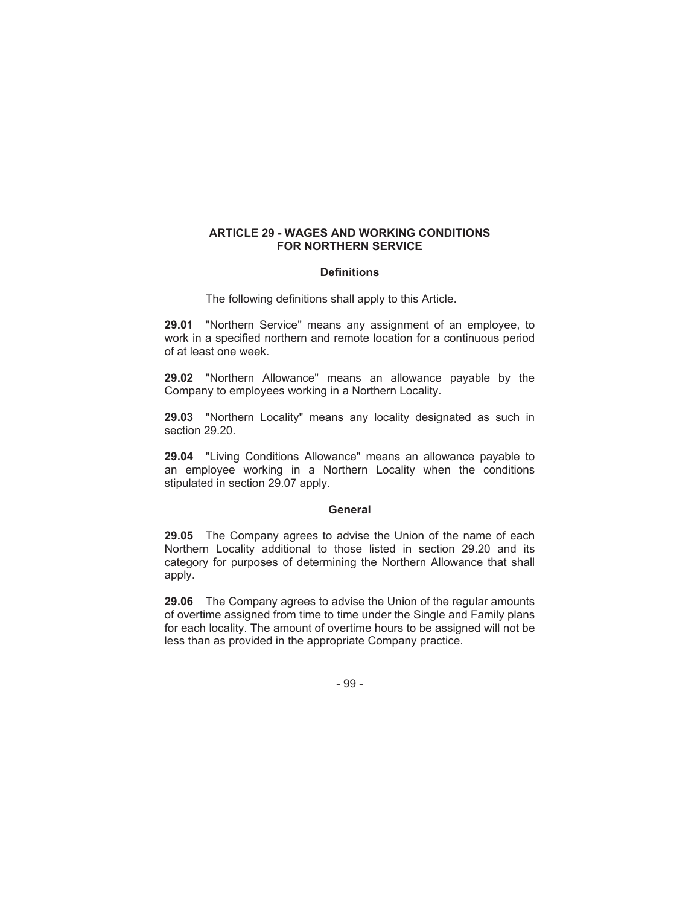# **ARTICLE 29 - WAGES AND WORKING CONDITIONS FOR NORTHERN SERVICE**

### **Definitions**

The following definitions shall apply to this Article.

**29.01** "Northern Service" means any assignment of an employee, to work in a specified northern and remote location for a continuous period of at least one week.

**29.02** "Northern Allowance" means an allowance payable by the Company to employees working in a Northern Locality.

**29.03** "Northern Locality" means any locality designated as such in section 29.20.

**29.04** "Living Conditions Allowance" means an allowance payable to an employee working in a Northern Locality when the conditions stipulated in section 29.07 apply.

### **General**

**29.05** The Company agrees to advise the Union of the name of each Northern Locality additional to those listed in section 29.20 and its category for purposes of determining the Northern Allowance that shall apply.

**29.06** The Company agrees to advise the Union of the regular amounts of overtime assigned from time to time under the Single and Family plans for each locality. The amount of overtime hours to be assigned will not be less than as provided in the appropriate Company practice.

- 99 -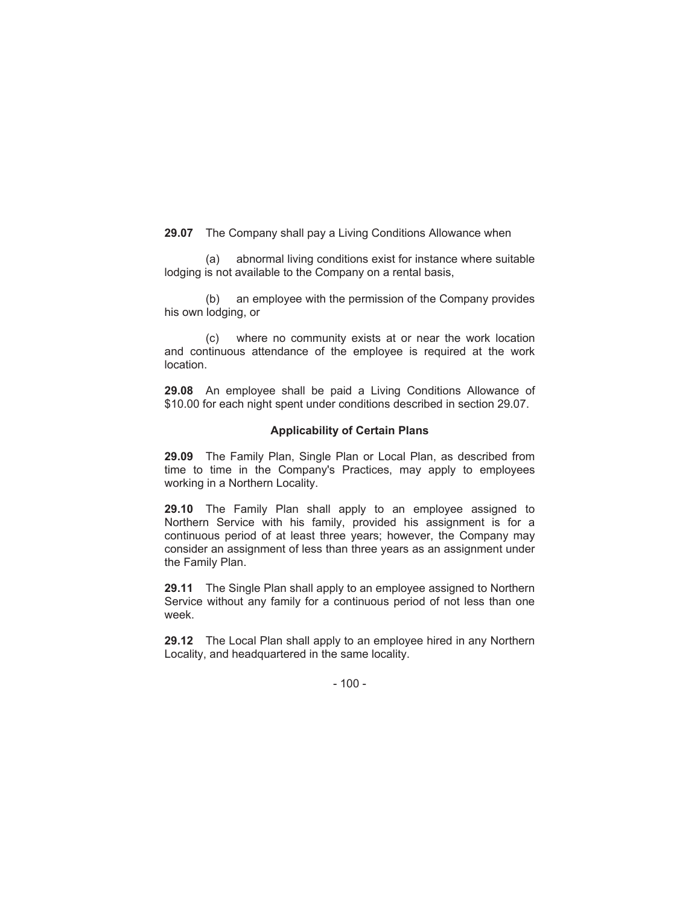**29.07** The Company shall pay a Living Conditions Allowance when

(a) abnormal living conditions exist for instance where suitable lodging is not available to the Company on a rental basis,

(b) an employee with the permission of the Company provides his own lodging, or

(c) where no community exists at or near the work location and continuous attendance of the employee is required at the work location.

**29.08** An employee shall be paid a Living Conditions Allowance of \$10.00 for each night spent under conditions described in section 29.07.

### **Applicability of Certain Plans**

**29.09** The Family Plan, Single Plan or Local Plan, as described from time to time in the Company's Practices, may apply to employees working in a Northern Locality.

**29.10** The Family Plan shall apply to an employee assigned to Northern Service with his family, provided his assignment is for a continuous period of at least three years; however, the Company may consider an assignment of less than three years as an assignment under the Family Plan.

**29.11** The Single Plan shall apply to an employee assigned to Northern Service without any family for a continuous period of not less than one week.

**29.12** The Local Plan shall apply to an employee hired in any Northern Locality, and headquartered in the same locality.

 $-100 -$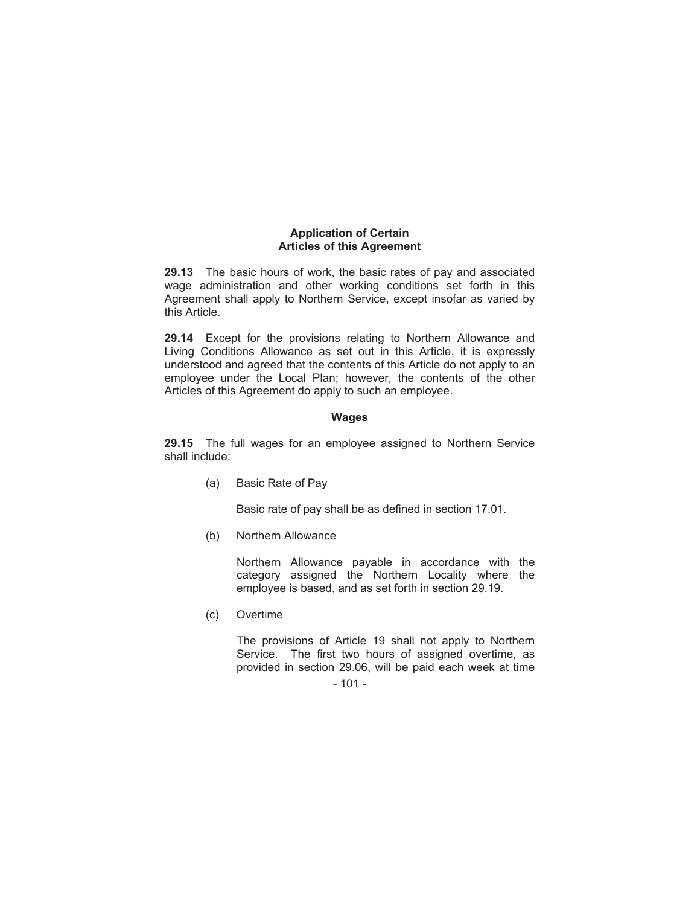# **Application of Certain Articles of this Agreement**

**29.13** The basic hours of work, the basic rates of pay and associated wage administration and other working conditions set forth in this Agreement shall apply to Northern Service, except insofar as varied by this Article.

**29.14** Except for the provisions relating to Northern Allowance and Living Conditions Allowance as set out in this Article, it is expressly understood and agreed that the contents of this Article do not apply to an employee under the Local Plan; however, the contents of the other Articles of this Agreement do apply to such an employee.

### **Wages**

**29.15** The full wages for an employee assigned to Northern Service shall include:

(a) Basic Rate of Pay

Basic rate of pay shall be as defined in section 17.01.

(b) Northern Allowance

Northern Allowance payable in accordance with the category assigned the Northern Locality where the employee is based, and as set forth in section 29.19.

(c) Overtime

The provisions of Article 19 shall not apply to Northern Service. The first two hours of assigned overtime, as provided in section 29.06, will be paid each week at time

<sup>- 101 -</sup>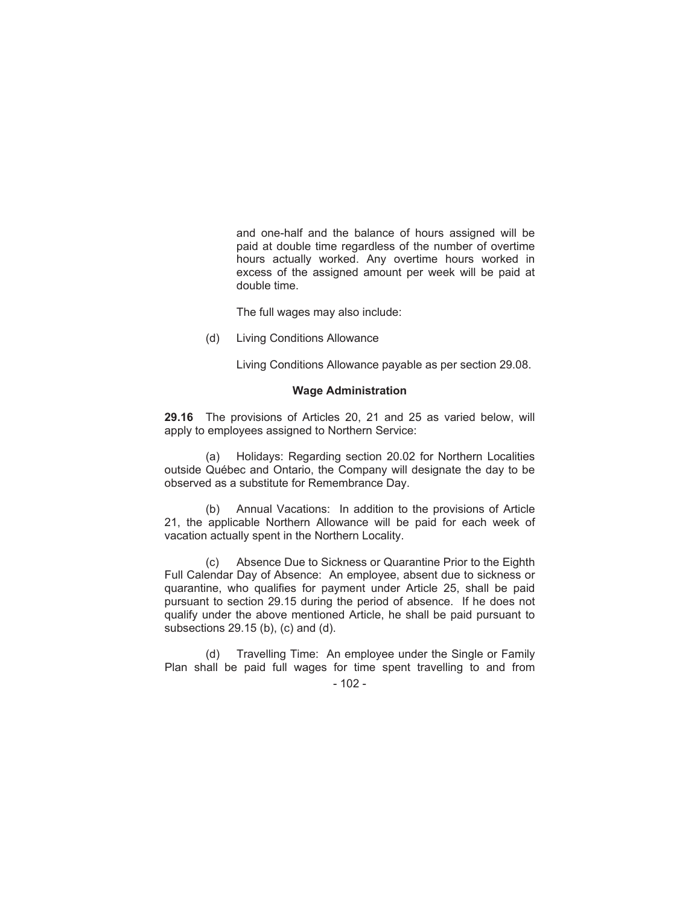and one-half and the balance of hours assigned will be paid at double time regardless of the number of overtime hours actually worked. Any overtime hours worked in excess of the assigned amount per week will be paid at double time.

The full wages may also include:

(d) Living Conditions Allowance

Living Conditions Allowance payable as per section 29.08.

#### **Wage Administration**

**29.16** The provisions of Articles 20, 21 and 25 as varied below, will apply to employees assigned to Northern Service:

(a) Holidays: Regarding section 20.02 for Northern Localities outside Québec and Ontario, the Company will designate the day to be observed as a substitute for Remembrance Day.

(b) Annual Vacations: In addition to the provisions of Article 21, the applicable Northern Allowance will be paid for each week of vacation actually spent in the Northern Locality.

(c) Absence Due to Sickness or Quarantine Prior to the Eighth Full Calendar Day of Absence: An employee, absent due to sickness or quarantine, who qualifies for payment under Article 25, shall be paid pursuant to section 29.15 during the period of absence. If he does not qualify under the above mentioned Article, he shall be paid pursuant to subsections 29.15 (b), (c) and (d).

(d) Travelling Time: An employee under the Single or Family Plan shall be paid full wages for time spent travelling to and from

 $-102 -$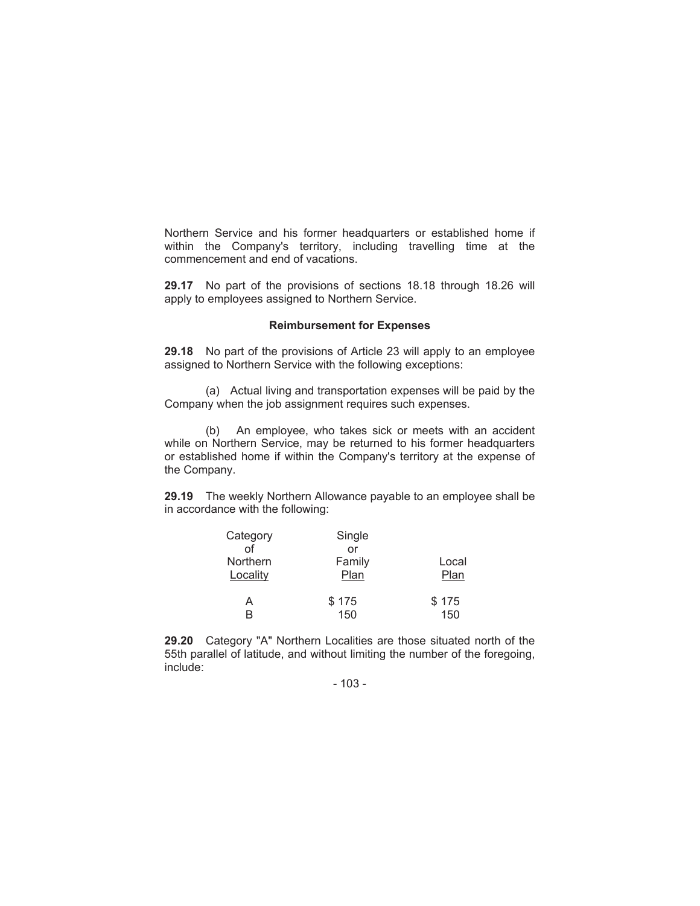Northern Service and his former headquarters or established home if within the Company's territory, including travelling time at the commencement and end of vacations.

**29.17** No part of the provisions of sections 18.18 through 18.26 will apply to employees assigned to Northern Service.

#### **Reimbursement for Expenses**

**29.18** No part of the provisions of Article 23 will apply to an employee assigned to Northern Service with the following exceptions:

(a) Actual living and transportation expenses will be paid by the Company when the job assignment requires such expenses.

(b) An employee, who takes sick or meets with an accident while on Northern Service, may be returned to his former headquarters or established home if within the Company's territory at the expense of the Company.

**29.19** The weekly Northern Allowance payable to an employee shall be in accordance with the following:

| Category | Single |       |
|----------|--------|-------|
| Ωf       | or     |       |
| Northern | Family | Local |
| Locality | Plan   | Plan  |
| А        | \$175  | \$175 |
| R        | 150    | 150   |

**29.20** Category "A" Northern Localities are those situated north of the 55th parallel of latitude, and without limiting the number of the foregoing, include:

- 103 -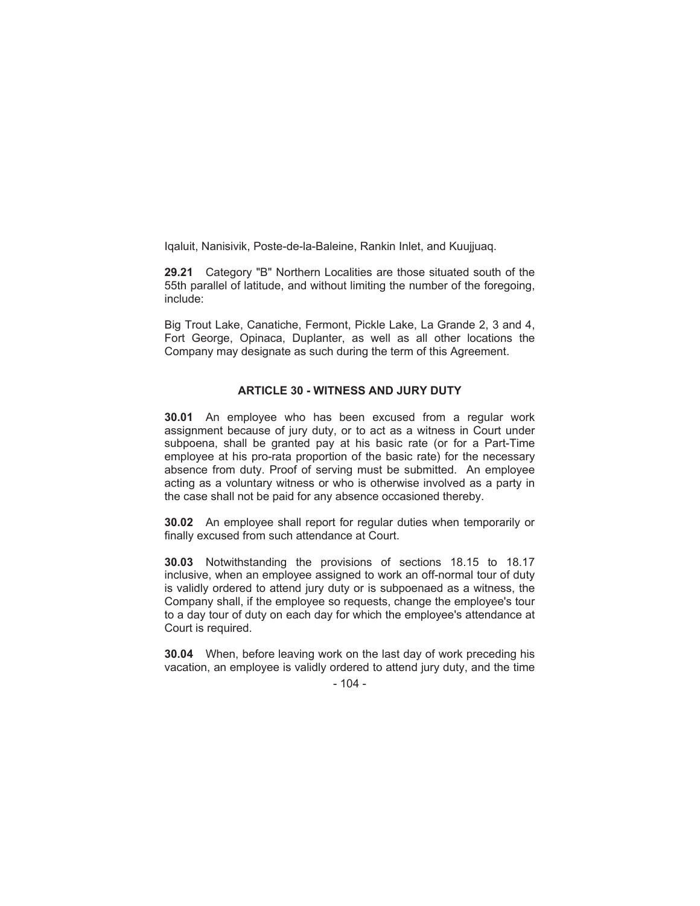Iqaluit, Nanisivik, Poste-de-la-Baleine, Rankin Inlet, and Kuujjuaq.

**29.21** Category "B" Northern Localities are those situated south of the 55th parallel of latitude, and without limiting the number of the foregoing, include:

Big Trout Lake, Canatiche, Fermont, Pickle Lake, La Grande 2, 3 and 4, Fort George, Opinaca, Duplanter, as well as all other locations the Company may designate as such during the term of this Agreement.

#### **ARTICLE 30 - WITNESS AND JURY DUTY**

**30.01** An employee who has been excused from a regular work assignment because of jury duty, or to act as a witness in Court under subpoena, shall be granted pay at his basic rate (or for a Part-Time employee at his pro-rata proportion of the basic rate) for the necessary absence from duty. Proof of serving must be submitted. An employee acting as a voluntary witness or who is otherwise involved as a party in the case shall not be paid for any absence occasioned thereby.

**30.02** An employee shall report for regular duties when temporarily or finally excused from such attendance at Court.

**30.03** Notwithstanding the provisions of sections 18.15 to 18.17 inclusive, when an employee assigned to work an off-normal tour of duty is validly ordered to attend jury duty or is subpoenaed as a witness, the Company shall, if the employee so requests, change the employee's tour to a day tour of duty on each day for which the employee's attendance at Court is required.

**30.04** When, before leaving work on the last day of work preceding his vacation, an employee is validly ordered to attend jury duty, and the time

#### $-104 -$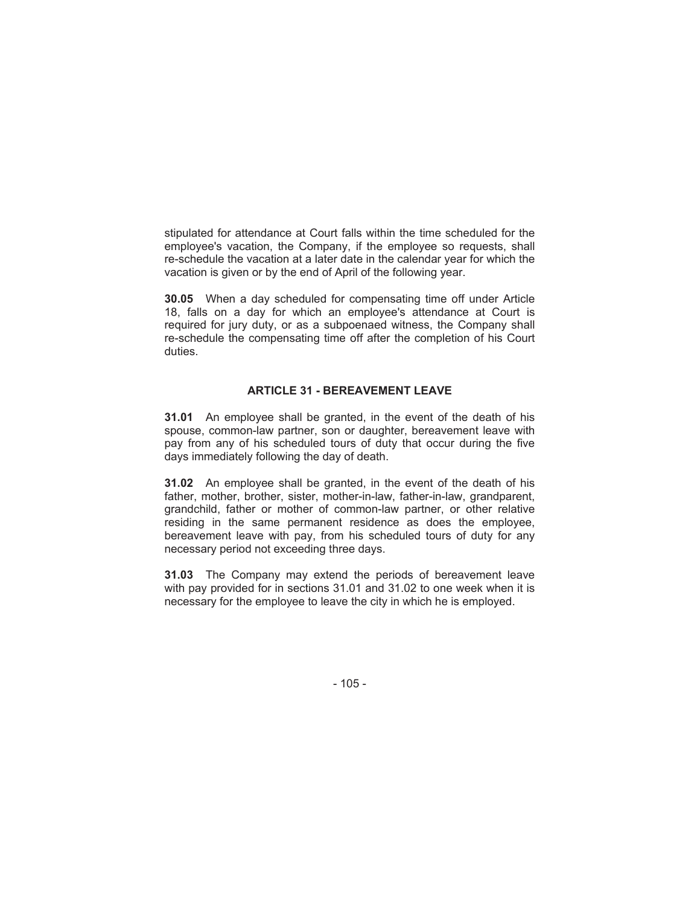stipulated for attendance at Court falls within the time scheduled for the employee's vacation, the Company, if the employee so requests, shall re-schedule the vacation at a later date in the calendar year for which the vacation is given or by the end of April of the following year.

**30.05** When a day scheduled for compensating time off under Article 18, falls on a day for which an employee's attendance at Court is required for jury duty, or as a subpoenaed witness, the Company shall re-schedule the compensating time off after the completion of his Court duties.

#### **ARTICLE 31 - BEREAVEMENT LEAVE**

**31.01** An employee shall be granted, in the event of the death of his spouse, common-law partner, son or daughter, bereavement leave with pay from any of his scheduled tours of duty that occur during the five days immediately following the day of death.

**31.02** An employee shall be granted, in the event of the death of his father, mother, brother, sister, mother-in-law, father-in-law, grandparent, grandchild, father or mother of common-law partner, or other relative residing in the same permanent residence as does the employee, bereavement leave with pay, from his scheduled tours of duty for any necessary period not exceeding three days.

**31.03** The Company may extend the periods of bereavement leave with pay provided for in sections 31.01 and 31.02 to one week when it is necessary for the employee to leave the city in which he is employed.

 $-105 -$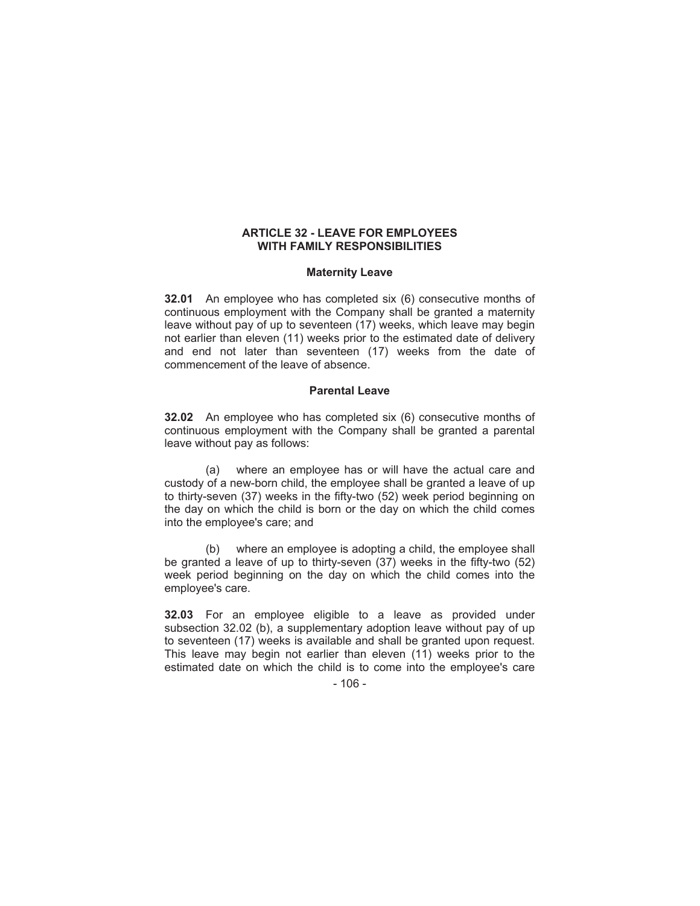#### **ARTICLE 32 - LEAVE FOR EMPLOYEES WITH FAMILY RESPONSIBILITIES**

#### **Maternity Leave**

**32.01** An employee who has completed six (6) consecutive months of continuous employment with the Company shall be granted a maternity leave without pay of up to seventeen (17) weeks, which leave may begin not earlier than eleven (11) weeks prior to the estimated date of delivery and end not later than seventeen (17) weeks from the date of commencement of the leave of absence.

#### **Parental Leave**

**32.02** An employee who has completed six (6) consecutive months of continuous employment with the Company shall be granted a parental leave without pay as follows:

(a) where an employee has or will have the actual care and custody of a new-born child, the employee shall be granted a leave of up to thirty-seven (37) weeks in the fifty-two (52) week period beginning on the day on which the child is born or the day on which the child comes into the employee's care; and

(b) where an employee is adopting a child, the employee shall be granted a leave of up to thirty-seven (37) weeks in the fifty-two (52) week period beginning on the day on which the child comes into the employee's care.

**32.03** For an employee eligible to a leave as provided under subsection 32.02 (b), a supplementary adoption leave without pay of up to seventeen (17) weeks is available and shall be granted upon request. This leave may begin not earlier than eleven (11) weeks prior to the estimated date on which the child is to come into the employee's care

 $-106 -$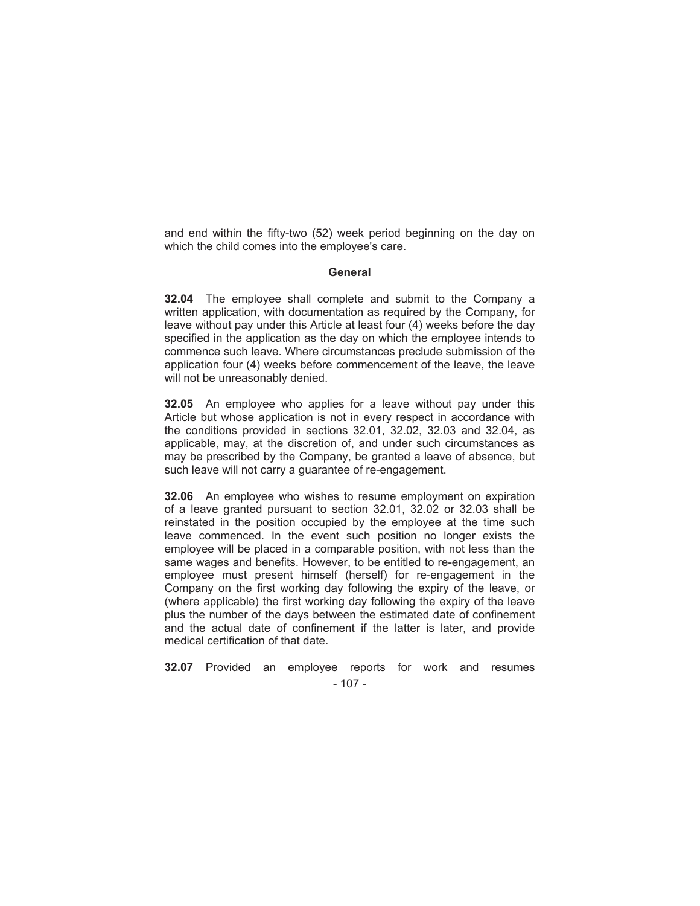and end within the fifty-two (52) week period beginning on the day on which the child comes into the employee's care.

#### **General**

**32.04** The employee shall complete and submit to the Company a written application, with documentation as required by the Company, for leave without pay under this Article at least four (4) weeks before the day specified in the application as the day on which the employee intends to commence such leave. Where circumstances preclude submission of the application four (4) weeks before commencement of the leave, the leave will not be unreasonably denied.

**32.05** An employee who applies for a leave without pay under this Article but whose application is not in every respect in accordance with the conditions provided in sections 32.01, 32.02, 32.03 and 32.04, as applicable, may, at the discretion of, and under such circumstances as may be prescribed by the Company, be granted a leave of absence, but such leave will not carry a guarantee of re-engagement.

**32.06** An employee who wishes to resume employment on expiration of a leave granted pursuant to section 32.01, 32.02 or 32.03 shall be reinstated in the position occupied by the employee at the time such leave commenced. In the event such position no longer exists the employee will be placed in a comparable position, with not less than the same wages and benefits. However, to be entitled to re-engagement, an employee must present himself (herself) for re-engagement in the Company on the first working day following the expiry of the leave, or (where applicable) the first working day following the expiry of the leave plus the number of the days between the estimated date of confinement and the actual date of confinement if the latter is later, and provide medical certification of that date.

- 107 - **32.07** Provided an employee reports for work and resumes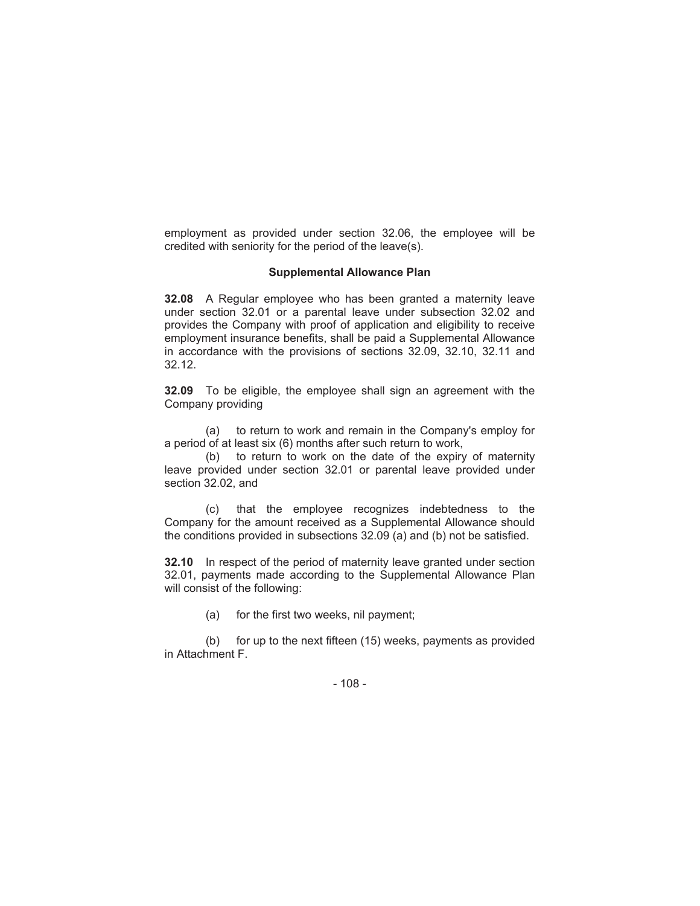employment as provided under section 32.06, the employee will be credited with seniority for the period of the leave(s).

#### **Supplemental Allowance Plan**

**32.08** A Regular employee who has been granted a maternity leave under section 32.01 or a parental leave under subsection 32.02 and provides the Company with proof of application and eligibility to receive employment insurance benefits, shall be paid a Supplemental Allowance in accordance with the provisions of sections 32.09, 32.10, 32.11 and 32.12.

**32.09** To be eligible, the employee shall sign an agreement with the Company providing

(a) to return to work and remain in the Company's employ for a period of at least six (6) months after such return to work,

(b) to return to work on the date of the expiry of maternity leave provided under section 32.01 or parental leave provided under section 32.02, and

(c) that the employee recognizes indebtedness to the Company for the amount received as a Supplemental Allowance should the conditions provided in subsections 32.09 (a) and (b) not be satisfied.

**32.10** In respect of the period of maternity leave granted under section 32.01, payments made according to the Supplemental Allowance Plan will consist of the following:

(a) for the first two weeks, nil payment;

(b) for up to the next fifteen (15) weeks, payments as provided in Attachment F.

- 108 -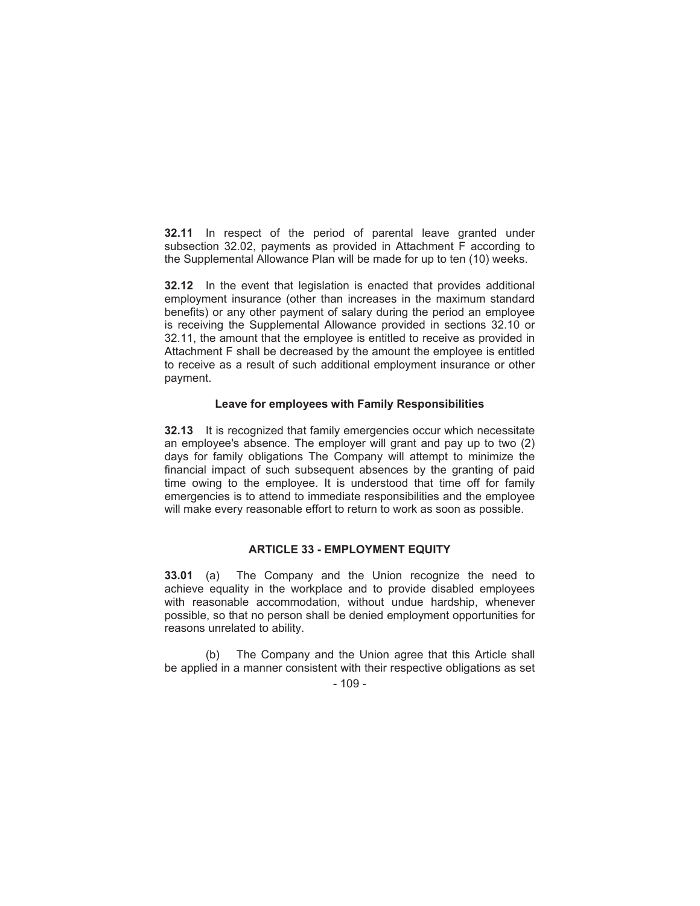**32.11** In respect of the period of parental leave granted under subsection 32.02, payments as provided in Attachment F according to the Supplemental Allowance Plan will be made for up to ten (10) weeks.

**32.12** In the event that legislation is enacted that provides additional employment insurance (other than increases in the maximum standard benefits) or any other payment of salary during the period an employee is receiving the Supplemental Allowance provided in sections 32.10 or 32.11, the amount that the employee is entitled to receive as provided in Attachment F shall be decreased by the amount the employee is entitled to receive as a result of such additional employment insurance or other payment.

#### **Leave for employees with Family Responsibilities**

**32.13** It is recognized that family emergencies occur which necessitate an employee's absence. The employer will grant and pay up to two (2) days for family obligations The Company will attempt to minimize the financial impact of such subsequent absences by the granting of paid time owing to the employee. It is understood that time off for family emergencies is to attend to immediate responsibilities and the employee will make every reasonable effort to return to work as soon as possible.

#### **ARTICLE 33 - EMPLOYMENT EQUITY**

**33.01** (a) The Company and the Union recognize the need to achieve equality in the workplace and to provide disabled employees with reasonable accommodation, without undue hardship, whenever possible, so that no person shall be denied employment opportunities for reasons unrelated to ability.

(b) The Company and the Union agree that this Article shall be applied in a manner consistent with their respective obligations as set

 $-109 -$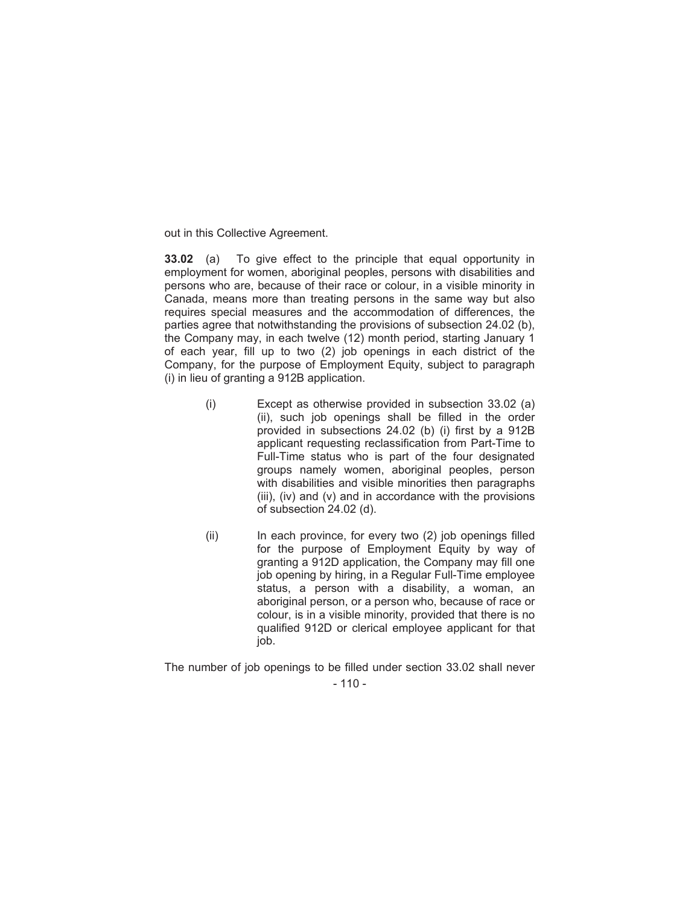out in this Collective Agreement.

**33.02** (a) To give effect to the principle that equal opportunity in employment for women, aboriginal peoples, persons with disabilities and persons who are, because of their race or colour, in a visible minority in Canada, means more than treating persons in the same way but also requires special measures and the accommodation of differences, the parties agree that notwithstanding the provisions of subsection 24.02 (b), the Company may, in each twelve (12) month period, starting January 1 of each year, fill up to two (2) job openings in each district of the Company, for the purpose of Employment Equity, subject to paragraph (i) in lieu of granting a 912B application.

- (i) Except as otherwise provided in subsection 33.02 (a) (ii), such job openings shall be filled in the order provided in subsections 24.02 (b) (i) first by a 912B applicant requesting reclassification from Part-Time to Full-Time status who is part of the four designated groups namely women, aboriginal peoples, person with disabilities and visible minorities then paragraphs (iii), (iv) and (v) and in accordance with the provisions of subsection 24.02 (d).
- (ii) In each province, for every two (2) job openings filled for the purpose of Employment Equity by way of granting a 912D application, the Company may fill one job opening by hiring, in a Regular Full-Time employee status, a person with a disability, a woman, an aboriginal person, or a person who, because of race or colour, is in a visible minority, provided that there is no qualified 912D or clerical employee applicant for that job.

 $-110-$ The number of job openings to be filled under section 33.02 shall never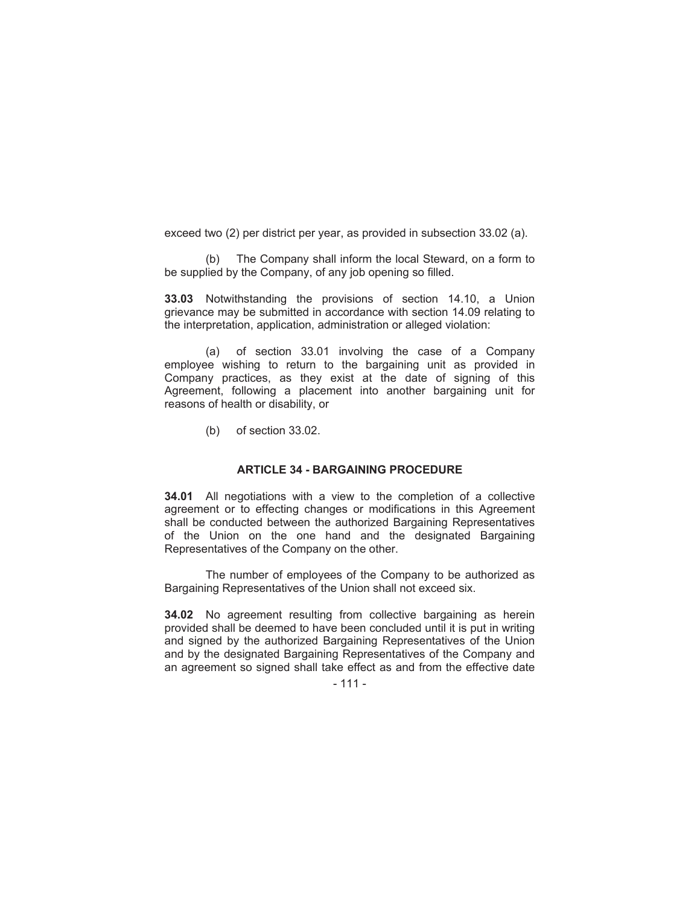exceed two (2) per district per year, as provided in subsection 33.02 (a).

(b) The Company shall inform the local Steward, on a form to be supplied by the Company, of any job opening so filled.

**33.03** Notwithstanding the provisions of section 14.10, a Union grievance may be submitted in accordance with section 14.09 relating to the interpretation, application, administration or alleged violation:

(a) of section 33.01 involving the case of a Company employee wishing to return to the bargaining unit as provided in Company practices, as they exist at the date of signing of this Agreement, following a placement into another bargaining unit for reasons of health or disability, or

(b) of section 33.02.

#### **ARTICLE 34 - BARGAINING PROCEDURE**

**34.01** All negotiations with a view to the completion of a collective agreement or to effecting changes or modifications in this Agreement shall be conducted between the authorized Bargaining Representatives of the Union on the one hand and the designated Bargaining Representatives of the Company on the other.

The number of employees of the Company to be authorized as Bargaining Representatives of the Union shall not exceed six.

**34.02** No agreement resulting from collective bargaining as herein provided shall be deemed to have been concluded until it is put in writing and signed by the authorized Bargaining Representatives of the Union and by the designated Bargaining Representatives of the Company and an agreement so signed shall take effect as and from the effective date

- 111 -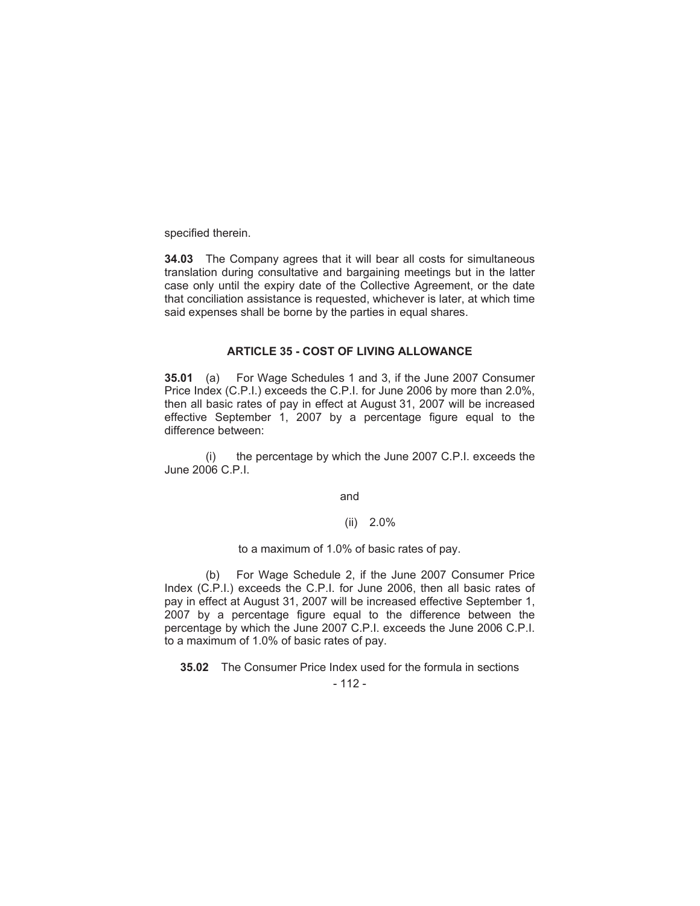specified therein.

**34.03** The Company agrees that it will bear all costs for simultaneous translation during consultative and bargaining meetings but in the latter case only until the expiry date of the Collective Agreement, or the date that conciliation assistance is requested, whichever is later, at which time said expenses shall be borne by the parties in equal shares.

#### **ARTICLE 35 - COST OF LIVING ALLOWANCE**

**35.01** (a) For Wage Schedules 1 and 3, if the June 2007 Consumer Price Index (C.P.I.) exceeds the C.P.I. for June 2006 by more than 2.0%, then all basic rates of pay in effect at August 31, 2007 will be increased effective September 1, 2007 by a percentage figure equal to the difference between:

(i) the percentage by which the June 2007 C.P.I. exceeds the June 2006 C.P.I.

and

#### (ii) 2.0%

to a maximum of 1.0% of basic rates of pay.

(b) For Wage Schedule 2, if the June 2007 Consumer Price Index (C.P.I.) exceeds the C.P.I. for June 2006, then all basic rates of pay in effect at August 31, 2007 will be increased effective September 1, 2007 by a percentage figure equal to the difference between the percentage by which the June 2007 C.P.I. exceeds the June 2006 C.P.I. to a maximum of 1.0% of basic rates of pay.

**35.02** The Consumer Price Index used for the formula in sections

 $-112-$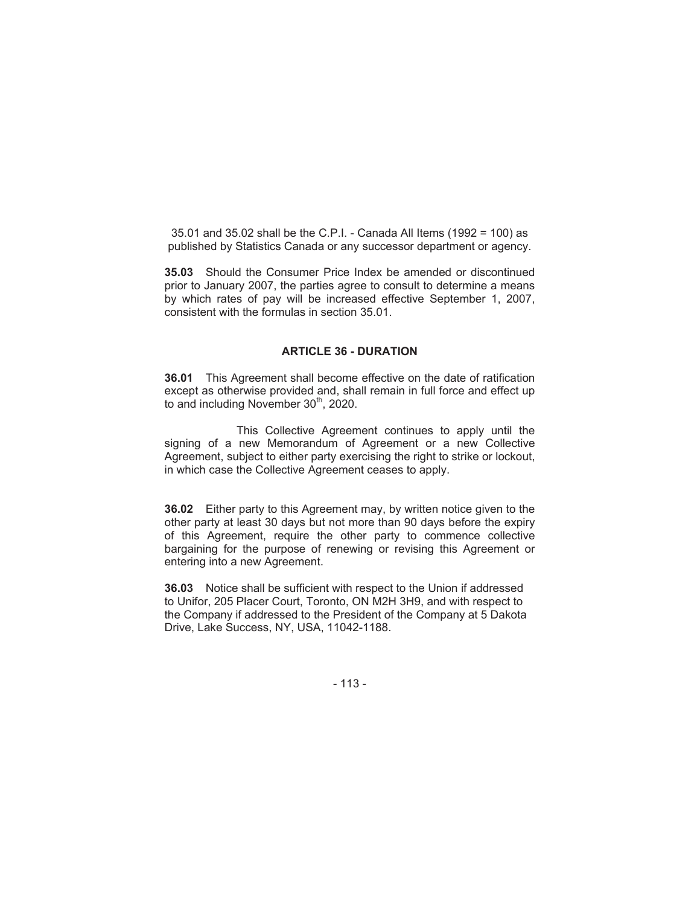35.01 and 35.02 shall be the C.P.I. - Canada All Items (1992 = 100) as published by Statistics Canada or any successor department or agency.

**35.03** Should the Consumer Price Index be amended or discontinued prior to January 2007, the parties agree to consult to determine a means by which rates of pay will be increased effective September 1, 2007, consistent with the formulas in section 35.01.

#### **ARTICLE 36 - DURATION**

**36.01** This Agreement shall become effective on the date of ratification except as otherwise provided and, shall remain in full force and effect up to and including November 30<sup>th</sup>, 2020.

This Collective Agreement continues to apply until the signing of a new Memorandum of Agreement or a new Collective Agreement, subject to either party exercising the right to strike or lockout, in which case the Collective Agreement ceases to apply.

**36.02** Either party to this Agreement may, by written notice given to the other party at least 30 days but not more than 90 days before the expiry of this Agreement, require the other party to commence collective bargaining for the purpose of renewing or revising this Agreement or entering into a new Agreement.

**36.03** Notice shall be sufficient with respect to the Union if addressed to Unifor, 205 Placer Court, Toronto, ON M2H 3H9, and with respect to the Company if addressed to the President of the Company at 5 Dakota Drive, Lake Success, NY, USA, 11042-1188.

- 113 -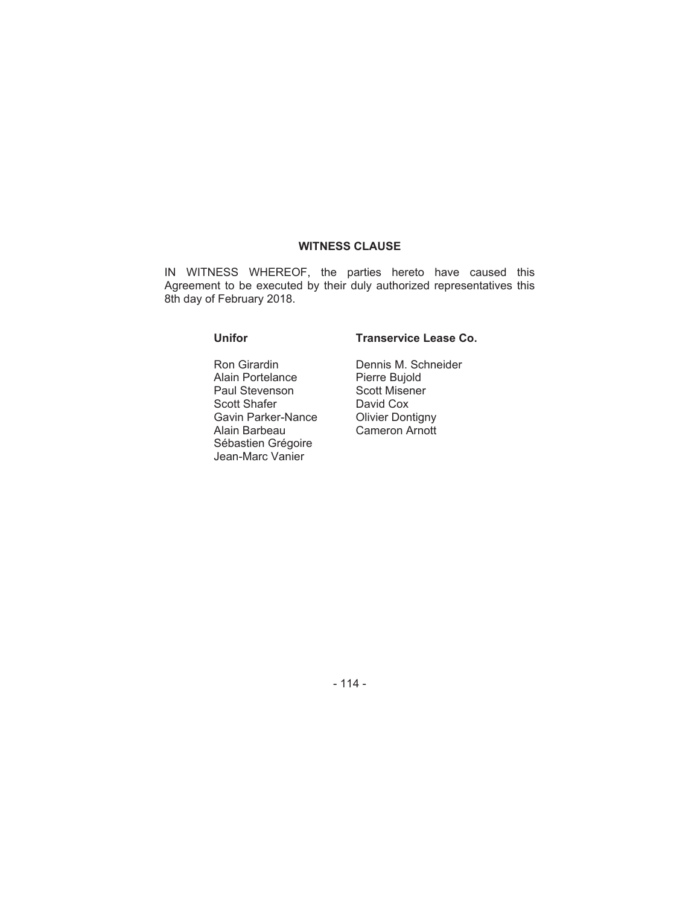#### **WITNESS CLAUSE**

IN WITNESS WHEREOF, the parties hereto have caused this Agreement to be executed by their duly authorized representatives this 8th day of February 2018.

Ron Girardin Alain Portelance Paul Stevenson Scott Shafer Gavin Parker-Nance Alain Barbeau Sébastien Grégoire Jean-Marc Vanier

#### **Unifor Transervice Lease Co.**

Dennis M. Schneider Pierre Bujold Scott Misener David Cox Olivier Dontigny Cameron Arnott

- 114 -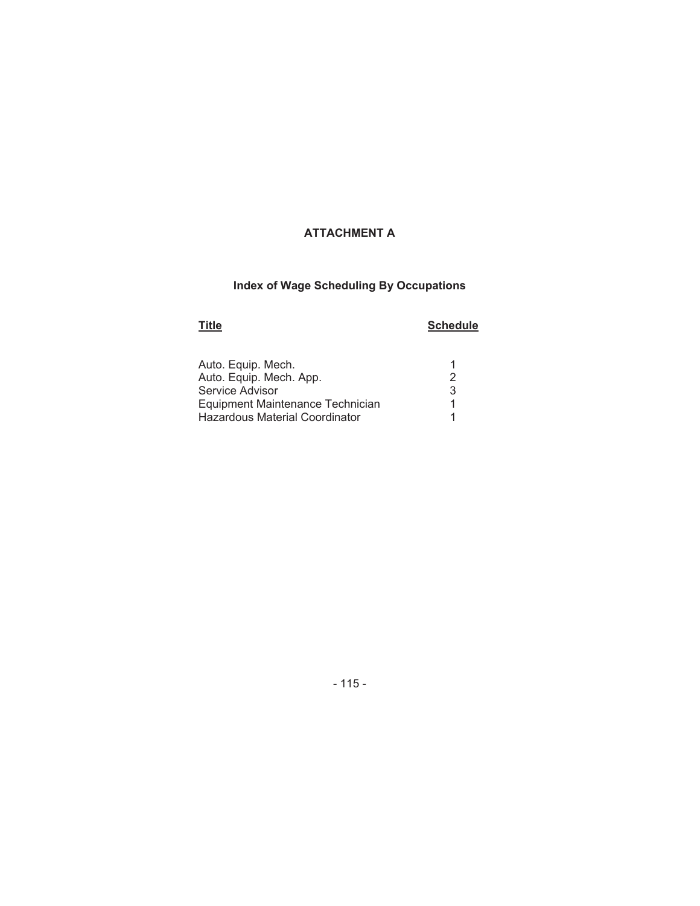# **Index of Wage Scheduling By Occupations**

# **Title Schedule**

| Auto. Equip. Mech.               |   |
|----------------------------------|---|
| Auto. Equip. Mech. App.          |   |
| Service Advisor                  | 3 |
| Equipment Maintenance Technician |   |
| Hazardous Material Coordinator   |   |

## - 115 -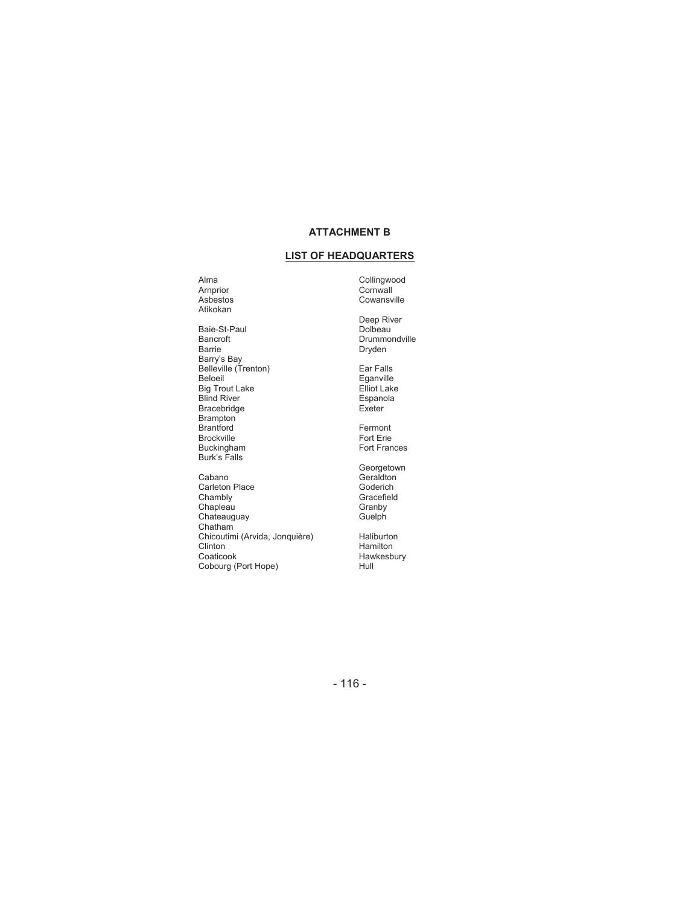#### **LIST OF HEADQUARTERS**

Arnprior **Cornwall** Asbestos Cowansville Atikokan

Baie-St-Paul<br>Bancroft Bancroft Drummondville<br>Bancroft Drummondville<br>Barrie Dryden Barry's Bay Belleville (Trenton) Ear Falls Beloeil **Eganville** Big Trout Lake **Elliot** Lake Blind River **Espanola** Bracebridge Exeter Brampton Brantford **Fermont** Brockville Fort Erie<br>Buckingham Fort Frank Expediance Content Eric Fort Eric Fort Eric Frank Eric Fort Eric Frank Eric Fort Eric F Burk's Falls

Cabano<br>Carleton Place Carlos Context Context Context Context Context Context Context Context Context Context Context<br>Context Context Context Context Context Context Context Context Context Context Context Context Context C Carleton Place<br>Chambly Chapleau Granby<br>Chateauguay Guelph<br>Guelph Chateauguay Chatham Chicoutimi (Arvida, Jonquière) Haliburton<br>Clinton Hamilton Clinton Hamilton Hamilton Coaticook Hawkesb Cobourg (Port Hope)

Alma Collingwood

Deep River<br>Dolbeau Brunning<br>Dryden

Fort Frances

Georgetown Gracefield<br>Granby

Hawkesbury<br>Hull

- 116 -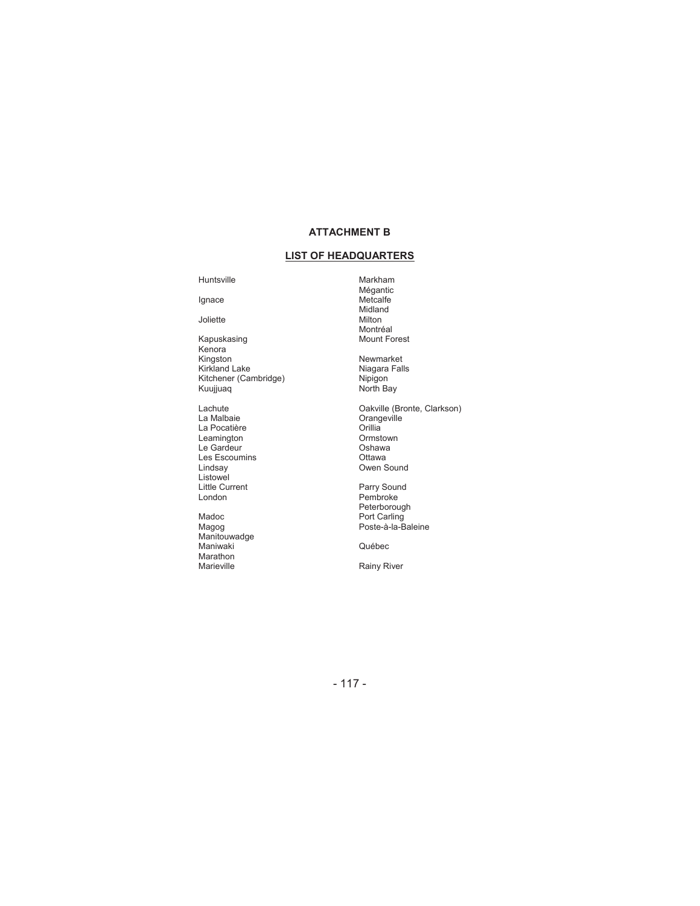#### **LIST OF HEADQUARTERS**

#### Huntsville **Markham**

Joliette

- Kapuskasing Mount Forest Kenora Kingston Newmarket<br>Kirkland Lake Newmarket Niagara Fal Kitchener (Cambridge) **Nipigon** Kuujjuaq North Bay
- La Malbaie Orangeville La Pocatière **Calculation de la Constantinople de la Constantinople de la Constantinople de la Constantinople** Leamington Ormstown Le Gardeur **Cardeur** Coshawa Les Escoumins<br>Lindsay Listowel<br>Little Current Little Current **Parry Sound** London **Pembroke**
- Madoc **Port Carling** Magog **Poste-à-la-Baleine** Magog<br>Manitouwadge Maniwaki Québec Marathon<br>Marieville

Mégantic Ignace Metcalfe Midland<br>Milton Montréal<br>Mount Forest

Niagara Falls<br>Nipigon

Lachute Oakville (Bronte, Clarkson) Oshama<br>Ottawa<br>Owen Sound

Peterborough

Rainy River

- 117 -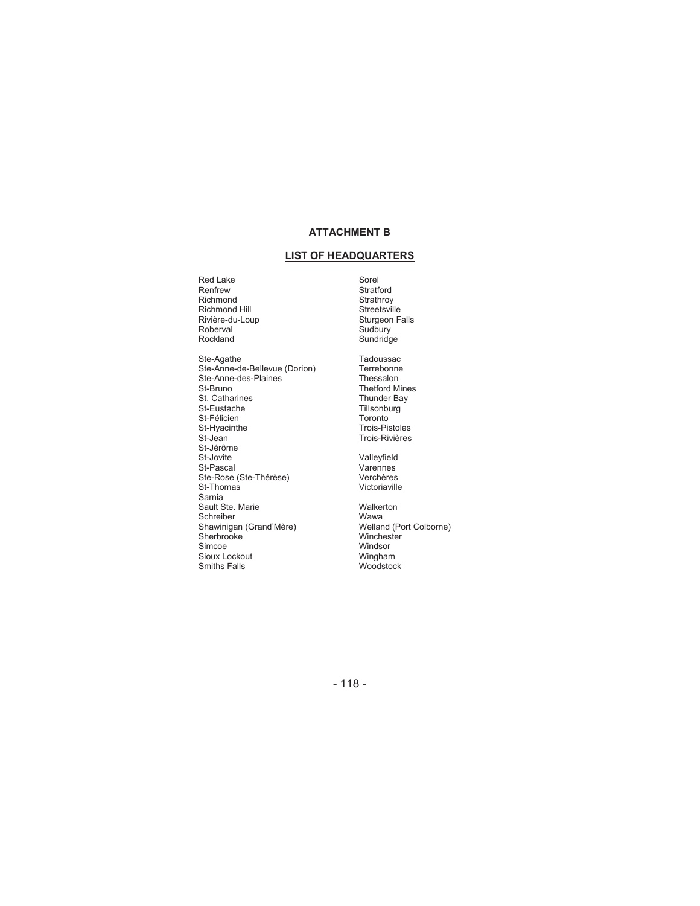#### **LIST OF HEADQUARTERS**

Red Lake<br>Renfrew Red Lake Sorel<br>
Renfrew Stratford<br>
Richmond Strathroy Richmond Hill Streetsville<br>Richmond Hill Streetsville<br>Rivière-du-Loup Sturgeon Falls Rivière-du-Loup Sturgeon Sturgeon<br>Roberval Sudbury Roberval<br>Rockland Ste-Agathe Tadoussac<br>Ste-Anne-de-Bellevue (Dorion) Terrebonne Ste-Anne-de-Bellevue (Dorion)<br>Ste-Anne-des-Plaines<br>Ste-Anne-des-Plaines<br>Thessalon Ste-Anne-des-Plaines<br>St-Bruno St. Catharines<br>St-Eustache St-Félicien<br>St-Hyacinthe St-Félicien<br>St-Hyacinthe Trois-Pistoles<br>St-Jean Trois-Rivières<br>St-Jean Trois-Rivières St-Jérôme<br>St-Jovite St-Jovite<br>St-Pascal Valleyfield<br>Varennes Ste-Rose (Ste-Thérèse)<br>St-Thomas Sarnia Sault Ste. Marie Walkerton Schreiber Mario (Schreiber Wawardschreiber Wawardschreiber Wawardschreiber Wawardschreiber Welland (Port Colborne)<br>Shawinigan (Grand'Mère) (Welland (Port Colborne) Shawinigan (Grand'Mère)<br>Sherbrooke Sherbrooke Winchester<br>Sinco<br>Simcoe Windsor Sioux Lockout<br>Smiths Falls

Strathroy<br>Streetsville Sundridge

Thetford Mines<br>Thunder Bay Tillsonburg Trois-Rivières

Varennes<br>Verchères Victoriaville

Windsor wingham<br>Woodstock

- 118 -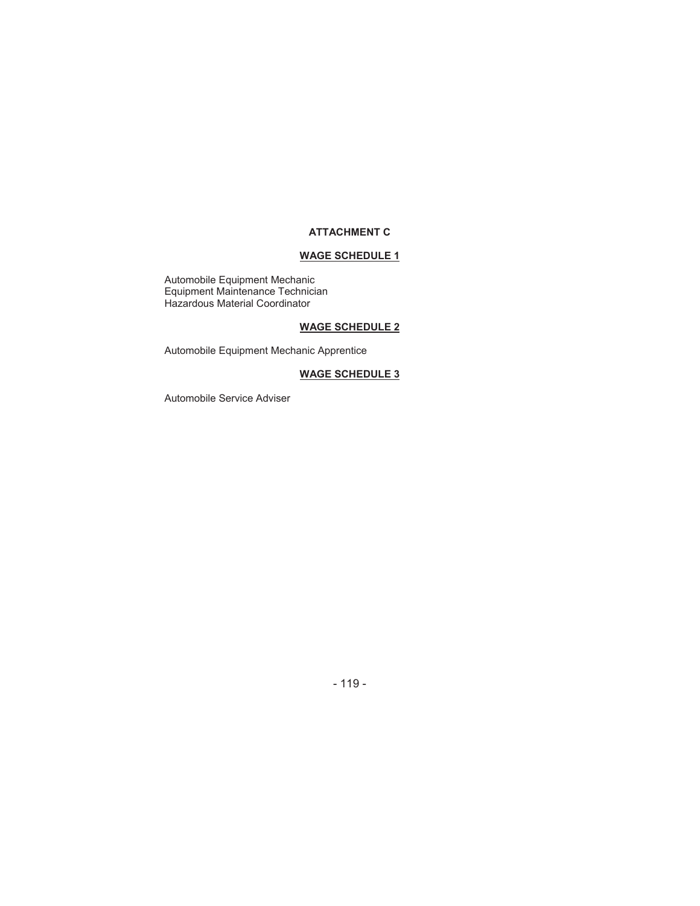#### **WAGE SCHEDULE 1**

Automobile Equipment Mechanic Equipment Maintenance Technician Hazardous Material Coordinator

#### **WAGE SCHEDULE 2**

Automobile Equipment Mechanic Apprentice

#### **WAGE SCHEDULE 3**

Automobile Service Adviser

- 119 -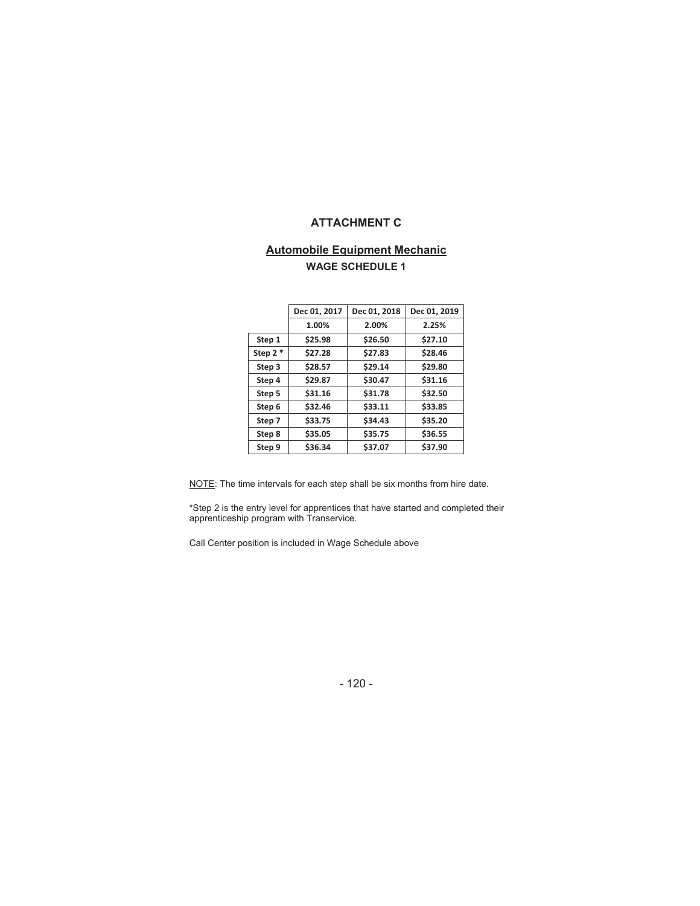#### **Automobile Equipment Mechanic WAGE SCHEDULE 1**

|           | Dec 01, 2017 | Dec 01, 2018 | Dec 01, 2019 |
|-----------|--------------|--------------|--------------|
|           | 1.00%        | 2.00%        | 2.25%        |
| Step 1    | \$25.98      | \$26.50      | \$27.10      |
| Step $2*$ | \$27.28      | \$27.83      | \$28.46      |
| Step 3    | \$28.57      | \$29.14      | \$29.80      |
| Step 4    | \$29.87      | \$30.47      | \$31.16      |
| Step 5    | \$31.16      | \$31.78      | \$32.50      |
| Step 6    | \$32.46      | \$33.11      | \$33.85      |
| Step 7    | \$33.75      | \$34.43      | \$35.20      |
| Step 8    | \$35.05      | \$35.75      | \$36.55      |
| Step 9    | \$36.34      | \$37.07      | \$37.90      |
|           |              |              |              |

NOTE: The time intervals for each step shall be six months from hire date.

\*Step 2 is the entry level for apprentices that have started and completed their apprenticeship program with Transervice.

Call Center position is included in Wage Schedule above

- 120 -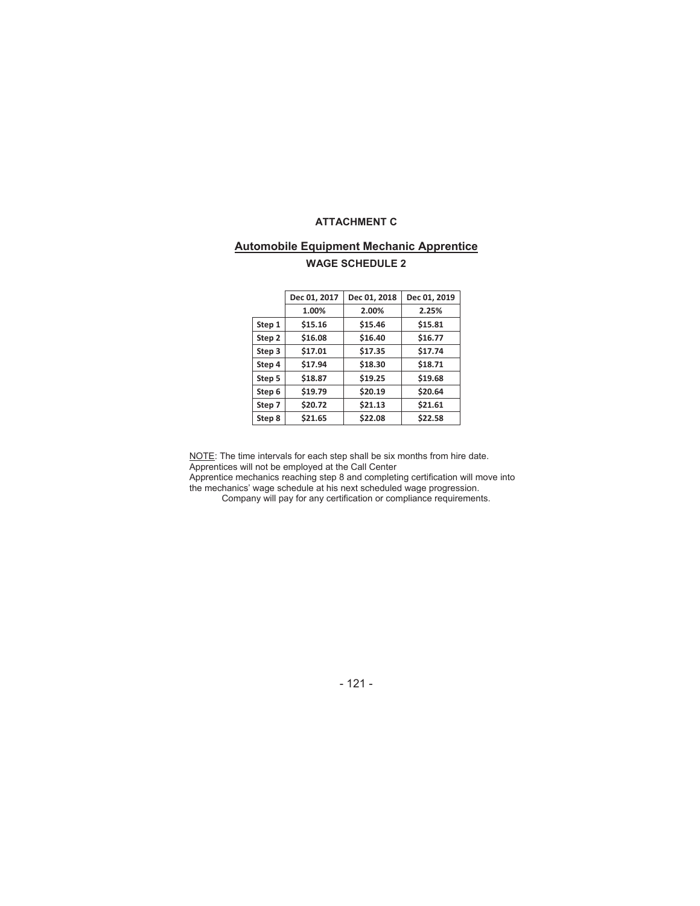#### **Automobile Equipment Mechanic Apprentice WAGE SCHEDULE 2**

|        | Dec 01, 2017 | Dec 01, 2018 | Dec 01, 2019 |
|--------|--------------|--------------|--------------|
|        | 1.00%        | 2.00%        | 2.25%        |
| Step 1 | \$15.16      | \$15.46      | \$15.81      |
| Step 2 | \$16.08      | \$16.40      | \$16.77      |
| Step 3 | \$17.01      | \$17.35      | \$17.74      |
| Step 4 | \$17.94      | \$18.30      | \$18.71      |
| Step 5 | \$18.87      | \$19.25      | \$19.68      |
| Step 6 | \$19.79      | \$20.19      | \$20.64      |
| Step 7 | \$20.72      | \$21.13      | \$21.61      |
| Step 8 | \$21.65      | \$22.08      | \$22.58      |

NOTE: The time intervals for each step shall be six months from hire date. Apprentices will not be employed at the Call Center

Apprentice mechanics reaching step 8 and completing certification will move into the mechanics' wage schedule at his next scheduled wage progression.

Company will pay for any certification or compliance requirements.

- 121 -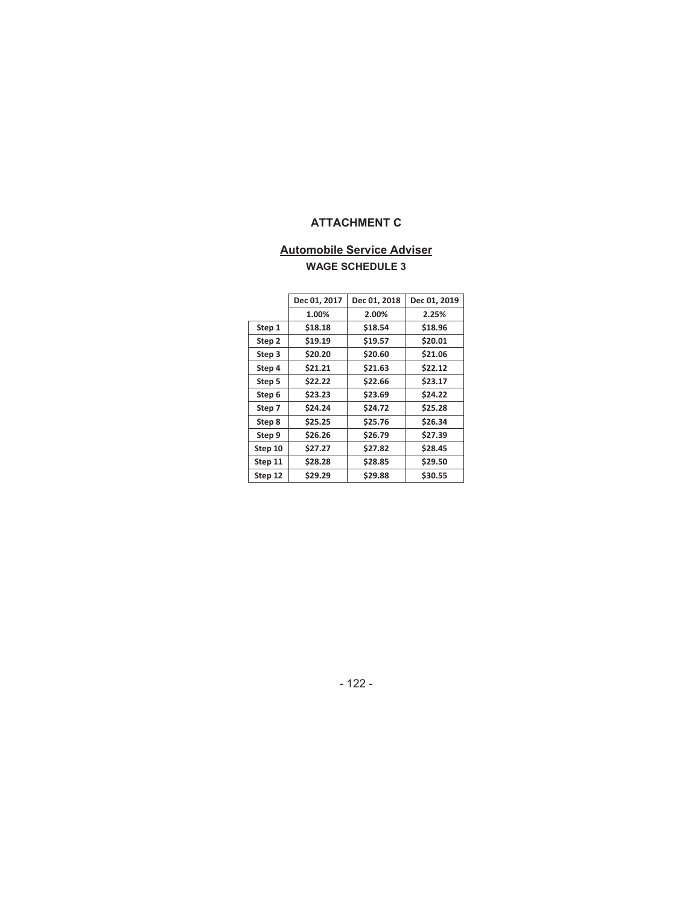#### **Automobile Service Adviser WAGE SCHEDULE 3**

|         | Dec 01, 2017 | Dec 01, 2018 | Dec 01, 2019 |
|---------|--------------|--------------|--------------|
|         |              |              |              |
|         | 1.00%        | 2.00%        | 2.25%        |
| Step 1  | \$18.18      | \$18.54      | \$18.96      |
| Step 2  | \$19.19      | \$19.57      | \$20.01      |
| Step 3  | \$20.20      | \$20.60      | \$21.06      |
| Step 4  | \$21.21      | \$21.63      | \$22.12      |
| Step 5  | \$22.22      | \$22.66      | \$23.17      |
| Step 6  | \$23.23      | \$23.69      | \$24.22      |
| Step 7  | \$24.24      | \$24.72      | \$25.28      |
| Step 8  | \$25.25      | \$25.76      | \$26.34      |
| Step 9  | \$26.26      | \$26.79      | \$27.39      |
| Step 10 | \$27.27      | \$27.82      | \$28.45      |
| Step 11 | \$28.28      | \$28.85      | \$29.50      |
| Step 12 | \$29.29      | \$29.88      | \$30.55      |

- 122 -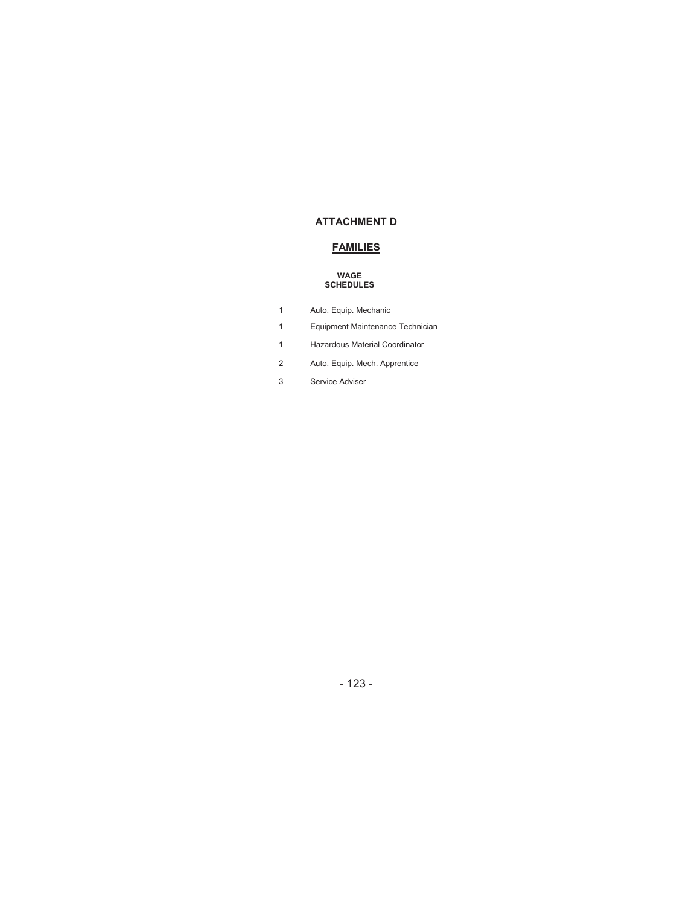#### **FAMILIES**

#### **WAGE SCHEDULES**

|  |  | Auto. Equip. Mechanic |
|--|--|-----------------------|
|--|--|-----------------------|

- 1 Equipment Maintenance Technician
- 1 Hazardous Material Coordinator
- 2 Auto. Equip. Mech. Apprentice
- 3 Service Adviser

- 123 -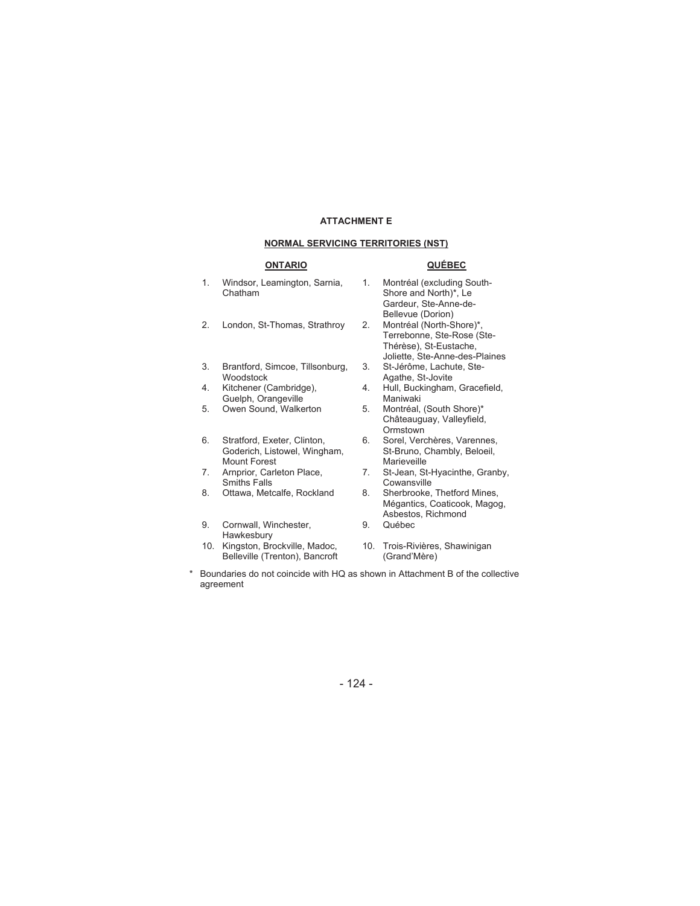#### **NORMAL SERVICING TERRITORIES (NST)**

#### **ONTARIO QUÉBEC**

Belleville (Trenton), Bancroft

- 1. Windsor, Leamington, Sarnia, Chatham 1. Montréal (excluding South-Shore and North)\*, Le Gardeur, Ste-Anne-de-Bellevue (Dorion)<br>Montréal (North-Shore)\*, 2. London, St-Thomas, Strathroy 2. Terrebonne, Ste-Rose (Ste-Thérèse), St-Eustache, Joliette, Ste-Anne-des-Plaines 3. Brantford, Simcoe, Tillsonburg, Woodstock 3. St-Jérôme, Lachute, Ste-Agathe, St-Jovite 4. Kitchener (Cambridge), Guelph, Orangeville<br>Owen Sound, Walkerton 4. Hull, Buckingham, Gracefield, Maniwaki 5. Owen Sound, Walkerton 5. Montréal, (South Shore)\* Châteauguay, Valleyfield, **Ormstown** 6. Stratford, Exeter, Clinton, Goderich, Listowel, Wingham, Mount Forest 6. Sorel, Verchères, Varennes, St-Bruno, Chambly, Beloeil, Marieveille 7. Arnprior, Carleton Place, Smiths Falls<br>Ottawa, Metcalfe, Rockland 7. St-Jean, St-Hyacinthe, Granby, **Cowansville** 8. Ottawa, Metcalfe, Rockland 8. Sherbrooke, Thetford Mines, Mégantics, Coaticook, Magog, Asbestos, Richmond 9. Cornwall, Winchester, **Hawkesbury** 9. Québec 10. Kingston, Brockville, Madoc, 10. Trois-Rivières, Shawinigan
- \* Boundaries do not coincide with HQ as shown in Attachment B of the collective agreement

(Grand'Mère)

- 124 -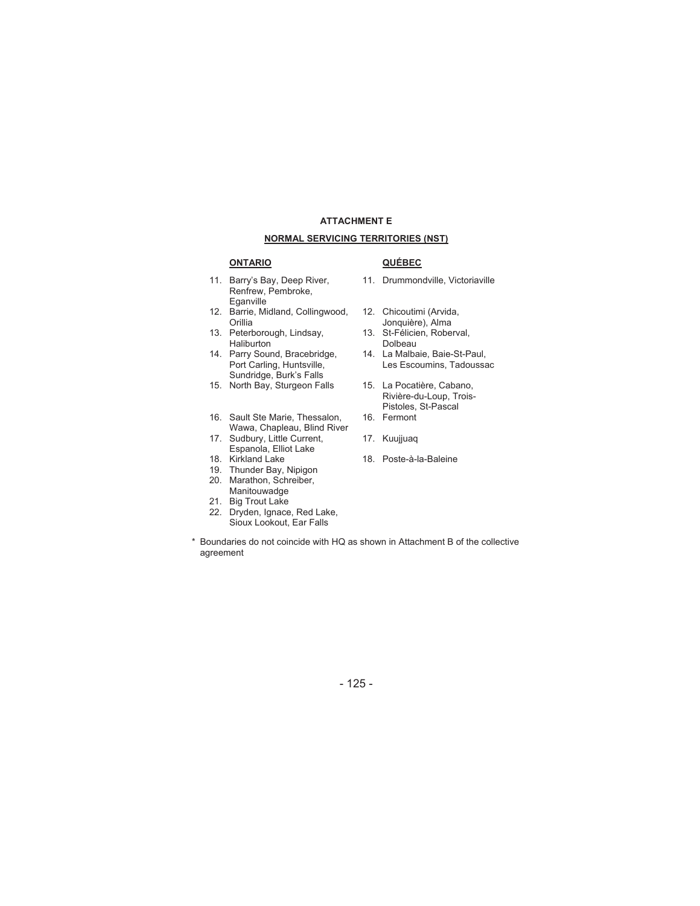#### **ATTACHMENT E NORMAL SERVICING TERRITORIES (NST)**

#### **ONTARIO QUÉBEC**

- 11. Barry's Bay, Deep River, Renfrew, Pembroke, Eganville
- 12. Barrie, Midland, Collingwood, **Orillia**
- 13. Peterborough, Lindsay, Haliburton
- 14. Parry Sound, Bracebridge, Port Carling, Huntsville, Sundridge, Burk's Falls
- 15. North Bay, Sturgeon Falls 15. La Pocatière, Cabano,
- 16. Sault Ste Marie, Thessalon, Wawa, Chapleau, Blind River
- 17. Sudbury, Little Current, Espanola, Elliot Lake<br>18. Kirkland Lake
- 
- 19. Thunder Bay, Nipigon
- 20. Marathon, Schreiber, **Manitouwadge**
- 21. Big Trout Lake
- 22. Dryden, Ignace, Red Lake, Sioux Lookout, Ear Falls

- 11. Drummondville, Victoriaville
- 12. Chicoutimi (Arvida, Jonquière), Alma
- 13. St-Félicien, Roberval, Dolbeau
- 14. La Malbaie, Baie-St-Paul, Les Escoumins, Tadoussac
- Rivière-du-Loup, Trois-Pistoles, St-Pascal 16. Fermont
- 
- 17. Kuujjuaq
- 18. Poste-à-la-Baleine

\* Boundaries do not coincide with HQ as shown in Attachment B of the collective agreement

#### - 125 -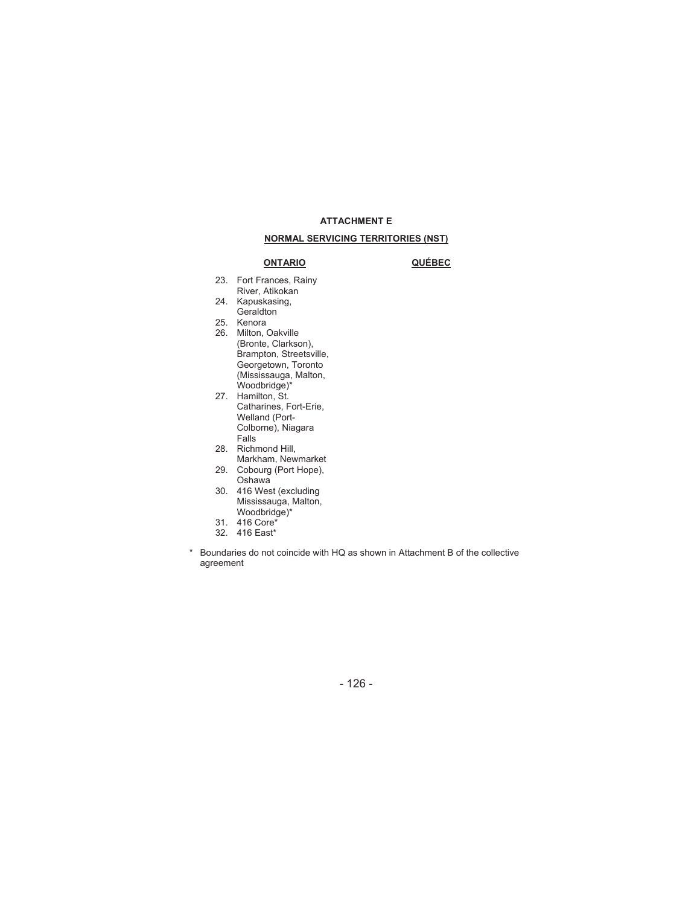#### **NORMAL SERVICING TERRITORIES (NST)**

#### **ONTARIO QUÉBEC**

- 23. Fort Frances, Rainy River, Atikokan
- 24. Kapuskasing, Geraldton
- 25. Kenora
- 26. Milton, Oakville (Bronte, Clarkson), Brampton, Streetsville, Georgetown, Toronto (Mississauga, Malton, Woodbridge)\*
- 27. Hamilton, St. Catharines, Fort-Erie, Welland (Port-Colborne), Niagara Falls
- 28. Richmond Hill,
	- Markham, Newmarket
- 29. Cobourg (Port Hope), Oshawa
- 30. 416 West (excluding Mississauga, Malton,
	- Woodbridge)\*
- 31. 416 Core\*
- 32. 416 East\*
- \* Boundaries do not coincide with HQ as shown in Attachment B of the collective agreement

- 126 -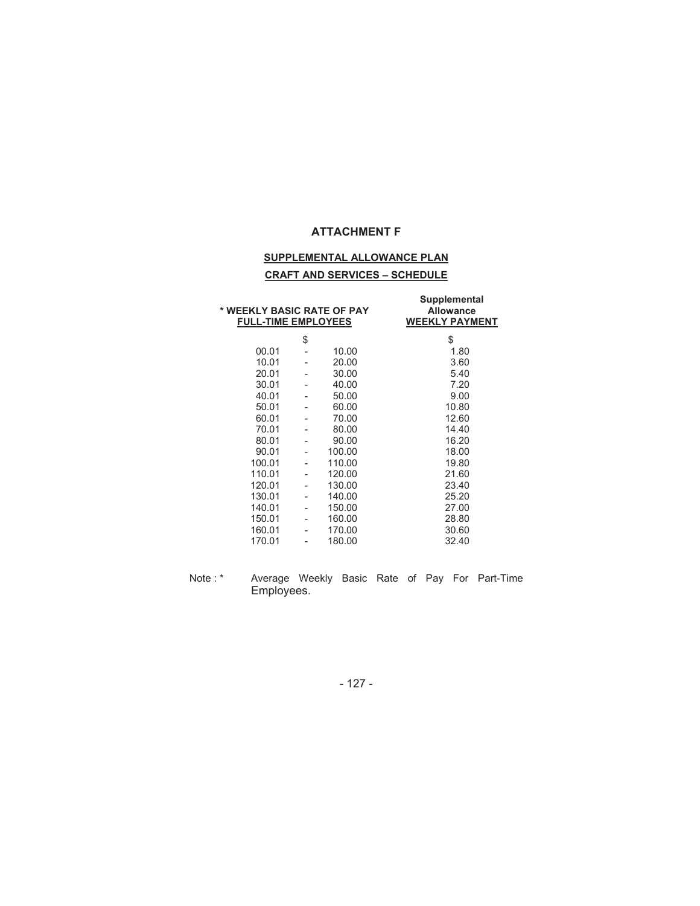#### **SUPPLEMENTAL ALLOWANCE PLAN**

#### **CRAFT AND SERVICES – SCHEDULE**

| * WEEKLY BASIC RATE OF PAY<br><b>FULL-TIME EMPLOYEES</b> |    |        | Supplemental<br><b>Allowance</b><br><b>WEEKLY PAYMENT</b> |
|----------------------------------------------------------|----|--------|-----------------------------------------------------------|
|                                                          | \$ |        | \$                                                        |
| 00.01                                                    |    | 10.00  | 1.80                                                      |
| 10.01                                                    |    | 20.00  | 3.60                                                      |
| 20.01                                                    |    | 30.00  | 5.40                                                      |
| 30.01                                                    |    | 40.00  | 7.20                                                      |
| 40.01                                                    |    | 50.00  | 9.00                                                      |
| 50.01                                                    |    | 60.00  | 10.80                                                     |
| 60.01                                                    |    | 70.00  | 12.60                                                     |
| 70.01                                                    |    | 80.00  | 14.40                                                     |
| 80.01                                                    |    | 90.00  | 16.20                                                     |
| 90.01                                                    |    | 100.00 | 18.00                                                     |
| 100.01                                                   |    | 110.00 | 19.80                                                     |
| 110.01                                                   |    | 120.00 | 21.60                                                     |
| 120.01                                                   |    | 130.00 | 23.40                                                     |
| 130.01                                                   |    | 140.00 | 25.20                                                     |
| 140.01                                                   |    | 150.00 | 27.00                                                     |
| 150.01                                                   | -  | 160.00 | 28.80                                                     |
| 160.01                                                   |    | 170.00 | 30.60                                                     |
| 170.01                                                   |    | 180.00 | 32.40                                                     |
|                                                          |    |        |                                                           |

Note : \* Average Weekly Basic Rate of Pay For Part-Time Employees.

- 127 -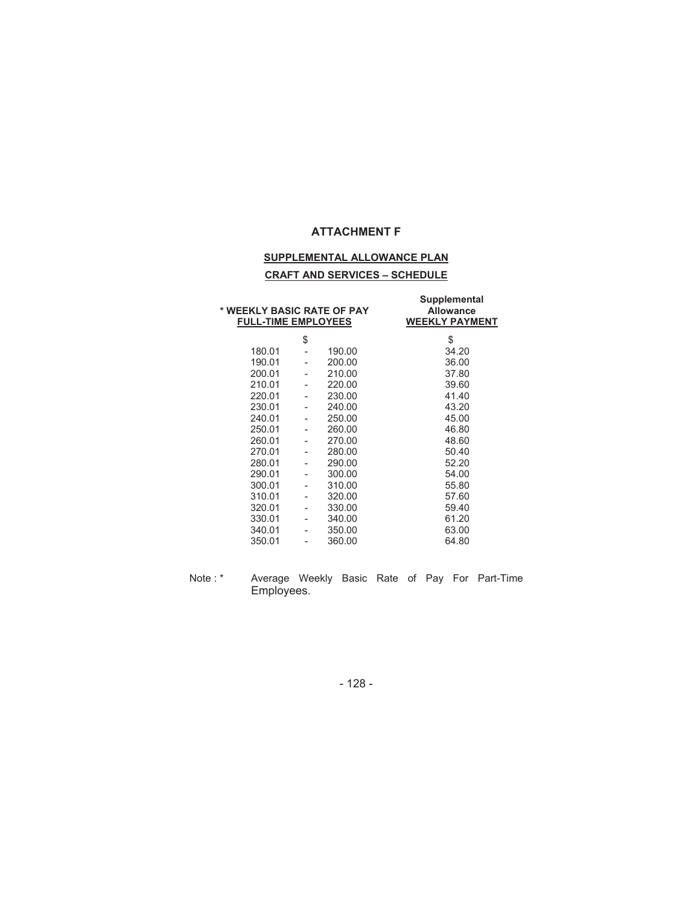#### **SUPPLEMENTAL ALLOWANCE PLAN**

#### **CRAFT AND SERVICES – SCHEDULE**

| * WEEKLY BASIC RATE OF PAY<br><b>FULL-TIME EMPLOYEES</b> |        | Supplemental<br><b>Allowance</b><br><b>WEEKLY PAYMENT</b> |
|----------------------------------------------------------|--------|-----------------------------------------------------------|
|                                                          | \$     | \$                                                        |
| 180.01                                                   | 190.00 | 34.20                                                     |
| 190.01                                                   | 200.00 | 36.00                                                     |
| 200.01                                                   | 210.00 | 37.80                                                     |
| 210.01                                                   | 220.00 | 39.60                                                     |
| 220.01                                                   | 230.00 | 41.40                                                     |
| 230.01                                                   | 240.00 | 43.20                                                     |
| 240.01                                                   | 250.00 | 45.00                                                     |
| 250.01                                                   | 260.00 | 46.80                                                     |
| 260.01                                                   | 270.00 | 48.60                                                     |
| 270.01                                                   | 280.00 | 50.40                                                     |
| 280.01                                                   | 290.00 | 52.20                                                     |
| 290.01                                                   | 300.00 | 54.00                                                     |
| 300.01                                                   | 310.00 | 55.80                                                     |
| 310.01                                                   | 320.00 | 57.60                                                     |
| 320.01                                                   | 330.00 | 59.40                                                     |
| 330.01                                                   | 340.00 | 61.20                                                     |
| 340.01                                                   | 350.00 | 63.00                                                     |
| 350.01                                                   | 360.00 | 64.80                                                     |
|                                                          |        |                                                           |

Note : \* Average Weekly Basic Rate of Pay For Part-Time Employees.

- 128 -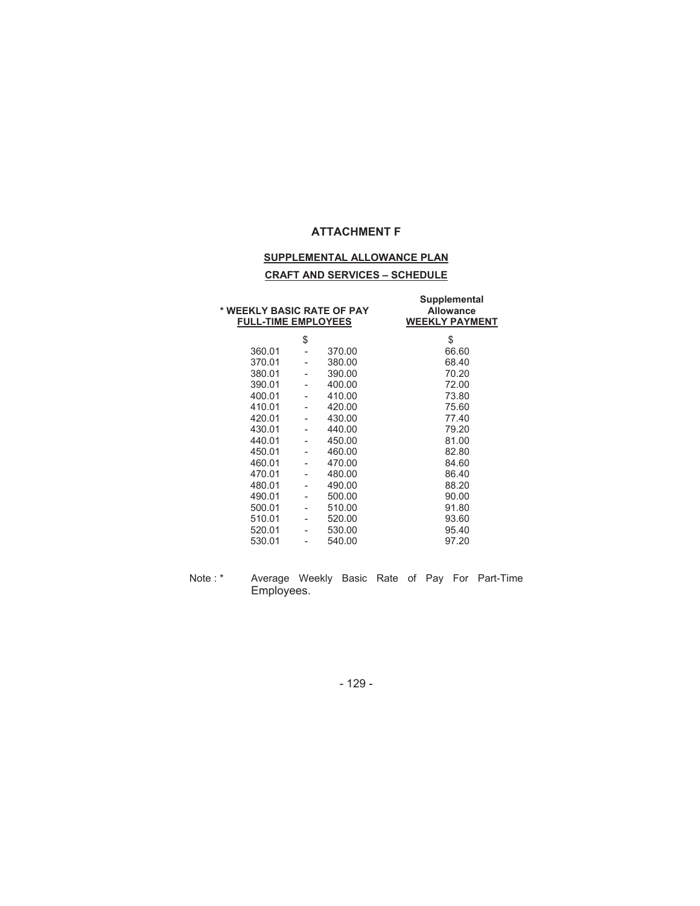#### **SUPPLEMENTAL ALLOWANCE PLAN**

#### **CRAFT AND SERVICES – SCHEDULE**

| * WEEKLY BASIC RATE OF PAY<br><b>FULL-TIME EMPLOYEES</b> |        | Supplemental<br><b>Allowance</b><br><b>WEEKLY PAYMENT</b> |
|----------------------------------------------------------|--------|-----------------------------------------------------------|
|                                                          | \$     | \$                                                        |
| 360.01                                                   | 370.00 | 66.60                                                     |
| 370.01                                                   | 380.00 | 68.40                                                     |
| 380.01                                                   | 390.00 | 70.20                                                     |
| 390.01                                                   | 400.00 | 72.00                                                     |
| 400.01                                                   | 410.00 | 73.80                                                     |
| 410.01                                                   | 420.00 | 75.60                                                     |
| 420.01                                                   | 430.00 | 77.40                                                     |
| 430.01                                                   | 440.00 | 79.20                                                     |
| 440.01                                                   | 450.00 | 81.00                                                     |
| 450.01                                                   | 460.00 | 82.80                                                     |
| 460.01                                                   | 470.00 | 84.60                                                     |
| 470.01                                                   | 480.00 | 86.40                                                     |
| 480.01                                                   | 490.00 | 88.20                                                     |
| 490.01                                                   | 500.00 | 90.00                                                     |
| 500.01                                                   | 510.00 | 91.80                                                     |
| 510.01                                                   | 520.00 | 93.60                                                     |
| 520.01                                                   | 530.00 | 95.40                                                     |
| 530.01                                                   | 540.00 | 97.20                                                     |
|                                                          |        |                                                           |

Note : \* Average Weekly Basic Rate of Pay For Part-Time Employees.

- 129 -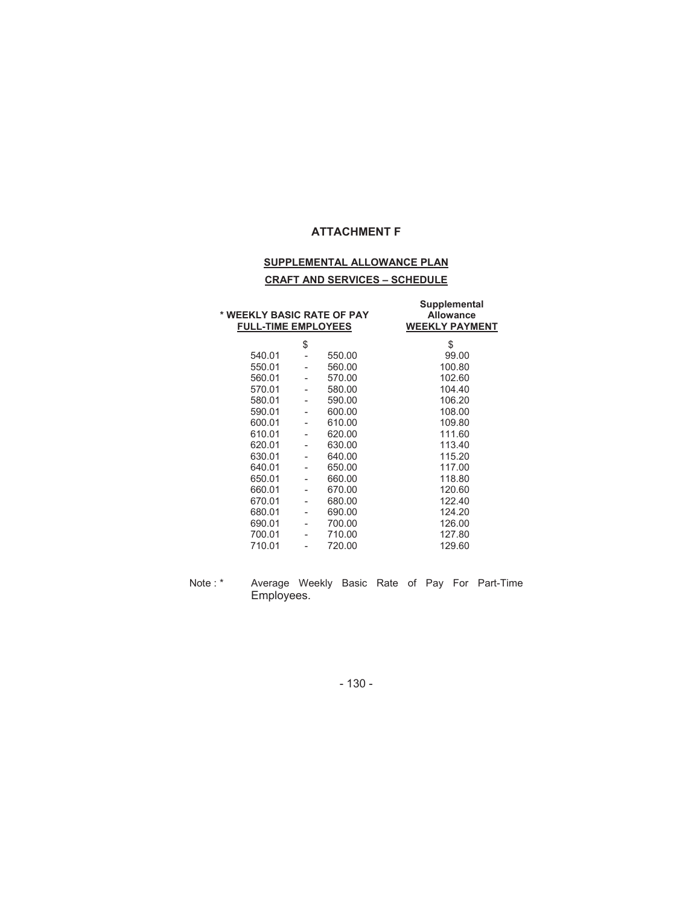#### **SUPPLEMENTAL ALLOWANCE PLAN**

#### **CRAFT AND SERVICES – SCHEDULE**

| * WEEKLY BASIC RATE OF PAY<br><b>FULL-TIME EMPLOYEES</b> |    |        | Supplemental<br><b>Allowance</b><br><b>WEEKLY PAYMENT</b> |
|----------------------------------------------------------|----|--------|-----------------------------------------------------------|
|                                                          | \$ |        | \$                                                        |
| 540.01                                                   |    | 550.00 | 99.00                                                     |
| 550.01                                                   |    | 560.00 | 100.80                                                    |
| 560.01                                                   | -  | 570.00 | 102.60                                                    |
| 570.01                                                   |    | 580.00 | 104.40                                                    |
| 580.01                                                   |    | 590.00 | 106.20                                                    |
| 590.01                                                   |    | 600.00 | 108.00                                                    |
| 600.01                                                   |    | 610.00 | 109.80                                                    |
| 610.01                                                   |    | 620.00 | 111.60                                                    |
| 620.01                                                   |    | 630.00 | 113.40                                                    |
| 630.01                                                   |    | 640.00 | 115.20                                                    |
| 640.01                                                   |    | 650.00 | 117.00                                                    |
| 650.01                                                   |    | 660.00 | 118.80                                                    |
| 660.01                                                   |    | 670.00 | 120.60                                                    |
| 670.01                                                   |    | 680.00 | 122.40                                                    |
| 680.01                                                   |    | 690.00 | 124.20                                                    |
| 690.01                                                   |    | 700.00 | 126.00                                                    |
| 700.01                                                   |    | 710.00 | 127.80                                                    |
| 710.01                                                   |    | 720.00 | 129.60                                                    |

Note : \* Average Weekly Basic Rate of Pay For Part-Time Employees.

- 130 -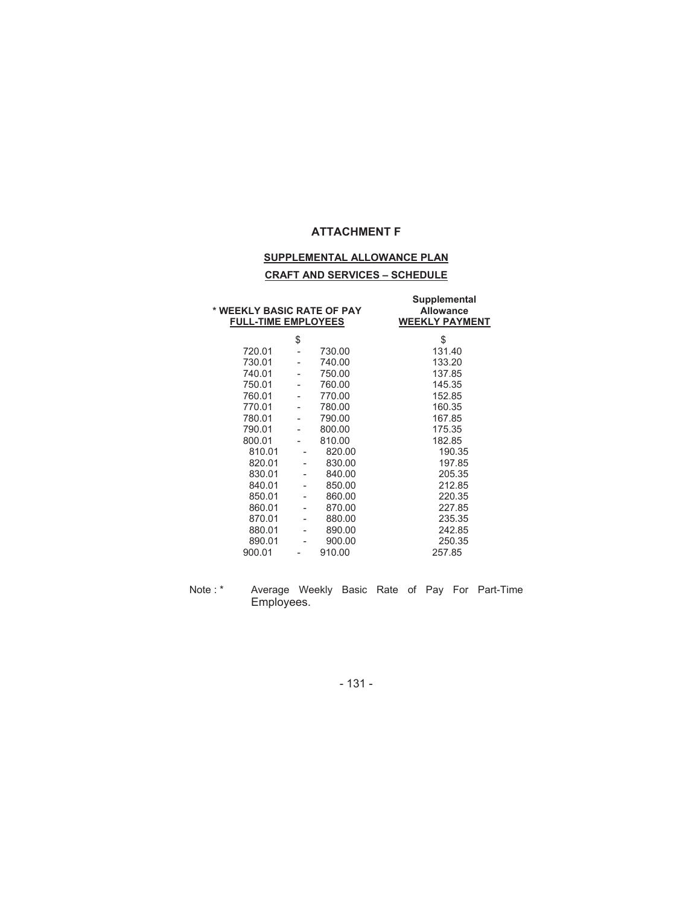#### **SUPPLEMENTAL ALLOWANCE PLAN**

#### **CRAFT AND SERVICES – SCHEDULE**

| \$<br>\$<br>720.01<br>730.00<br>131.40<br>730.01<br>740.00<br>133.20<br>740.01<br>750.00<br>137.85<br>750.01<br>760.00<br>145.35<br>770.00<br>760.01<br>152.85<br>770.01<br>780.00<br>160.35<br>780.01<br>790.00<br>167.85<br>790.01<br>800.00<br>175.35<br>800.01<br>810.00<br>182.85<br>810.01<br>820.00<br>190.35<br>820.01<br>830.00<br>197.85<br>830.01<br>840.00<br>205.35<br>840.01<br>850.00<br>212.85<br>850.01<br>860.00<br>220.35<br>860.01<br>870.00<br>227.85<br>870.01<br>880.00<br>235.35<br>880.01<br>242.85<br>890.00<br>-<br>890.01<br>900.00<br>250.35<br>910.00<br>900.01<br>257.85 | * WEEKLY BASIC RATE OF PAY<br><b>FULL-TIME EMPLOYEES</b> |  | <b>Supplemental</b><br><b>Allowance</b><br><b>WEEKLY PAYMENT</b> |
|---------------------------------------------------------------------------------------------------------------------------------------------------------------------------------------------------------------------------------------------------------------------------------------------------------------------------------------------------------------------------------------------------------------------------------------------------------------------------------------------------------------------------------------------------------------------------------------------------------|----------------------------------------------------------|--|------------------------------------------------------------------|
|                                                                                                                                                                                                                                                                                                                                                                                                                                                                                                                                                                                                         |                                                          |  |                                                                  |
|                                                                                                                                                                                                                                                                                                                                                                                                                                                                                                                                                                                                         |                                                          |  |                                                                  |
|                                                                                                                                                                                                                                                                                                                                                                                                                                                                                                                                                                                                         |                                                          |  |                                                                  |
|                                                                                                                                                                                                                                                                                                                                                                                                                                                                                                                                                                                                         |                                                          |  |                                                                  |
|                                                                                                                                                                                                                                                                                                                                                                                                                                                                                                                                                                                                         |                                                          |  |                                                                  |
|                                                                                                                                                                                                                                                                                                                                                                                                                                                                                                                                                                                                         |                                                          |  |                                                                  |
|                                                                                                                                                                                                                                                                                                                                                                                                                                                                                                                                                                                                         |                                                          |  |                                                                  |
|                                                                                                                                                                                                                                                                                                                                                                                                                                                                                                                                                                                                         |                                                          |  |                                                                  |
|                                                                                                                                                                                                                                                                                                                                                                                                                                                                                                                                                                                                         |                                                          |  |                                                                  |
|                                                                                                                                                                                                                                                                                                                                                                                                                                                                                                                                                                                                         |                                                          |  |                                                                  |
|                                                                                                                                                                                                                                                                                                                                                                                                                                                                                                                                                                                                         |                                                          |  |                                                                  |
|                                                                                                                                                                                                                                                                                                                                                                                                                                                                                                                                                                                                         |                                                          |  |                                                                  |
|                                                                                                                                                                                                                                                                                                                                                                                                                                                                                                                                                                                                         |                                                          |  |                                                                  |
|                                                                                                                                                                                                                                                                                                                                                                                                                                                                                                                                                                                                         |                                                          |  |                                                                  |
|                                                                                                                                                                                                                                                                                                                                                                                                                                                                                                                                                                                                         |                                                          |  |                                                                  |
|                                                                                                                                                                                                                                                                                                                                                                                                                                                                                                                                                                                                         |                                                          |  |                                                                  |
|                                                                                                                                                                                                                                                                                                                                                                                                                                                                                                                                                                                                         |                                                          |  |                                                                  |
|                                                                                                                                                                                                                                                                                                                                                                                                                                                                                                                                                                                                         |                                                          |  |                                                                  |
|                                                                                                                                                                                                                                                                                                                                                                                                                                                                                                                                                                                                         |                                                          |  |                                                                  |
|                                                                                                                                                                                                                                                                                                                                                                                                                                                                                                                                                                                                         |                                                          |  |                                                                  |

Note : \* Average Weekly Basic Rate of Pay For Part-Time Employees.

- 131 -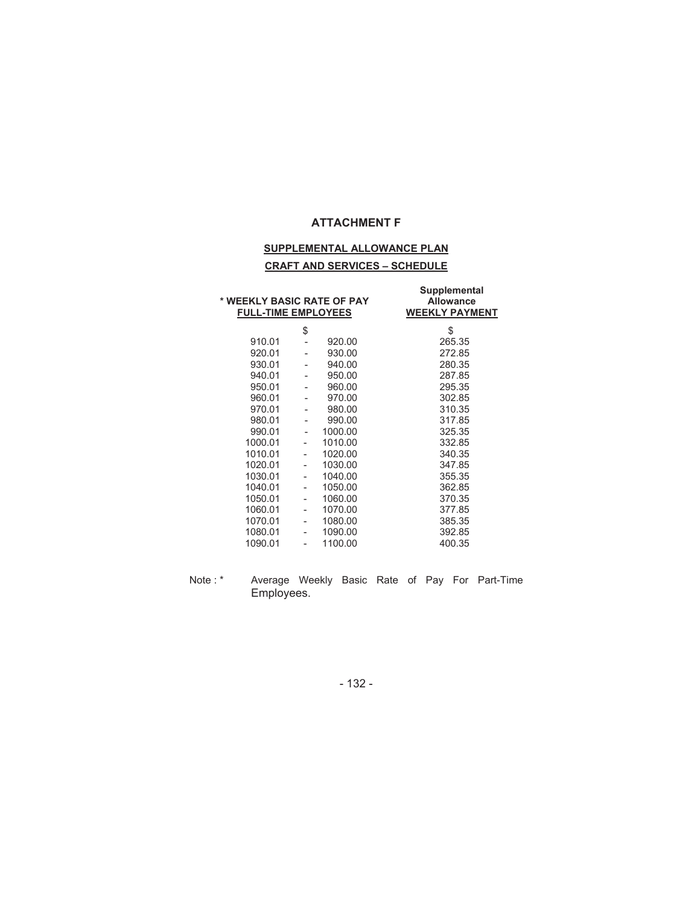## **SUPPLEMENTAL ALLOWANCE PLAN CRAFT AND SERVICES – SCHEDULE**

| * WEEKLY BASIC RATE OF PAY<br><b>FULL-TIME EMPLOYEES</b> |                          |         | Supplemental<br><b>Allowance</b><br><b>WEEKLY PAYMENT</b> |
|----------------------------------------------------------|--------------------------|---------|-----------------------------------------------------------|
|                                                          | \$                       |         | \$                                                        |
| 910.01                                                   |                          | 920.00  | 265.35                                                    |
| 920.01                                                   |                          | 930.00  | 272.85                                                    |
| 930.01                                                   |                          | 940.00  | 280.35                                                    |
| 940.01                                                   |                          | 950.00  | 287.85                                                    |
| 950.01                                                   |                          | 960.00  | 295.35                                                    |
| 960.01                                                   |                          | 970.00  | 302.85                                                    |
| 970.01                                                   |                          | 980.00  | 310.35                                                    |
| 980.01                                                   |                          | 990.00  | 317.85                                                    |
| 990.01                                                   |                          | 1000.00 | 325.35                                                    |
| 1000.01                                                  | ä,                       | 1010.00 | 332.85                                                    |
| 1010.01                                                  | $\overline{\phantom{0}}$ | 1020.00 | 340.35                                                    |
| 1020.01                                                  | -                        | 1030.00 | 347.85                                                    |
| 1030.01                                                  | ۰                        | 1040.00 | 355.35                                                    |
| 1040.01                                                  | $\overline{\phantom{0}}$ | 1050.00 | 362.85                                                    |
| 1050.01                                                  | ٠                        | 1060.00 | 370.35                                                    |
| 1060.01                                                  | ۰                        | 1070.00 | 377.85                                                    |
| 1070.01                                                  | $\overline{a}$           | 1080.00 | 385.35                                                    |
| 1080.01                                                  |                          | 1090.00 | 392.85                                                    |
| 1090.01                                                  |                          | 1100.00 | 400.35                                                    |

Note : \* Average Weekly Basic Rate of Pay For Part-Time Employees.

- 132 -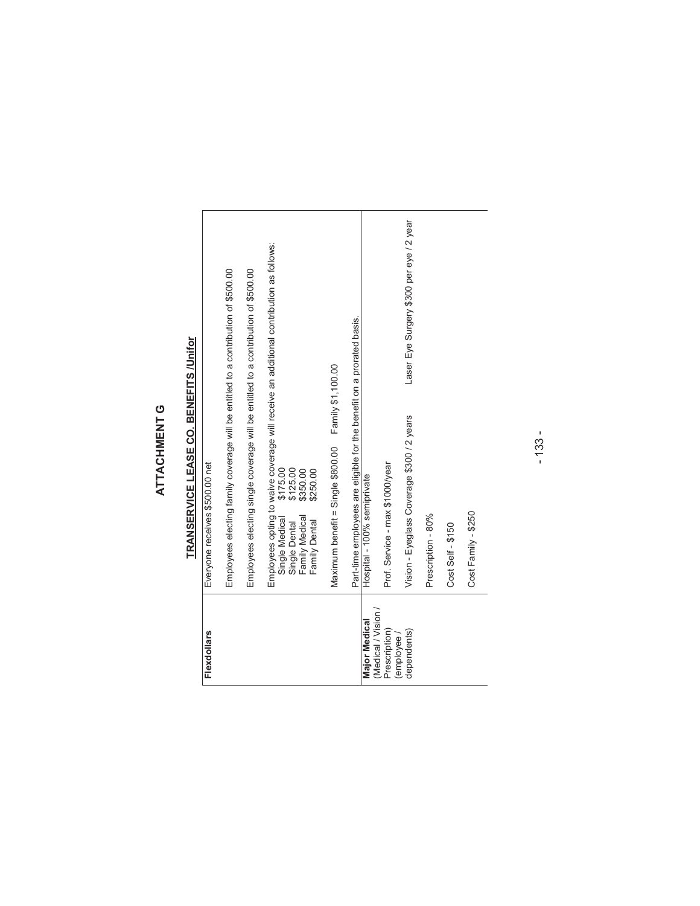# ATTACHMENT G **ATTACHMENT G**

# TRANSERVICE LEASE CO. BENEFITS /Unifor **TRANSERVICE LEASE CO. BENEFITS /Unifor**

| <b>Flexdollars</b>                 | Everyone receives \$500.00 net                                                                                                                                                                               |
|------------------------------------|--------------------------------------------------------------------------------------------------------------------------------------------------------------------------------------------------------------|
|                                    | Employees electing family coverage will be entitled to a contribution of \$500.00                                                                                                                            |
|                                    | Employees electing single coverage will be entitled to a contribution of \$500.00                                                                                                                            |
|                                    | Employees opting to waive coverage will receive an additional contribution as follows:<br>\$175.00<br>\$125.00<br>\$350.00<br>\$250.00<br>Family Medical<br>Single Medical<br>Family Dental<br>Single Dental |
|                                    | Maximum benefit = Single \$800.00 Family \$1,100.00                                                                                                                                                          |
|                                    | Part-time employees are eligible for the benefit on a prorated basis.                                                                                                                                        |
| (Medical / Vision<br>Major Medical | Hospital - 100% semiprivate                                                                                                                                                                                  |
| Prescription)                      | Prof. Service - max \$1000/year                                                                                                                                                                              |
| dependents)<br>employee/           | Laser Eye Surgery \$300 per eye / 2 year<br>Vision - Eyeglass Coverage \$300 / 2 years                                                                                                                       |
|                                    | Prescription - 80%                                                                                                                                                                                           |
|                                    | Cost Self - \$150                                                                                                                                                                                            |
|                                    | Cost Family - \$250                                                                                                                                                                                          |
|                                    |                                                                                                                                                                                                              |

- 133 -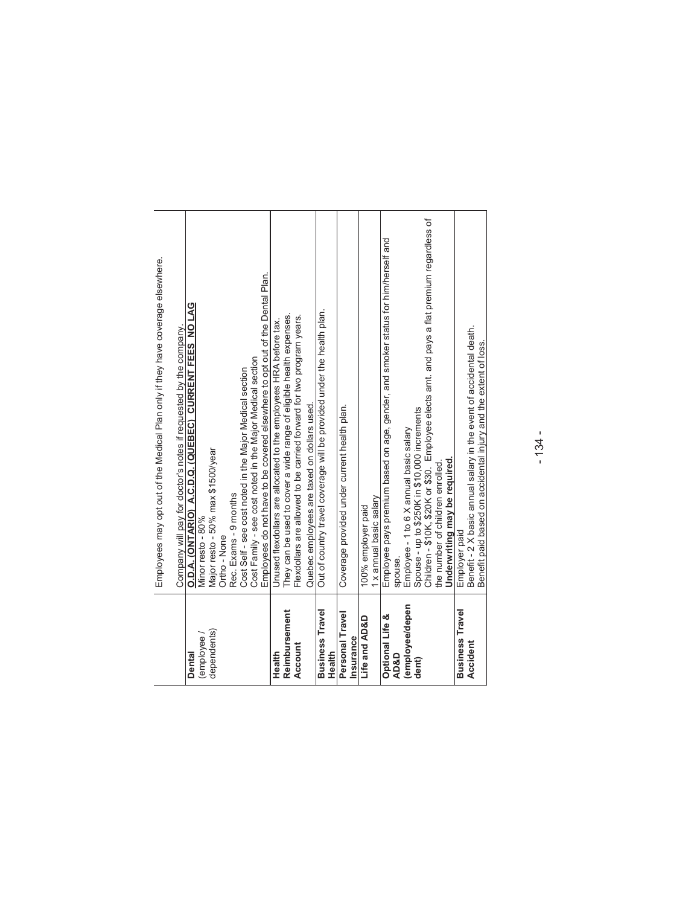|                        | Employees may opt out of the Medical Plan only if they have coverage elsewhere.             |
|------------------------|---------------------------------------------------------------------------------------------|
|                        | Company will pay for doctor's notes if requested by the company.                            |
| employee<br>Dental     | O.D.A. (ONTARIO) A.C.D.Q. (QUEBEC) CURRENT FEES NO LAG<br>Minor resto - 80%                 |
| dependents)            | Major resto - 50% max \$1500/year                                                           |
|                        | Ortho - None                                                                                |
|                        | Rec. Exams - 9 months                                                                       |
|                        | Cost Self - see cost noted in the Major Medical section                                     |
|                        | Cost Family - see cost noted in the Major Medical section                                   |
|                        | Employees do not have to be covered elsewhere to opt out of the Dental Plan.                |
| Health                 | Unused flexdollars are allocated to the employees HRA before tax.                           |
| Reimbursement          | They can be used to cover a wide range of eligible health expenses.                         |
| Account                | Flexdollars are allowed to be carried forward for two program years.                        |
|                        | Quebec employees are taxed on dollars used.                                                 |
| <b>Business Travel</b> | Out of country travel coverage will be provided under the health plan.                      |
| Health                 |                                                                                             |
| Personal Travel        | Coverage provided under current health plan.                                                |
| Insurance              |                                                                                             |
| Life and AD&D          | 100% employer paid                                                                          |
|                        | 1 x annual basic salary                                                                     |
| Optional Life &        | Employee pays premium based on age, gender, and smoker status for him/herself and           |
| <b>AD&amp;D</b>        | spouse.                                                                                     |
| employee/depen         | Employee - 1 to 6 X annual basic salary                                                     |
| dent)                  | Spouse - up to \$250K in \$10,000 increments                                                |
|                        | Children - \$10K, \$20K or \$30. Employee elects amt. and pays a flat premium regardless of |
|                        | the number of children enrolled                                                             |
|                        | Underwriting may be required.                                                               |
| <b>Business Travel</b> | Employer paid                                                                               |
| Accident               | Benefit - 2 X basic annual salary in the event of accidental death.                         |
|                        | Benefit paid based on accidental injury and the extent of loss.                             |

- 134 -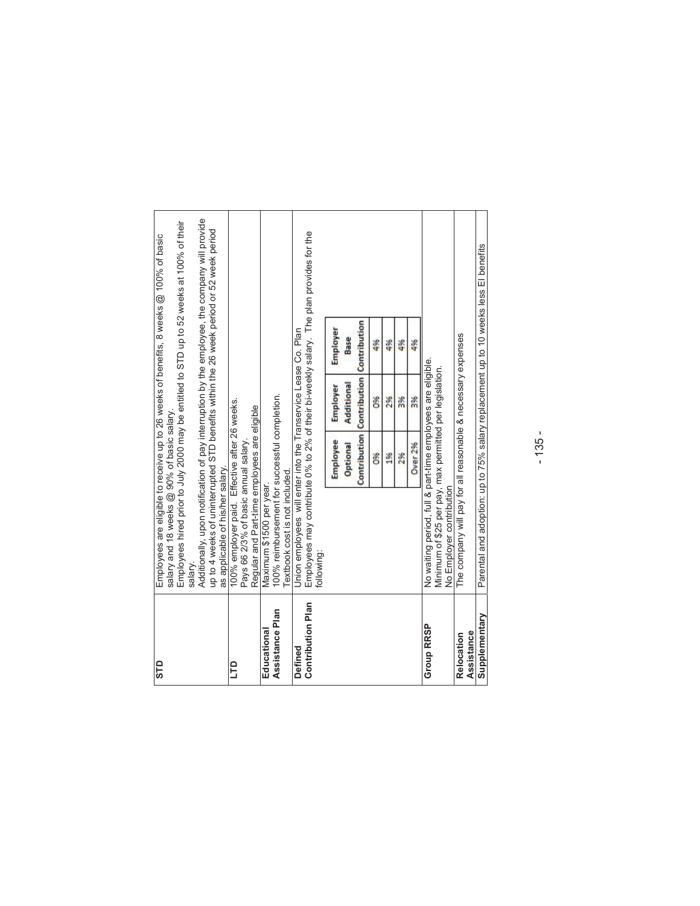| STD                      |                                                                                     |                 |                                  | Employees are eligible to receive up to 26 weeks of benefits, 8 weeks @ 100% of basic         |  |
|--------------------------|-------------------------------------------------------------------------------------|-----------------|----------------------------------|-----------------------------------------------------------------------------------------------|--|
|                          | salary and 18 weeks @ 90% of basic salary.                                          |                 |                                  |                                                                                               |  |
|                          |                                                                                     |                 |                                  | Employees hired prior to July 2000 may be entitled to STD up to 52 weeks at 100% of their     |  |
|                          | salary.                                                                             |                 |                                  |                                                                                               |  |
|                          |                                                                                     |                 |                                  | Additionally, upon notification of pay interruption by the employee, the company will provide |  |
|                          |                                                                                     |                 |                                  | up to 4 weeks of uninterrupted STD benefits within the 26 week period or 52 week period       |  |
|                          | as applicable of his/her salary.                                                    |                 |                                  |                                                                                               |  |
| <b>CLD</b>               | 100% employer paid. Effective after 26 weeks.                                       |                 |                                  |                                                                                               |  |
|                          | Pays 66 2/3% of basic annual salary                                                 |                 |                                  |                                                                                               |  |
|                          | Regular and Part-time employees are eligible                                        |                 |                                  |                                                                                               |  |
| Educational              | Maximum \$1500 per year.                                                            |                 |                                  |                                                                                               |  |
| Assistance Plan          | 100% reimbursement for successful completion.                                       |                 |                                  |                                                                                               |  |
|                          | Textbook cost is not included.                                                      |                 |                                  |                                                                                               |  |
| Defined                  | Union employees will enter into the Transervice Lease Co. Plan                      |                 |                                  |                                                                                               |  |
| <b>Contribution Plan</b> |                                                                                     |                 |                                  | Employees may contribute 0% to 2% of their bi-weekly salary. The plan provides for the        |  |
|                          | following:                                                                          |                 |                                  |                                                                                               |  |
|                          |                                                                                     | <b>Employee</b> | Employer                         | Employer                                                                                      |  |
|                          |                                                                                     | <b>Optional</b> | Additional                       | Base                                                                                          |  |
|                          |                                                                                     | Contribution    | <b>Contribution Contribution</b> |                                                                                               |  |
|                          |                                                                                     | Š               | š                                | 4%                                                                                            |  |
|                          |                                                                                     | 2%              | 2%                               | 4%                                                                                            |  |
|                          |                                                                                     | 2%              | <b>3%</b>                        | 4%                                                                                            |  |
|                          |                                                                                     | <b>Over 2%</b>  | <b>3%</b>                        | 4%                                                                                            |  |
| Group RRSP               | No waiting period, full & part-time employees are eligible.                         |                 |                                  |                                                                                               |  |
|                          | Minimum of \$25 per pay, max permitted per legislation.<br>No Employer contribution |                 |                                  |                                                                                               |  |
| <b>Relocation</b>        | The company will pay for all reasonable & necessary expenses                        |                 |                                  |                                                                                               |  |
| Assistance               |                                                                                     |                 |                                  |                                                                                               |  |
| Supplementary            |                                                                                     |                 |                                  | Parental and adoption: up to 75% salary replacement up to 10 weeks less El benefits           |  |
|                          |                                                                                     |                 |                                  |                                                                                               |  |

- 135 -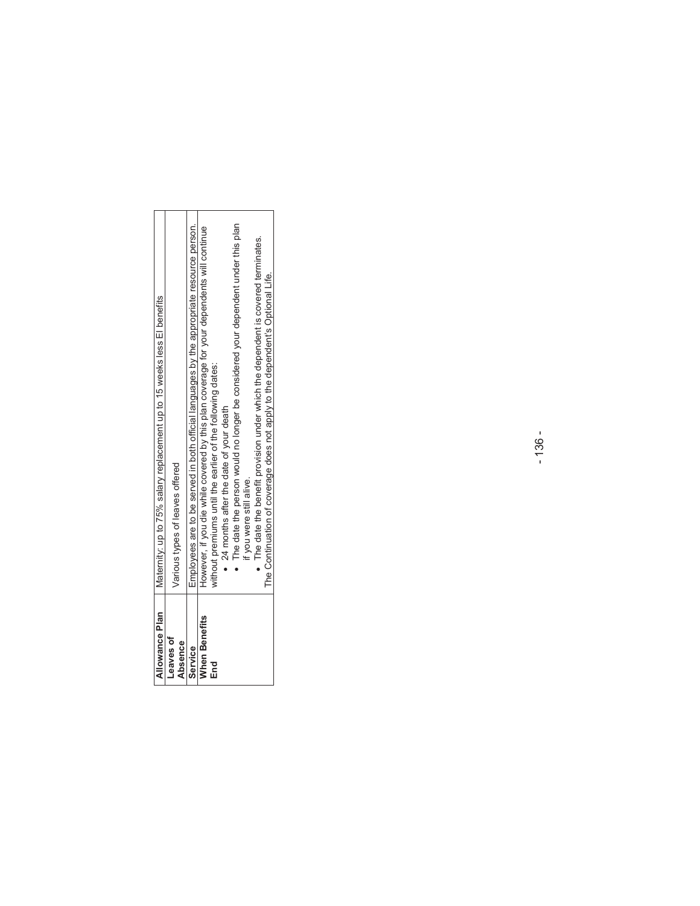| Allowance Plan              | Maternity: up to 75% salary replacement up to 15 weeks less El benefits                   |
|-----------------------------|-------------------------------------------------------------------------------------------|
| Leaves of<br><b>Absence</b> | Various types of leaves offered                                                           |
| Service                     | Employees are to be served in both official languages by the appropriate resource person. |
| <b>When Benefits</b>        | However, if you die while covered by this plan coverage for your dependents will continue |
| End                         | without premiums until the earlier of the following dates:                                |
|                             | • 24 months after the date of your death                                                  |
|                             | The date the person would no longer be considered your dependent under this plan          |
|                             | if you were still alive.                                                                  |
|                             | $\bullet$ The date the benefit provision under which the dependent is covered terminates. |
|                             | The Continuation of coverage does not apply to the dependent's Optional Life.             |

- 136 -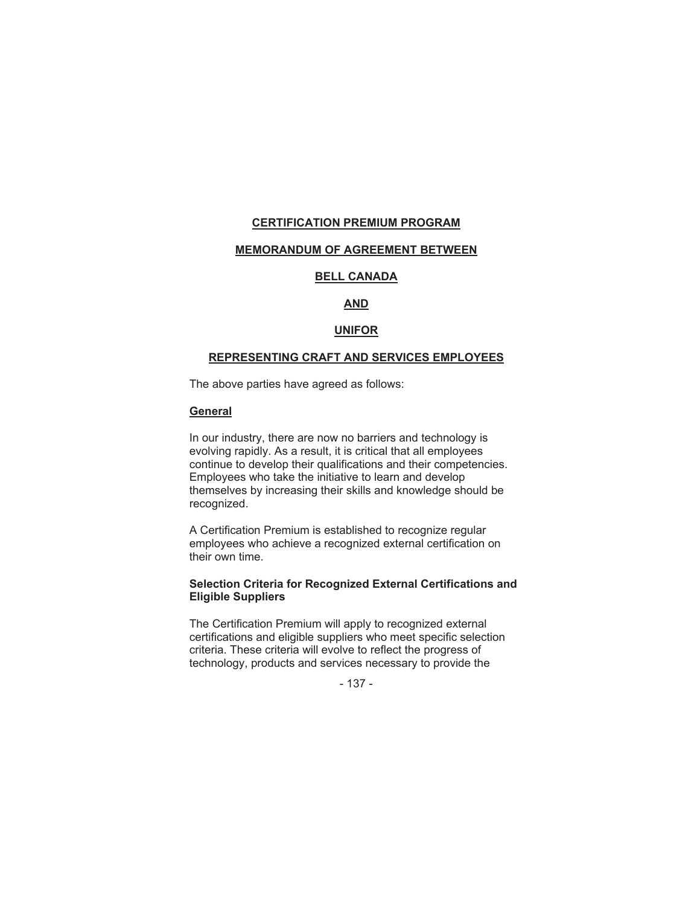#### **CERTIFICATION PREMIUM PROGRAM**

#### **MEMORANDUM OF AGREEMENT BETWEEN**

#### **BELL CANADA**

#### **AND**

#### **UNIFOR**

#### **REPRESENTING CRAFT AND SERVICES EMPLOYEES**

The above parties have agreed as follows:

#### **General**

In our industry, there are now no barriers and technology is evolving rapidly. As a result, it is critical that all employees continue to develop their qualifications and their competencies. Employees who take the initiative to learn and develop themselves by increasing their skills and knowledge should be recognized.

A Certification Premium is established to recognize regular employees who achieve a recognized external certification on their own time.

#### **Selection Criteria for Recognized External Certifications and Eligible Suppliers**

The Certification Premium will apply to recognized external certifications and eligible suppliers who meet specific selection criteria. These criteria will evolve to reflect the progress of technology, products and services necessary to provide the

- 137 -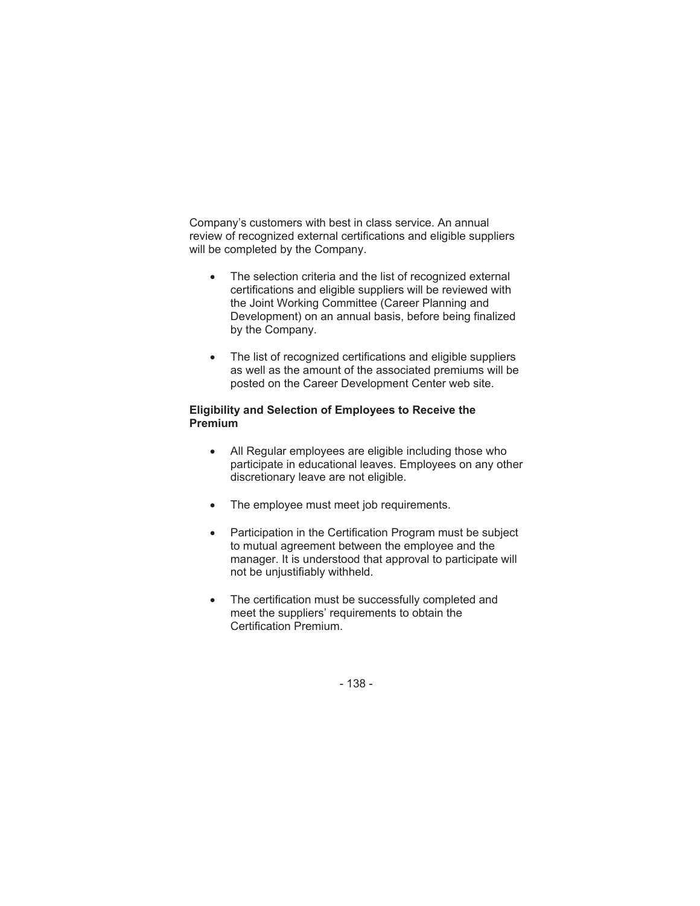Company's customers with best in class service. An annual review of recognized external certifications and eligible suppliers will be completed by the Company.

- The selection criteria and the list of recognized external certifications and eligible suppliers will be reviewed with the Joint Working Committee (Career Planning and Development) on an annual basis, before being finalized by the Company.
- The list of recognized certifications and eligible suppliers as well as the amount of the associated premiums will be posted on the Career Development Center web site.

#### **Eligibility and Selection of Employees to Receive the Premium**

- All Regular employees are eligible including those who participate in educational leaves. Employees on any other discretionary leave are not eligible.
- The employee must meet job requirements.
- Participation in the Certification Program must be subject to mutual agreement between the employee and the manager. It is understood that approval to participate will not be unjustifiably withheld.
- The certification must be successfully completed and meet the suppliers' requirements to obtain the Certification Premium.

- 138 -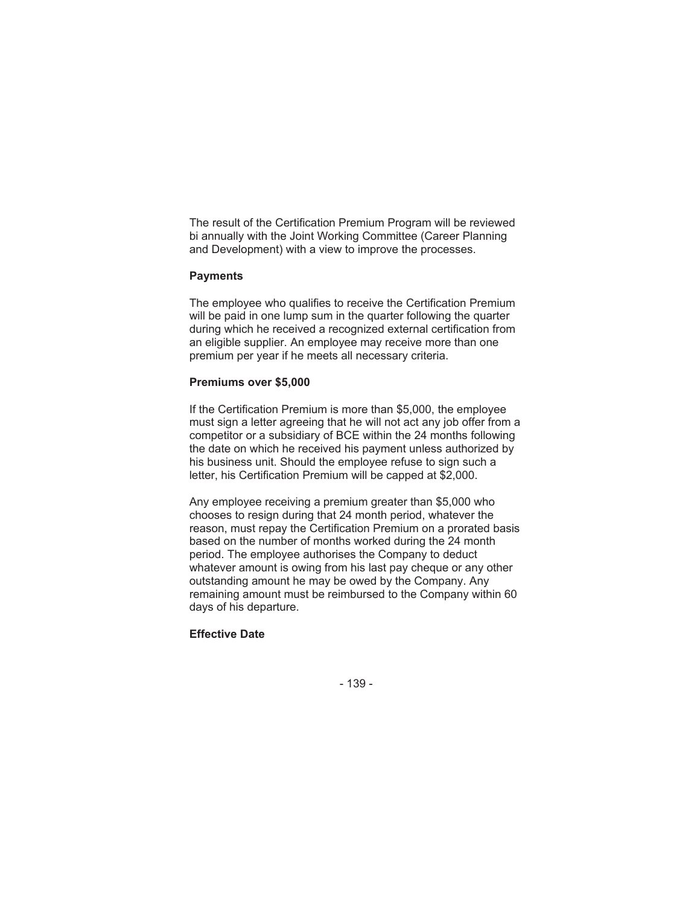The result of the Certification Premium Program will be reviewed bi annually with the Joint Working Committee (Career Planning and Development) with a view to improve the processes.

#### **Payments**

The employee who qualifies to receive the Certification Premium will be paid in one lump sum in the quarter following the quarter during which he received a recognized external certification from an eligible supplier. An employee may receive more than one premium per year if he meets all necessary criteria.

#### **Premiums over \$5,000**

If the Certification Premium is more than \$5,000, the employee must sign a letter agreeing that he will not act any job offer from a competitor or a subsidiary of BCE within the 24 months following the date on which he received his payment unless authorized by his business unit. Should the employee refuse to sign such a letter, his Certification Premium will be capped at \$2,000.

Any employee receiving a premium greater than \$5,000 who chooses to resign during that 24 month period, whatever the reason, must repay the Certification Premium on a prorated basis based on the number of months worked during the 24 month period. The employee authorises the Company to deduct whatever amount is owing from his last pay cheque or any other outstanding amount he may be owed by the Company. Any remaining amount must be reimbursed to the Company within 60 days of his departure.

#### **Effective Date**

- 139 -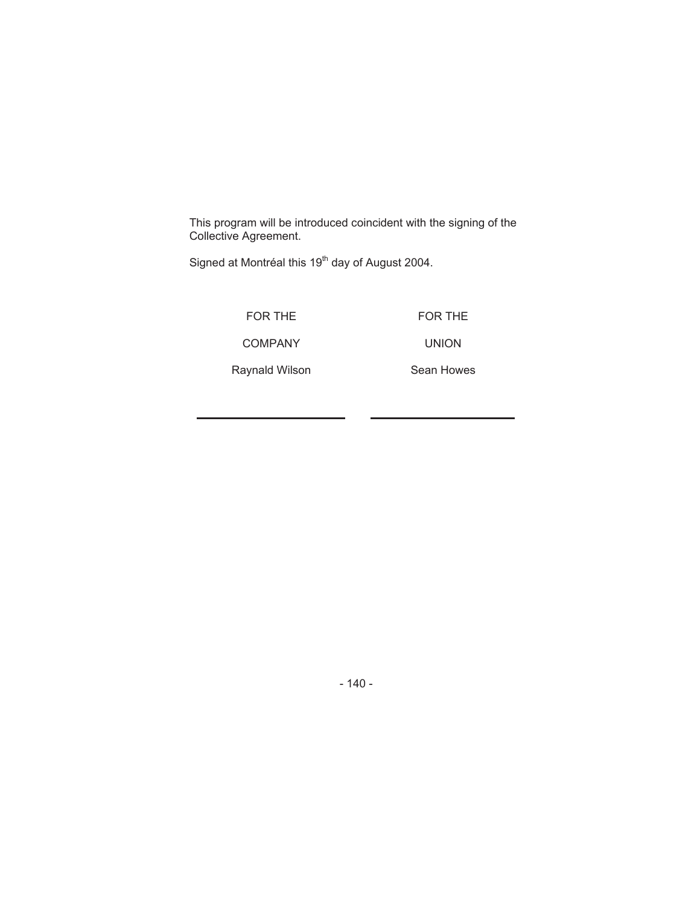This program will be introduced coincident with the signing of the Collective Agreement.

Signed at Montréal this 19<sup>th</sup> day of August 2004.

FOR THE

FOR THE

COMPANY

UNION

Raynald Wilson Sean Howes

- 140 -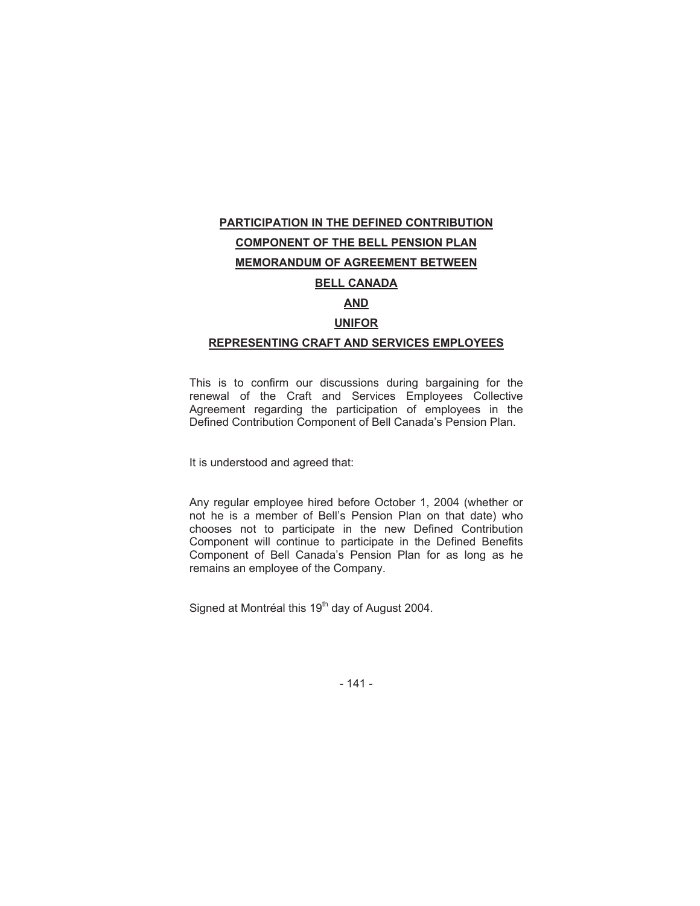# **PARTICIPATION IN THE DEFINED CONTRIBUTION COMPONENT OF THE BELL PENSION PLAN MEMORANDUM OF AGREEMENT BETWEEN BELL CANADA AND UNIFOR REPRESENTING CRAFT AND SERVICES EMPLOYEES**

This is to confirm our discussions during bargaining for the renewal of the Craft and Services Employees Collective Agreement regarding the participation of employees in the Defined Contribution Component of Bell Canada's Pension Plan.

It is understood and agreed that:

Any regular employee hired before October 1, 2004 (whether or not he is a member of Bell's Pension Plan on that date) who chooses not to participate in the new Defined Contribution Component will continue to participate in the Defined Benefits Component of Bell Canada's Pension Plan for as long as he remains an employee of the Company.

Signed at Montréal this 19<sup>th</sup> day of August 2004.

- 141 -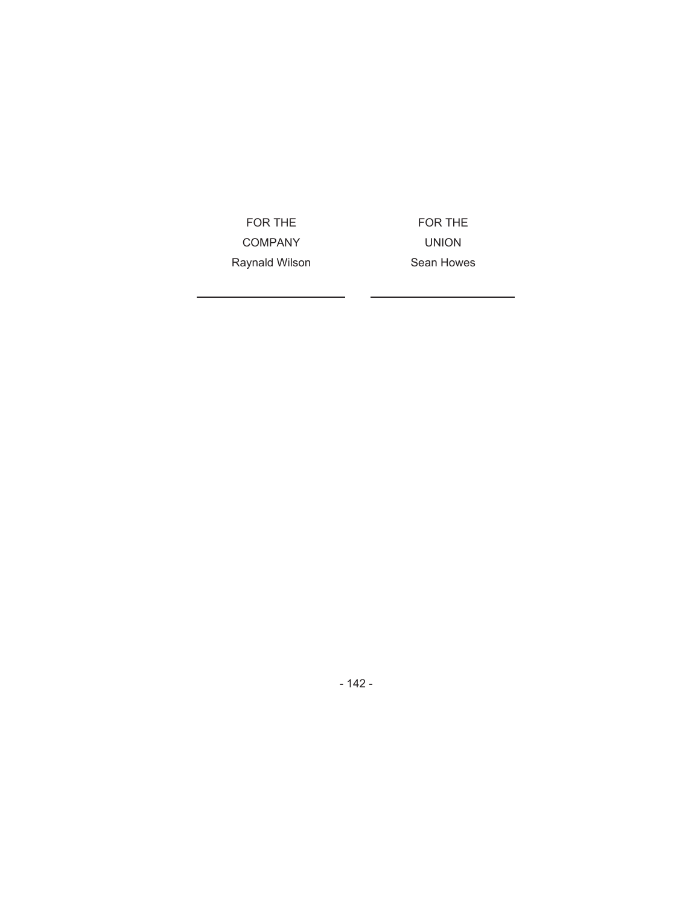FOR THE COMPANY FOR THE UNION

Raynald Wilson Sean Howes

- 142 -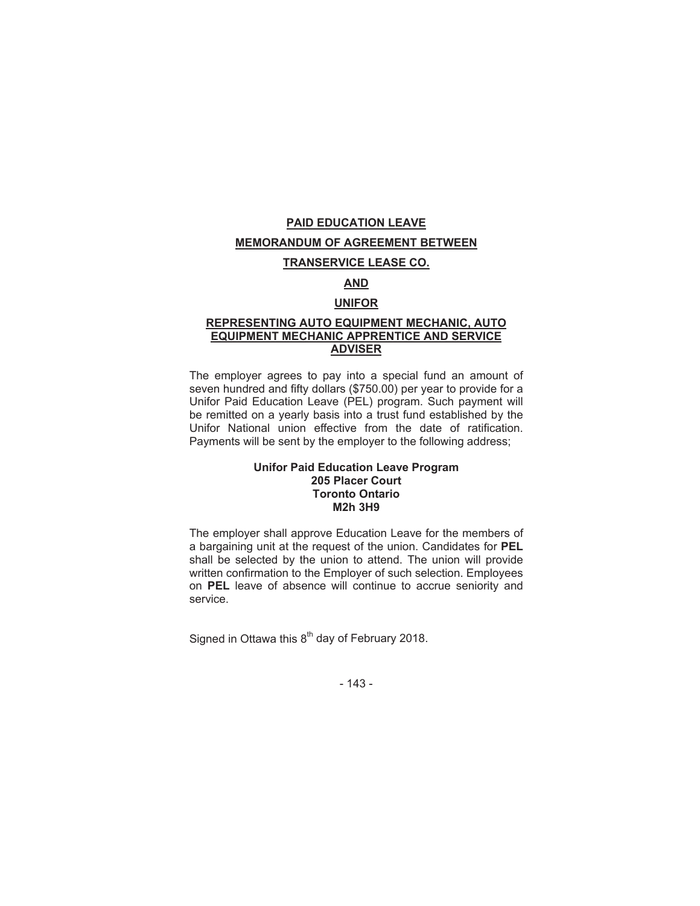# **PAID EDUCATION LEAVE MEMORANDUM OF AGREEMENT BETWEEN**

#### **TRANSERVICE LEASE CO.**

### **AND**

#### **UNIFOR**

#### **REPRESENTING AUTO EQUIPMENT MECHANIC, AUTO EQUIPMENT MECHANIC APPRENTICE AND SERVICE ADVISER**

The employer agrees to pay into a special fund an amount of seven hundred and fifty dollars (\$750.00) per year to provide for a Unifor Paid Education Leave (PEL) program. Such payment will be remitted on a yearly basis into a trust fund established by the Unifor National union effective from the date of ratification. Payments will be sent by the employer to the following address;

#### **Unifor Paid Education Leave Program 205 Placer Court Toronto Ontario M2h 3H9**

The employer shall approve Education Leave for the members of a bargaining unit at the request of the union. Candidates for **PEL**  shall be selected by the union to attend. The union will provide written confirmation to the Employer of such selection. Employees on **PEL** leave of absence will continue to accrue seniority and service.

Signed in Ottawa this  $8<sup>th</sup>$  day of February 2018.

- 143 -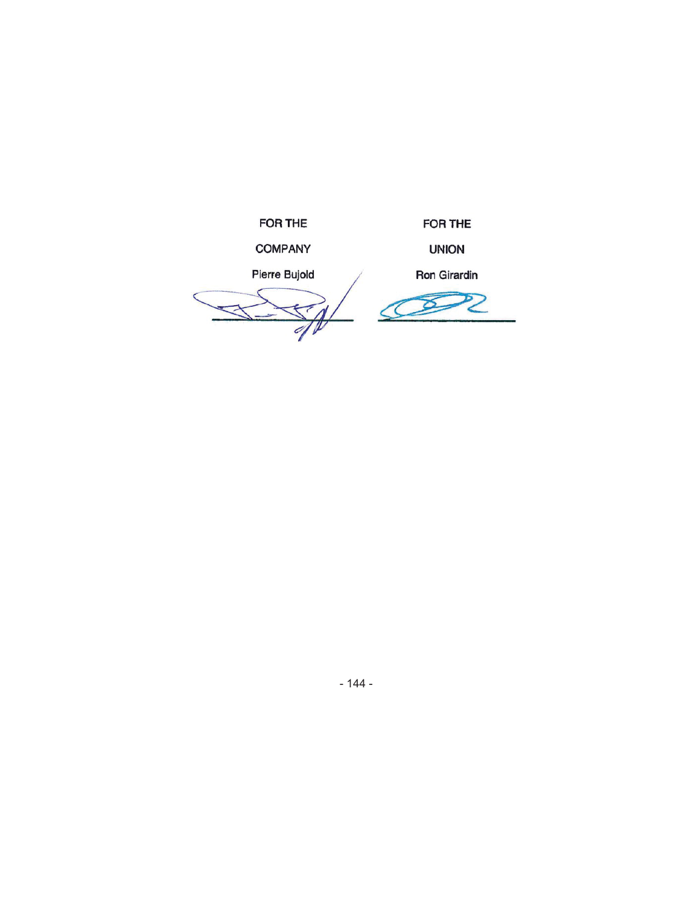FOR THE

FOR THE

**COMPANY** 

UNION

Pierre Bujold **Ron Girardin** 

 $\overline{\Lambda}$ TI  $\overline{\mathscr{O}}$ 

 $\varnothing$ Z

- 144 -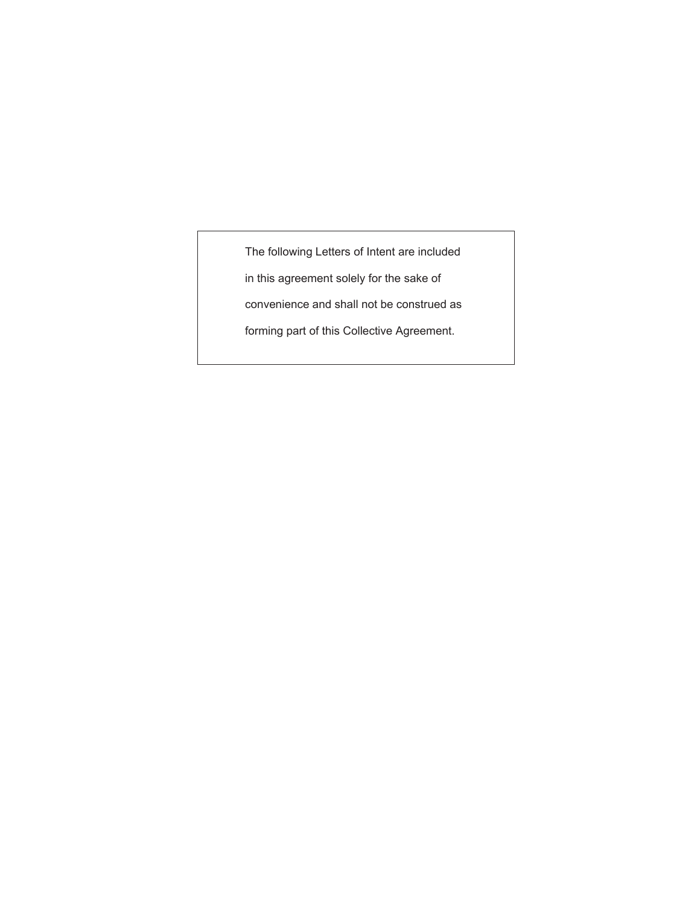The following Letters of Intent are included

in this agreement solely for the sake of

convenience and shall not be construed as

forming part of this Collective Agreement.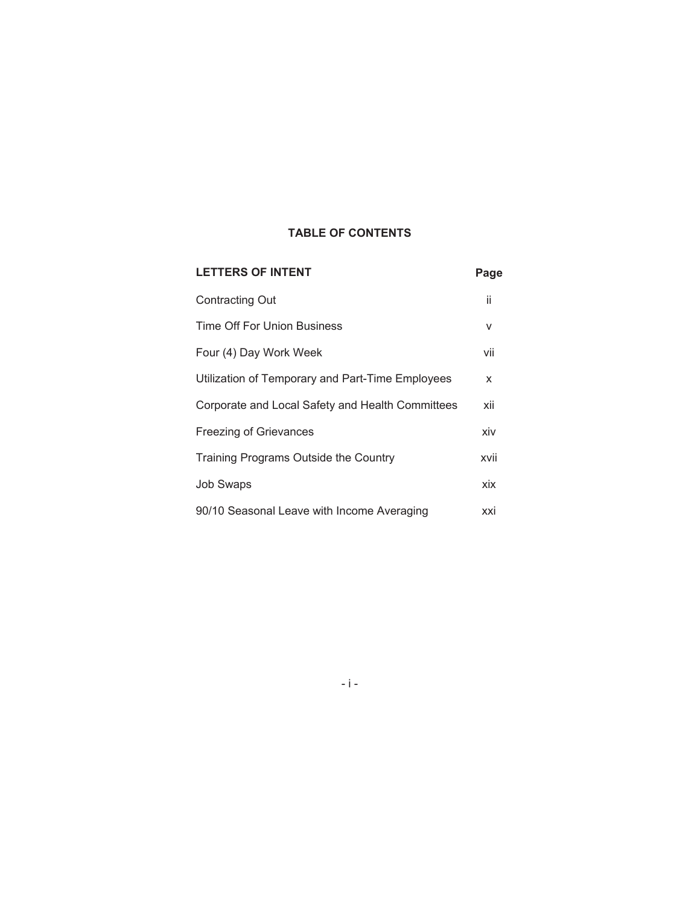## **TABLE OF CONTENTS**

| <b>LETTERS OF INTENT</b>                         | Page |
|--------------------------------------------------|------|
| <b>Contracting Out</b>                           | ii   |
| Time Off For Union Business                      | v    |
| Four (4) Day Work Week                           | vii  |
| Utilization of Temporary and Part-Time Employees | X    |
| Corporate and Local Safety and Health Committees | xii  |
| <b>Freezing of Grievances</b>                    | xiv  |
| Training Programs Outside the Country            | xvii |
| <b>Job Swaps</b>                                 | xix  |
| 90/10 Seasonal Leave with Income Averaging       | xxi  |

-i-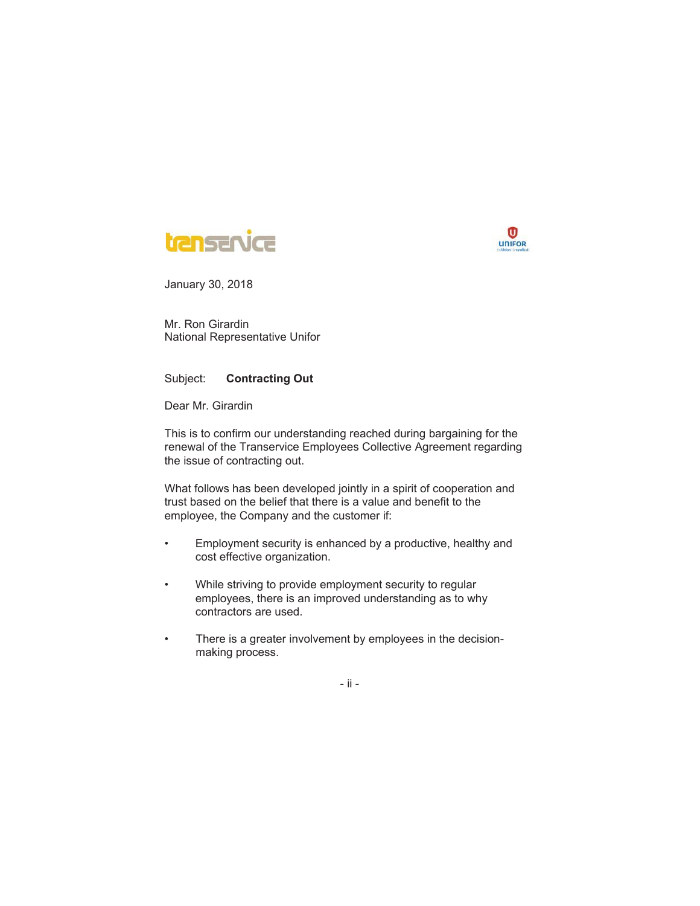



Mr. Ron Girardin National Representative Unifor

#### Subject: **Contracting Out**

Dear Mr. Girardin

This is to confirm our understanding reached during bargaining for the renewal of the Transervice Employees Collective Agreement regarding the issue of contracting out.

What follows has been developed jointly in a spirit of cooperation and trust based on the belief that there is a value and benefit to the employee, the Company and the customer if:

- Employment security is enhanced by a productive, healthy and cost effective organization.
- While striving to provide employment security to regular employees, there is an improved understanding as to why contractors are used.
- There is a greater involvement by employees in the decisionmaking process.

- ii -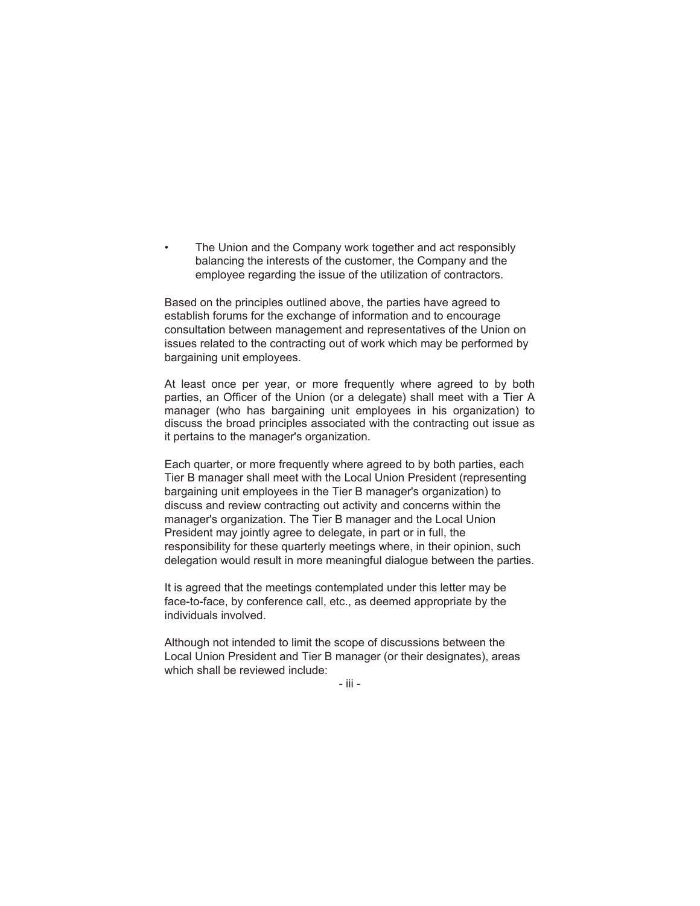The Union and the Company work together and act responsibly balancing the interests of the customer, the Company and the employee regarding the issue of the utilization of contractors.

Based on the principles outlined above, the parties have agreed to establish forums for the exchange of information and to encourage consultation between management and representatives of the Union on issues related to the contracting out of work which may be performed by bargaining unit employees.

At least once per year, or more frequently where agreed to by both parties, an Officer of the Union (or a delegate) shall meet with a Tier A manager (who has bargaining unit employees in his organization) to discuss the broad principles associated with the contracting out issue as it pertains to the manager's organization.

Each quarter, or more frequently where agreed to by both parties, each Tier B manager shall meet with the Local Union President (representing bargaining unit employees in the Tier B manager's organization) to discuss and review contracting out activity and concerns within the manager's organization. The Tier B manager and the Local Union President may jointly agree to delegate, in part or in full, the responsibility for these quarterly meetings where, in their opinion, such delegation would result in more meaningful dialogue between the parties.

It is agreed that the meetings contemplated under this letter may be face-to-face, by conference call, etc., as deemed appropriate by the individuals involved.

Although not intended to limit the scope of discussions between the Local Union President and Tier B manager (or their designates), areas which shall be reviewed include:

- iii -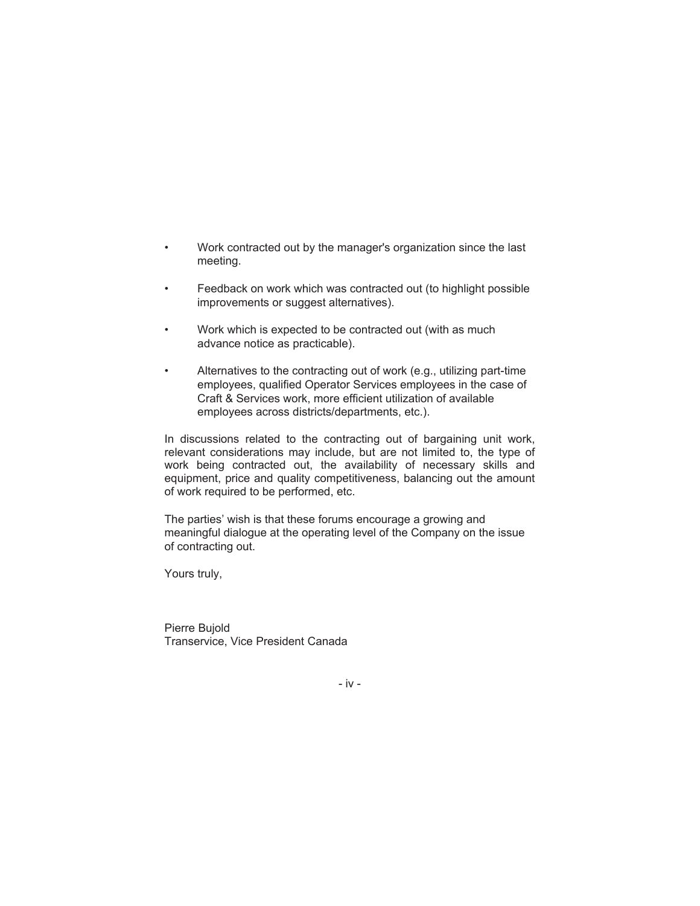- Work contracted out by the manager's organization since the last meeting.
- Feedback on work which was contracted out (to highlight possible improvements or suggest alternatives).
- Work which is expected to be contracted out (with as much advance notice as practicable).
- Alternatives to the contracting out of work (e.g., utilizing part-time employees, qualified Operator Services employees in the case of Craft & Services work, more efficient utilization of available employees across districts/departments, etc.).

In discussions related to the contracting out of bargaining unit work, relevant considerations may include, but are not limited to, the type of work being contracted out, the availability of necessary skills and equipment, price and quality competitiveness, balancing out the amount of work required to be performed, etc.

The parties' wish is that these forums encourage a growing and meaningful dialogue at the operating level of the Company on the issue of contracting out.

Yours truly,

Pierre Bujold Transervice, Vice President Canada

- iv -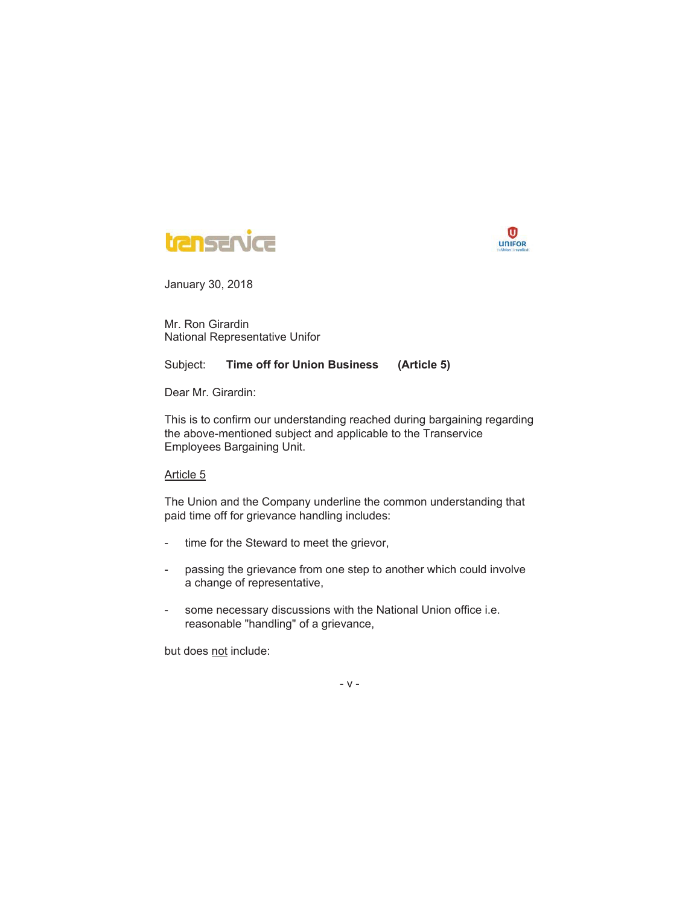



Mr. Ron Girardin National Representative Unifor

#### Subject: **Time off for Union Business (Article 5)**

Dear Mr. Girardin:

This is to confirm our understanding reached during bargaining regarding the above-mentioned subject and applicable to the Transervice Employees Bargaining Unit.

Article 5

The Union and the Company underline the common understanding that paid time off for grievance handling includes:

- time for the Steward to meet the grievor,
- passing the grievance from one step to another which could involve a change of representative,
- some necessary discussions with the National Union office i.e. reasonable "handling" of a grievance,

but does not include:

-v-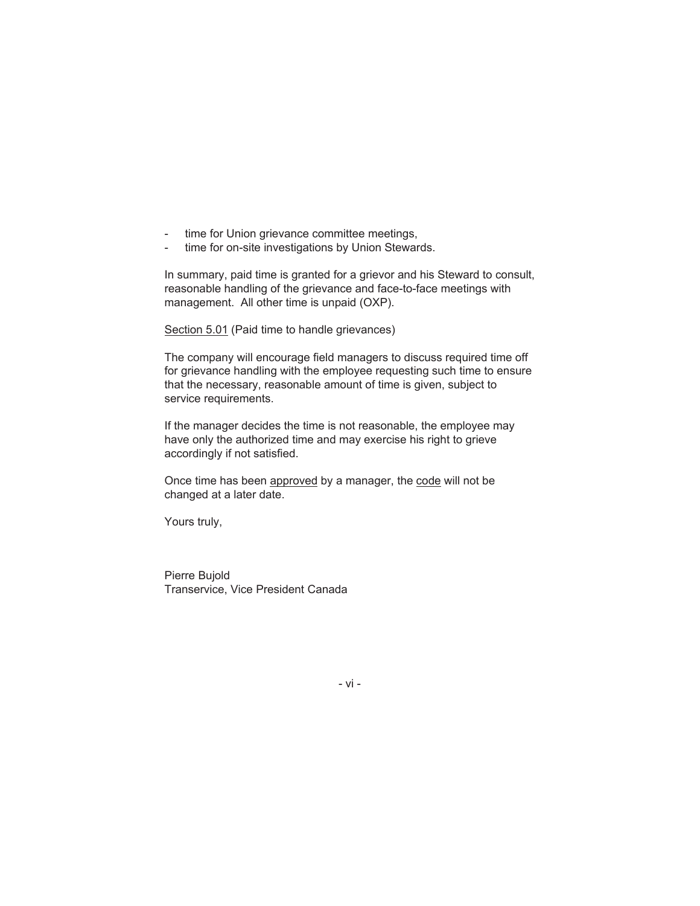- time for Union grievance committee meetings,
- time for on-site investigations by Union Stewards.

In summary, paid time is granted for a grievor and his Steward to consult, reasonable handling of the grievance and face-to-face meetings with management. All other time is unpaid (OXP).

Section 5.01 (Paid time to handle grievances)

The company will encourage field managers to discuss required time off for grievance handling with the employee requesting such time to ensure that the necessary, reasonable amount of time is given, subject to service requirements.

If the manager decides the time is not reasonable, the employee may have only the authorized time and may exercise his right to grieve accordingly if not satisfied.

Once time has been approved by a manager, the code will not be changed at a later date.

Yours truly,

Pierre Bujold Transervice, Vice President Canada

- vi -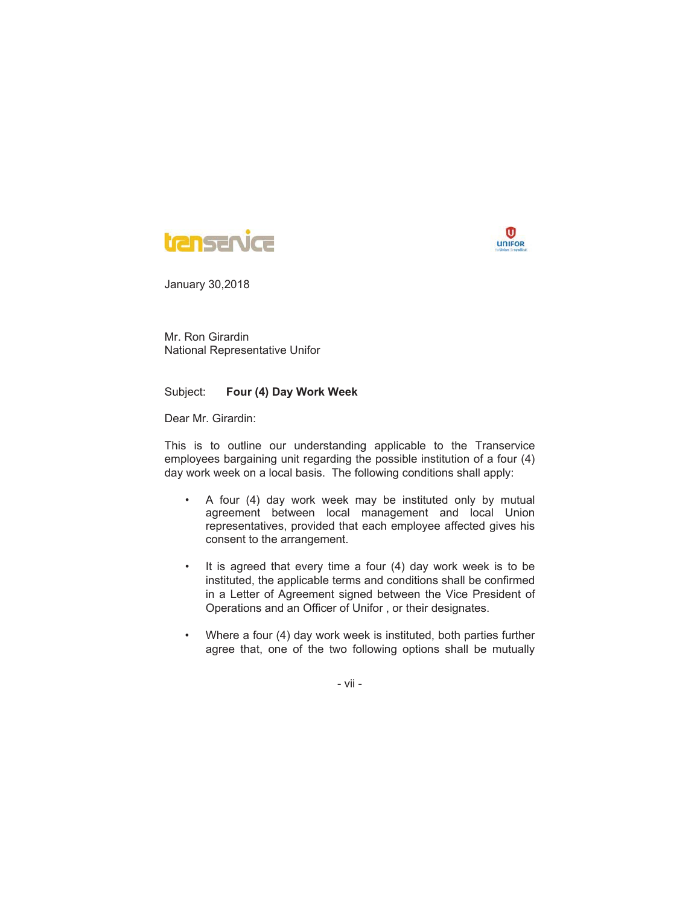



Mr. Ron Girardin National Representative Unifor

#### Subject: **Four (4) Day Work Week**

Dear Mr. Girardin:

This is to outline our understanding applicable to the Transervice employees bargaining unit regarding the possible institution of a four (4) day work week on a local basis. The following conditions shall apply:

- A four (4) day work week may be instituted only by mutual agreement between local management and local Union representatives, provided that each employee affected gives his consent to the arrangement.
- It is agreed that every time a four (4) day work week is to be instituted, the applicable terms and conditions shall be confirmed in a Letter of Agreement signed between the Vice President of Operations and an Officer of Unifor , or their designates.
- Where a four (4) day work week is instituted, both parties further agree that, one of the two following options shall be mutually

- vii -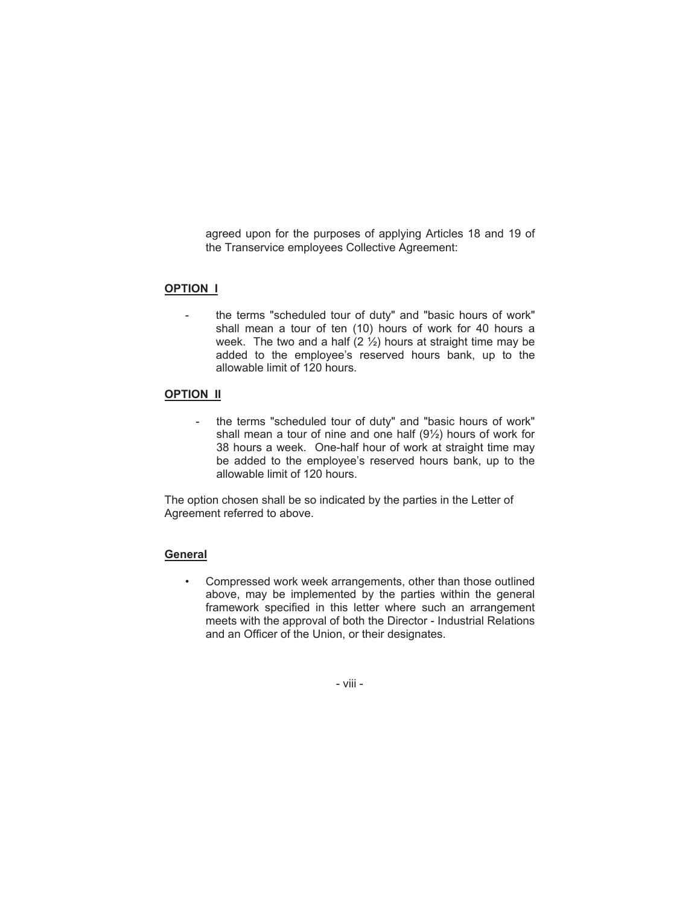agreed upon for the purposes of applying Articles 18 and 19 of the Transervice employees Collective Agreement:

#### **OPTION I**

the terms "scheduled tour of duty" and "basic hours of work" shall mean a tour of ten (10) hours of work for 40 hours a week. The two and a half  $(2 \frac{1}{2})$  hours at straight time may be added to the employee's reserved hours bank, up to the allowable limit of 120 hours.

#### **OPTION II**

the terms "scheduled tour of duty" and "basic hours of work" shall mean a tour of nine and one half (9½) hours of work for 38 hours a week. One-half hour of work at straight time may be added to the employee's reserved hours bank, up to the allowable limit of 120 hours.

The option chosen shall be so indicated by the parties in the Letter of Agreement referred to above.

#### **General**

• Compressed work week arrangements, other than those outlined above, may be implemented by the parties within the general framework specified in this letter where such an arrangement meets with the approval of both the Director - Industrial Relations and an Officer of the Union, or their designates.

- viii -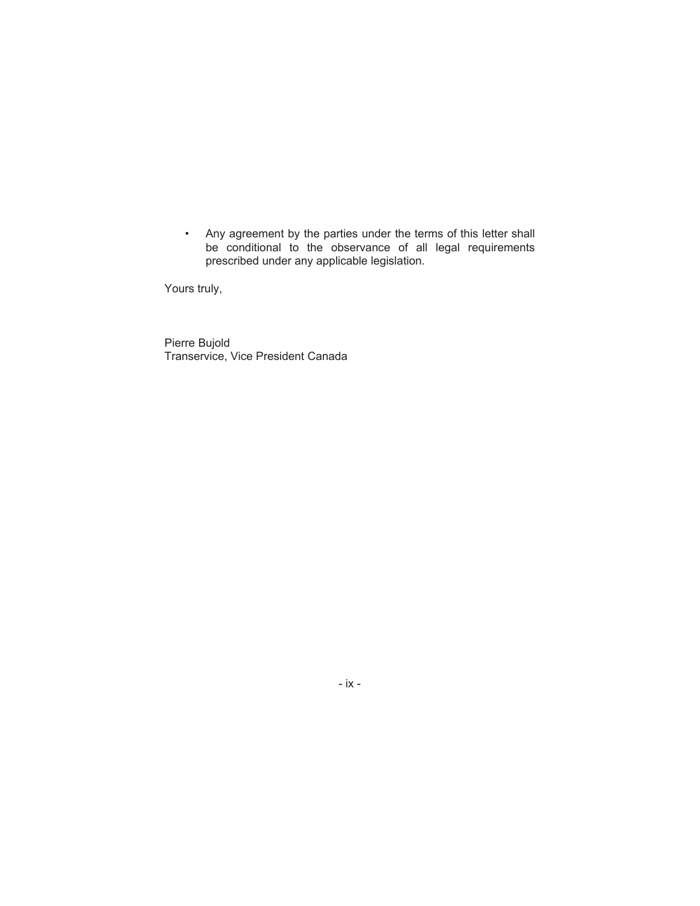• Any agreement by the parties under the terms of this letter shall be conditional to the observance of all legal requirements prescribed under any applicable legislation.

Yours truly,

Pierre Bujold Transervice, Vice President Canada

- ix -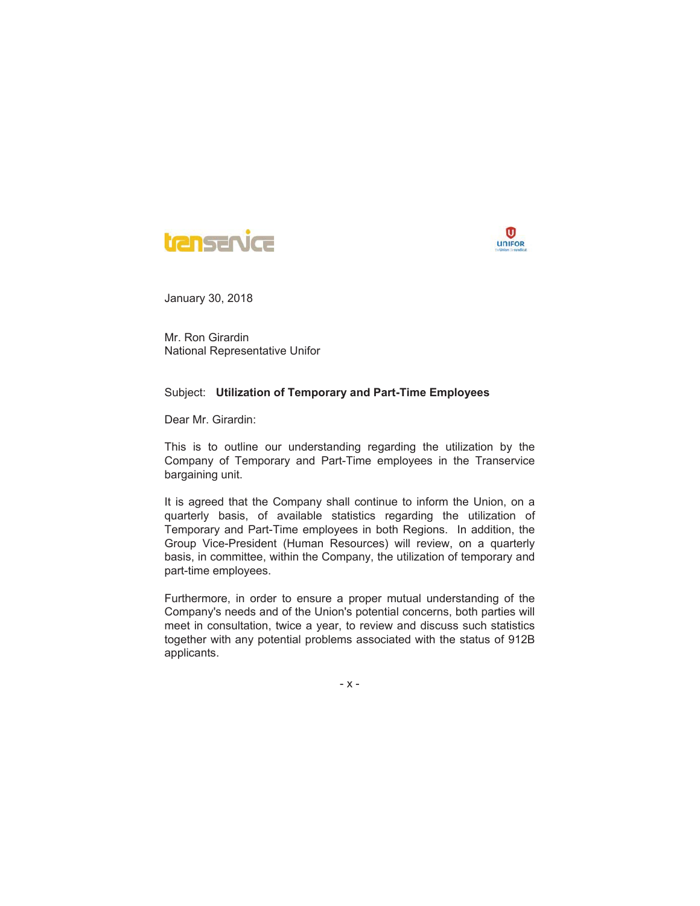



Mr. Ron Girardin National Representative Unifor

#### Subject: **Utilization of Temporary and Part-Time Employees**

Dear Mr. Girardin:

This is to outline our understanding regarding the utilization by the Company of Temporary and Part-Time employees in the Transervice bargaining unit.

It is agreed that the Company shall continue to inform the Union, on a quarterly basis, of available statistics regarding the utilization of Temporary and Part-Time employees in both Regions. In addition, the Group Vice-President (Human Resources) will review, on a quarterly basis, in committee, within the Company, the utilization of temporary and part-time employees.

Furthermore, in order to ensure a proper mutual understanding of the Company's needs and of the Union's potential concerns, both parties will meet in consultation, twice a year, to review and discuss such statistics together with any potential problems associated with the status of 912B applicants.

-x-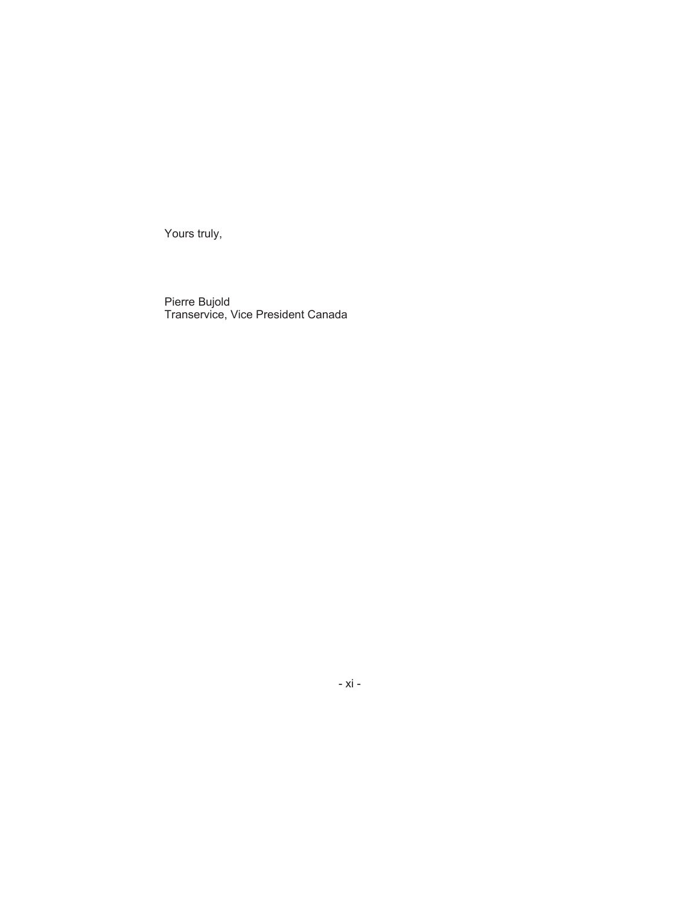Yours truly,

Pierre Bujold Transervice, Vice President Canada

- xi -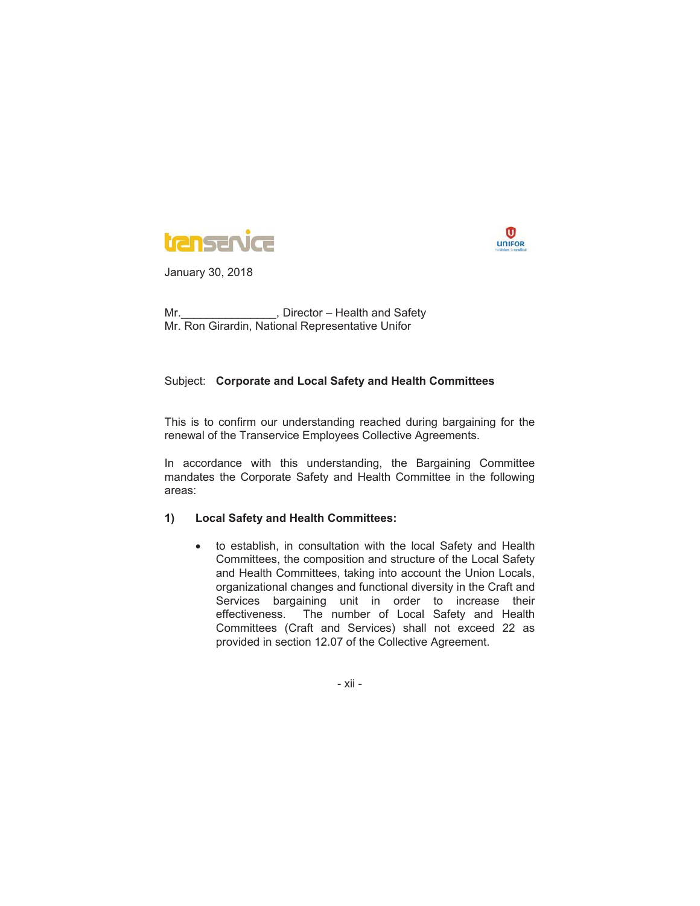



Mr. No. 2006 Mr. 2010 Mr. 2010 Mr. Mr. Ron Girardin, National Representative Unifor

#### Subject: **Corporate and Local Safety and Health Committees**

This is to confirm our understanding reached during bargaining for the renewal of the Transervice Employees Collective Agreements.

In accordance with this understanding, the Bargaining Committee mandates the Corporate Safety and Health Committee in the following areas:

#### **1) Local Safety and Health Committees:**

• to establish, in consultation with the local Safety and Health Committees, the composition and structure of the Local Safety and Health Committees, taking into account the Union Locals, organizational changes and functional diversity in the Craft and Services bargaining unit in order to increase their effectiveness. The number of Local Safety and Health Committees (Craft and Services) shall not exceed 22 as provided in section 12.07 of the Collective Agreement.

- xii -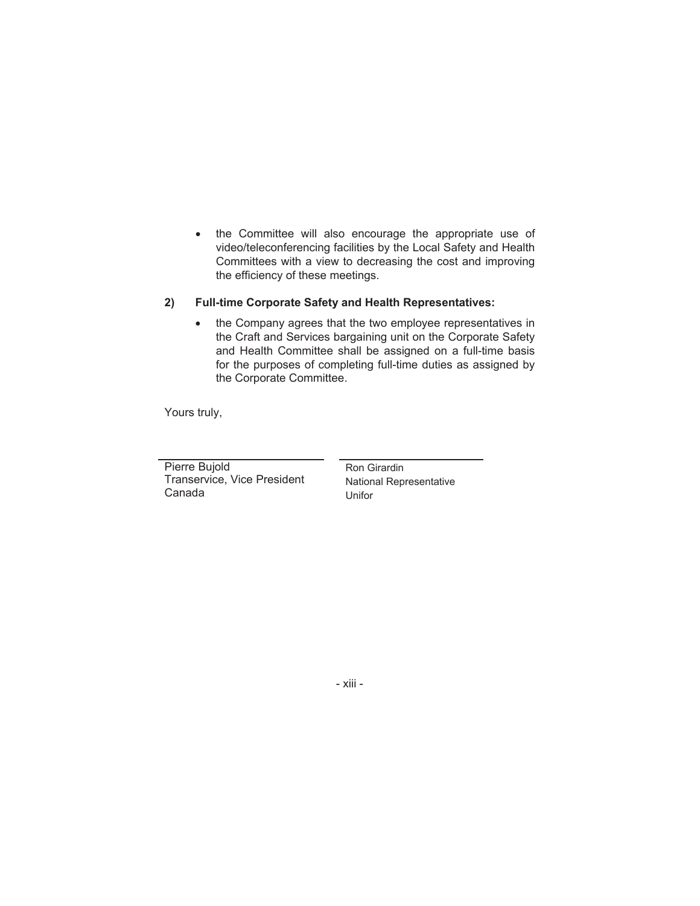• the Committee will also encourage the appropriate use of video/teleconferencing facilities by the Local Safety and Health Committees with a view to decreasing the cost and improving the efficiency of these meetings.

#### **2) Full-time Corporate Safety and Health Representatives:**

• the Company agrees that the two employee representatives in the Craft and Services bargaining unit on the Corporate Safety and Health Committee shall be assigned on a full-time basis for the purposes of completing full-time duties as assigned by the Corporate Committee.

Yours truly,

Pierre Bujold Transervice, Vice President Canada

Ron Girardin National Representative Unifor

- xiii -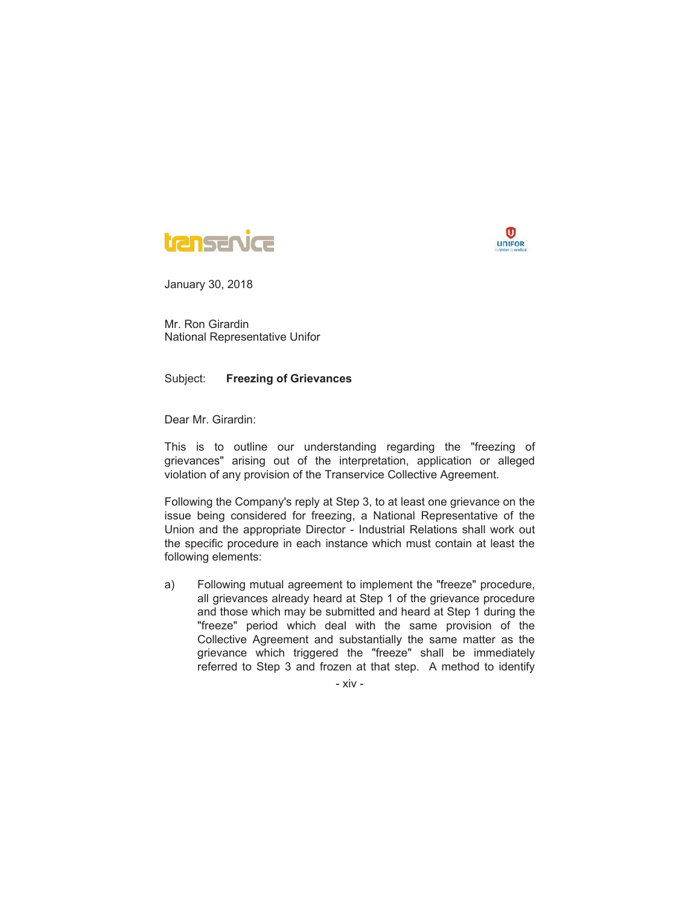



Mr. Ron Girardin National Representative Unifor

Subject: **Freezing of Grievances**

Dear Mr. Girardin:

This is to outline our understanding regarding the "freezing of grievances" arising out of the interpretation, application or alleged violation of any provision of the Transervice Collective Agreement.

Following the Company's reply at Step 3, to at least one grievance on the issue being considered for freezing, a National Representative of the Union and the appropriate Director - Industrial Relations shall work out the specific procedure in each instance which must contain at least the following elements:

a) Following mutual agreement to implement the "freeze" procedure, all grievances already heard at Step 1 of the grievance procedure and those which may be submitted and heard at Step 1 during the "freeze" period which deal with the same provision of the Collective Agreement and substantially the same matter as the grievance which triggered the "freeze" shall be immediately referred to Step 3 and frozen at that step. A method to identify

- xiv -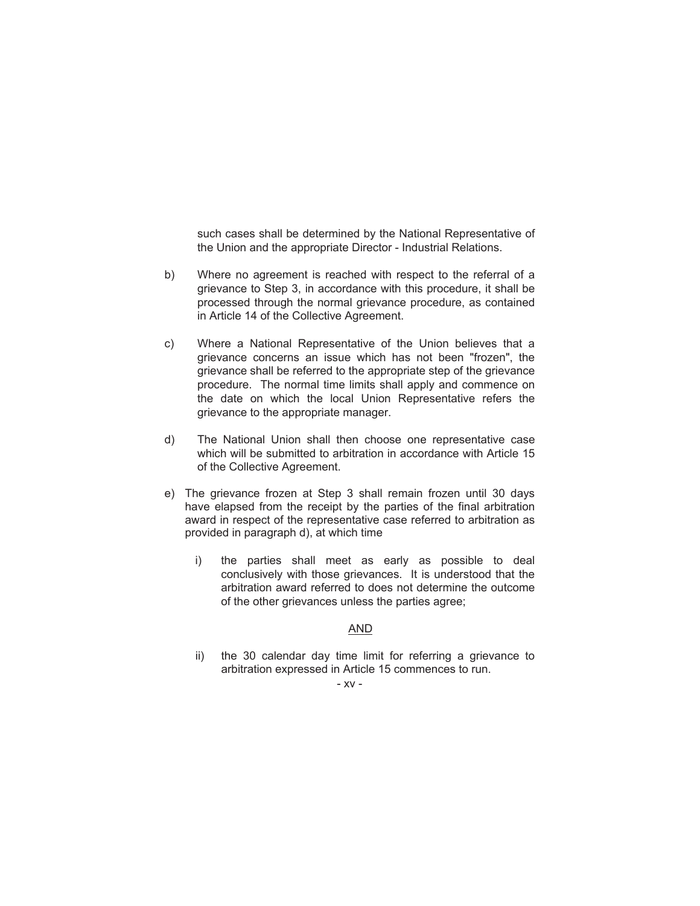such cases shall be determined by the National Representative of the Union and the appropriate Director - Industrial Relations.

- b) Where no agreement is reached with respect to the referral of a grievance to Step 3, in accordance with this procedure, it shall be processed through the normal grievance procedure, as contained in Article 14 of the Collective Agreement.
- c) Where a National Representative of the Union believes that a grievance concerns an issue which has not been "frozen", the grievance shall be referred to the appropriate step of the grievance procedure. The normal time limits shall apply and commence on the date on which the local Union Representative refers the grievance to the appropriate manager.
- d) The National Union shall then choose one representative case which will be submitted to arbitration in accordance with Article 15 of the Collective Agreement.
- e) The grievance frozen at Step 3 shall remain frozen until 30 days have elapsed from the receipt by the parties of the final arbitration award in respect of the representative case referred to arbitration as provided in paragraph d), at which time
	- i) the parties shall meet as early as possible to deal conclusively with those grievances. It is understood that the arbitration award referred to does not determine the outcome of the other grievances unless the parties agree;

### AND

ii) the 30 calendar day time limit for referring a grievance to arbitration expressed in Article 15 commences to run.

#### - xv -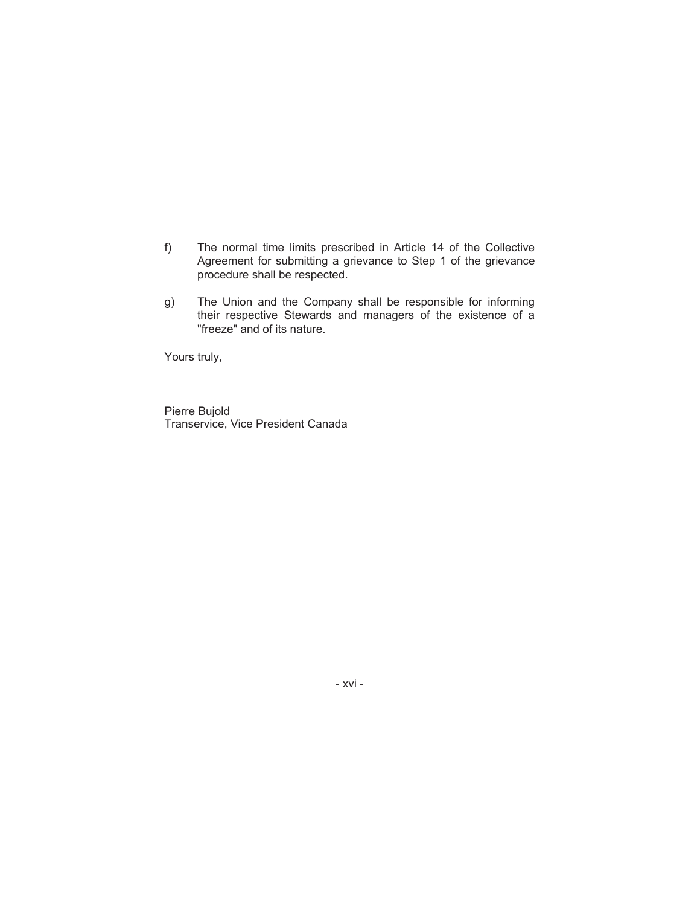- f) The normal time limits prescribed in Article 14 of the Collective Agreement for submitting a grievance to Step 1 of the grievance procedure shall be respected.
- g) The Union and the Company shall be responsible for informing their respective Stewards and managers of the existence of a "freeze" and of its nature.

Yours truly,

Pierre Bujold Transervice, Vice President Canada

- xvi -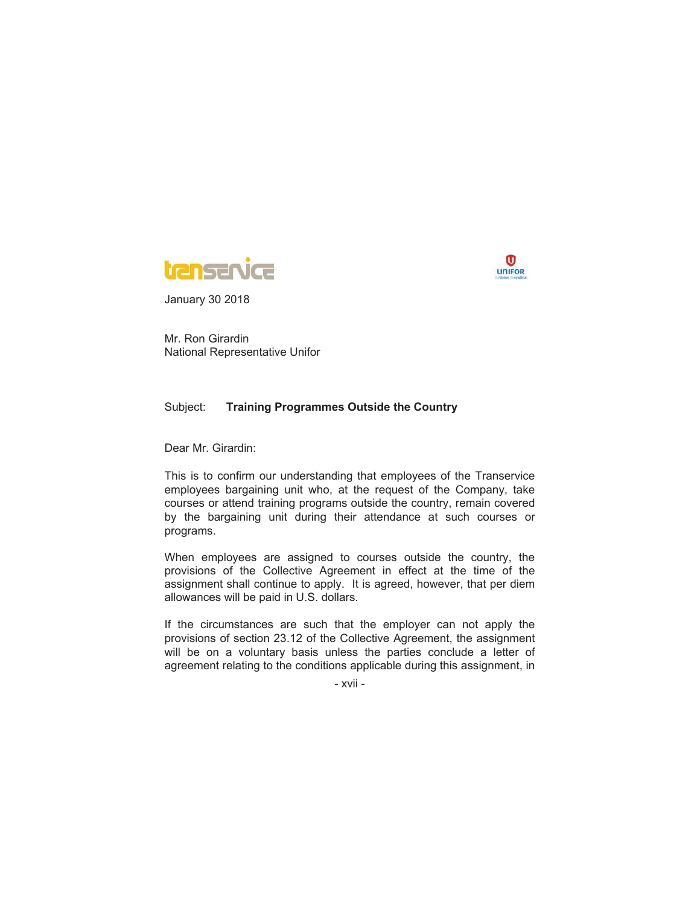



Mr. Ron Girardin National Representative Unifor

#### Subject: **Training Programmes Outside the Country**

Dear Mr. Girardin:

This is to confirm our understanding that employees of the Transervice employees bargaining unit who, at the request of the Company, take courses or attend training programs outside the country, remain covered by the bargaining unit during their attendance at such courses or programs.

When employees are assigned to courses outside the country, the provisions of the Collective Agreement in effect at the time of the assignment shall continue to apply. It is agreed, however, that per diem allowances will be paid in U.S. dollars.

If the circumstances are such that the employer can not apply the provisions of section 23.12 of the Collective Agreement, the assignment will be on a voluntary basis unless the parties conclude a letter of agreement relating to the conditions applicable during this assignment, in

- xvii -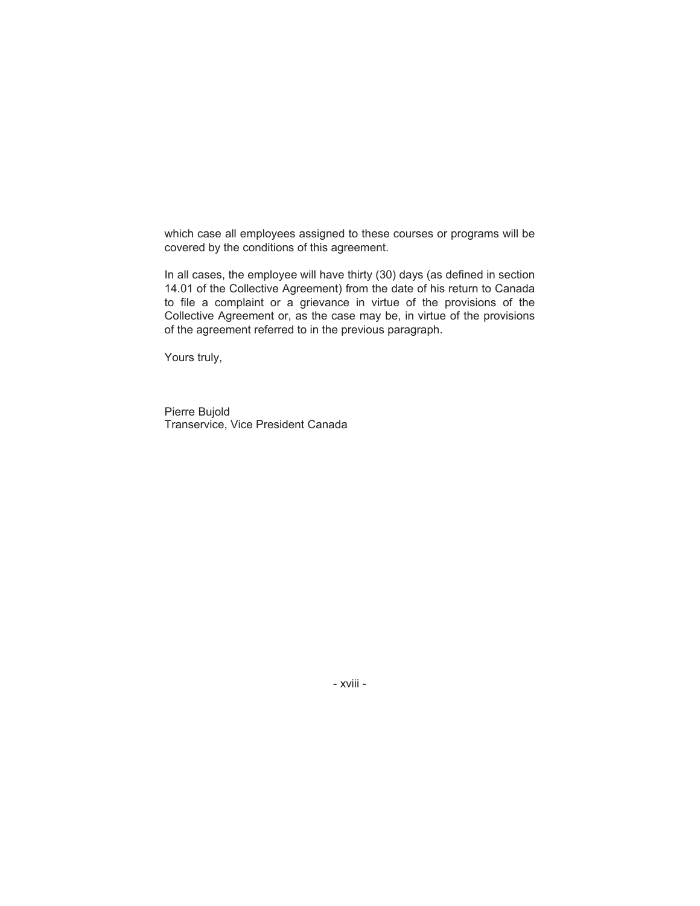which case all employees assigned to these courses or programs will be covered by the conditions of this agreement.

In all cases, the employee will have thirty (30) days (as defined in section 14.01 of the Collective Agreement) from the date of his return to Canada to file a complaint or a grievance in virtue of the provisions of the Collective Agreement or, as the case may be, in virtue of the provisions of the agreement referred to in the previous paragraph.

Yours truly,

Pierre Bujold Transervice, Vice President Canada

- xviii -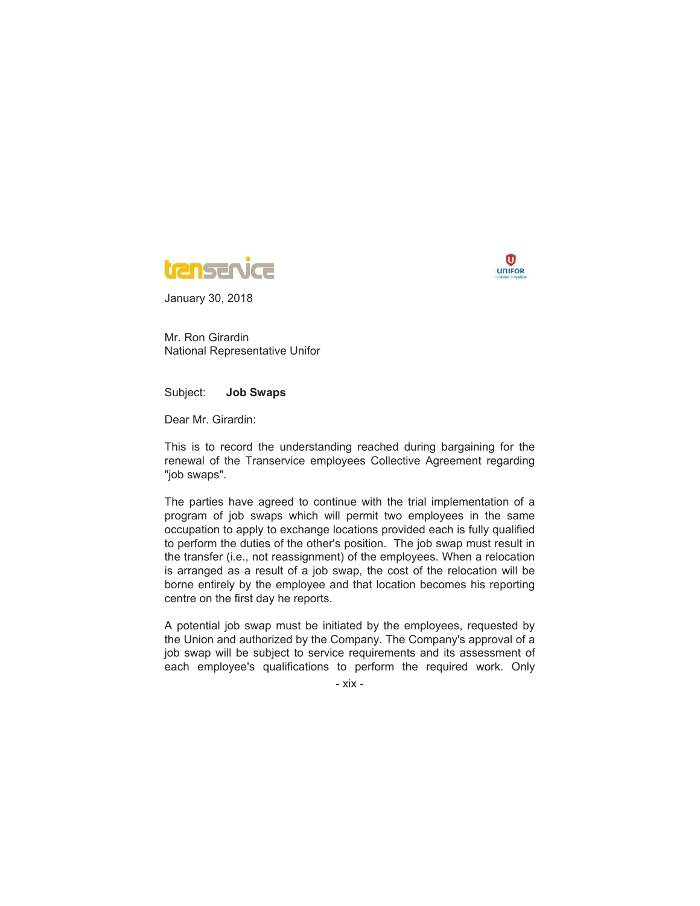



Mr. Ron Girardin National Representative Unifor

Subject: **Job Swaps**

Dear Mr. Girardin:

This is to record the understanding reached during bargaining for the renewal of the Transervice employees Collective Agreement regarding "job swaps".

The parties have agreed to continue with the trial implementation of a program of job swaps which will permit two employees in the same occupation to apply to exchange locations provided each is fully qualified to perform the duties of the other's position. The job swap must result in the transfer (i.e., not reassignment) of the employees. When a relocation is arranged as a result of a job swap, the cost of the relocation will be borne entirely by the employee and that location becomes his reporting centre on the first day he reports.

A potential job swap must be initiated by the employees, requested by the Union and authorized by the Company. The Company's approval of a job swap will be subject to service requirements and its assessment of each employee's qualifications to perform the required work. Only

- xix -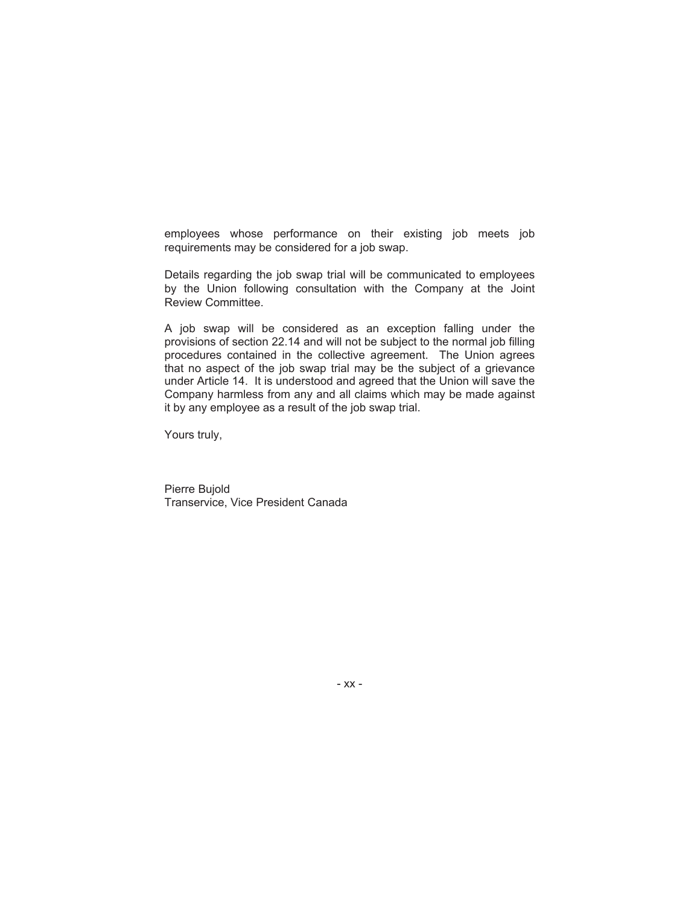employees whose performance on their existing job meets job requirements may be considered for a job swap.

Details regarding the job swap trial will be communicated to employees by the Union following consultation with the Company at the Joint Review Committee.

A job swap will be considered as an exception falling under the provisions of section 22.14 and will not be subject to the normal job filling procedures contained in the collective agreement. The Union agrees that no aspect of the job swap trial may be the subject of a grievance under Article 14. It is understood and agreed that the Union will save the Company harmless from any and all claims which may be made against it by any employee as a result of the job swap trial.

Yours truly,

Pierre Bujold Transervice, Vice President Canada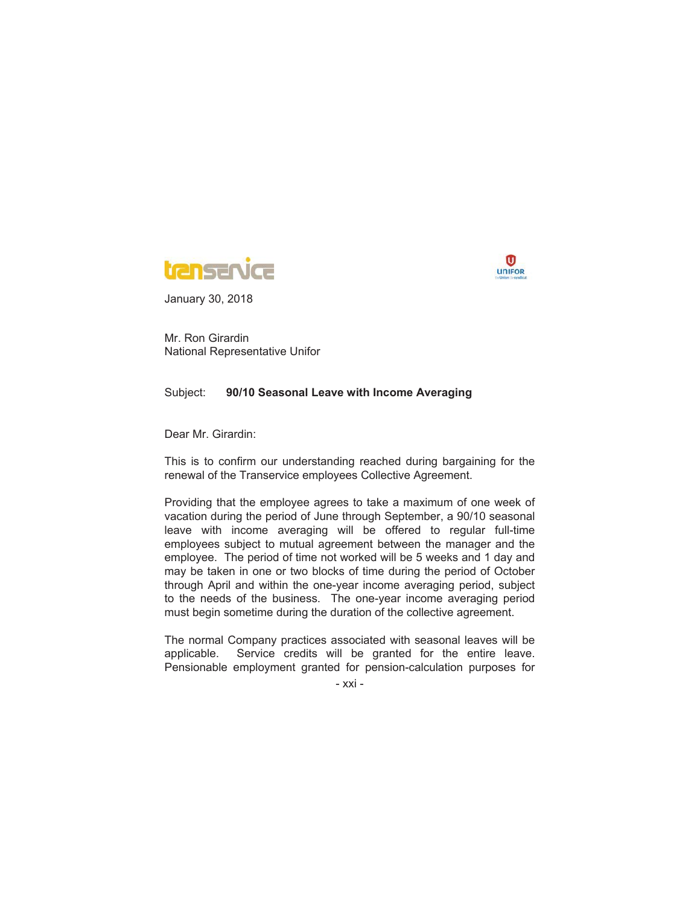



Mr. Ron Girardin National Representative Unifor

#### Subject: **90/10 Seasonal Leave with Income Averaging**

Dear Mr. Girardin:

This is to confirm our understanding reached during bargaining for the renewal of the Transervice employees Collective Agreement.

Providing that the employee agrees to take a maximum of one week of vacation during the period of June through September, a 90/10 seasonal leave with income averaging will be offered to regular full-time employees subject to mutual agreement between the manager and the employee. The period of time not worked will be 5 weeks and 1 day and may be taken in one or two blocks of time during the period of October through April and within the one-year income averaging period, subject to the needs of the business. The one-year income averaging period must begin sometime during the duration of the collective agreement.

The normal Company practices associated with seasonal leaves will be applicable. Service credits will be granted for the entire leave. Pensionable employment granted for pension-calculation purposes for